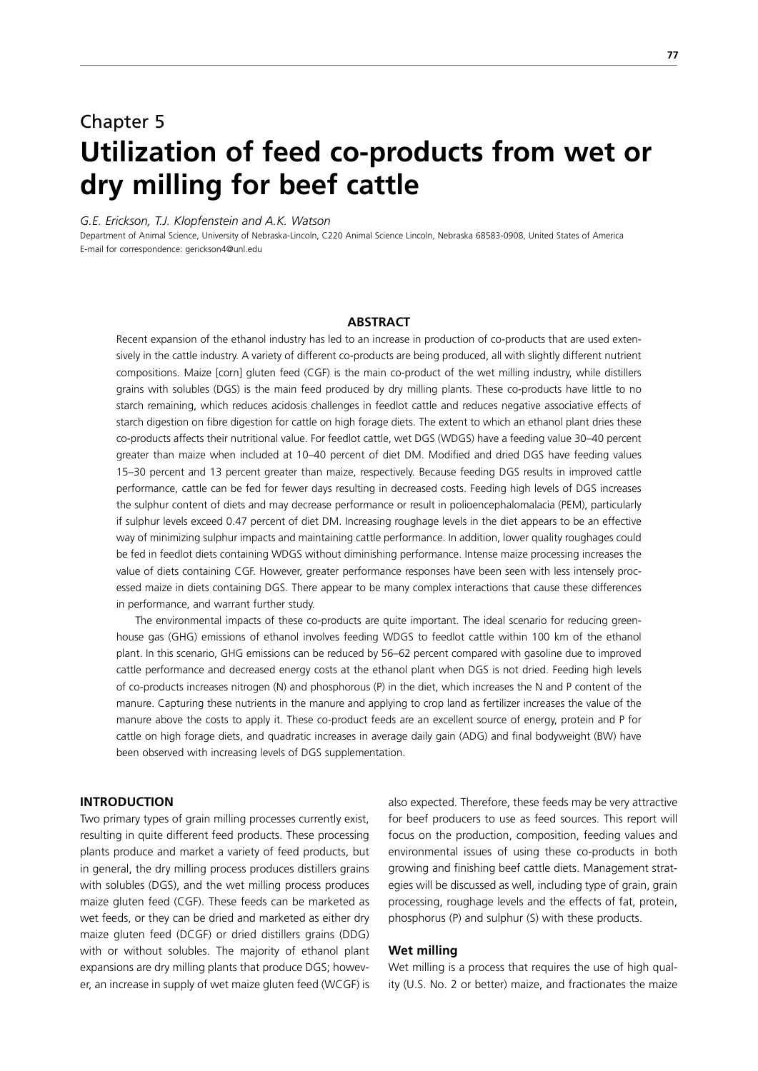# Chapter 5 **Utilization of feed co-products from wet or dry milling for beef cattle**

*G.E. Erickson, T.J. Klopfenstein and A.K. Watson*

Department of Animal Science, University of Nebraska-Lincoln, C220 Animal Science Lincoln, Nebraska 68583-0908, United States of America E-mail for correspondence: gerickson4@unl.edu

## **ABSTRACT**

Recent expansion of the ethanol industry has led to an increase in production of co-products that are used extensively in the cattle industry. A variety of different co-products are being produced, all with slightly different nutrient compositions. Maize [corn] gluten feed (CGF) is the main co-product of the wet milling industry, while distillers grains with solubles (DGS) is the main feed produced by dry milling plants. These co-products have little to no starch remaining, which reduces acidosis challenges in feedlot cattle and reduces negative associative effects of starch digestion on fibre digestion for cattle on high forage diets. The extent to which an ethanol plant dries these co-products affects their nutritional value. For feedlot cattle, wet DGS (WDGS) have a feeding value 30–40 percent greater than maize when included at 10–40 percent of diet DM. Modified and dried DGS have feeding values 15–30 percent and 13 percent greater than maize, respectively. Because feeding DGS results in improved cattle performance, cattle can be fed for fewer days resulting in decreased costs. Feeding high levels of DGS increases the sulphur content of diets and may decrease performance or result in polioencephalomalacia (PEM), particularly if sulphur levels exceed 0.47 percent of diet DM. Increasing roughage levels in the diet appears to be an effective way of minimizing sulphur impacts and maintaining cattle performance. In addition, lower quality roughages could be fed in feedlot diets containing WDGS without diminishing performance. Intense maize processing increases the value of diets containing CGF. However, greater performance responses have been seen with less intensely processed maize in diets containing DGS. There appear to be many complex interactions that cause these differences in performance, and warrant further study.

 The environmental impacts of these co-products are quite important. The ideal scenario for reducing greenhouse gas (GHG) emissions of ethanol involves feeding WDGS to feedlot cattle within 100 km of the ethanol plant. In this scenario, GHG emissions can be reduced by 56–62 percent compared with gasoline due to improved cattle performance and decreased energy costs at the ethanol plant when DGS is not dried. Feeding high levels of co-products increases nitrogen (N) and phosphorous (P) in the diet, which increases the N and P content of the manure. Capturing these nutrients in the manure and applying to crop land as fertilizer increases the value of the manure above the costs to apply it. These co-product feeds are an excellent source of energy, protein and P for cattle on high forage diets, and quadratic increases in average daily gain (ADG) and final bodyweight (BW) have been observed with increasing levels of DGS supplementation.

## **INTRODUCTION**

Two primary types of grain milling processes currently exist, resulting in quite different feed products. These processing plants produce and market a variety of feed products, but in general, the dry milling process produces distillers grains with solubles (DGS), and the wet milling process produces maize gluten feed (CGF). These feeds can be marketed as wet feeds, or they can be dried and marketed as either dry maize gluten feed (DCGF) or dried distillers grains (DDG) with or without solubles. The majority of ethanol plant expansions are dry milling plants that produce DGS; however, an increase in supply of wet maize gluten feed (WCGF) is also expected. Therefore, these feeds may be very attractive for beef producers to use as feed sources. This report will focus on the production, composition, feeding values and environmental issues of using these co-products in both growing and finishing beef cattle diets. Management strategies will be discussed as well, including type of grain, grain processing, roughage levels and the effects of fat, protein, phosphorus (P) and sulphur (S) with these products.

# **Wet milling**

Wet milling is a process that requires the use of high quality (U.S. No. 2 or better) maize, and fractionates the maize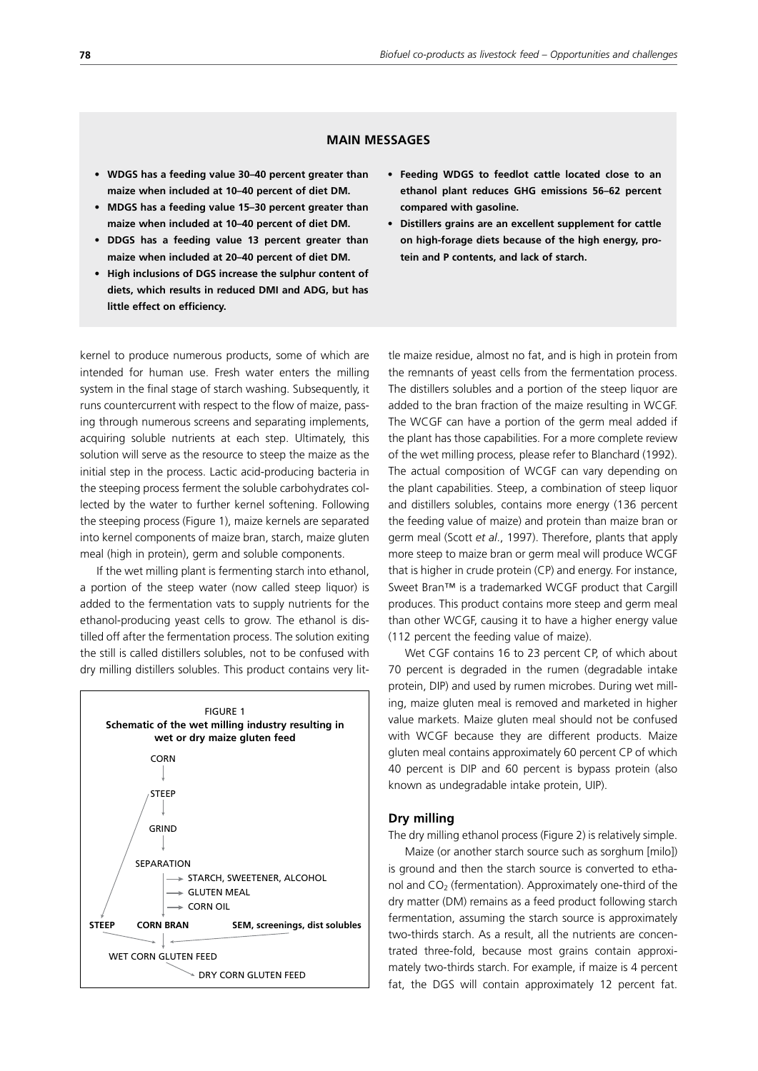# **MAIN MESSAGES**

- **• WDGS has a feeding value 30–40 percent greater than maize when included at 10–40 percent of diet DM.**
- **• MDGS has a feeding value 15–30 percent greater than maize when included at 10–40 percent of diet DM.**
- **• DDGS has a feeding value 13 percent greater than maize when included at 20–40 percent of diet DM.**
- **• High inclusions of DGS increase the sulphur content of diets, which results in reduced DMI and ADG, but has little effect on efficiency.**
- **• Feeding WDGS to feedlot cattle located close to an ethanol plant reduces GHG emissions 56–62 percent compared with gasoline.**
- **• Distillers grains are an excellent supplement for cattle on high-forage diets because of the high energy, protein and P contents, and lack of starch.**

kernel to produce numerous products, some of which are intended for human use. Fresh water enters the milling system in the final stage of starch washing. Subsequently, it runs countercurrent with respect to the flow of maize, passing through numerous screens and separating implements, acquiring soluble nutrients at each step. Ultimately, this solution will serve as the resource to steep the maize as the initial step in the process. Lactic acid-producing bacteria in the steeping process ferment the soluble carbohydrates collected by the water to further kernel softening. Following the steeping process (Figure 1), maize kernels are separated into kernel components of maize bran, starch, maize gluten meal (high in protein), germ and soluble components.

If the wet milling plant is fermenting starch into ethanol, a portion of the steep water (now called steep liquor) is added to the fermentation vats to supply nutrients for the ethanol-producing yeast cells to grow. The ethanol is distilled off after the fermentation process. The solution exiting the still is called distillers solubles, not to be confused with dry milling distillers solubles. This product contains very lit-



tle maize residue, almost no fat, and is high in protein from the remnants of yeast cells from the fermentation process. The distillers solubles and a portion of the steep liquor are added to the bran fraction of the maize resulting in WCGF. The WCGF can have a portion of the germ meal added if the plant has those capabilities. For a more complete review of the wet milling process, please refer to Blanchard (1992). The actual composition of WCGF can vary depending on the plant capabilities. Steep, a combination of steep liquor and distillers solubles, contains more energy (136 percent the feeding value of maize) and protein than maize bran or germ meal (Scott *et al*., 1997). Therefore, plants that apply more steep to maize bran or germ meal will produce WCGF that is higher in crude protein (CP) and energy. For instance, Sweet Bran™ is a trademarked WCGF product that Cargill produces. This product contains more steep and germ meal than other WCGF, causing it to have a higher energy value (112 percent the feeding value of maize).

Wet CGF contains 16 to 23 percent CP, of which about 70 percent is degraded in the rumen (degradable intake protein, DIP) and used by rumen microbes. During wet milling, maize gluten meal is removed and marketed in higher value markets. Maize gluten meal should not be confused with WCGF because they are different products. Maize gluten meal contains approximately 60 percent CP of which 40 percent is DIP and 60 percent is bypass protein (also known as undegradable intake protein, UIP).

## **Dry milling**

The dry milling ethanol process (Figure 2) is relatively simple.

Maize (or another starch source such as sorghum [milo]) is ground and then the starch source is converted to ethanol and  $CO<sub>2</sub>$  (fermentation). Approximately one-third of the dry matter (DM) remains as a feed product following starch fermentation, assuming the starch source is approximately two-thirds starch. As a result, all the nutrients are concentrated three-fold, because most grains contain approximately two-thirds starch. For example, if maize is 4 percent fat, the DGS will contain approximately 12 percent fat.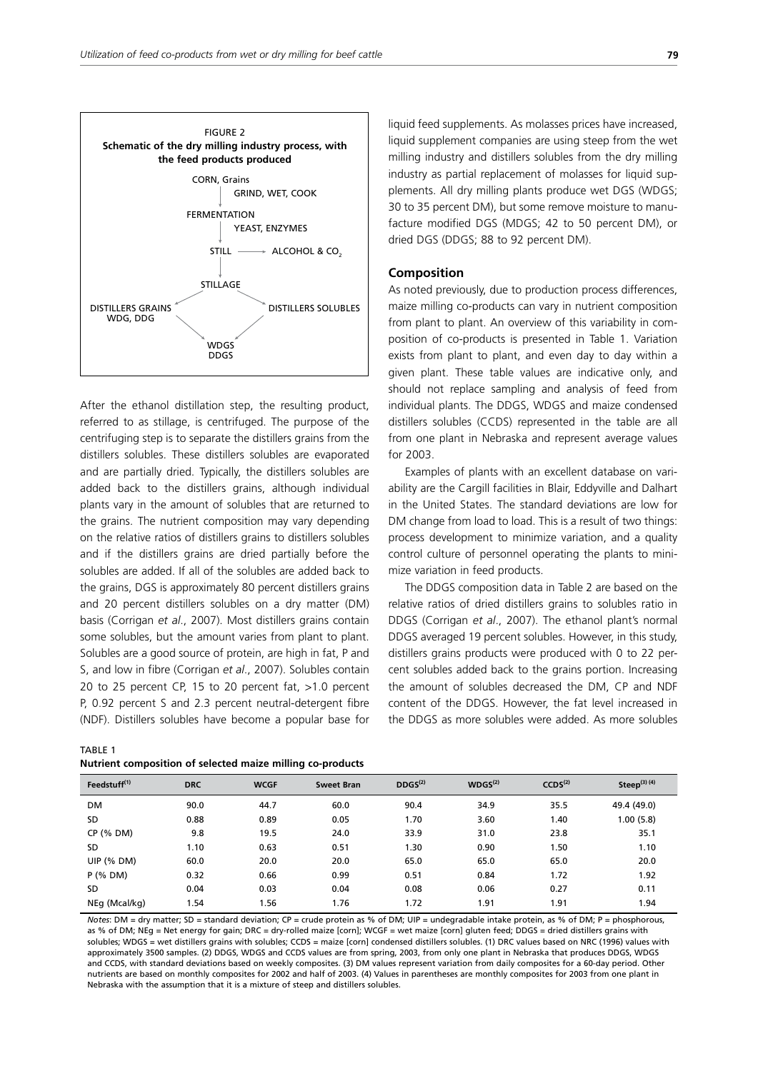

After the ethanol distillation step, the resulting product, referred to as stillage, is centrifuged. The purpose of the centrifuging step is to separate the distillers grains from the distillers solubles. These distillers solubles are evaporated and are partially dried. Typically, the distillers solubles are added back to the distillers grains, although individual plants vary in the amount of solubles that are returned to the grains. The nutrient composition may vary depending on the relative ratios of distillers grains to distillers solubles and if the distillers grains are dried partially before the solubles are added. If all of the solubles are added back to the grains, DGS is approximately 80 percent distillers grains and 20 percent distillers solubles on a dry matter (DM) basis (Corrigan *et al*., 2007). Most distillers grains contain some solubles, but the amount varies from plant to plant. Solubles are a good source of protein, are high in fat, P and S, and low in fibre (Corrigan *et al*., 2007). Solubles contain 20 to 25 percent CP, 15 to 20 percent fat, >1.0 percent P, 0.92 percent S and 2.3 percent neutral-detergent fibre (NDF). Distillers solubles have become a popular base for

| TABLE 1                                                    |  |  |
|------------------------------------------------------------|--|--|
| Nutrient composition of selected maize milling co-products |  |  |

liquid feed supplements. As molasses prices have increased, liquid supplement companies are using steep from the wet milling industry and distillers solubles from the dry milling industry as partial replacement of molasses for liquid supplements. All dry milling plants produce wet DGS (WDGS; 30 to 35 percent DM), but some remove moisture to manufacture modified DGS (MDGS; 42 to 50 percent DM), or dried DGS (DDGS; 88 to 92 percent DM).

## **Composition**

As noted previously, due to production process differences, maize milling co-products can vary in nutrient composition from plant to plant. An overview of this variability in composition of co-products is presented in Table 1. Variation exists from plant to plant, and even day to day within a given plant. These table values are indicative only, and should not replace sampling and analysis of feed from individual plants. The DDGS, WDGS and maize condensed distillers solubles (CCDS) represented in the table are all from one plant in Nebraska and represent average values for 2003.

Examples of plants with an excellent database on variability are the Cargill facilities in Blair, Eddyville and Dalhart in the United States. The standard deviations are low for DM change from load to load. This is a result of two things: process development to minimize variation, and a quality control culture of personnel operating the plants to minimize variation in feed products.

The DDGS composition data in Table 2 are based on the relative ratios of dried distillers grains to solubles ratio in DDGS (Corrigan *et al*., 2007). The ethanol plant's normal DDGS averaged 19 percent solubles. However, in this study, distillers grains products were produced with 0 to 22 percent solubles added back to the grains portion. Increasing the amount of solubles decreased the DM, CP and NDF content of the DDGS. However, the fat level increased in the DDGS as more solubles were added. As more solubles

| Feedstuff <sup>(1)</sup> | <b>DRC</b> | <b>WCGF</b> | <b>Sweet Bran</b> | DDGS <sup>(2)</sup> | WDGS <sup>(2)</sup> | CCDS <sup>(2)</sup> | Steep $(3)$ $(4)$ |
|--------------------------|------------|-------------|-------------------|---------------------|---------------------|---------------------|-------------------|
| <b>DM</b>                | 90.0       | 44.7        | 60.0              | 90.4                | 34.9                | 35.5                | 49.4 (49.0)       |
| <b>SD</b>                | 0.88       | 0.89        | 0.05              | 1.70                | 3.60                | 1.40                | 1.00 (5.8)        |
| $CP$ (% DM)              | 9.8        | 19.5        | 24.0              | 33.9                | 31.0                | 23.8                | 35.1              |
| <b>SD</b>                | 1.10       | 0.63        | 0.51              | 1.30                | 0.90                | 1.50                | 1.10              |
| <b>UIP (% DM)</b>        | 60.0       | 20.0        | 20.0              | 65.0                | 65.0                | 65.0                | 20.0              |
| $P$ (% DM)               | 0.32       | 0.66        | 0.99              | 0.51                | 0.84                | 1.72                | 1.92              |
| <b>SD</b>                | 0.04       | 0.03        | 0.04              | 0.08                | 0.06                | 0.27                | 0.11              |
| NEq (Mcal/kg)            | 1.54       | l.56        | 1.76              | 1.72                | 1.91                | 1.91                | 1.94              |

*Notes*: DM = dry matter; SD = standard deviation; CP = crude protein as % of DM; UIP = undegradable intake protein, as % of DM; P = phosphorous, as % of DM; NEg = Net energy for gain; DRC = dry-rolled maize [corn]; WCGF = wet maize [corn] gluten feed; DDGS = dried distillers grains with solubles; WDGS = wet distillers grains with solubles; CCDS = maize [corn] condensed distillers solubles. (1) DRC values based on NRC (1996) values with approximately 3500 samples. (2) DDGS, WDGS and CCDS values are from spring, 2003, from only one plant in Nebraska that produces DDGS, WDGS and CCDS, with standard deviations based on weekly composites. (3) DM values represent variation from daily composites for a 60-day period. Other nutrients are based on monthly composites for 2002 and half of 2003. (4) Values in parentheses are monthly composites for 2003 from one plant in Nebraska with the assumption that it is a mixture of steep and distillers solubles.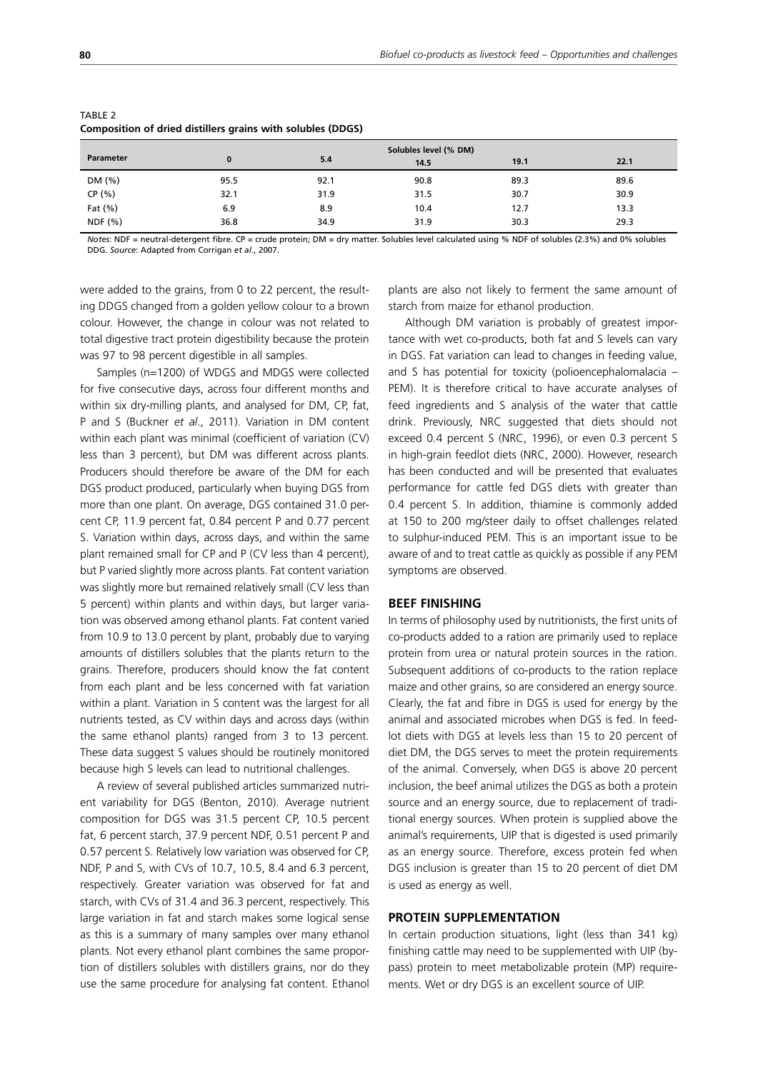|                  | -        |                       |      |      |      |  |  |
|------------------|----------|-----------------------|------|------|------|--|--|
|                  |          | Solubles level (% DM) |      |      |      |  |  |
| <b>Parameter</b> | $\bf{0}$ | 5.4                   | 14.5 | 19.1 | 22.1 |  |  |
| DM (%)           | 95.5     | 92.1                  | 90.8 | 89.3 | 89.6 |  |  |
| CP (%)           | 32.1     | 31.9                  | 31.5 | 30.7 | 30.9 |  |  |
| Fat $(\% )$      | 6.9      | 8.9                   | 10.4 | 12.7 | 13.3 |  |  |
| NDF(% )          | 36.8     | 34.9                  | 31.9 | 30.3 | 29.3 |  |  |

#### TABLE 2 **Composition of dried distillers grains with solubles (DDGS)**

*Notes*: NDF = neutral-detergent fibre. CP = crude protein; DM = dry matter. Solubles level calculated using % NDF of solubles (2.3%) and 0% solubles DDG. *Source*: Adapted from Corrigan *et al.*, 2007.

were added to the grains, from 0 to 22 percent, the resulting DDGS changed from a golden yellow colour to a brown colour. However, the change in colour was not related to total digestive tract protein digestibility because the protein was 97 to 98 percent digestible in all samples.

Samples (n=1200) of WDGS and MDGS were collected for five consecutive days, across four different months and within six dry-milling plants, and analysed for DM, CP, fat, P and S (Buckner *et al*., 2011). Variation in DM content within each plant was minimal (coefficient of variation (CV) less than 3 percent), but DM was different across plants. Producers should therefore be aware of the DM for each DGS product produced, particularly when buying DGS from more than one plant. On average, DGS contained 31.0 percent CP, 11.9 percent fat, 0.84 percent P and 0.77 percent S. Variation within days, across days, and within the same plant remained small for CP and P (CV less than 4 percent), but P varied slightly more across plants. Fat content variation was slightly more but remained relatively small (CV less than 5 percent) within plants and within days, but larger variation was observed among ethanol plants. Fat content varied from 10.9 to 13.0 percent by plant, probably due to varying amounts of distillers solubles that the plants return to the grains. Therefore, producers should know the fat content from each plant and be less concerned with fat variation within a plant. Variation in S content was the largest for all nutrients tested, as CV within days and across days (within the same ethanol plants) ranged from 3 to 13 percent. These data suggest S values should be routinely monitored because high S levels can lead to nutritional challenges.

A review of several published articles summarized nutrient variability for DGS (Benton, 2010). Average nutrient composition for DGS was 31.5 percent CP, 10.5 percent fat, 6 percent starch, 37.9 percent NDF, 0.51 percent P and 0.57 percent S. Relatively low variation was observed for CP, NDF, P and S, with CVs of 10.7, 10.5, 8.4 and 6.3 percent, respectively. Greater variation was observed for fat and starch, with CVs of 31.4 and 36.3 percent, respectively. This large variation in fat and starch makes some logical sense as this is a summary of many samples over many ethanol plants. Not every ethanol plant combines the same proportion of distillers solubles with distillers grains, nor do they use the same procedure for analysing fat content. Ethanol plants are also not likely to ferment the same amount of starch from maize for ethanol production.

Although DM variation is probably of greatest importance with wet co-products, both fat and S levels can vary in DGS. Fat variation can lead to changes in feeding value, and S has potential for toxicity (polioencephalomalacia – PEM). It is therefore critical to have accurate analyses of feed ingredients and S analysis of the water that cattle drink. Previously, NRC suggested that diets should not exceed 0.4 percent S (NRC, 1996), or even 0.3 percent S in high-grain feedlot diets (NRC, 2000). However, research has been conducted and will be presented that evaluates performance for cattle fed DGS diets with greater than 0.4 percent S. In addition, thiamine is commonly added at 150 to 200 mg/steer daily to offset challenges related to sulphur-induced PEM. This is an important issue to be aware of and to treat cattle as quickly as possible if any PEM symptoms are observed.

## **BEEF FINISHING**

In terms of philosophy used by nutritionists, the first units of co-products added to a ration are primarily used to replace protein from urea or natural protein sources in the ration. Subsequent additions of co-products to the ration replace maize and other grains, so are considered an energy source. Clearly, the fat and fibre in DGS is used for energy by the animal and associated microbes when DGS is fed. In feedlot diets with DGS at levels less than 15 to 20 percent of diet DM, the DGS serves to meet the protein requirements of the animal. Conversely, when DGS is above 20 percent inclusion, the beef animal utilizes the DGS as both a protein source and an energy source, due to replacement of traditional energy sources. When protein is supplied above the animal's requirements, UIP that is digested is used primarily as an energy source. Therefore, excess protein fed when DGS inclusion is greater than 15 to 20 percent of diet DM is used as energy as well.

## **PROTEIN SUPPLEMENTATION**

In certain production situations, light (less than 341 kg) finishing cattle may need to be supplemented with UIP (bypass) protein to meet metabolizable protein (MP) requirements. Wet or dry DGS is an excellent source of UIP.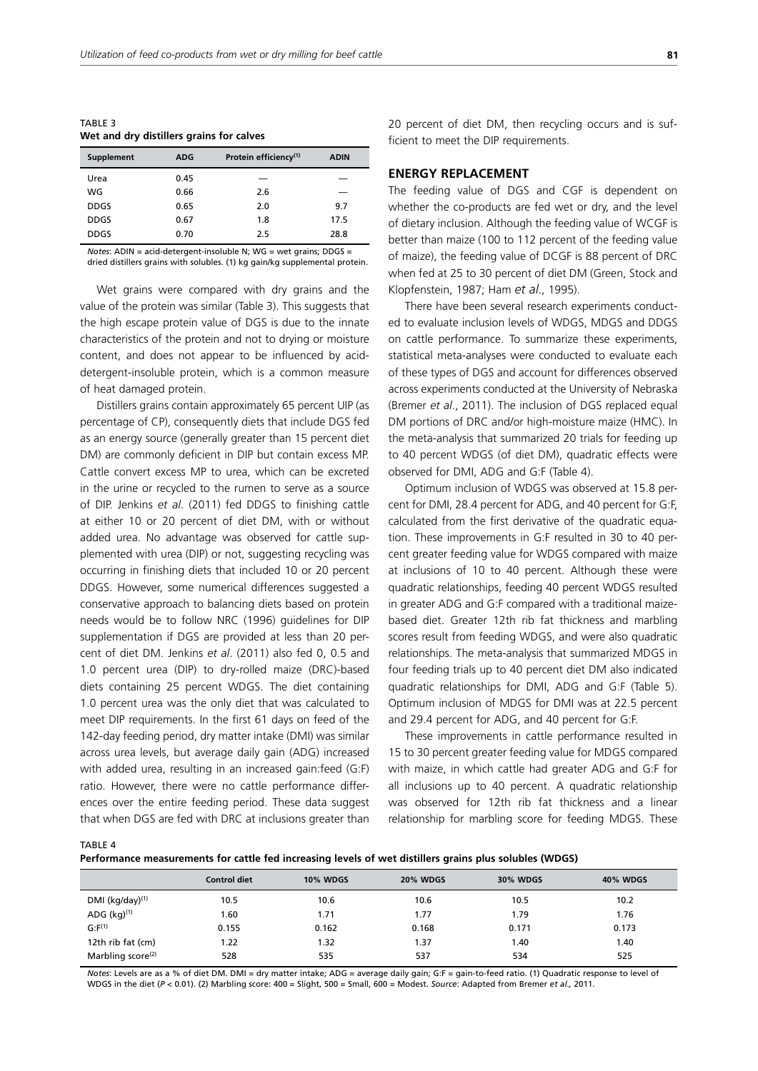TABLE 3 **Wet and dry distillers grains for calves**

| <b>Supplement</b> | <b>ADG</b> | Protein efficiency <sup>(1)</sup> | <b>ADIN</b> |
|-------------------|------------|-----------------------------------|-------------|
| Urea              | 0.45       |                                   |             |
| WG                | 0.66       | 2.6                               |             |
| <b>DDGS</b>       | 0.65       | 2.0                               | 9.7         |
| <b>DDGS</b>       | 0.67       | 1.8                               | 17.5        |
| <b>DDGS</b>       | 0.70       | 2.5                               | 28.8        |

*Notes*: ADIN = acid-detergent-insoluble N; WG = wet grains; DDGS = dried distillers grains with solubles. (1) kg gain/kg supplemental protein.

Wet grains were compared with dry grains and the value of the protein was similar (Table 3). This suggests that the high escape protein value of DGS is due to the innate characteristics of the protein and not to drying or moisture content, and does not appear to be influenced by aciddetergent-insoluble protein, which is a common measure of heat damaged protein.

Distillers grains contain approximately 65 percent UIP (as percentage of CP), consequently diets that include DGS fed as an energy source (generally greater than 15 percent diet DM) are commonly deficient in DIP but contain excess MP. Cattle convert excess MP to urea, which can be excreted in the urine or recycled to the rumen to serve as a source of DIP. Jenkins *et al*. (2011) fed DDGS to finishing cattle at either 10 or 20 percent of diet DM, with or without added urea. No advantage was observed for cattle supplemented with urea (DIP) or not, suggesting recycling was occurring in finishing diets that included 10 or 20 percent DDGS. However, some numerical differences suggested a conservative approach to balancing diets based on protein needs would be to follow NRC (1996) guidelines for DIP supplementation if DGS are provided at less than 20 percent of diet DM. Jenkins *et al*. (2011) also fed 0, 0.5 and 1.0 percent urea (DIP) to dry-rolled maize (DRC)-based diets containing 25 percent WDGS. The diet containing 1.0 percent urea was the only diet that was calculated to meet DIP requirements. In the first 61 days on feed of the 142-day feeding period, dry matter intake (DMI) was similar across urea levels, but average daily gain (ADG) increased with added urea, resulting in an increased gain:feed (G:F) ratio. However, there were no cattle performance differences over the entire feeding period. These data suggest that when DGS are fed with DRC at inclusions greater than 20 percent of diet DM, then recycling occurs and is sufficient to meet the DIP requirements.

## **ENERGY REPLACEMENT**

The feeding value of DGS and CGF is dependent on whether the co-products are fed wet or dry, and the level of dietary inclusion. Although the feeding value of WCGF is better than maize (100 to 112 percent of the feeding value of maize), the feeding value of DCGF is 88 percent of DRC when fed at 25 to 30 percent of diet DM (Green, Stock and Klopfenstein, 1987; Ham *et al*., 1995).

There have been several research experiments conducted to evaluate inclusion levels of WDGS, MDGS and DDGS on cattle performance. To summarize these experiments, statistical meta-analyses were conducted to evaluate each of these types of DGS and account for differences observed across experiments conducted at the University of Nebraska (Bremer *et al*., 2011). The inclusion of DGS replaced equal DM portions of DRC and/or high-moisture maize (HMC). In the meta-analysis that summarized 20 trials for feeding up to 40 percent WDGS (of diet DM), quadratic effects were observed for DMI, ADG and G:F (Table 4).

Optimum inclusion of WDGS was observed at 15.8 percent for DMI, 28.4 percent for ADG, and 40 percent for G:F, calculated from the first derivative of the quadratic equation. These improvements in G:F resulted in 30 to 40 percent greater feeding value for WDGS compared with maize at inclusions of 10 to 40 percent. Although these were quadratic relationships, feeding 40 percent WDGS resulted in greater ADG and G:F compared with a traditional maizebased diet. Greater 12th rib fat thickness and marbling scores result from feeding WDGS, and were also quadratic relationships. The meta-analysis that summarized MDGS in four feeding trials up to 40 percent diet DM also indicated quadratic relationships for DMI, ADG and G:F (Table 5). Optimum inclusion of MDGS for DMI was at 22.5 percent and 29.4 percent for ADG, and 40 percent for G:F.

These improvements in cattle performance resulted in 15 to 30 percent greater feeding value for MDGS compared with maize, in which cattle had greater ADG and G:F for all inclusions up to 40 percent. A quadratic relationship was observed for 12th rib fat thickness and a linear relationship for marbling score for feeding MDGS. These

TARI F 4

**Performance measurements for cattle fed increasing levels of wet distillers grains plus solubles (WDGS)**

|                               | <b>Control diet</b> | <b>10% WDGS</b> | <b>20% WDGS</b> | <b>30% WDGS</b> | <b>40% WDGS</b> |
|-------------------------------|---------------------|-----------------|-----------------|-----------------|-----------------|
| DMI $(kg/day)^{(1)}$          | 10.5                | 10.6            | 10.6            | 10.5            | 10.2            |
| ADG $(kg)^{(1)}$              | 1.60                | 1.71            | 1.77            | 1.79            | 1.76            |
| G: F <sup>(1)</sup>           | 0.155               | 0.162           | 0.168           | 0.171           | 0.173           |
| 12th rib fat (cm)             | 1.22                | 1.32            | 1.37            | 40. ا           | 1.40            |
| Marbling score <sup>(2)</sup> | 528                 | 535             | 537             | 534             | 525             |

*Notes*: Levels are as a % of diet DM. DMI = dry matter intake; ADG = average daily gain; G:F = gain-to-feed ratio. (1) Quadratic response to level of WDGS in the diet (*P* < 0.01). (2) Marbling score: 400 = Slight, 500 = Small, 600 = Modest. *Source*: Adapted from Bremer *et al.,* 2011.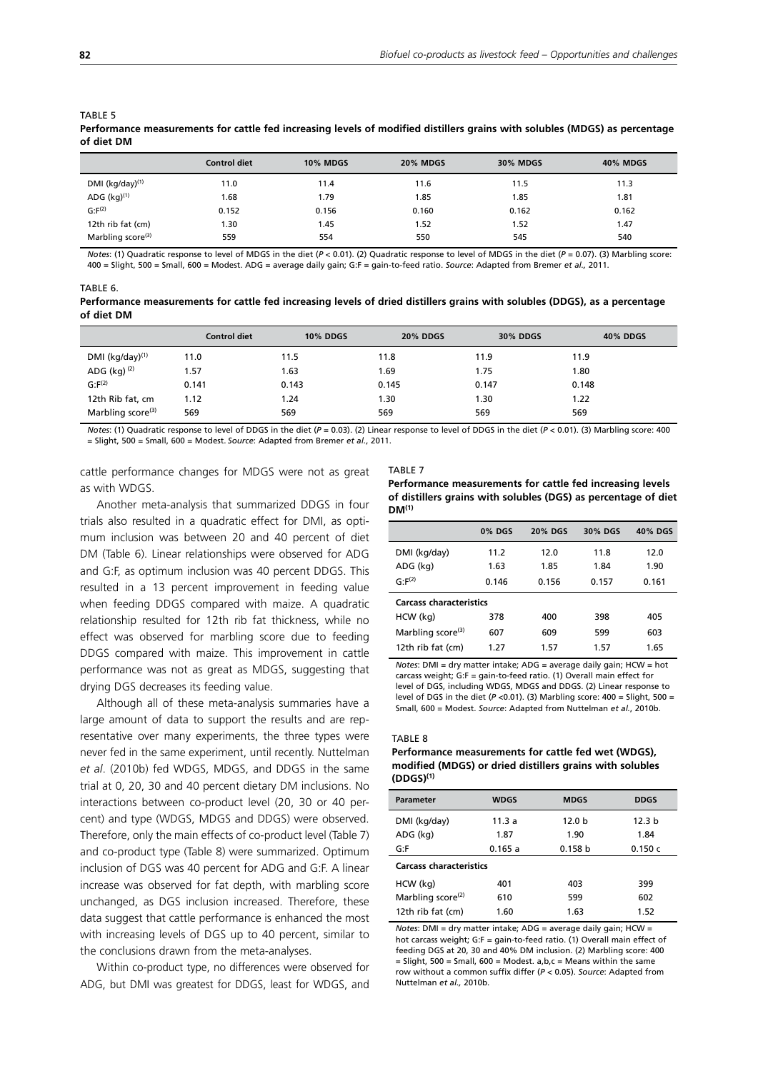|                               | <b>Control diet</b> | <b>10% MDGS</b> | <b>20% MDGS</b> | <b>30% MDGS</b> | <b>40% MDGS</b> |
|-------------------------------|---------------------|-----------------|-----------------|-----------------|-----------------|
| DMI (kg/day) $(1)$            | 11.0                | 11.4            | 11.6            | 11.5            | 11.3            |
| ADG $(kg)^{(1)}$              | 1.68                | 1.79            | 1.85            | 1.85            | 1.81            |
| G: F <sup>(2)</sup>           | 0.152               | 0.156           | 0.160           | 0.162           | 0.162           |
| 12th rib fat (cm)             | 1.30                | 1.45            | 1.52            | 1.52            | 1.47            |
| Marbling score <sup>(3)</sup> | 559                 | 554             | 550             | 545             | 540             |

*Notes*: (1) Quadratic response to level of MDGS in the diet (*P* < 0.01). (2) Quadratic response to level of MDGS in the diet (*P* = 0.07). (3) Marbling score: 400 = Slight, 500 = Small, 600 = Modest. ADG = average daily gain; G:F = gain-to-feed ratio. *Source*: Adapted from Bremer *et al.,* 2011.

#### TABLE 6.

**of diet DM**

| Performance measurements for cattle fed increasing levels of dried distillers grains with solubles (DDGS), as a percentage |  |
|----------------------------------------------------------------------------------------------------------------------------|--|
| of diet DM                                                                                                                 |  |

|                               | <b>Control diet</b> | <b>10% DDGS</b> | <b>20% DDGS</b> | <b>30% DDGS</b> | <b>40% DDGS</b> |
|-------------------------------|---------------------|-----------------|-----------------|-----------------|-----------------|
| DMI $(kg/day)^{(1)}$          | 11.0                | 11.5            | 11.8            | 11.9            | 11.9            |
| ADG (kg) <sup>(2)</sup>       | 1.57                | 1.63            | 1.69            | 1.75            | 1.80            |
| $G: F^{(2)}$                  | 0.141               | 0.143           | 0.145           | 0.147           | 0.148           |
| 12th Rib fat, cm              | 1.12                | 1.24            | 1.30            | 1.30            | 1.22            |
| Marbling score <sup>(3)</sup> | 569                 | 569             | 569             | 569             | 569             |

*Notes*: (1) Quadratic response to level of DDGS in the diet (*P* = 0.03). (2) Linear response to level of DDGS in the diet (*P* < 0.01). (3) Marbling score: 400 = Slight, 500 = Small, 600 = Modest. *Source*: Adapted from Bremer *et al.*, 2011.

cattle performance changes for MDGS were not as great as with WDGS.

Another meta-analysis that summarized DDGS in four trials also resulted in a quadratic effect for DMI, as optimum inclusion was between 20 and 40 percent of diet DM (Table 6). Linear relationships were observed for ADG and G:F, as optimum inclusion was 40 percent DDGS. This resulted in a 13 percent improvement in feeding value when feeding DDGS compared with maize. A quadratic relationship resulted for 12th rib fat thickness, while no effect was observed for marbling score due to feeding DDGS compared with maize. This improvement in cattle performance was not as great as MDGS, suggesting that drying DGS decreases its feeding value.

Although all of these meta-analysis summaries have a large amount of data to support the results and are representative over many experiments, the three types were never fed in the same experiment, until recently. Nuttelman *et al*. (2010b) fed WDGS, MDGS, and DDGS in the same trial at 0, 20, 30 and 40 percent dietary DM inclusions. No interactions between co-product level (20, 30 or 40 percent) and type (WDGS, MDGS and DDGS) were observed. Therefore, only the main effects of co-product level (Table 7) and co-product type (Table 8) were summarized. Optimum inclusion of DGS was 40 percent for ADG and G:F. A linear increase was observed for fat depth, with marbling score unchanged, as DGS inclusion increased. Therefore, these data suggest that cattle performance is enhanced the most with increasing levels of DGS up to 40 percent, similar to the conclusions drawn from the meta-analyses.

Within co-product type, no differences were observed for ADG, but DMI was greatest for DDGS, least for WDGS, and

#### TABLE 7

**Performance measurements for cattle fed increasing levels of distillers grains with solubles (DGS) as percentage of diet DM(1)**

|                                | <b>0% DGS</b> | <b>20% DGS</b> | 30% DGS | 40% DGS |
|--------------------------------|---------------|----------------|---------|---------|
| DMI (kg/day)                   | 11.2          | 12.0           | 11.8    | 12.0    |
| ADG (kg)                       | 1.63          | 1.85           | 1.84    | 1.90    |
| $G: F^{(2)}$                   | 0.146         | 0.156          | 0.157   | 0.161   |
| <b>Carcass characteristics</b> |               |                |         |         |
| HCW (kg)                       | 378           | 400            | 398     | 405     |
| Marbling score <sup>(3)</sup>  | 607           | 609            | 599     | 603     |
| 12th rib fat (cm)              | 1.27          | 1.57           | 1.57    | 1.65    |

*Notes*: DMI = dry matter intake; ADG = average daily gain; HCW = hot carcass weight; G:F = gain-to-feed ratio. (1) Overall main effect for level of DGS, including WDGS, MDGS and DDGS. (2) Linear response to level of DGS in the diet ( $P < 0.01$ ). (3) Marbling score:  $400 =$  Slight,  $500 =$ Small, 600 = Modest. *Source*: Adapted from Nuttelman *et al.*, 2010b.

#### TABLE 8

#### **Performance measurements for cattle fed wet (WDGS), modified (MDGS) or dried distillers grains with solubles (DDGS)(1)**

| <b>Parameter</b>               | <b>WDGS</b> | <b>MDGS</b>       | <b>DDGS</b>       |  |  |
|--------------------------------|-------------|-------------------|-------------------|--|--|
| DMI (kg/day)                   | 11.3 a      | 12.0 <sub>b</sub> | 12.3 <sub>b</sub> |  |  |
| ADG (kg)                       | 1.87        | 1.90              | 1.84              |  |  |
| G: F                           | 0.165a      | 0.158 b           | 0.150c            |  |  |
| <b>Carcass characteristics</b> |             |                   |                   |  |  |
| HCW (kg)                       | 401         | 403               | 399               |  |  |
| Marbling score <sup>(2)</sup>  | 610         | 599               | 602               |  |  |
| 12th rib fat (cm)              | 1.60        | 1.63              | 1.52              |  |  |

*Notes*: DMI = dry matter intake; ADG = average daily gain; HCW = hot carcass weight; G:F = gain-to-feed ratio. (1) Overall main effect of feeding DGS at 20, 30 and 40% DM inclusion. (2) Marbling score: 400  $=$  Slight, 500 = Small, 600 = Modest, a,b,c = Means within the same row without a common suffix differ (*P* < 0.05). *Source*: Adapted from Nuttelman *et al.,* 2010b.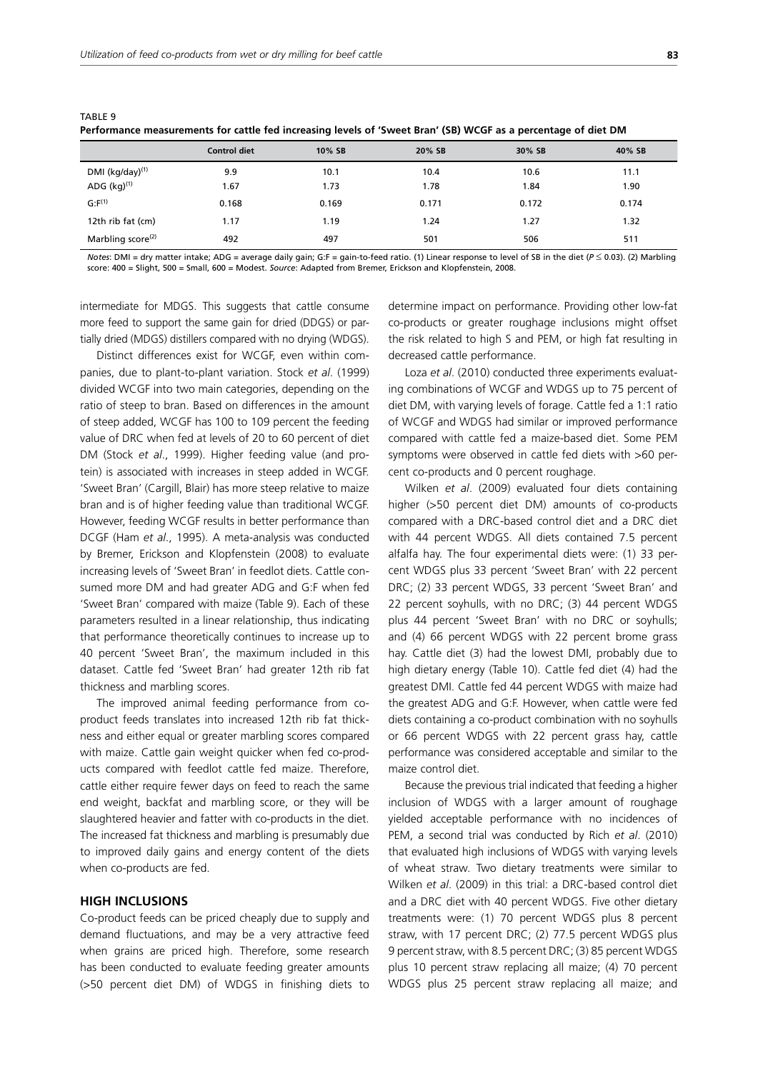TABLE 9

|                               | <b>Control diet</b> | 10% SB | 20% SB | 30% SB | 40% SB |
|-------------------------------|---------------------|--------|--------|--------|--------|
| DMI (kg/day) <sup>(1)</sup>   | 9.9                 | 10.1   | 10.4   | 10.6   | 11.1   |
| ADG $(kq)^{(1)}$              | 1.67                | 1.73   | 1.78   | 1.84   | 1.90   |
| $G: F^{(1)}$                  | 0.168               | 0.169  | 0.171  | 0.172  | 0.174  |
| 12th rib fat (cm)             | 1.17                | 1.19   | 1.24   | 1.27   | 1.32   |
| Marbling score <sup>(2)</sup> | 492                 | 497    | 501    | 506    | 511    |

**Performance measurements for cattle fed increasing levels of 'Sweet Bran' (SB) WCGF as a percentage of diet DM**

*Notes*: DMI = dry matter intake; ADG = average daily gain; G:F = gain-to-feed ratio. (1) Linear response to level of SB in the diet (*P*  $\leq$  0.03). (2) Marbling score: 400 = Slight, 500 = Small, 600 = Modest. *Source*: Adapted from Bremer, Erickson and Klopfenstein, 2008.

intermediate for MDGS. This suggests that cattle consume more feed to support the same gain for dried (DDGS) or partially dried (MDGS) distillers compared with no drying (WDGS).

Distinct differences exist for WCGF, even within companies, due to plant-to-plant variation. Stock *et al*. (1999) divided WCGF into two main categories, depending on the ratio of steep to bran. Based on differences in the amount of steep added, WCGF has 100 to 109 percent the feeding value of DRC when fed at levels of 20 to 60 percent of diet DM (Stock *et al*., 1999). Higher feeding value (and protein) is associated with increases in steep added in WCGF. 'Sweet Bran' (Cargill, Blair) has more steep relative to maize bran and is of higher feeding value than traditional WCGF. However, feeding WCGF results in better performance than DCGF (Ham *et al*., 1995). A meta-analysis was conducted by Bremer, Erickson and Klopfenstein (2008) to evaluate increasing levels of 'Sweet Bran' in feedlot diets. Cattle consumed more DM and had greater ADG and G:F when fed 'Sweet Bran' compared with maize (Table 9). Each of these parameters resulted in a linear relationship, thus indicating that performance theoretically continues to increase up to 40 percent 'Sweet Bran', the maximum included in this dataset. Cattle fed 'Sweet Bran' had greater 12th rib fat thickness and marbling scores.

The improved animal feeding performance from coproduct feeds translates into increased 12th rib fat thickness and either equal or greater marbling scores compared with maize. Cattle gain weight quicker when fed co-products compared with feedlot cattle fed maize. Therefore, cattle either require fewer days on feed to reach the same end weight, backfat and marbling score, or they will be slaughtered heavier and fatter with co-products in the diet. The increased fat thickness and marbling is presumably due to improved daily gains and energy content of the diets when co-products are fed.

## **HIGH INCLUSIONS**

Co-product feeds can be priced cheaply due to supply and demand fluctuations, and may be a very attractive feed when grains are priced high. Therefore, some research has been conducted to evaluate feeding greater amounts (>50 percent diet DM) of WDGS in finishing diets to determine impact on performance. Providing other low-fat co-products or greater roughage inclusions might offset the risk related to high S and PEM, or high fat resulting in decreased cattle performance.

Loza *et al*. (2010) conducted three experiments evaluating combinations of WCGF and WDGS up to 75 percent of diet DM, with varying levels of forage. Cattle fed a 1:1 ratio of WCGF and WDGS had similar or improved performance compared with cattle fed a maize-based diet. Some PEM symptoms were observed in cattle fed diets with >60 percent co-products and 0 percent roughage.

Wilken *et al*. (2009) evaluated four diets containing higher (>50 percent diet DM) amounts of co-products compared with a DRC-based control diet and a DRC diet with 44 percent WDGS. All diets contained 7.5 percent alfalfa hay. The four experimental diets were: (1) 33 percent WDGS plus 33 percent 'Sweet Bran' with 22 percent DRC; (2) 33 percent WDGS, 33 percent 'Sweet Bran' and 22 percent soyhulls, with no DRC; (3) 44 percent WDGS plus 44 percent 'Sweet Bran' with no DRC or soyhulls; and (4) 66 percent WDGS with 22 percent brome grass hay. Cattle diet (3) had the lowest DMI, probably due to high dietary energy (Table 10). Cattle fed diet (4) had the greatest DMI. Cattle fed 44 percent WDGS with maize had the greatest ADG and G:F. However, when cattle were fed diets containing a co-product combination with no soyhulls or 66 percent WDGS with 22 percent grass hay, cattle performance was considered acceptable and similar to the maize control diet.

Because the previous trial indicated that feeding a higher inclusion of WDGS with a larger amount of roughage yielded acceptable performance with no incidences of PEM, a second trial was conducted by Rich *et al*. (2010) that evaluated high inclusions of WDGS with varying levels of wheat straw. Two dietary treatments were similar to Wilken *et al*. (2009) in this trial: a DRC-based control diet and a DRC diet with 40 percent WDGS. Five other dietary treatments were: (1) 70 percent WDGS plus 8 percent straw, with 17 percent DRC; (2) 77.5 percent WDGS plus 9 percent straw, with 8.5 percent DRC; (3) 85 percent WDGS plus 10 percent straw replacing all maize; (4) 70 percent WDGS plus 25 percent straw replacing all maize; and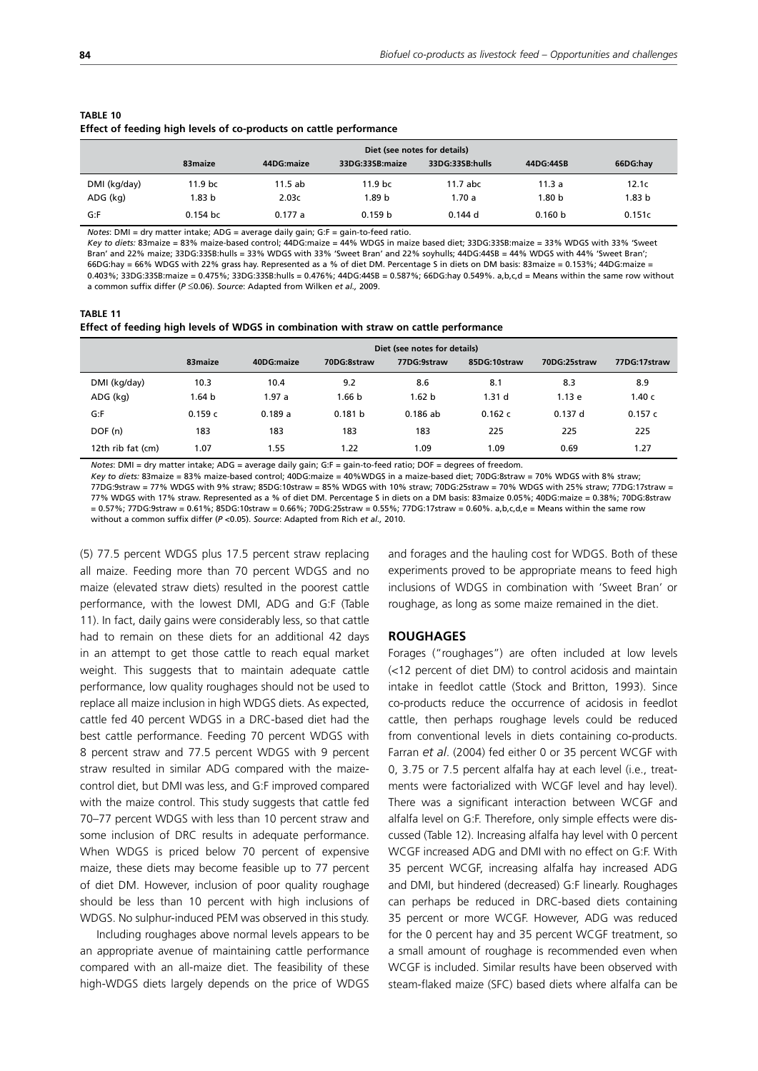| Lited of Tecumq mqn icveis of co-prouded on cattle performance<br>Diet (see notes for details) |            |            |                    |                 |                   |          |  |
|------------------------------------------------------------------------------------------------|------------|------------|--------------------|-----------------|-------------------|----------|--|
|                                                                                                | 83maize    | 44DG:maize | 33DG:33SB:maize    | 33DG:33SB:hulls | 44DG:44SB         | 66DG:hav |  |
| DMI (kg/day)                                                                                   | 11.9 bc    | $11.5$ ab  | 11.9 <sub>bc</sub> | $11.7$ abc      | 11.3a             | 12.1c    |  |
| ADG (kg)                                                                                       | 1.83 b     | 2.03c      | 1.89 b             | 1.70a           | 1.80 <sub>b</sub> | 1.83 b   |  |
| G:F                                                                                            | $0.154$ bc | 0.177a     | 0.159 <sub>b</sub> | $0.144$ d       | 0.160 b           | 0.151c   |  |

#### **TABLE 10 Effect of feeding high levels of co-products on cattle performance**

*Notes*: DMI = dry matter intake; ADG = average daily gain; G:F = gain-to-feed ratio.

*Key to diets:* 83maize = 83% maize-based control; 44DG:maize = 44% WDGS in maize based diet; 33DG:33SB:maize = 33% WDGS with 33% 'Sweet Bran' and 22% maize; 33DG:33SB:hulls = 33% WDGS with 33% 'Sweet Bran' and 22% soyhulls; 44DG:44SB = 44% WDGS with 44% 'Sweet Bran'; 66DG:hay = 66% WDGS with 22% grass hay. Represented as a % of diet DM. Percentage S in diets on DM basis: 83maize = 0.153%; 44DG:maize = 0.403%; 33DG:33SB:maize = 0.475%; 33DG:33SB:hulls = 0.476%; 44DG:44SB = 0.587%; 66DG:hay 0.549%. a,b,c,d = Means within the same row without a common suffix differ ( $P \le 0.06$ ). Source: Adapted from Wilken et al., 2009.

| TABLE 11                                                                              |  |
|---------------------------------------------------------------------------------------|--|
| Effect of feeding high levels of WDGS in combination with straw on cattle performance |  |

|                   | Diet (see notes for details) |            |             |                   |                   |              |              |
|-------------------|------------------------------|------------|-------------|-------------------|-------------------|--------------|--------------|
|                   | 83 maize                     | 40DG:maize | 70DG:8straw | 77DG:9straw       | 85DG:10straw      | 70DG:25straw | 77DG:17straw |
| DMI (kg/day)      | 10.3                         | 10.4       | 9.2         | 8.6               | 8.1               | 8.3          | 8.9          |
| ADG (kg)          | 1.64 b                       | 1.97 a     | 1.66 b      | 1.62 <sub>b</sub> | 1.31 <sub>d</sub> | 1.13e        | 1.40c        |
| G:F               | 0.159c                       | 0.189a     | 0.181 b     | 0.186ab           | 0.162c            | $0.137$ d    | 0.157c       |
| DOF (n)           | 183                          | 183        | 183         | 183               | 225               | 225          | 225          |
| 12th rib fat (cm) | 1.07                         | 1.55       | 1.22        | 1.09              | 1.09              | 0.69         | 1.27         |

*Notes*: DMI = dry matter intake; ADG = average daily gain; G:F = gain-to-feed ratio; DOF = degrees of freedom.

*Key to diets:* 83maize = 83% maize-based control; 40DG:maize = 40%WDGS in a maize-based diet; 70DG:8straw = 70% WDGS with 8% straw; 77DG:9straw = 77% WDGS with 9% straw; 85DG:10straw = 85% WDGS with 10% straw; 70DG:25straw = 70% WDGS with 25% straw; 77DG:17straw = 77% WDGS with 17% straw. Represented as a % of diet DM. Percentage S in diets on a DM basis: 83maize 0.05%; 40DG:maize = 0.38%; 70DG:8straw  $= 0.57\%$ : 77DG:9straw = 0.61%; 85DG:10straw = 0.66%; 70DG:25straw = 0.55%; 77DG:17straw = 0.60%, a,b,c,d,e = Means within the same row without a common suffix differ (*P* <0.05). *Source*: Adapted from Rich *et al.,* 2010.

(5) 77.5 percent WDGS plus 17.5 percent straw replacing all maize. Feeding more than 70 percent WDGS and no maize (elevated straw diets) resulted in the poorest cattle performance, with the lowest DMI, ADG and G:F (Table 11). In fact, daily gains were considerably less, so that cattle had to remain on these diets for an additional 42 days in an attempt to get those cattle to reach equal market weight. This suggests that to maintain adequate cattle performance, low quality roughages should not be used to replace all maize inclusion in high WDGS diets. As expected, cattle fed 40 percent WDGS in a DRC-based diet had the best cattle performance. Feeding 70 percent WDGS with 8 percent straw and 77.5 percent WDGS with 9 percent straw resulted in similar ADG compared with the maizecontrol diet, but DMI was less, and G:F improved compared with the maize control. This study suggests that cattle fed 70–77 percent WDGS with less than 10 percent straw and some inclusion of DRC results in adequate performance. When WDGS is priced below 70 percent of expensive maize, these diets may become feasible up to 77 percent of diet DM. However, inclusion of poor quality roughage should be less than 10 percent with high inclusions of WDGS. No sulphur-induced PEM was observed in this study.

Including roughages above normal levels appears to be an appropriate avenue of maintaining cattle performance compared with an all-maize diet. The feasibility of these high-WDGS diets largely depends on the price of WDGS and forages and the hauling cost for WDGS. Both of these experiments proved to be appropriate means to feed high inclusions of WDGS in combination with 'Sweet Bran' or roughage, as long as some maize remained in the diet.

## **ROUGHAGES**

Forages ("roughages") are often included at low levels (<12 percent of diet DM) to control acidosis and maintain intake in feedlot cattle (Stock and Britton, 1993). Since co-products reduce the occurrence of acidosis in feedlot cattle, then perhaps roughage levels could be reduced from conventional levels in diets containing co-products. Farran *et al*. (2004) fed either 0 or 35 percent WCGF with 0, 3.75 or 7.5 percent alfalfa hay at each level (i.e., treatments were factorialized with WCGF level and hay level). There was a significant interaction between WCGF and alfalfa level on G:F. Therefore, only simple effects were discussed (Table 12). Increasing alfalfa hay level with 0 percent WCGF increased ADG and DMI with no effect on G:F. With 35 percent WCGF, increasing alfalfa hay increased ADG and DMI, but hindered (decreased) G:F linearly. Roughages can perhaps be reduced in DRC-based diets containing 35 percent or more WCGF. However, ADG was reduced for the 0 percent hay and 35 percent WCGF treatment, so a small amount of roughage is recommended even when WCGF is included. Similar results have been observed with steam-flaked maize (SFC) based diets where alfalfa can be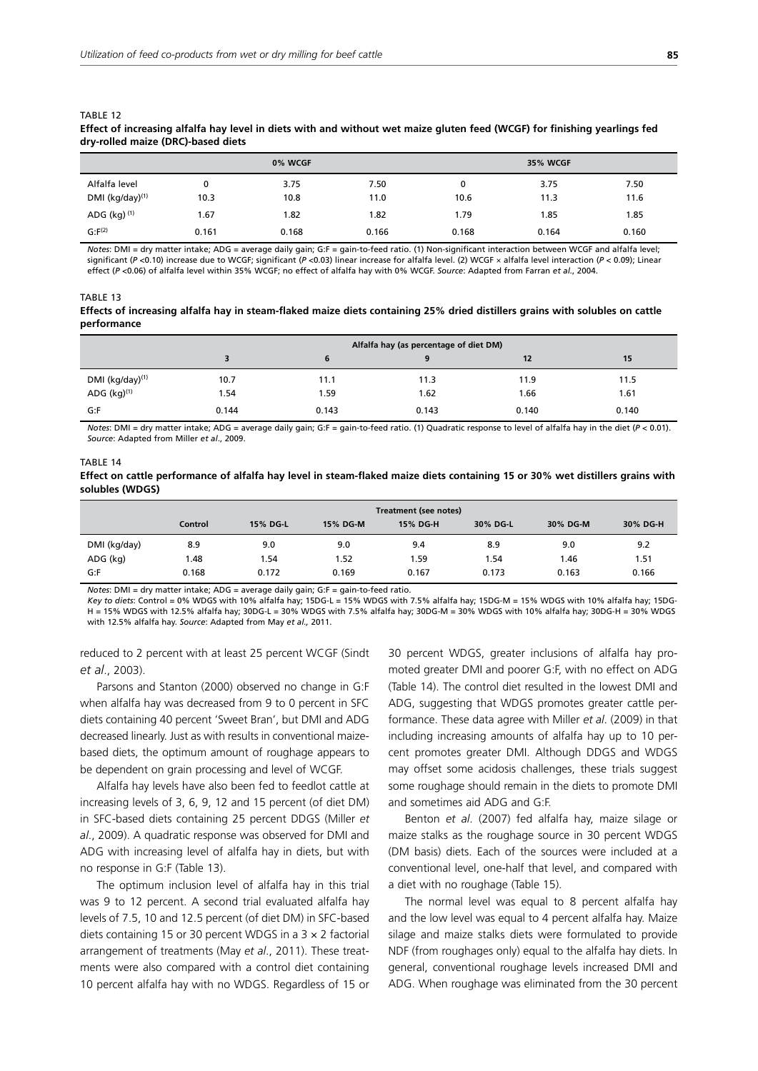| Effect of increasing analia hay level in diets with and without wet malze gluten feed (wCGF) for innshing yearings fed<br>dry-rolled maize (DRC)-based diets |      |         |      |                 |      |      |  |  |
|--------------------------------------------------------------------------------------------------------------------------------------------------------------|------|---------|------|-----------------|------|------|--|--|
|                                                                                                                                                              |      | 0% WCGF |      | <b>35% WCGF</b> |      |      |  |  |
| Alfalfa level                                                                                                                                                |      | 3.75    | 7.50 | 0               | 3.75 | 7.50 |  |  |
| DMI $(kq/day)^{(1)}$                                                                                                                                         | 10.3 | 10.8    | 11.0 | 10.6            | 11.3 | 11.6 |  |  |
| ADG (kg) $(1)$                                                                                                                                               | 1.67 | 1.82    | 1.82 | 1.79            | 1.85 | 1.85 |  |  |

# **Effect of increasing alfalfa hay level in diets with and without wet maize gluten feed (WCGF) for finishing yearlings fed**

*Notes*: DMI = dry matter intake; ADG = average daily gain; G:F = gain-to-feed ratio. (1) Non-significant interaction between WCGF and alfalfa level; significant (*P* <0.10) increase due to WCGF; significant (*P* <0.03) linear increase for alfalfa level. (2) WCGF × alfalfa level interaction (*P* < 0.09); Linear effect (*P* <0.06) of alfalfa level within 35% WCGF; no effect of alfalfa hay with 0% WCGF. *Source*: Adapted from Farran *et al.*, 2004.

G:F<sup>(2)</sup> 0.161 0.168 0.166 0.168 0.160 0.160

#### TABLE 13

TABLE 12

#### **Effects of increasing alfalfa hay in steam-flaked maize diets containing 25% dried distillers grains with solubles on cattle performance**

|                             | Alfalfa hay (as percentage of diet DM) |       |       |       |       |  |  |
|-----------------------------|----------------------------------------|-------|-------|-------|-------|--|--|
|                             |                                        | 6     |       | 12    | 15    |  |  |
| DMI (kg/day) <sup>(1)</sup> | 10.7                                   | 11.1  | 11.3  | 11.9  | 11.5  |  |  |
| ADG $(kg)^{(1)}$            | 1.54                                   | 1.59  | 1.62  | 1.66  | 1.61  |  |  |
| G:F                         | 0.144                                  | 0.143 | 0.143 | 0.140 | 0.140 |  |  |

*Notes*: DMI = dry matter intake; ADG = average daily gain; G:F = gain-to-feed ratio. (1) Quadratic response to level of alfalfa hay in the diet (*P* < 0.01). *Source*: Adapted from Miller *et al*., 2009.

## TABLE 14 **Effect on cattle performance of alfalfa hay level in steam-flaked maize diets containing 15 or 30% wet distillers grains with solubles (WDGS)**

|              | Treatment (see notes) |          |          |          |          |          |          |
|--------------|-----------------------|----------|----------|----------|----------|----------|----------|
|              | Control               | 15% DG-L | 15% DG-M | 15% DG-H | 30% DG-L | 30% DG-M | 30% DG-H |
| DMI (kg/day) | 8.9                   | 9.0      | 9.0      | 9.4      | 8.9      | 9.0      | 9.2      |
| ADG (kg)     | 1.48                  | 1.54     | 1.52     | 1.59     | 1.54     | l.46     | 1.51     |
| G:F          | 0.168                 | 0.172    | 0.169    | 0.167    | 0.173    | 0.163    | 0.166    |

*Notes*: DMI = dry matter intake; ADG = average daily gain; G:F = gain-to-feed ratio.

*Key to diets*: Control = 0% WDGS with 10% alfalfa hay; 15DG-L = 15% WDGS with 7.5% alfalfa hay; 15DG-M = 15% WDGS with 10% alfalfa hay; 15DG- $H = 15\%$  WDGS with 12.5% alfalfa hay; 30DG-L = 30% WDGS with 7.5% alfalfa hay; 30DG-M = 30% WDGS with 10% alfalfa hay; 30DG-H = 30% WDGS with 12.5% alfalfa hay. *Source*: Adapted from May *et al.,* 2011.

reduced to 2 percent with at least 25 percent WCGF (Sindt *et al*., 2003).

Parsons and Stanton (2000) observed no change in G:F when alfalfa hay was decreased from 9 to 0 percent in SFC diets containing 40 percent 'Sweet Bran', but DMI and ADG decreased linearly. Just as with results in conventional maizebased diets, the optimum amount of roughage appears to be dependent on grain processing and level of WCGF.

Alfalfa hay levels have also been fed to feedlot cattle at increasing levels of 3, 6, 9, 12 and 15 percent (of diet DM) in SFC-based diets containing 25 percent DDGS (Miller *et al*., 2009). A quadratic response was observed for DMI and ADG with increasing level of alfalfa hay in diets, but with no response in G:F (Table 13).

The optimum inclusion level of alfalfa hay in this trial was 9 to 12 percent. A second trial evaluated alfalfa hay levels of 7.5, 10 and 12.5 percent (of diet DM) in SFC-based diets containing 15 or 30 percent WDGS in a 3 × 2 factorial arrangement of treatments (May *et al*., 2011). These treatments were also compared with a control diet containing 10 percent alfalfa hay with no WDGS. Regardless of 15 or

30 percent WDGS, greater inclusions of alfalfa hay promoted greater DMI and poorer G:F, with no effect on ADG (Table 14). The control diet resulted in the lowest DMI and ADG, suggesting that WDGS promotes greater cattle performance. These data agree with Miller *et al*. (2009) in that including increasing amounts of alfalfa hay up to 10 percent promotes greater DMI. Although DDGS and WDGS may offset some acidosis challenges, these trials suggest some roughage should remain in the diets to promote DMI and sometimes aid ADG and G:F.

Benton *et al*. (2007) fed alfalfa hay, maize silage or maize stalks as the roughage source in 30 percent WDGS (DM basis) diets. Each of the sources were included at a conventional level, one-half that level, and compared with a diet with no roughage (Table 15).

The normal level was equal to 8 percent alfalfa hay and the low level was equal to 4 percent alfalfa hay. Maize silage and maize stalks diets were formulated to provide NDF (from roughages only) equal to the alfalfa hay diets. In general, conventional roughage levels increased DMI and ADG. When roughage was eliminated from the 30 percent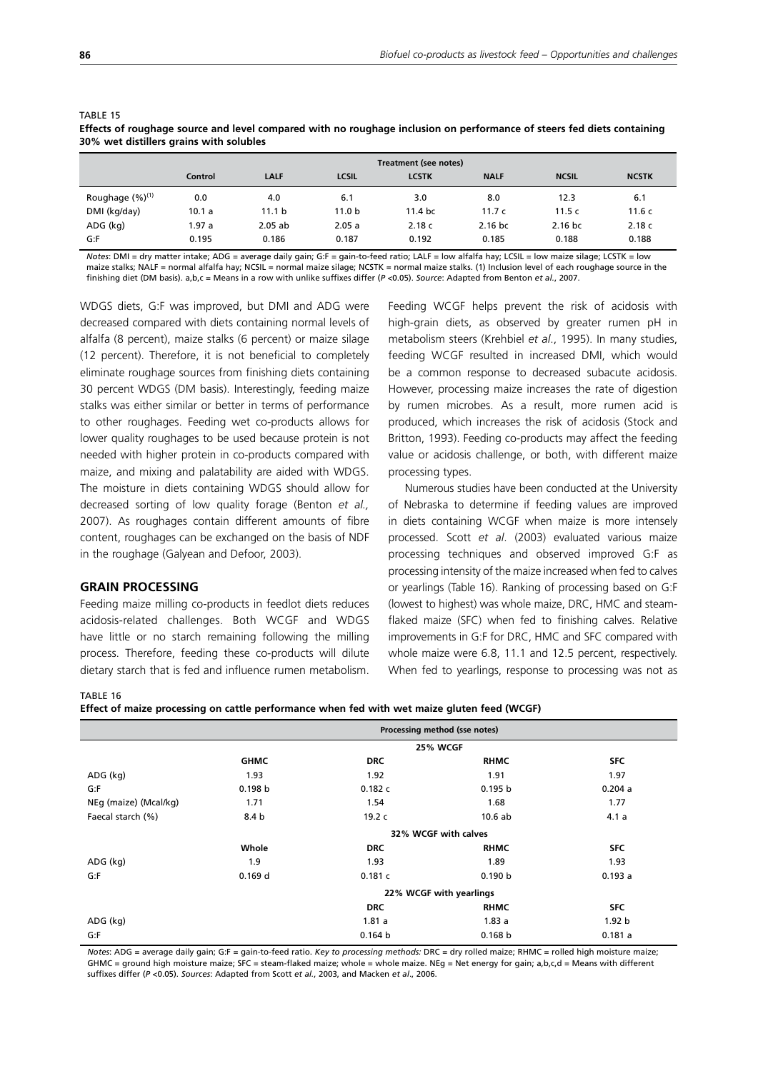|                       | Treatment (see notes) |                   |                   |                   |             |              |              |
|-----------------------|-----------------------|-------------------|-------------------|-------------------|-------------|--------------|--------------|
|                       | Control               | LALF              | <b>LCSIL</b>      | <b>LCSTK</b>      | <b>NALF</b> | <b>NCSIL</b> | <b>NCSTK</b> |
| Roughage $(\%)^{(1)}$ | 0.0                   | 4.0               | 6.1               | 3.0               | 8.0         | 12.3         | 6.1          |
| DMI (kg/day)          | 10.1 a                | 11.1 <sub>b</sub> | 11.0 <sub>b</sub> | 11.4 <sub>b</sub> | 11.7 $c$    | 11.5c        | 11.6c        |
| ADG (kg)              | 1.97 a                | $2.05$ ab         | 2.05a             | 2.18c             | $2.16$ bc   | 2.16 bc      | 2.18c        |
| G:F                   | 0.195                 | 0.186             | 0.187             | 0.192             | 0.185       | 0.188        | 0.188        |

#### TABLE 15 **Effects of roughage source and level compared with no roughage inclusion on performance of steers fed diets containing 30% wet distillers grains with solubles**

*Notes*: DMI = dry matter intake; ADG = average daily gain; G:F = gain-to-feed ratio; LALF = low alfalfa hay; LCSIL = low maize silage; LCSTK = low maize stalks; NALF = normal alfalfa hay; NCSIL = normal maize silage; NCSTK = normal maize stalks. (1) Inclusion level of each roughage source in the finishing diet (DM basis). a,b,c = Means in a row with unlike suffixes differ (*P* <0.05). *Source*: Adapted from Benton *et al.*, 2007.

WDGS diets, G:F was improved, but DMI and ADG were decreased compared with diets containing normal levels of alfalfa (8 percent), maize stalks (6 percent) or maize silage (12 percent). Therefore, it is not beneficial to completely eliminate roughage sources from finishing diets containing 30 percent WDGS (DM basis). Interestingly, feeding maize stalks was either similar or better in terms of performance to other roughages. Feeding wet co-products allows for lower quality roughages to be used because protein is not needed with higher protein in co-products compared with maize, and mixing and palatability are aided with WDGS. The moisture in diets containing WDGS should allow for decreased sorting of low quality forage (Benton *et al.,* 2007). As roughages contain different amounts of fibre content, roughages can be exchanged on the basis of NDF in the roughage (Galyean and Defoor, 2003).

## **GRAIN PROCESSING**

Feeding maize milling co-products in feedlot diets reduces acidosis-related challenges. Both WCGF and WDGS have little or no starch remaining following the milling process. Therefore, feeding these co-products will dilute dietary starch that is fed and influence rumen metabolism. Feeding WCGF helps prevent the risk of acidosis with high-grain diets, as observed by greater rumen pH in metabolism steers (Krehbiel *et al*., 1995). In many studies, feeding WCGF resulted in increased DMI, which would be a common response to decreased subacute acidosis. However, processing maize increases the rate of digestion by rumen microbes. As a result, more rumen acid is produced, which increases the risk of acidosis (Stock and Britton, 1993). Feeding co-products may affect the feeding value or acidosis challenge, or both, with different maize processing types.

Numerous studies have been conducted at the University of Nebraska to determine if feeding values are improved in diets containing WCGF when maize is more intensely processed. Scott *et al*. (2003) evaluated various maize processing techniques and observed improved G:F as processing intensity of the maize increased when fed to calves or yearlings (Table 16). Ranking of processing based on G:F (lowest to highest) was whole maize, DRC, HMC and steamflaked maize (SFC) when fed to finishing calves. Relative improvements in G:F for DRC, HMC and SFC compared with whole maize were 6.8, 11.1 and 12.5 percent, respectively. When fed to yearlings, response to processing was not as

#### TABLE 16

**Effect of maize processing on cattle performance when fed with wet maize gluten feed (WCGF)**

|                       | Processing method (sse notes) |            |                         |                   |  |  |
|-----------------------|-------------------------------|------------|-------------------------|-------------------|--|--|
|                       |                               |            | 25% WCGF                |                   |  |  |
|                       | <b>GHMC</b>                   | <b>DRC</b> | <b>RHMC</b>             | <b>SFC</b>        |  |  |
| ADG (kg)              | 1.93                          | 1.92       | 1.91                    | 1.97              |  |  |
| G: F                  | 0.198 b                       | 0.182c     | 0.195 b                 | 0.204a            |  |  |
| NEg (maize) (Mcal/kg) | 1.71                          | 1.54       | 1.68                    | 1.77              |  |  |
| Faecal starch (%)     | 8.4 b                         | 19.2 c     | 10.6ab                  | 4.1a              |  |  |
|                       |                               |            | 32% WCGF with calves    |                   |  |  |
|                       | Whole                         | <b>DRC</b> | <b>RHMC</b>             | <b>SFC</b>        |  |  |
| ADG (kg)              | 1.9                           | 1.93       | 1.89                    | 1.93              |  |  |
| G: F                  | 0.169d                        | 0.181c     | 0.190 b                 | 0.193a            |  |  |
|                       |                               |            | 22% WCGF with yearlings |                   |  |  |
|                       |                               | <b>DRC</b> | <b>RHMC</b>             | <b>SFC</b>        |  |  |
| ADG (kg)              |                               | 1.81a      | 1.83a                   | 1.92 <sub>b</sub> |  |  |
| G:F                   |                               | 0.164 b    | 0.168 b                 | 0.181a            |  |  |

*Notes*: ADG = average daily gain; G:F = gain-to-feed ratio. *Key to processing methods:* DRC = dry rolled maize; RHMC = rolled high moisture maize; GHMC = ground high moisture maize; SFC = steam-flaked maize; whole = whole maize. NEg = Net energy for gain; a,b,c,d = Means with different suffixes differ (*P* <0.05). *Sources*: Adapted from Scott *et al.*, 2003, and Macken *et al*., 2006.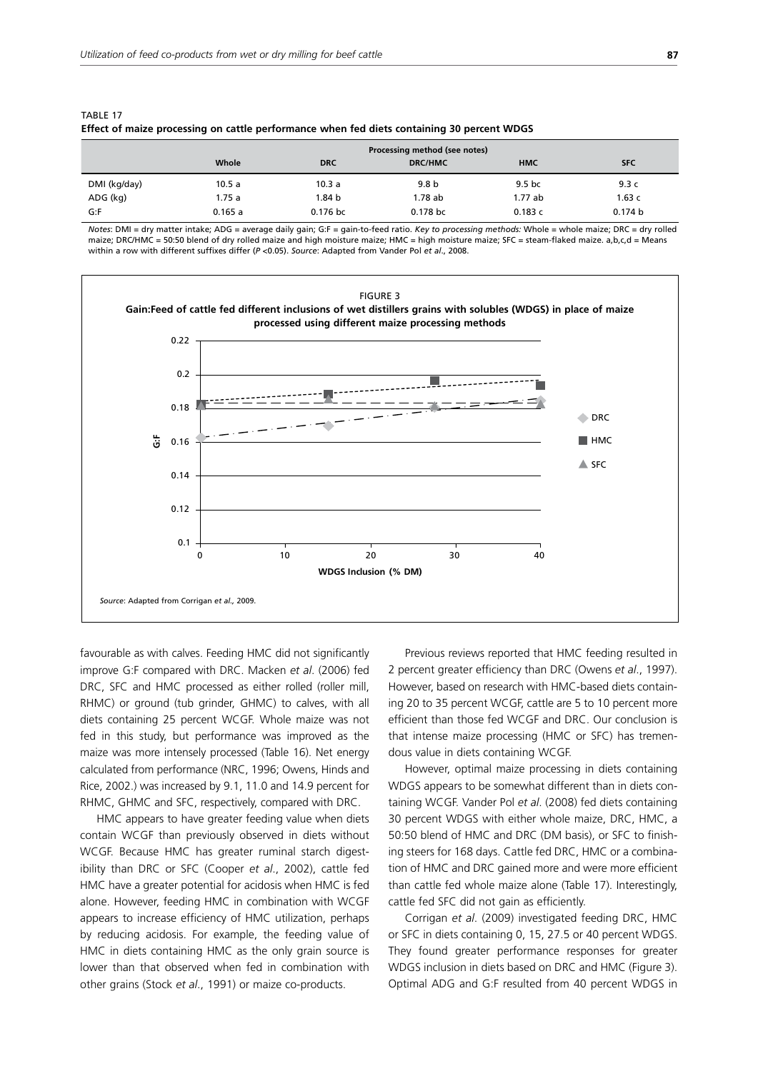| Effect of marze processing on cattle performance when fed diets containing 30 percent wiDgs |        |            |                |                   |            |  |  |
|---------------------------------------------------------------------------------------------|--------|------------|----------------|-------------------|------------|--|--|
| Processing method (see notes)                                                               |        |            |                |                   |            |  |  |
|                                                                                             | Whole  | <b>DRC</b> | <b>DRC/HMC</b> | <b>HMC</b>        | <b>SFC</b> |  |  |
| DMI (kg/day)                                                                                | 10.5 a | 10.3 a     | 9.8 b          | 9.5 <sub>bc</sub> | 9.3 $<$    |  |  |
| ADG (kg)                                                                                    | 1.75 a | 1.84 b     | 1.78 ab        | 1.77 ab           | 1.63c      |  |  |
| G:F                                                                                         | 0.165a | 0.176 bc   | 0.178 bc       | 0.183c            | 0.174 b    |  |  |

| TABLE 17                                                                                   |  |  |
|--------------------------------------------------------------------------------------------|--|--|
| Effect of maize processing on cattle performance when fed diets containing 30 percent WDGS |  |  |

*Notes*: DMI = dry matter intake; ADG = average daily gain; G:F = gain-to-feed ratio. *Key to processing methods:* Whole = whole maize; DRC = dry rolled maize; DRC/HMC = 50:50 blend of dry rolled maize and high moisture maize; HMC = high moisture maize; SFC = steam-flaked maize. a,b,c,d = Means within a row with different suffixes differ (*P* <0.05). *Source*: Adapted from Vander Pol *et al*., 2008.



favourable as with calves. Feeding HMC did not significantly improve G:F compared with DRC. Macken *et al*. (2006) fed DRC, SFC and HMC processed as either rolled (roller mill, RHMC) or ground (tub grinder, GHMC) to calves, with all diets containing 25 percent WCGF. Whole maize was not fed in this study, but performance was improved as the maize was more intensely processed (Table 16). Net energy calculated from performance (NRC, 1996; Owens, Hinds and Rice, 2002.) was increased by 9.1, 11.0 and 14.9 percent for RHMC, GHMC and SFC, respectively, compared with DRC.

HMC appears to have greater feeding value when diets contain WCGF than previously observed in diets without WCGF. Because HMC has greater ruminal starch digestibility than DRC or SFC (Cooper *et al*., 2002), cattle fed HMC have a greater potential for acidosis when HMC is fed alone. However, feeding HMC in combination with WCGF appears to increase efficiency of HMC utilization, perhaps by reducing acidosis. For example, the feeding value of HMC in diets containing HMC as the only grain source is lower than that observed when fed in combination with other grains (Stock *et al*., 1991) or maize co-products.

Previous reviews reported that HMC feeding resulted in 2 percent greater efficiency than DRC (Owens *et al*., 1997). However, based on research with HMC-based diets containing 20 to 35 percent WCGF, cattle are 5 to 10 percent more efficient than those fed WCGF and DRC. Our conclusion is that intense maize processing (HMC or SFC) has tremendous value in diets containing WCGF.

However, optimal maize processing in diets containing WDGS appears to be somewhat different than in diets containing WCGF. Vander Pol *et al*. (2008) fed diets containing 30 percent WDGS with either whole maize, DRC, HMC, a 50:50 blend of HMC and DRC (DM basis), or SFC to finishing steers for 168 days. Cattle fed DRC, HMC or a combination of HMC and DRC gained more and were more efficient than cattle fed whole maize alone (Table 17). Interestingly, cattle fed SFC did not gain as efficiently.

Corrigan *et al*. (2009) investigated feeding DRC, HMC or SFC in diets containing 0, 15, 27.5 or 40 percent WDGS. They found greater performance responses for greater WDGS inclusion in diets based on DRC and HMC (Figure 3). Optimal ADG and G:F resulted from 40 percent WDGS in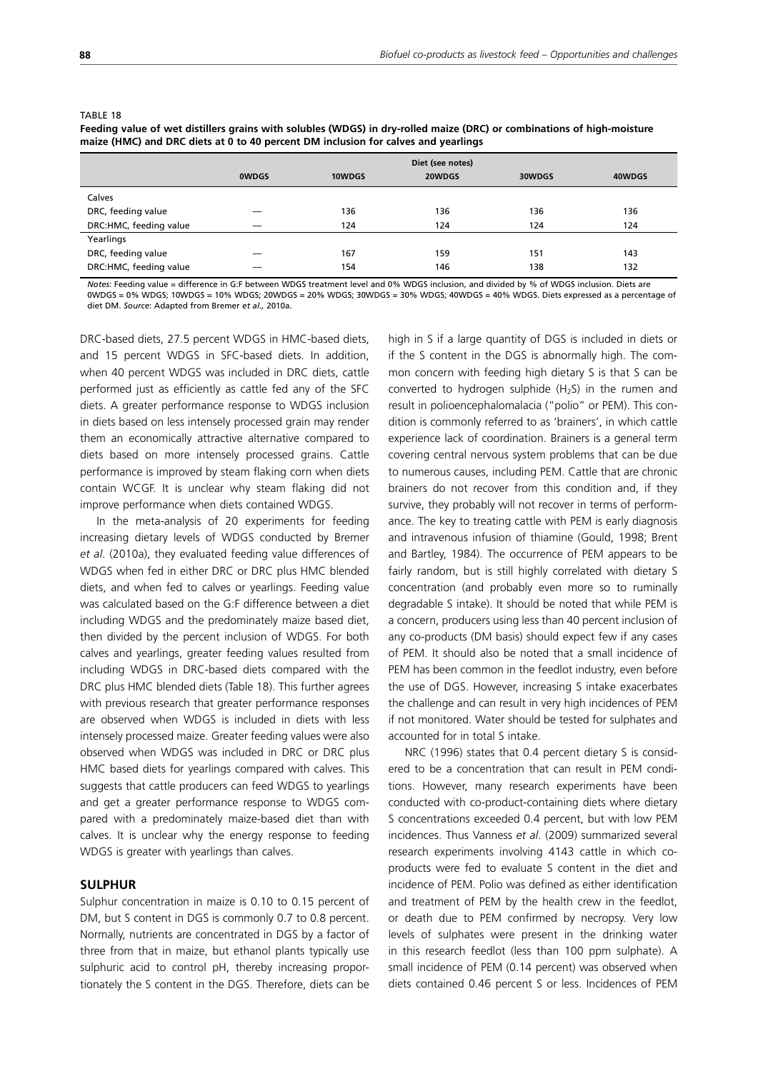|                        | Diet (see notes) |        |        |        |        |  |  |
|------------------------|------------------|--------|--------|--------|--------|--|--|
|                        | <b>OWDGS</b>     | 10WDGS | 20WDGS | 30WDGS | 40WDGS |  |  |
| Calves                 |                  |        |        |        |        |  |  |
| DRC, feeding value     |                  | 136    | 136    | 136    | 136    |  |  |
| DRC:HMC, feeding value |                  | 124    | 124    | 124    | 124    |  |  |
| Yearlings              |                  |        |        |        |        |  |  |
| DRC, feeding value     |                  | 167    | 159    | 151    | 143    |  |  |
| DRC:HMC, feeding value |                  | 154    | 146    | 138    | 132    |  |  |

#### TABLE 18

**Feeding value of wet distillers grains with solubles (WDGS) in dry-rolled maize (DRC) or combinations of high-moisture maize (HMC) and DRC diets at 0 to 40 percent DM inclusion for calves and yearlings**

*Notes*: Feeding value = difference in G:F between WDGS treatment level and 0% WDGS inclusion, and divided by % of WDGS inclusion. Diets are 0WDGS = 0% WDGS; 10WDGS = 10% WDGS; 20WDGS = 20% WDGS; 30WDGS = 30% WDGS; 40WDGS = 40% WDGS. Diets expressed as a percentage of diet DM. *Source*: Adapted from Bremer *et al.,* 2010a.

DRC-based diets, 27.5 percent WDGS in HMC-based diets, and 15 percent WDGS in SFC-based diets. In addition, when 40 percent WDGS was included in DRC diets, cattle performed just as efficiently as cattle fed any of the SFC diets. A greater performance response to WDGS inclusion in diets based on less intensely processed grain may render them an economically attractive alternative compared to diets based on more intensely processed grains. Cattle performance is improved by steam flaking corn when diets contain WCGF. It is unclear why steam flaking did not improve performance when diets contained WDGS.

In the meta-analysis of 20 experiments for feeding increasing dietary levels of WDGS conducted by Bremer *et al*. (2010a), they evaluated feeding value differences of WDGS when fed in either DRC or DRC plus HMC blended diets, and when fed to calves or yearlings. Feeding value was calculated based on the G:F difference between a diet including WDGS and the predominately maize based diet, then divided by the percent inclusion of WDGS. For both calves and yearlings, greater feeding values resulted from including WDGS in DRC-based diets compared with the DRC plus HMC blended diets (Table 18). This further agrees with previous research that greater performance responses are observed when WDGS is included in diets with less intensely processed maize. Greater feeding values were also observed when WDGS was included in DRC or DRC plus HMC based diets for yearlings compared with calves. This suggests that cattle producers can feed WDGS to yearlings and get a greater performance response to WDGS compared with a predominately maize-based diet than with calves. It is unclear why the energy response to feeding WDGS is greater with yearlings than calves.

## **SULPHUR**

Sulphur concentration in maize is 0.10 to 0.15 percent of DM, but S content in DGS is commonly 0.7 to 0.8 percent. Normally, nutrients are concentrated in DGS by a factor of three from that in maize, but ethanol plants typically use sulphuric acid to control pH, thereby increasing proportionately the S content in the DGS. Therefore, diets can be high in S if a large quantity of DGS is included in diets or if the S content in the DGS is abnormally high. The common concern with feeding high dietary S is that S can be converted to hydrogen sulphide  $(H<sub>2</sub>S)$  in the rumen and result in polioencephalomalacia ("polio" or PEM). This condition is commonly referred to as 'brainers', in which cattle experience lack of coordination. Brainers is a general term covering central nervous system problems that can be due to numerous causes, including PEM. Cattle that are chronic brainers do not recover from this condition and, if they survive, they probably will not recover in terms of performance. The key to treating cattle with PEM is early diagnosis and intravenous infusion of thiamine (Gould, 1998; Brent and Bartley, 1984). The occurrence of PEM appears to be fairly random, but is still highly correlated with dietary S concentration (and probably even more so to ruminally degradable S intake). It should be noted that while PEM is a concern, producers using less than 40 percent inclusion of any co-products (DM basis) should expect few if any cases of PEM. It should also be noted that a small incidence of PEM has been common in the feedlot industry, even before the use of DGS. However, increasing S intake exacerbates the challenge and can result in very high incidences of PEM if not monitored. Water should be tested for sulphates and accounted for in total S intake.

NRC (1996) states that 0.4 percent dietary S is considered to be a concentration that can result in PEM conditions. However, many research experiments have been conducted with co-product-containing diets where dietary S concentrations exceeded 0.4 percent, but with low PEM incidences. Thus Vanness *et al*. (2009) summarized several research experiments involving 4143 cattle in which coproducts were fed to evaluate S content in the diet and incidence of PEM. Polio was defined as either identification and treatment of PEM by the health crew in the feedlot, or death due to PEM confirmed by necropsy. Very low levels of sulphates were present in the drinking water in this research feedlot (less than 100 ppm sulphate). A small incidence of PEM (0.14 percent) was observed when diets contained 0.46 percent S or less. Incidences of PEM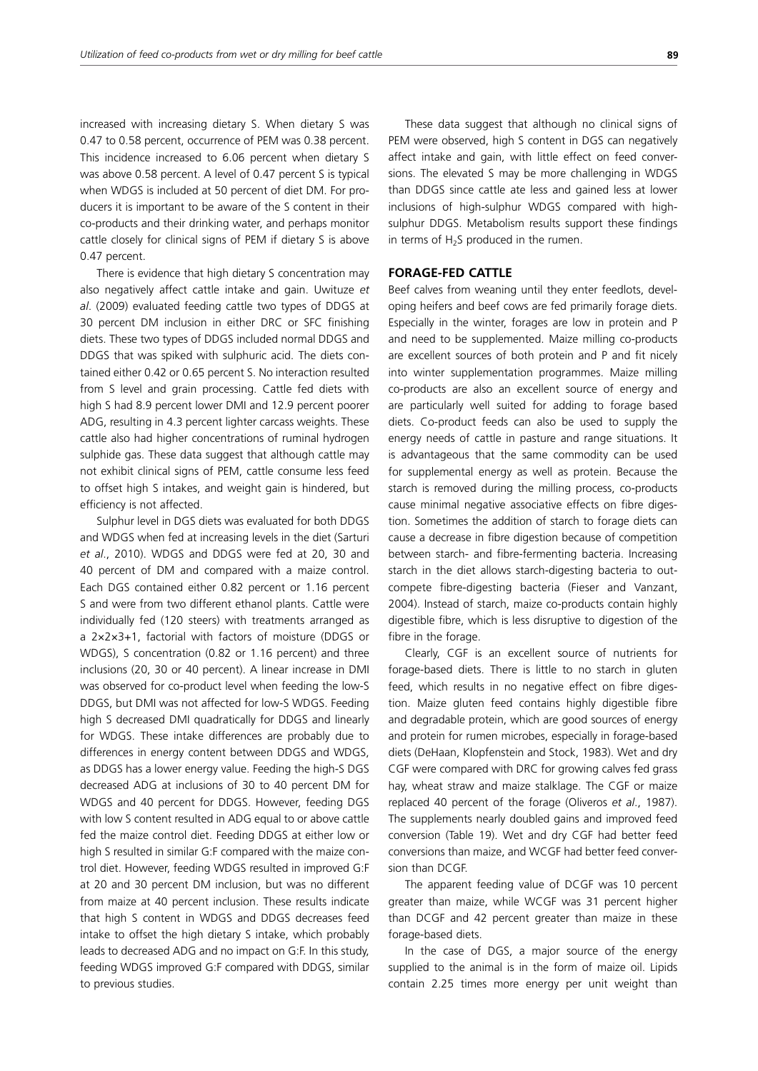increased with increasing dietary S. When dietary S was 0.47 to 0.58 percent, occurrence of PEM was 0.38 percent. This incidence increased to 6.06 percent when dietary S was above 0.58 percent. A level of 0.47 percent S is typical when WDGS is included at 50 percent of diet DM. For producers it is important to be aware of the S content in their co-products and their drinking water, and perhaps monitor cattle closely for clinical signs of PEM if dietary S is above 0.47 percent.

There is evidence that high dietary S concentration may also negatively affect cattle intake and gain. Uwituze *et al*. (2009) evaluated feeding cattle two types of DDGS at 30 percent DM inclusion in either DRC or SFC finishing diets. These two types of DDGS included normal DDGS and DDGS that was spiked with sulphuric acid. The diets contained either 0.42 or 0.65 percent S. No interaction resulted from S level and grain processing. Cattle fed diets with high S had 8.9 percent lower DMI and 12.9 percent poorer ADG, resulting in 4.3 percent lighter carcass weights. These cattle also had higher concentrations of ruminal hydrogen sulphide gas. These data suggest that although cattle may not exhibit clinical signs of PEM, cattle consume less feed to offset high S intakes, and weight gain is hindered, but efficiency is not affected.

Sulphur level in DGS diets was evaluated for both DDGS and WDGS when fed at increasing levels in the diet (Sarturi *et al*., 2010). WDGS and DDGS were fed at 20, 30 and 40 percent of DM and compared with a maize control. Each DGS contained either 0.82 percent or 1.16 percent S and were from two different ethanol plants. Cattle were individually fed (120 steers) with treatments arranged as a 2×2×3+1, factorial with factors of moisture (DDGS or WDGS), S concentration (0.82 or 1.16 percent) and three inclusions (20, 30 or 40 percent). A linear increase in DMI was observed for co-product level when feeding the low-S DDGS, but DMI was not affected for low-S WDGS. Feeding high S decreased DMI quadratically for DDGS and linearly for WDGS. These intake differences are probably due to differences in energy content between DDGS and WDGS, as DDGS has a lower energy value. Feeding the high-S DGS decreased ADG at inclusions of 30 to 40 percent DM for WDGS and 40 percent for DDGS. However, feeding DGS with low S content resulted in ADG equal to or above cattle fed the maize control diet. Feeding DDGS at either low or high S resulted in similar G:F compared with the maize control diet. However, feeding WDGS resulted in improved G:F at 20 and 30 percent DM inclusion, but was no different from maize at 40 percent inclusion. These results indicate that high S content in WDGS and DDGS decreases feed intake to offset the high dietary S intake, which probably leads to decreased ADG and no impact on G:F. In this study, feeding WDGS improved G:F compared with DDGS, similar to previous studies.

These data suggest that although no clinical signs of PEM were observed, high S content in DGS can negatively affect intake and gain, with little effect on feed conversions. The elevated S may be more challenging in WDGS than DDGS since cattle ate less and gained less at lower inclusions of high-sulphur WDGS compared with highsulphur DDGS. Metabolism results support these findings in terms of  $H_2S$  produced in the rumen.

# **FORAGE-FED CATTLE**

Beef calves from weaning until they enter feedlots, developing heifers and beef cows are fed primarily forage diets. Especially in the winter, forages are low in protein and P and need to be supplemented. Maize milling co-products are excellent sources of both protein and P and fit nicely into winter supplementation programmes. Maize milling co-products are also an excellent source of energy and are particularly well suited for adding to forage based diets. Co-product feeds can also be used to supply the energy needs of cattle in pasture and range situations. It is advantageous that the same commodity can be used for supplemental energy as well as protein. Because the starch is removed during the milling process, co-products cause minimal negative associative effects on fibre digestion. Sometimes the addition of starch to forage diets can cause a decrease in fibre digestion because of competition between starch- and fibre-fermenting bacteria. Increasing starch in the diet allows starch-digesting bacteria to outcompete fibre-digesting bacteria (Fieser and Vanzant, 2004). Instead of starch, maize co-products contain highly digestible fibre, which is less disruptive to digestion of the fibre in the forage.

Clearly, CGF is an excellent source of nutrients for forage-based diets. There is little to no starch in gluten feed, which results in no negative effect on fibre digestion. Maize gluten feed contains highly digestible fibre and degradable protein, which are good sources of energy and protein for rumen microbes, especially in forage-based diets (DeHaan, Klopfenstein and Stock, 1983). Wet and dry CGF were compared with DRC for growing calves fed grass hay, wheat straw and maize stalklage. The CGF or maize replaced 40 percent of the forage (Oliveros *et al*., 1987). The supplements nearly doubled gains and improved feed conversion (Table 19). Wet and dry CGF had better feed conversions than maize, and WCGF had better feed conversion than DCGF.

The apparent feeding value of DCGF was 10 percent greater than maize, while WCGF was 31 percent higher than DCGF and 42 percent greater than maize in these forage-based diets.

In the case of DGS, a major source of the energy supplied to the animal is in the form of maize oil. Lipids contain 2.25 times more energy per unit weight than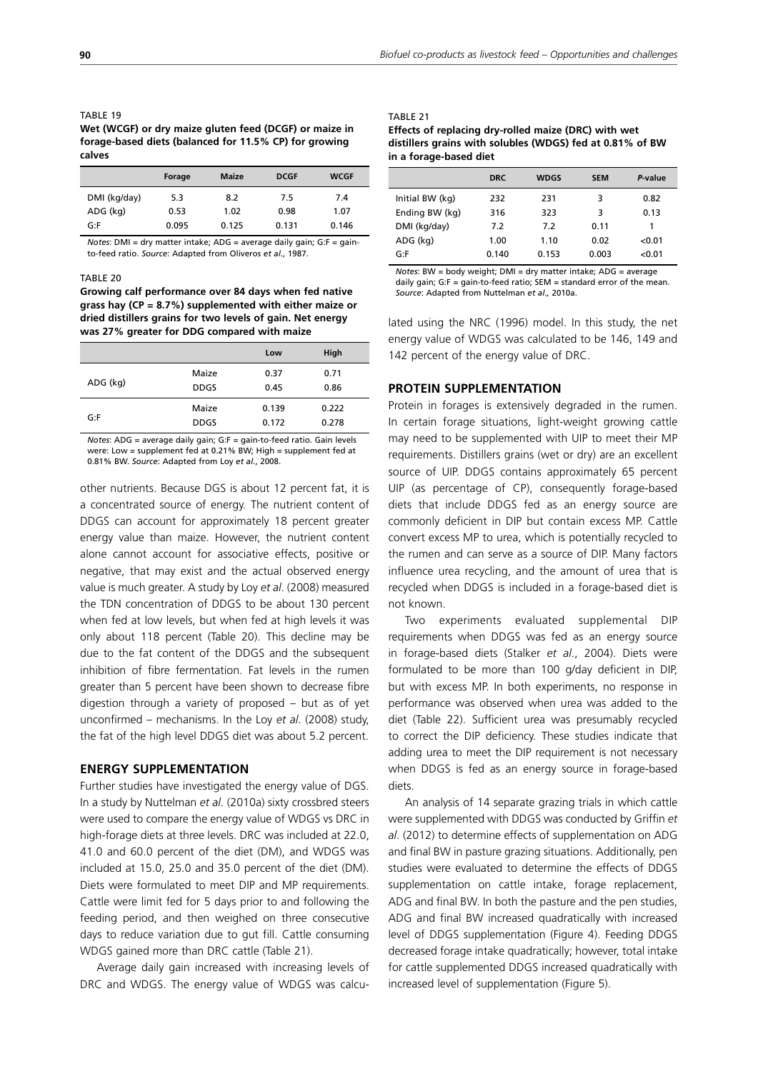| IADLE 19                                               |
|--------------------------------------------------------|
| Wet (WCGF) or dry maize gluten feed (DCGF) or maize in |
| forage-based diets (balanced for 11.5% CP) for growing |
| calves                                                 |

|              | Forage | <b>Maize</b> | <b>DCGF</b> | <b>WCGF</b> |
|--------------|--------|--------------|-------------|-------------|
| DMI (kg/day) | 5.3    | 8.2          | 7.5         | 7.4         |
| ADG (kg)     | 0.53   | 1.02         | 0.98        | 1.07        |
| G: F         | 0.095  | 0.125        | 0.131       | 0.146       |

*Notes*: DMI = dry matter intake; ADG = average daily gain; G:F = gainto-feed ratio. *Source*: Adapted from Oliveros *et al*., 1987.

#### TABLE 20

**Growing calf performance over 84 days when fed native grass hay (CP = 8.7%) supplemented with either maize or dried distillers grains for two levels of gain. Net energy was 27% greater for DDG compared with maize**

|             | Low   | High  |  |
|-------------|-------|-------|--|
| Maize       | 0.37  | 0.71  |  |
| <b>DDGS</b> | 0.45  | 0.86  |  |
| Maize       | 0.139 | 0.222 |  |
| <b>DDGS</b> | 0.172 | 0.278 |  |
|             |       |       |  |

*Notes*: ADG = average daily gain; G:F = gain-to-feed ratio. Gain levels were: Low = supplement fed at 0.21% BW; High = supplement fed at 0.81% BW. *Source*: Adapted from Loy *et al.*, 2008.

other nutrients. Because DGS is about 12 percent fat, it is a concentrated source of energy. The nutrient content of DDGS can account for approximately 18 percent greater energy value than maize. However, the nutrient content alone cannot account for associative effects, positive or negative, that may exist and the actual observed energy value is much greater. A study by Loy *et al*. (2008) measured the TDN concentration of DDGS to be about 130 percent when fed at low levels, but when fed at high levels it was only about 118 percent (Table 20). This decline may be due to the fat content of the DDGS and the subsequent inhibition of fibre fermentation. Fat levels in the rumen greater than 5 percent have been shown to decrease fibre digestion through a variety of proposed – but as of yet unconfirmed – mechanisms. In the Loy *et al*. (2008) study, the fat of the high level DDGS diet was about 5.2 percent.

## **ENERGY SUPPLEMENTATION**

Further studies have investigated the energy value of DGS. In a study by Nuttelman *et al.* (2010a) sixty crossbred steers were used to compare the energy value of WDGS vs DRC in high-forage diets at three levels. DRC was included at 22.0, 41.0 and 60.0 percent of the diet (DM), and WDGS was included at 15.0, 25.0 and 35.0 percent of the diet (DM). Diets were formulated to meet DIP and MP requirements. Cattle were limit fed for 5 days prior to and following the feeding period, and then weighed on three consecutive days to reduce variation due to gut fill. Cattle consuming WDGS gained more than DRC cattle (Table 21).

Average daily gain increased with increasing levels of DRC and WDGS. The energy value of WDGS was calcu-

| TABLE 21                                                  |
|-----------------------------------------------------------|
| Effects of replacing dry-rolled maize (DRC) with wet      |
| distillers grains with solubles (WDGS) fed at 0.81% of BW |
| in a forage-based diet                                    |

|                 | <b>DRC</b> | <b>WDGS</b> | <b>SEM</b> | P-value |
|-----------------|------------|-------------|------------|---------|
| Initial BW (kg) | 232        | 231         | 3          | 0.82    |
| Ending BW (kg)  | 316        | 323         | 3          | 0.13    |
| DMI (kg/day)    | 7.2        | 7.2         | 0.11       | 1       |
| ADG (kg)        | 1.00       | 1.10        | 0.02       | < 0.01  |
| G: F            | 0.140      | 0.153       | 0.003      | < 0.01  |

*Notes*: BW = body weight; DMI = dry matter intake; ADG = average daily gain; G:F = gain-to-feed ratio; SEM = standard error of the mean. *Source*: Adapted from Nuttelman *et al.,* 2010a.

lated using the NRC (1996) model. In this study, the net energy value of WDGS was calculated to be 146, 149 and 142 percent of the energy value of DRC.

## **PROTEIN SUPPLEMENTATION**

Protein in forages is extensively degraded in the rumen. In certain forage situations, light-weight growing cattle may need to be supplemented with UIP to meet their MP requirements. Distillers grains (wet or dry) are an excellent source of UIP. DDGS contains approximately 65 percent UIP (as percentage of CP), consequently forage-based diets that include DDGS fed as an energy source are commonly deficient in DIP but contain excess MP. Cattle convert excess MP to urea, which is potentially recycled to the rumen and can serve as a source of DIP. Many factors influence urea recycling, and the amount of urea that is recycled when DDGS is included in a forage-based diet is not known.

Two experiments evaluated supplemental DIP requirements when DDGS was fed as an energy source in forage-based diets (Stalker *et al*., 2004). Diets were formulated to be more than 100 g/day deficient in DIP, but with excess MP. In both experiments, no response in performance was observed when urea was added to the diet (Table 22). Sufficient urea was presumably recycled to correct the DIP deficiency. These studies indicate that adding urea to meet the DIP requirement is not necessary when DDGS is fed as an energy source in forage-based diets.

An analysis of 14 separate grazing trials in which cattle were supplemented with DDGS was conducted by Griffin *et al*. (2012) to determine effects of supplementation on ADG and final BW in pasture grazing situations. Additionally, pen studies were evaluated to determine the effects of DDGS supplementation on cattle intake, forage replacement, ADG and final BW. In both the pasture and the pen studies, ADG and final BW increased quadratically with increased level of DDGS supplementation (Figure 4). Feeding DDGS decreased forage intake quadratically; however, total intake for cattle supplemented DDGS increased quadratically with increased level of supplementation (Figure 5).

TABLE 19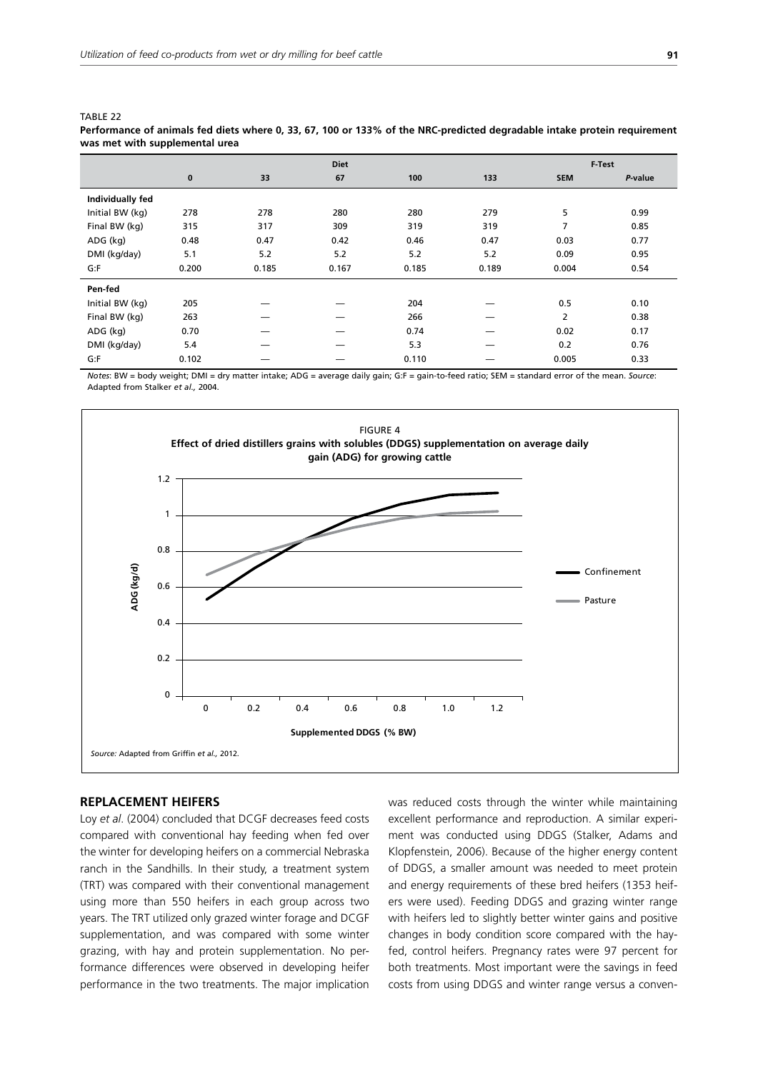TABLE 22

| was met with supplemental urea |          |       |             |       |       |                |         |
|--------------------------------|----------|-------|-------------|-------|-------|----------------|---------|
|                                |          |       | <b>Diet</b> |       |       |                | F-Test  |
|                                | $\bf{0}$ | 33    | 67          | 100   | 133   | <b>SEM</b>     | P-value |
| Individually fed               |          |       |             |       |       |                |         |
| Initial BW (kg)                | 278      | 278   | 280         | 280   | 279   | 5              | 0.99    |
| Final BW (kg)                  | 315      | 317   | 309         | 319   | 319   | 7              | 0.85    |
| ADG (kg)                       | 0.48     | 0.47  | 0.42        | 0.46  | 0.47  | 0.03           | 0.77    |
| DMI (kg/day)                   | 5.1      | 5.2   | 5.2         | 5.2   | 5.2   | 0.09           | 0.95    |
| G: F                           | 0.200    | 0.185 | 0.167       | 0.185 | 0.189 | 0.004          | 0.54    |
| Pen-fed                        |          |       |             |       |       |                |         |
| Initial BW (kg)                | 205      |       |             | 204   |       | 0.5            | 0.10    |
| Final BW (kg)                  | 263      |       |             | 266   |       | $\overline{2}$ | 0.38    |
| ADG (kg)                       | 0.70     |       |             | 0.74  |       | 0.02           | 0.17    |
| DMI (kg/day)                   | 5.4      |       |             | 5.3   |       | 0.2            | 0.76    |
| G: F                           | 0.102    |       |             | 0.110 |       | 0.005          | 0.33    |

| Performance of animals fed diets where 0, 33, 67, 100 or 133% of the NRC-predicted degradable intake protein requirement |  |
|--------------------------------------------------------------------------------------------------------------------------|--|
| was met with supplemental urea                                                                                           |  |

*Notes*: BW = body weight; DMI = dry matter intake; ADG = average daily gain; G:F = gain-to-feed ratio; SEM = standard error of the mean. *Source*: Adapted from Stalker *et al.,* 2004.



## **REPLACEMENT HEIFERS**

Loy *et al*. (2004) concluded that DCGF decreases feed costs compared with conventional hay feeding when fed over the winter for developing heifers on a commercial Nebraska ranch in the Sandhills. In their study, a treatment system (TRT) was compared with their conventional management using more than 550 heifers in each group across two years. The TRT utilized only grazed winter forage and DCGF supplementation, and was compared with some winter grazing, with hay and protein supplementation. No performance differences were observed in developing heifer performance in the two treatments. The major implication was reduced costs through the winter while maintaining excellent performance and reproduction. A similar experiment was conducted using DDGS (Stalker, Adams and Klopfenstein, 2006). Because of the higher energy content of DDGS, a smaller amount was needed to meet protein and energy requirements of these bred heifers (1353 heifers were used). Feeding DDGS and grazing winter range with heifers led to slightly better winter gains and positive changes in body condition score compared with the hayfed, control heifers. Pregnancy rates were 97 percent for both treatments. Most important were the savings in feed costs from using DDGS and winter range versus a conven-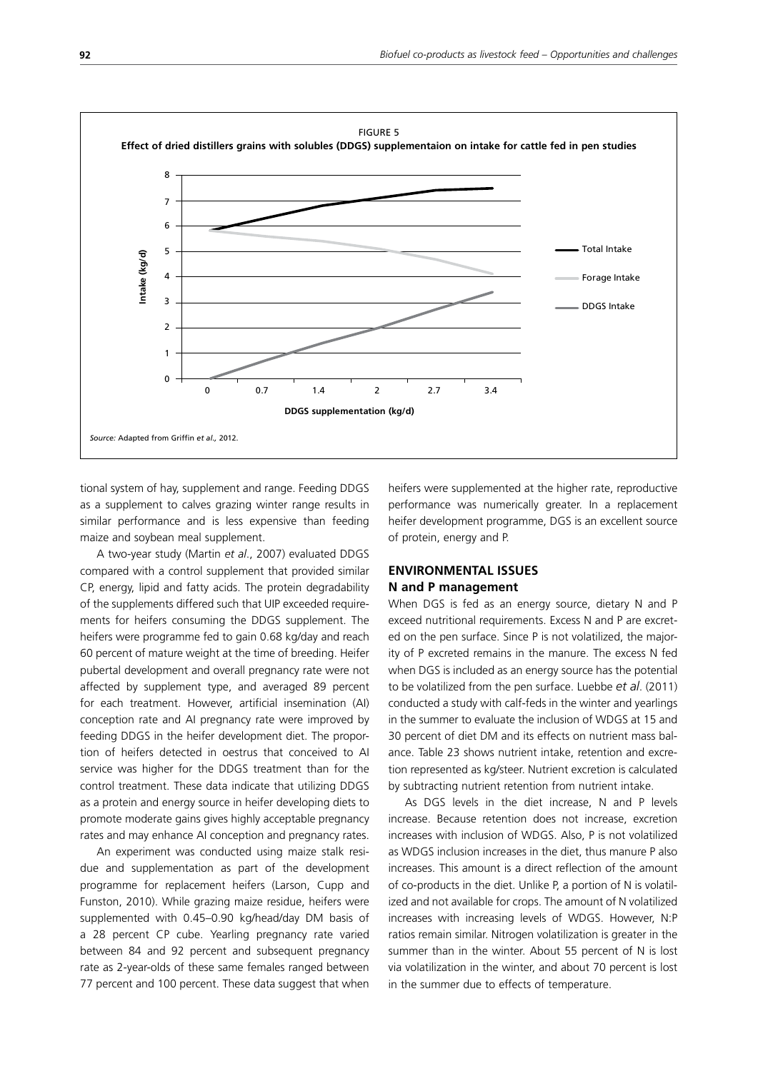

tional system of hay, supplement and range. Feeding DDGS as a supplement to calves grazing winter range results in similar performance and is less expensive than feeding maize and soybean meal supplement.

A two-year study (Martin *et al*., 2007) evaluated DDGS compared with a control supplement that provided similar CP, energy, lipid and fatty acids. The protein degradability of the supplements differed such that UIP exceeded requirements for heifers consuming the DDGS supplement. The heifers were programme fed to gain 0.68 kg/day and reach 60 percent of mature weight at the time of breeding. Heifer pubertal development and overall pregnancy rate were not affected by supplement type, and averaged 89 percent for each treatment. However, artificial insemination (AI) conception rate and AI pregnancy rate were improved by feeding DDGS in the heifer development diet. The proportion of heifers detected in oestrus that conceived to AI service was higher for the DDGS treatment than for the control treatment. These data indicate that utilizing DDGS as a protein and energy source in heifer developing diets to promote moderate gains gives highly acceptable pregnancy rates and may enhance AI conception and pregnancy rates.

An experiment was conducted using maize stalk residue and supplementation as part of the development programme for replacement heifers (Larson, Cupp and Funston, 2010). While grazing maize residue, heifers were supplemented with 0.45–0.90 kg/head/day DM basis of a 28 percent CP cube. Yearling pregnancy rate varied between 84 and 92 percent and subsequent pregnancy rate as 2-year-olds of these same females ranged between 77 percent and 100 percent. These data suggest that when heifers were supplemented at the higher rate, reproductive performance was numerically greater. In a replacement heifer development programme, DGS is an excellent source of protein, energy and P.

# **ENVIRONMENTAL ISSUES N and P management**

When DGS is fed as an energy source, dietary N and P exceed nutritional requirements. Excess N and P are excreted on the pen surface. Since P is not volatilized, the majority of P excreted remains in the manure. The excess N fed when DGS is included as an energy source has the potential to be volatilized from the pen surface. Luebbe *et al*. (2011) conducted a study with calf-feds in the winter and yearlings in the summer to evaluate the inclusion of WDGS at 15 and 30 percent of diet DM and its effects on nutrient mass balance. Table 23 shows nutrient intake, retention and excretion represented as kg/steer. Nutrient excretion is calculated by subtracting nutrient retention from nutrient intake.

As DGS levels in the diet increase, N and P levels increase. Because retention does not increase, excretion increases with inclusion of WDGS. Also, P is not volatilized as WDGS inclusion increases in the diet, thus manure P also increases. This amount is a direct reflection of the amount of co-products in the diet. Unlike P, a portion of N is volatilized and not available for crops. The amount of N volatilized increases with increasing levels of WDGS. However, N:P ratios remain similar. Nitrogen volatilization is greater in the summer than in the winter. About 55 percent of N is lost via volatilization in the winter, and about 70 percent is lost in the summer due to effects of temperature.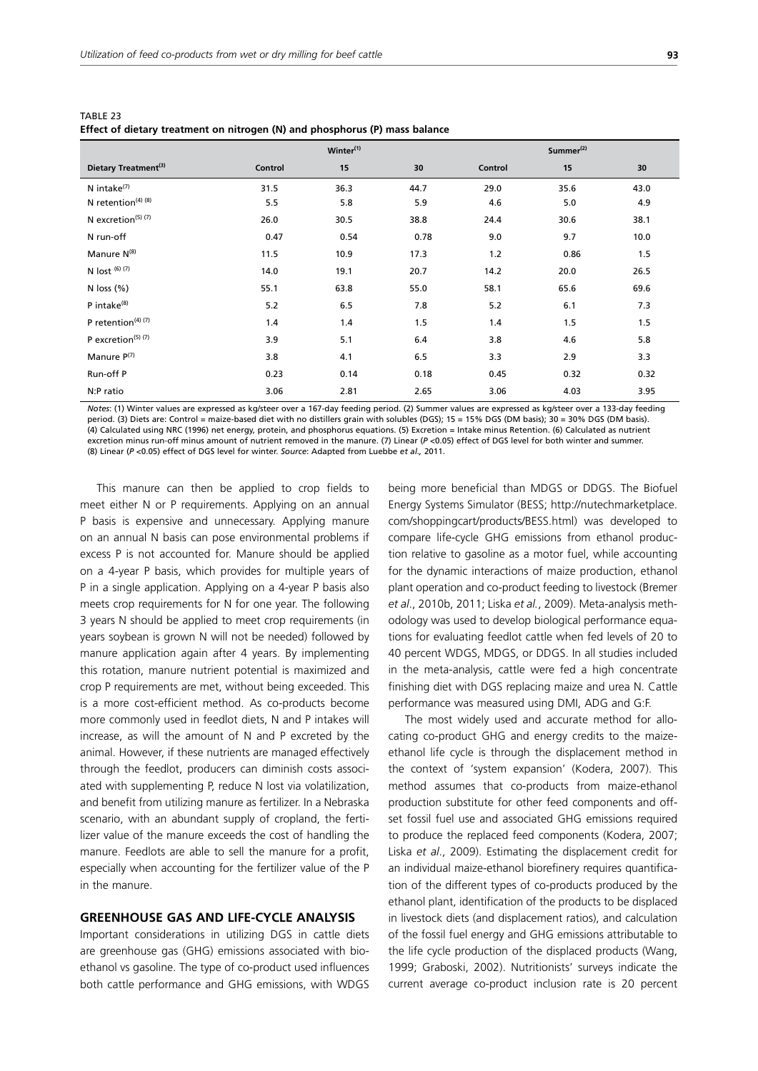| ۰                 |
|-------------------|
|                   |
| I<br>ł<br>۰.<br>× |
|                   |

|                                           | Winter <sup>(1)</sup> |      |      | Summer <sup>(2)</sup> |      |      |
|-------------------------------------------|-----------------------|------|------|-----------------------|------|------|
| Dietary Treatment <sup>(3)</sup>          | Control               | 15   | 30   | Control               | 15   | 30   |
| N intake <sup>(7)</sup>                   | 31.5                  | 36.3 | 44.7 | 29.0                  | 35.6 | 43.0 |
| N retention $(4)$ $(8)$                   | 5.5                   | 5.8  | 5.9  | 4.6                   | 5.0  | 4.9  |
| N excretion <sup>(5)</sup> <sup>(7)</sup> | 26.0                  | 30.5 | 38.8 | 24.4                  | 30.6 | 38.1 |
| N run-off                                 | 0.47                  | 0.54 | 0.78 | 9.0                   | 9.7  | 10.0 |
| Manure N <sup>(8)</sup>                   | 11.5                  | 10.9 | 17.3 | $1.2$                 | 0.86 | 1.5  |
| N lost $(6)(7)$                           | 14.0                  | 19.1 | 20.7 | 14.2                  | 20.0 | 26.5 |
| N loss $(\%)$                             | 55.1                  | 63.8 | 55.0 | 58.1                  | 65.6 | 69.6 |
| P intake <sup>(8)</sup>                   | 5.2                   | 6.5  | 7.8  | 5.2                   | 6.1  | 7.3  |
| P retention $(4)$ $(7)$                   | 1.4                   | 1.4  | 1.5  | 1.4                   | 1.5  | 1.5  |
| P excretion <sup>(5)</sup> (7)            | 3.9                   | 5.1  | 6.4  | 3.8                   | 4.6  | 5.8  |
| Manure P(7)                               | 3.8                   | 4.1  | 6.5  | 3.3                   | 2.9  | 3.3  |
| Run-off P                                 | 0.23                  | 0.14 | 0.18 | 0.45                  | 0.32 | 0.32 |
| N:P ratio                                 | 3.06                  | 2.81 | 2.65 | 3.06                  | 4.03 | 3.95 |

| TABLE 23 |                                                                             |
|----------|-----------------------------------------------------------------------------|
|          | Effect of dietary treatment on nitrogen (N) and phosphorus (P) mass balance |

*Notes*: (1) Winter values are expressed as kg/steer over a 167-day feeding period. (2) Summer values are expressed as kg/steer over a 133-day feeding period. (3) Diets are: Control = maize-based diet with no distillers grain with solubles (DGS); 15 = 15% DGS (DM basis). 30 = 30% DGS (DM basis). (4) Calculated using NRC (1996) net energy, protein, and phosphorus equations. (5) Excretion = Intake minus Retention. (6) Calculated as nutrient excretion minus run-off minus amount of nutrient removed in the manure. (7) Linear (*P* <0.05) effect of DGS level for both winter and summer. (8) Linear (*P* <0.05) effect of DGS level for winter. *Source*: Adapted from Luebbe *et al.,* 2011.

This manure can then be applied to crop fields to meet either N or P requirements. Applying on an annual P basis is expensive and unnecessary. Applying manure on an annual N basis can pose environmental problems if excess P is not accounted for. Manure should be applied on a 4-year P basis, which provides for multiple years of P in a single application. Applying on a 4-year P basis also meets crop requirements for N for one year. The following 3 years N should be applied to meet crop requirements (in years soybean is grown N will not be needed) followed by manure application again after 4 years. By implementing this rotation, manure nutrient potential is maximized and crop P requirements are met, without being exceeded. This is a more cost-efficient method. As co-products become more commonly used in feedlot diets, N and P intakes will increase, as will the amount of N and P excreted by the animal. However, if these nutrients are managed effectively through the feedlot, producers can diminish costs associated with supplementing P, reduce N lost via volatilization, and benefit from utilizing manure as fertilizer. In a Nebraska scenario, with an abundant supply of cropland, the fertilizer value of the manure exceeds the cost of handling the manure. Feedlots are able to sell the manure for a profit, especially when accounting for the fertilizer value of the P in the manure.

## **GREENHOUSE GAS AND LIFE-CYCLE ANALYSIS**

Important considerations in utilizing DGS in cattle diets are greenhouse gas (GHG) emissions associated with bioethanol vs gasoline. The type of co-product used influences both cattle performance and GHG emissions, with WDGS being more beneficial than MDGS or DDGS. The Biofuel Energy Systems Simulator (BESS; http://nutechmarketplace. com/shoppingcart/products/BESS.html) was developed to compare life-cycle GHG emissions from ethanol production relative to gasoline as a motor fuel, while accounting for the dynamic interactions of maize production, ethanol plant operation and co-product feeding to livestock (Bremer *et al*., 2010b, 2011; Liska *et al.*, 2009). Meta-analysis methodology was used to develop biological performance equations for evaluating feedlot cattle when fed levels of 20 to 40 percent WDGS, MDGS, or DDGS. In all studies included in the meta-analysis, cattle were fed a high concentrate finishing diet with DGS replacing maize and urea N. Cattle performance was measured using DMI, ADG and G:F.

The most widely used and accurate method for allocating co-product GHG and energy credits to the maizeethanol life cycle is through the displacement method in the context of 'system expansion' (Kodera, 2007). This method assumes that co-products from maize-ethanol production substitute for other feed components and offset fossil fuel use and associated GHG emissions required to produce the replaced feed components (Kodera, 2007; Liska *et al*., 2009). Estimating the displacement credit for an individual maize-ethanol biorefinery requires quantification of the different types of co-products produced by the ethanol plant, identification of the products to be displaced in livestock diets (and displacement ratios), and calculation of the fossil fuel energy and GHG emissions attributable to the life cycle production of the displaced products (Wang, 1999; Graboski, 2002). Nutritionists' surveys indicate the current average co-product inclusion rate is 20 percent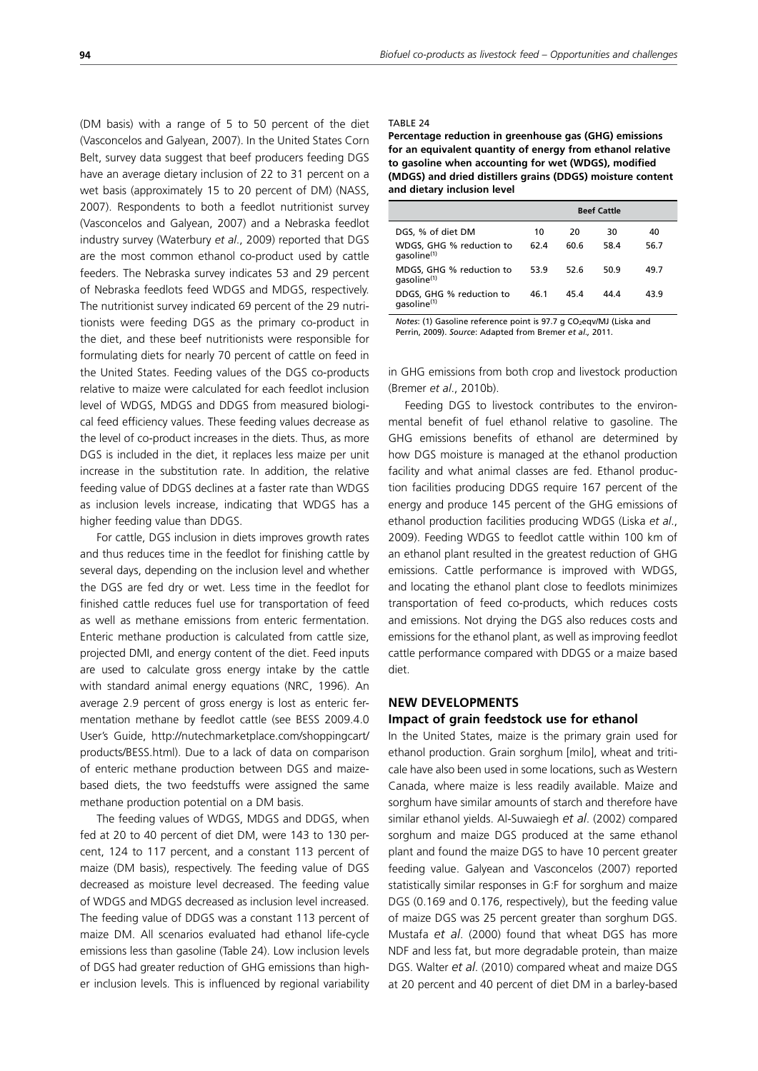(DM basis) with a range of 5 to 50 percent of the diet (Vasconcelos and Galyean, 2007). In the United States Corn Belt, survey data suggest that beef producers feeding DGS have an average dietary inclusion of 22 to 31 percent on a wet basis (approximately 15 to 20 percent of DM) (NASS, 2007). Respondents to both a feedlot nutritionist survey (Vasconcelos and Galyean, 2007) and a Nebraska feedlot industry survey (Waterbury *et al*., 2009) reported that DGS are the most common ethanol co-product used by cattle feeders. The Nebraska survey indicates 53 and 29 percent of Nebraska feedlots feed WDGS and MDGS, respectively. The nutritionist survey indicated 69 percent of the 29 nutritionists were feeding DGS as the primary co-product in the diet, and these beef nutritionists were responsible for formulating diets for nearly 70 percent of cattle on feed in the United States. Feeding values of the DGS co-products relative to maize were calculated for each feedlot inclusion level of WDGS, MDGS and DDGS from measured biological feed efficiency values. These feeding values decrease as the level of co-product increases in the diets. Thus, as more DGS is included in the diet, it replaces less maize per unit increase in the substitution rate. In addition, the relative feeding value of DDGS declines at a faster rate than WDGS as inclusion levels increase, indicating that WDGS has a higher feeding value than DDGS.

For cattle, DGS inclusion in diets improves growth rates and thus reduces time in the feedlot for finishing cattle by several days, depending on the inclusion level and whether the DGS are fed dry or wet. Less time in the feedlot for finished cattle reduces fuel use for transportation of feed as well as methane emissions from enteric fermentation. Enteric methane production is calculated from cattle size, projected DMI, and energy content of the diet. Feed inputs are used to calculate gross energy intake by the cattle with standard animal energy equations (NRC, 1996). An average 2.9 percent of gross energy is lost as enteric fermentation methane by feedlot cattle (see BESS 2009.4.0 User's Guide, http://nutechmarketplace.com/shoppingcart/ products/BESS.html). Due to a lack of data on comparison of enteric methane production between DGS and maizebased diets, the two feedstuffs were assigned the same methane production potential on a DM basis.

The feeding values of WDGS, MDGS and DDGS, when fed at 20 to 40 percent of diet DM, were 143 to 130 percent, 124 to 117 percent, and a constant 113 percent of maize (DM basis), respectively. The feeding value of DGS decreased as moisture level decreased. The feeding value of WDGS and MDGS decreased as inclusion level increased. The feeding value of DDGS was a constant 113 percent of maize DM. All scenarios evaluated had ethanol life-cycle emissions less than gasoline (Table 24). Low inclusion levels of DGS had greater reduction of GHG emissions than higher inclusion levels. This is influenced by regional variability

## TABLE 24

**Percentage reduction in greenhouse gas (GHG) emissions for an equivalent quantity of energy from ethanol relative to gasoline when accounting for wet (WDGS), modified (MDGS) and dried distillers grains (DDGS) moisture content and dietary inclusion level**

|                                                     |      |      | <b>Beef Cattle</b> |      |
|-----------------------------------------------------|------|------|--------------------|------|
| DGS, % of diet DM                                   | 10   | 20   | 30                 | 40   |
| WDGS, GHG % reduction to<br>aasoline <sup>(1)</sup> | 62.4 | 60.6 | 58.4               | 56.7 |
| MDGS, GHG % reduction to<br>qasoline <sup>(1)</sup> | 53.9 | 52.6 | 50.9               | 49.7 |
| DDGS, GHG % reduction to<br>qasoline <sup>(1)</sup> | 46.1 | 45.4 | 44.4               | 43.9 |

*Notes*: (1) Gasoline reference point is 97.7 g CO<sub>2</sub>eqv/MJ (Liska and Perrin, 2009). *Source*: Adapted from Bremer *et al.,* 2011.

in GHG emissions from both crop and livestock production (Bremer *et al*., 2010b).

Feeding DGS to livestock contributes to the environmental benefit of fuel ethanol relative to gasoline. The GHG emissions benefits of ethanol are determined by how DGS moisture is managed at the ethanol production facility and what animal classes are fed. Ethanol production facilities producing DDGS require 167 percent of the energy and produce 145 percent of the GHG emissions of ethanol production facilities producing WDGS (Liska *et al*., 2009). Feeding WDGS to feedlot cattle within 100 km of an ethanol plant resulted in the greatest reduction of GHG emissions. Cattle performance is improved with WDGS, and locating the ethanol plant close to feedlots minimizes transportation of feed co-products, which reduces costs and emissions. Not drying the DGS also reduces costs and emissions for the ethanol plant, as well as improving feedlot cattle performance compared with DDGS or a maize based diet.

# **NEW DEVELOPMENTS**

# **Impact of grain feedstock use for ethanol**

In the United States, maize is the primary grain used for ethanol production. Grain sorghum [milo], wheat and triticale have also been used in some locations, such as Western Canada, where maize is less readily available. Maize and sorghum have similar amounts of starch and therefore have similar ethanol yields. Al-Suwaiegh *et al*. (2002) compared sorghum and maize DGS produced at the same ethanol plant and found the maize DGS to have 10 percent greater feeding value. Galyean and Vasconcelos (2007) reported statistically similar responses in G:F for sorghum and maize DGS (0.169 and 0.176, respectively), but the feeding value of maize DGS was 25 percent greater than sorghum DGS. Mustafa *et al*. (2000) found that wheat DGS has more NDF and less fat, but more degradable protein, than maize DGS. Walter *et al*. (2010) compared wheat and maize DGS at 20 percent and 40 percent of diet DM in a barley-based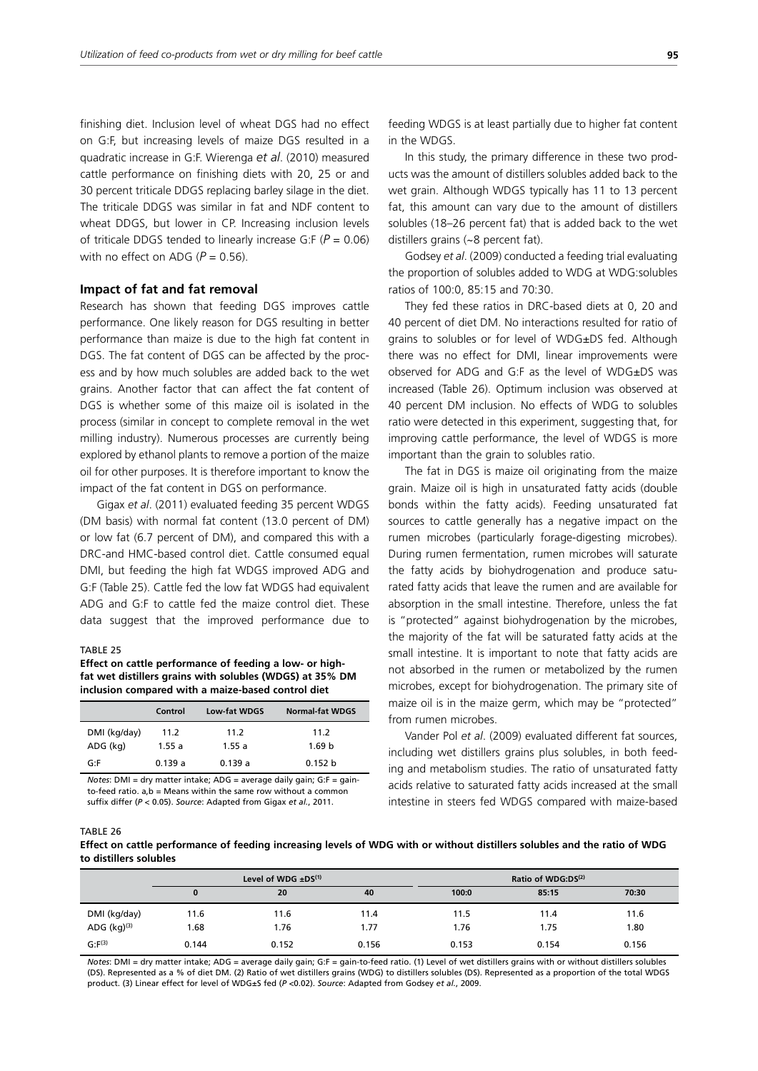finishing diet. Inclusion level of wheat DGS had no effect on G:F, but increasing levels of maize DGS resulted in a quadratic increase in G:F. Wierenga *et al*. (2010) measured cattle performance on finishing diets with 20, 25 or and 30 percent triticale DDGS replacing barley silage in the diet. The triticale DDGS was similar in fat and NDF content to wheat DDGS, but lower in CP. Increasing inclusion levels of triticale DDGS tended to linearly increase G:F (*P* = 0.06) with no effect on ADG  $(P = 0.56)$ .

## **Impact of fat and fat removal**

Research has shown that feeding DGS improves cattle performance. One likely reason for DGS resulting in better performance than maize is due to the high fat content in DGS. The fat content of DGS can be affected by the process and by how much solubles are added back to the wet grains. Another factor that can affect the fat content of DGS is whether some of this maize oil is isolated in the process (similar in concept to complete removal in the wet milling industry). Numerous processes are currently being explored by ethanol plants to remove a portion of the maize oil for other purposes. It is therefore important to know the impact of the fat content in DGS on performance.

Gigax *et al*. (2011) evaluated feeding 35 percent WDGS (DM basis) with normal fat content (13.0 percent of DM) or low fat (6.7 percent of DM), and compared this with a DRC-and HMC-based control diet. Cattle consumed equal DMI, but feeding the high fat WDGS improved ADG and G:F (Table 25). Cattle fed the low fat WDGS had equivalent ADG and G:F to cattle fed the maize control diet. These data suggest that the improved performance due to

#### TABLE 25

**Effect on cattle performance of feeding a low- or highfat wet distillers grains with solubles (WDGS) at 35% DM inclusion compared with a maize-based control diet**

|              | Control | Low-fat WDGS | <b>Normal-fat WDGS</b> |
|--------------|---------|--------------|------------------------|
| DMI (kg/day) | 11.2    | 11.2         | 11.2                   |
| ADG (kg)     | 1.55a   | 1.55a        | 1.69 <sub>b</sub>      |
| G∙F          | 0.139a  | 0.139a       | 0.152 <sub>b</sub>     |

*Notes*: DMI = dry matter intake; ADG = average daily gain; G:F = gainto-feed ratio. a,b = Means within the same row without a common suffix differ (*P* < 0.05). *Source*: Adapted from Gigax *et al.*, 2011.

feeding WDGS is at least partially due to higher fat content in the WDGS.

In this study, the primary difference in these two products was the amount of distillers solubles added back to the wet grain. Although WDGS typically has 11 to 13 percent fat, this amount can vary due to the amount of distillers solubles (18–26 percent fat) that is added back to the wet distillers grains (~8 percent fat).

Godsey *et al*. (2009) conducted a feeding trial evaluating the proportion of solubles added to WDG at WDG:solubles ratios of 100:0, 85:15 and 70:30.

They fed these ratios in DRC-based diets at 0, 20 and 40 percent of diet DM. No interactions resulted for ratio of grains to solubles or for level of WDG±DS fed. Although there was no effect for DMI, linear improvements were observed for ADG and G:F as the level of WDG±DS was increased (Table 26). Optimum inclusion was observed at 40 percent DM inclusion. No effects of WDG to solubles ratio were detected in this experiment, suggesting that, for improving cattle performance, the level of WDGS is more important than the grain to solubles ratio.

The fat in DGS is maize oil originating from the maize grain. Maize oil is high in unsaturated fatty acids (double bonds within the fatty acids). Feeding unsaturated fat sources to cattle generally has a negative impact on the rumen microbes (particularly forage-digesting microbes). During rumen fermentation, rumen microbes will saturate the fatty acids by biohydrogenation and produce saturated fatty acids that leave the rumen and are available for absorption in the small intestine. Therefore, unless the fat is "protected" against biohydrogenation by the microbes, the majority of the fat will be saturated fatty acids at the small intestine. It is important to note that fatty acids are not absorbed in the rumen or metabolized by the rumen microbes, except for biohydrogenation. The primary site of maize oil is in the maize germ, which may be "protected" from rumen microbes.

Vander Pol *et al*. (2009) evaluated different fat sources, including wet distillers grains plus solubles, in both feeding and metabolism studies. The ratio of unsaturated fatty acids relative to saturated fatty acids increased at the small intestine in steers fed WDGS compared with maize-based

#### TABLE 26

**Effect on cattle performance of feeding increasing levels of WDG with or without distillers solubles and the ratio of WDG to distillers solubles**

|                  | Level of WDG $\pm DS^{(1)}$ |       | Ratio of WDG:DS <sup>(2)</sup> |       |       |       |
|------------------|-----------------------------|-------|--------------------------------|-------|-------|-------|
|                  | 0                           | 20    | 40                             | 100:0 | 85:15 | 70:30 |
| DMI (kg/day)     | 11.6                        | 11.6  | 11.4                           | 11.5  | 11.4  | 11.6  |
| ADG $(kq)^{(3)}$ | 1.68                        | 1.76  | 1.77                           | 1.76  | 1.75  | 1.80  |
| $G: F^{(3)}$     | 0.144                       | 0.152 | 0.156                          | 0.153 | 0.154 | 0.156 |

*Notes*: DMI = dry matter intake; ADG = average daily gain; G:F = gain-to-feed ratio. (1) Level of wet distillers grains with or without distillers solubles (DS). Represented as a % of diet DM. (2) Ratio of wet distillers grains (WDG) to distillers solubles (DS). Represented as a proportion of the total WDGS product. (3) Linear effect for level of WDG±S fed (*P* <0.02). *Source*: Adapted from Godsey *et al.*, 2009.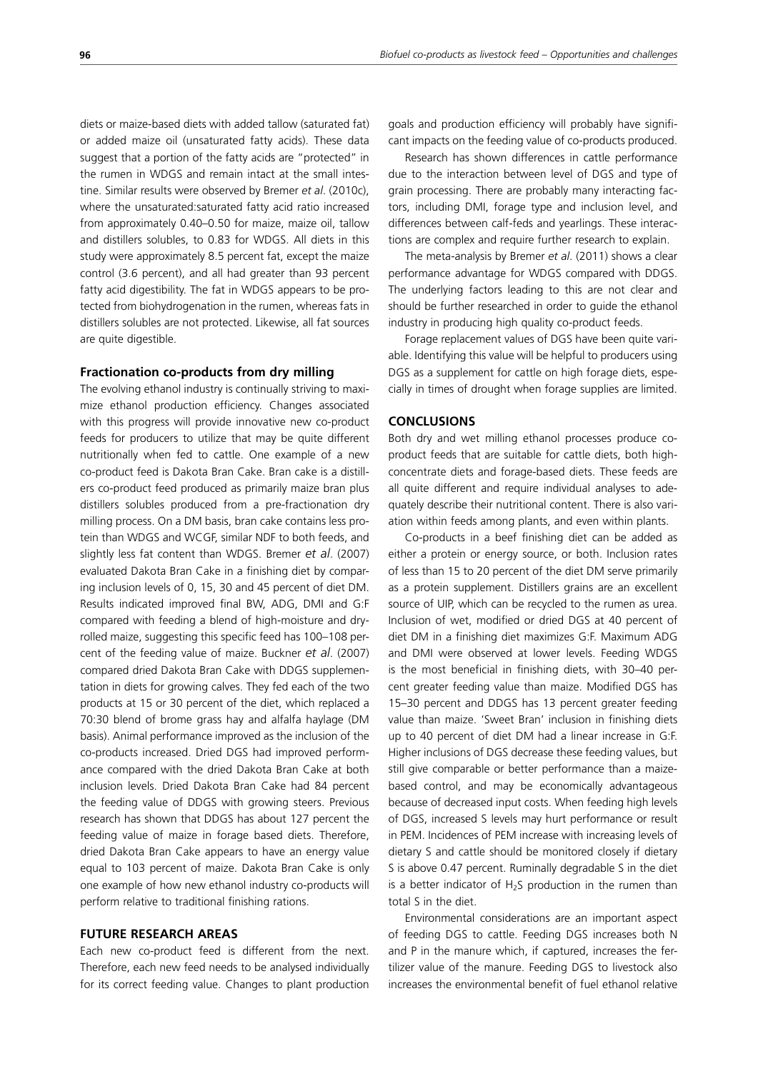diets or maize-based diets with added tallow (saturated fat) or added maize oil (unsaturated fatty acids). These data suggest that a portion of the fatty acids are "protected" in the rumen in WDGS and remain intact at the small intestine. Similar results were observed by Bremer *et al*. (2010c), where the unsaturated:saturated fatty acid ratio increased from approximately 0.40–0.50 for maize, maize oil, tallow and distillers solubles, to 0.83 for WDGS. All diets in this study were approximately 8.5 percent fat, except the maize control (3.6 percent), and all had greater than 93 percent fatty acid digestibility. The fat in WDGS appears to be protected from biohydrogenation in the rumen, whereas fats in distillers solubles are not protected. Likewise, all fat sources are quite digestible.

## **Fractionation co-products from dry milling**

The evolving ethanol industry is continually striving to maximize ethanol production efficiency. Changes associated with this progress will provide innovative new co-product feeds for producers to utilize that may be quite different nutritionally when fed to cattle. One example of a new co-product feed is Dakota Bran Cake. Bran cake is a distillers co-product feed produced as primarily maize bran plus distillers solubles produced from a pre-fractionation dry milling process. On a DM basis, bran cake contains less protein than WDGS and WCGF, similar NDF to both feeds, and slightly less fat content than WDGS. Bremer *et al*. (2007) evaluated Dakota Bran Cake in a finishing diet by comparing inclusion levels of 0, 15, 30 and 45 percent of diet DM. Results indicated improved final BW, ADG, DMI and G:F compared with feeding a blend of high-moisture and dryrolled maize, suggesting this specific feed has 100–108 percent of the feeding value of maize. Buckner *et al*. (2007) compared dried Dakota Bran Cake with DDGS supplementation in diets for growing calves. They fed each of the two products at 15 or 30 percent of the diet, which replaced a 70:30 blend of brome grass hay and alfalfa haylage (DM basis). Animal performance improved as the inclusion of the co-products increased. Dried DGS had improved performance compared with the dried Dakota Bran Cake at both inclusion levels. Dried Dakota Bran Cake had 84 percent the feeding value of DDGS with growing steers. Previous research has shown that DDGS has about 127 percent the feeding value of maize in forage based diets. Therefore, dried Dakota Bran Cake appears to have an energy value equal to 103 percent of maize. Dakota Bran Cake is only one example of how new ethanol industry co-products will perform relative to traditional finishing rations.

## **FUTURE RESEARCH AREAS**

Each new co-product feed is different from the next. Therefore, each new feed needs to be analysed individually for its correct feeding value. Changes to plant production goals and production efficiency will probably have significant impacts on the feeding value of co-products produced.

Research has shown differences in cattle performance due to the interaction between level of DGS and type of grain processing. There are probably many interacting factors, including DMI, forage type and inclusion level, and differences between calf-feds and yearlings. These interactions are complex and require further research to explain.

The meta-analysis by Bremer *et al*. (2011) shows a clear performance advantage for WDGS compared with DDGS. The underlying factors leading to this are not clear and should be further researched in order to guide the ethanol industry in producing high quality co-product feeds.

Forage replacement values of DGS have been quite variable. Identifying this value will be helpful to producers using DGS as a supplement for cattle on high forage diets, especially in times of drought when forage supplies are limited.

## **CONCLUSIONS**

Both dry and wet milling ethanol processes produce coproduct feeds that are suitable for cattle diets, both highconcentrate diets and forage-based diets. These feeds are all quite different and require individual analyses to adequately describe their nutritional content. There is also variation within feeds among plants, and even within plants.

Co-products in a beef finishing diet can be added as either a protein or energy source, or both. Inclusion rates of less than 15 to 20 percent of the diet DM serve primarily as a protein supplement. Distillers grains are an excellent source of UIP, which can be recycled to the rumen as urea. Inclusion of wet, modified or dried DGS at 40 percent of diet DM in a finishing diet maximizes G:F. Maximum ADG and DMI were observed at lower levels. Feeding WDGS is the most beneficial in finishing diets, with 30–40 percent greater feeding value than maize. Modified DGS has 15–30 percent and DDGS has 13 percent greater feeding value than maize. 'Sweet Bran' inclusion in finishing diets up to 40 percent of diet DM had a linear increase in G:F. Higher inclusions of DGS decrease these feeding values, but still give comparable or better performance than a maizebased control, and may be economically advantageous because of decreased input costs. When feeding high levels of DGS, increased S levels may hurt performance or result in PEM. Incidences of PEM increase with increasing levels of dietary S and cattle should be monitored closely if dietary S is above 0.47 percent. Ruminally degradable S in the diet is a better indicator of  $H<sub>2</sub>S$  production in the rumen than total S in the diet.

Environmental considerations are an important aspect of feeding DGS to cattle. Feeding DGS increases both N and P in the manure which, if captured, increases the fertilizer value of the manure. Feeding DGS to livestock also increases the environmental benefit of fuel ethanol relative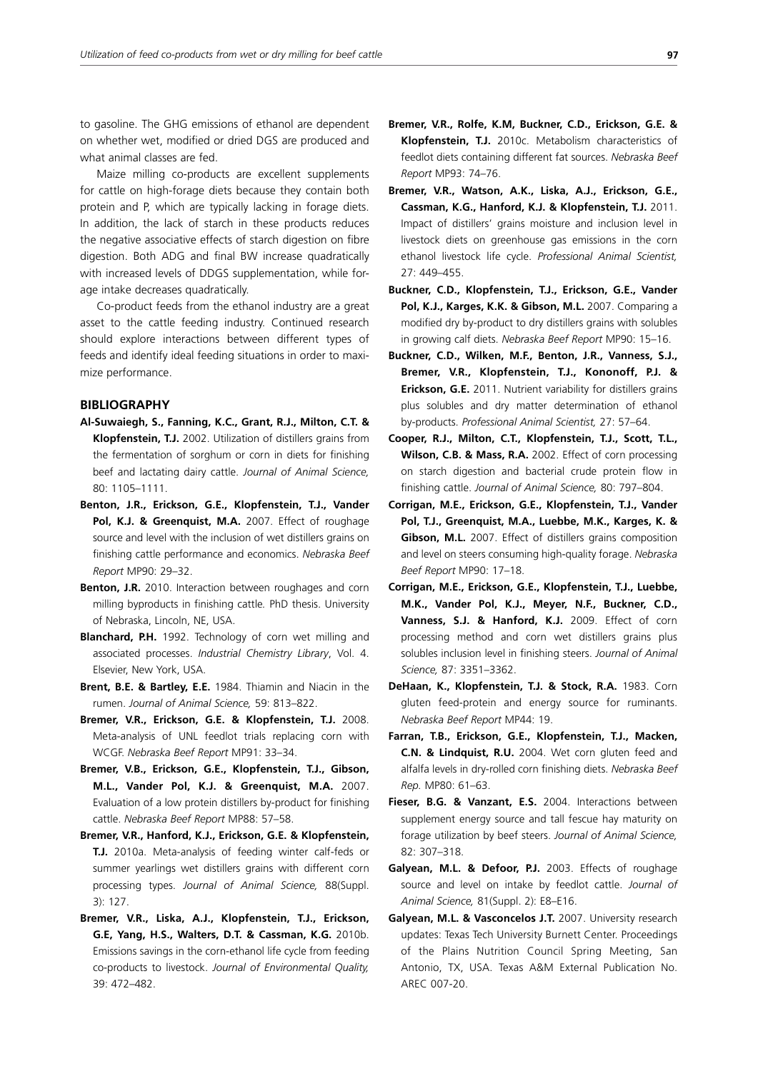to gasoline. The GHG emissions of ethanol are dependent on whether wet, modified or dried DGS are produced and what animal classes are fed.

Maize milling co-products are excellent supplements for cattle on high-forage diets because they contain both protein and P, which are typically lacking in forage diets. In addition, the lack of starch in these products reduces the negative associative effects of starch digestion on fibre digestion. Both ADG and final BW increase quadratically with increased levels of DDGS supplementation, while forage intake decreases quadratically.

Co-product feeds from the ethanol industry are a great asset to the cattle feeding industry. Continued research should explore interactions between different types of feeds and identify ideal feeding situations in order to maximize performance.

## **BIBLIOGRAPHY**

- **Al-Suwaiegh, S., Fanning, K.C., Grant, R.J., Milton, C.T. & Klopfenstein, T.J.** 2002. Utilization of distillers grains from the fermentation of sorghum or corn in diets for finishing beef and lactating dairy cattle. *Journal of Animal Science,*  80: 1105–1111.
- **Benton, J.R., Erickson, G.E., Klopfenstein, T.J., Vander**  Pol, K.J. & Greenquist, M.A. 2007. Effect of roughage source and level with the inclusion of wet distillers grains on finishing cattle performance and economics. *Nebraska Beef Report* MP90: 29–32.
- **Benton, J.R.** 2010. Interaction between roughages and corn milling byproducts in finishing cattle*.* PhD thesis. University of Nebraska, Lincoln, NE, USA.
- **Blanchard, P.H.** 1992. Technology of corn wet milling and associated processes. *Industrial Chemistry Library*, Vol. 4. Elsevier, New York, USA.
- **Brent, B.E. & Bartley, E.E.** 1984. Thiamin and Niacin in the rumen. *Journal of Animal Science,* 59: 813–822.
- **Bremer, V.R., Erickson, G.E. & Klopfenstein, T.J.** 2008. Meta-analysis of UNL feedlot trials replacing corn with WCGF. *Nebraska Beef Report* MP91: 33–34.
- **Bremer, V.B., Erickson, G.E., Klopfenstein, T.J., Gibson, M.L., Vander Pol, K.J. & Greenquist, M.A.** 2007. Evaluation of a low protein distillers by-product for finishing cattle. *Nebraska Beef Report* MP88: 57–58.
- **Bremer, V.R., Hanford, K.J., Erickson, G.E. & Klopfenstein, T.J.** 2010a. Meta-analysis of feeding winter calf-feds or summer yearlings wet distillers grains with different corn processing types. *Journal of Animal Science,* 88(Suppl. 3): 127.
- **Bremer, V.R., Liska, A.J., Klopfenstein, T.J., Erickson, G.E, Yang, H.S., Walters, D.T. & Cassman, K.G.** 2010b. Emissions savings in the corn-ethanol life cycle from feeding co-products to livestock. *Journal of Environmental Quality,*  39: 472–482.
- **Bremer, V.R., Rolfe, K.M, Buckner, C.D., Erickson, G.E. & Klopfenstein, T.J.** 2010c. Metabolism characteristics of feedlot diets containing different fat sources. *Nebraska Beef Report* MP93: 74–76.
- **Bremer, V.R., Watson, A.K., Liska, A.J., Erickson, G.E., Cassman, K.G., Hanford, K.J. & Klopfenstein, T.J.** 2011. Impact of distillers' grains moisture and inclusion level in livestock diets on greenhouse gas emissions in the corn ethanol livestock life cycle. *Professional Animal Scientist,* 27: 449–455.
- **Buckner, C.D., Klopfenstein, T.J., Erickson, G.E., Vander Pol, K.J., Karges, K.K. & Gibson, M.L.** 2007. Comparing a modified dry by-product to dry distillers grains with solubles in growing calf diets. *Nebraska Beef Report* MP90: 15–16.
- **Buckner, C.D., Wilken, M.F., Benton, J.R., Vanness, S.J., Bremer, V.R., Klopfenstein, T.J., Kononoff, P.J. & Erickson, G.E.** 2011. Nutrient variability for distillers grains plus solubles and dry matter determination of ethanol by-products. *Professional Animal Scientist,* 27: 57–64.
- **Cooper, R.J., Milton, C.T., Klopfenstein, T.J., Scott, T.L., Wilson, C.B. & Mass, R.A.** 2002. Effect of corn processing on starch digestion and bacterial crude protein flow in finishing cattle. *Journal of Animal Science,* 80: 797–804.
- **Corrigan, M.E., Erickson, G.E., Klopfenstein, T.J., Vander Pol, T.J., Greenquist, M.A., Luebbe, M.K., Karges, K. & Gibson, M.L.** 2007. Effect of distillers grains composition and level on steers consuming high-quality forage. *Nebraska Beef Report* MP90: 17–18.
- **Corrigan, M.E., Erickson, G.E., Klopfenstein, T.J., Luebbe, M.K., Vander Pol, K.J., Meyer, N.F., Buckner, C.D., Vanness, S.J. & Hanford, K.J.** 2009. Effect of corn processing method and corn wet distillers grains plus solubles inclusion level in finishing steers. *Journal of Animal Science,* 87: 3351–3362.
- **DeHaan, K., Klopfenstein, T.J. & Stock, R.A.** 1983. Corn gluten feed-protein and energy source for ruminants. *Nebraska Beef Report* MP44: 19.
- **Farran, T.B., Erickson, G.E., Klopfenstein, T.J., Macken, C.N. & Lindquist, R.U.** 2004. Wet corn gluten feed and alfalfa levels in dry-rolled corn finishing diets. *Nebraska Beef Rep.* MP80: 61–63.
- **Fieser, B.G. & Vanzant, E.S.** 2004. Interactions between supplement energy source and tall fescue hay maturity on forage utilization by beef steers. *Journal of Animal Science,*  82: 307–318.
- **Galyean, M.L. & Defoor, P.J.** 2003. Effects of roughage source and level on intake by feedlot cattle. *Journal of Animal Science,* 81(Suppl. 2): E8–E16.
- **Galyean, M.L. & Vasconcelos J.T.** 2007. University research updates: Texas Tech University Burnett Center. Proceedings of the Plains Nutrition Council Spring Meeting, San Antonio, TX, USA. Texas A&M External Publication No. AREC 007-20.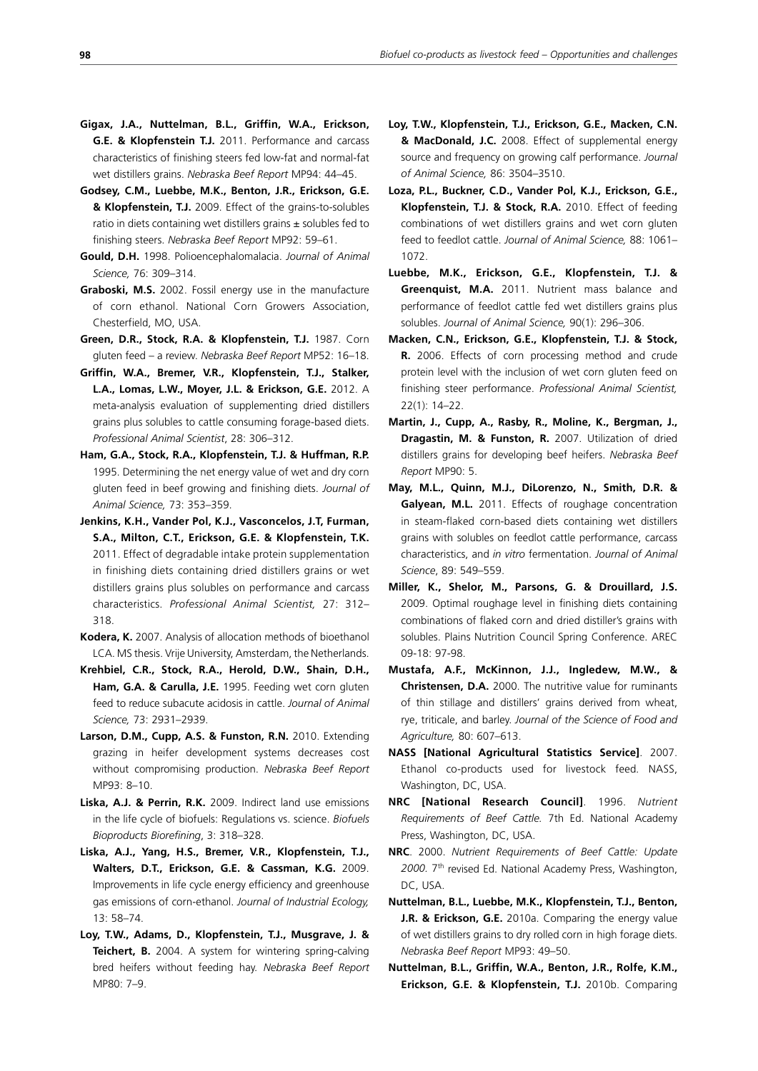- **Gigax, J.A., Nuttelman, B.L., Griffin, W.A., Erickson, G.E. & Klopfenstein T.J.** 2011. Performance and carcass characteristics of finishing steers fed low-fat and normal-fat wet distillers grains. *Nebraska Beef Report* MP94: 44–45.
- **Godsey, C.M., Luebbe, M.K., Benton, J.R., Erickson, G.E. & Klopfenstein, T.J.** 2009. Effect of the grains-to-solubles ratio in diets containing wet distillers grains  $\pm$  solubles fed to finishing steers. *Nebraska Beef Report* MP92: 59–61.
- **Gould, D.H.** 1998. Polioencephalomalacia. *Journal of Animal Science,* 76: 309–314.
- **Graboski, M.S.** 2002. Fossil energy use in the manufacture of corn ethanol. National Corn Growers Association, Chesterfield, MO, USA.
- **Green, D.R., Stock, R.A. & Klopfenstein, T.J.** 1987. Corn gluten feed – a review. *Nebraska Beef Report* MP52: 16–18.
- **Griffin, W.A., Bremer, V.R., Klopfenstein, T.J., Stalker, L.A., Lomas, L.W., Moyer, J.L. & Erickson, G.E.** 2012. A meta-analysis evaluation of supplementing dried distillers grains plus solubles to cattle consuming forage-based diets. *Professional Animal Scientist*, 28: 306–312.
- **Ham, G.A., Stock, R.A., Klopfenstein, T.J. & Huffman, R.P.**  1995. Determining the net energy value of wet and dry corn gluten feed in beef growing and finishing diets. *Journal of Animal Science,* 73: 353–359.
- **Jenkins, K.H., Vander Pol, K.J., Vasconcelos, J.T, Furman, S.A., Milton, C.T., Erickson, G.E. & Klopfenstein, T.K.**  2011. Effect of degradable intake protein supplementation in finishing diets containing dried distillers grains or wet distillers grains plus solubles on performance and carcass characteristics. *Professional Animal Scientist,* 27: 312– 318.
- **Kodera, K.** 2007. Analysis of allocation methods of bioethanol LCA. MS thesis. Vrije University, Amsterdam, the Netherlands.
- **Krehbiel, C.R., Stock, R.A., Herold, D.W., Shain, D.H., Ham, G.A. & Carulla, J.E.** 1995. Feeding wet corn gluten feed to reduce subacute acidosis in cattle. *Journal of Animal Science,* 73: 2931–2939.
- **Larson, D.M., Cupp, A.S. & Funston, R.N.** 2010. Extending grazing in heifer development systems decreases cost without compromising production. *Nebraska Beef Report*  MP93: 8–10.
- **Liska, A.J. & Perrin, R.K.** 2009. Indirect land use emissions in the life cycle of biofuels: Regulations vs. science. *Biofuels Bioproducts Biorefining*, 3: 318–328.
- **Liska, A.J., Yang, H.S., Bremer, V.R., Klopfenstein, T.J., Walters, D.T., Erickson, G.E. & Cassman, K.G.** 2009. Improvements in life cycle energy efficiency and greenhouse gas emissions of corn-ethanol. *Journal of Industrial Ecology,* 13: 58–74.
- **Loy, T.W., Adams, D., Klopfenstein, T.J., Musgrave, J. & Teichert, B.** 2004. A system for wintering spring-calving bred heifers without feeding hay. *Nebraska Beef Report* MP80: 7–9.
- **Loy, T.W., Klopfenstein, T.J., Erickson, G.E., Macken, C.N. & MacDonald, J.C.** 2008. Effect of supplemental energy source and frequency on growing calf performance. *Journal of Animal Science,* 86: 3504–3510.
- **Loza, P.L., Buckner, C.D., Vander Pol, K.J., Erickson, G.E., Klopfenstein, T.J. & Stock, R.A.** 2010. Effect of feeding combinations of wet distillers grains and wet corn gluten feed to feedlot cattle. *Journal of Animal Science,* 88: 1061– 1072.
- **Luebbe, M.K., Erickson, G.E., Klopfenstein, T.J. & Greenquist, M.A.** 2011. Nutrient mass balance and performance of feedlot cattle fed wet distillers grains plus solubles. *Journal of Animal Science,* 90(1): 296–306.
- **Macken, C.N., Erickson, G.E., Klopfenstein, T.J. & Stock, R.** 2006. Effects of corn processing method and crude protein level with the inclusion of wet corn gluten feed on finishing steer performance. *Professional Animal Scientist,* 22(1): 14–22.
- **Martin, J., Cupp, A., Rasby, R., Moline, K., Bergman, J., Dragastin, M. & Funston, R.** 2007. Utilization of dried distillers grains for developing beef heifers. *Nebraska Beef Report* MP90: 5.
- **May, M.L., Quinn, M.J., DiLorenzo, N., Smith, D.R. & Galyean, M.L.** 2011. Effects of roughage concentration in steam-flaked corn-based diets containing wet distillers grains with solubles on feedlot cattle performance, carcass characteristics, and *in vitro* fermentation. *Journal of Animal Science*, 89: 549–559.
- **Miller, K., Shelor, M., Parsons, G. & Drouillard, J.S.**  2009. Optimal roughage level in finishing diets containing combinations of flaked corn and dried distiller's grains with solubles. Plains Nutrition Council Spring Conference. AREC 09-18: 97-98.
- **Mustafa, A.F., McKinnon, J.J., Ingledew, M.W., & Christensen, D.A.** 2000. The nutritive value for ruminants of thin stillage and distillers' grains derived from wheat, rye, triticale, and barley. *Journal of the Science of Food and Agriculture,* 80: 607–613.
- **NASS [National Agricultural Statistics Service]**. 2007. Ethanol co-products used for livestock feed*.* NASS, Washington, DC, USA.
- **NRC [National Research Council]**. 1996. *Nutrient Requirements of Beef Cattle.* 7th Ed. National Academy Press, Washington, DC, USA.
- **NRC**. 2000. *Nutrient Requirements of Beef Cattle: Update 2000.* 7th revised Ed. National Academy Press, Washington, DC, USA.
- **Nuttelman, B.L., Luebbe, M.K., Klopfenstein, T.J., Benton, J.R. & Erickson, G.E.** 2010a. Comparing the energy value of wet distillers grains to dry rolled corn in high forage diets. *Nebraska Beef Report* MP93: 49–50.
- **Nuttelman, B.L., Griffin, W.A., Benton, J.R., Rolfe, K.M., Erickson, G.E. & Klopfenstein, T.J.** 2010b. Comparing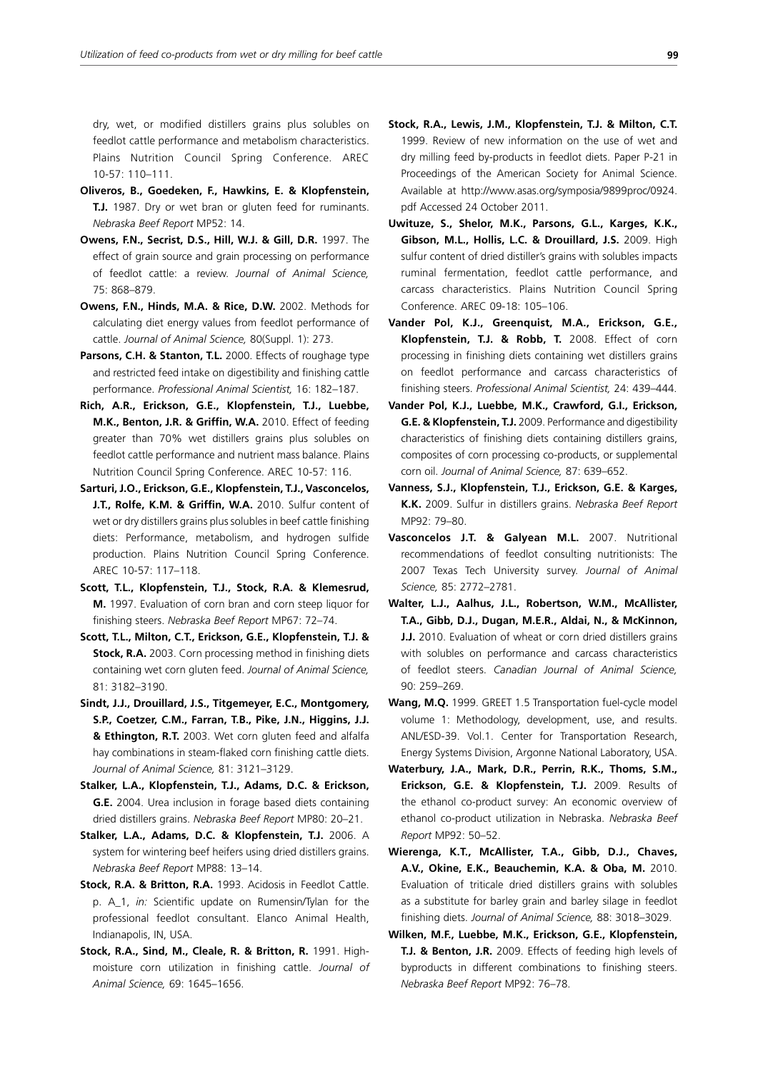dry, wet, or modified distillers grains plus solubles on feedlot cattle performance and metabolism characteristics. Plains Nutrition Council Spring Conference. AREC 10-57: 110–111.

- **Oliveros, B., Goedeken, F., Hawkins, E. & Klopfenstein, T.J.** 1987. Dry or wet bran or gluten feed for ruminants. *Nebraska Beef Report* MP52: 14.
- **Owens, F.N., Secrist, D.S., Hill, W.J. & Gill, D.R.** 1997. The effect of grain source and grain processing on performance of feedlot cattle: a review. *Journal of Animal Science,*  75: 868–879.
- **Owens, F.N., Hinds, M.A. & Rice, D.W.** 2002. Methods for calculating diet energy values from feedlot performance of cattle. *Journal of Animal Science,* 80(Suppl. 1): 273.
- Parsons, C.H. & Stanton, T.L. 2000. Effects of roughage type and restricted feed intake on digestibility and finishing cattle performance. *Professional Animal Scientist,* 16: 182–187.
- **Rich, A.R., Erickson, G.E., Klopfenstein, T.J., Luebbe, M.K., Benton, J.R. & Griffin, W.A.** 2010. Effect of feeding greater than 70% wet distillers grains plus solubles on feedlot cattle performance and nutrient mass balance. Plains Nutrition Council Spring Conference. AREC 10-57: 116.
- **Sarturi, J.O., Erickson, G.E., Klopfenstein, T.J., Vasconcelos, J.T., Rolfe, K.M. & Griffin, W.A.** 2010. Sulfur content of wet or dry distillers grains plus solubles in beef cattle finishing diets: Performance, metabolism, and hydrogen sulfide production. Plains Nutrition Council Spring Conference. AREC 10-57: 117–118.
- **Scott, T.L., Klopfenstein, T.J., Stock, R.A. & Klemesrud, M.** 1997. Evaluation of corn bran and corn steep liquor for finishing steers. *Nebraska Beef Report* MP67: 72–74.
- **Scott, T.L., Milton, C.T., Erickson, G.E., Klopfenstein, T.J. & Stock, R.A.** 2003. Corn processing method in finishing diets containing wet corn gluten feed. *Journal of Animal Science,*  81: 3182–3190.
- **Sindt, J.J., Drouillard, J.S., Titgemeyer, E.C., Montgomery, S.P., Coetzer, C.M., Farran, T.B., Pike, J.N., Higgins, J.J. & Ethington, R.T.** 2003. Wet corn gluten feed and alfalfa hay combinations in steam-flaked corn finishing cattle diets. *Journal of Animal Science,* 81: 3121–3129.
- **Stalker, L.A., Klopfenstein, T.J., Adams, D.C. & Erickson, G.E.** 2004. Urea inclusion in forage based diets containing dried distillers grains. *Nebraska Beef Report* MP80: 20–21.
- **Stalker, L.A., Adams, D.C. & Klopfenstein, T.J.** 2006. A system for wintering beef heifers using dried distillers grains. *Nebraska Beef Report* MP88: 13–14.
- **Stock, R.A. & Britton, R.A.** 1993. Acidosis in Feedlot Cattle. p. A\_1, *in:* Scientific update on Rumensin/Tylan for the professional feedlot consultant. Elanco Animal Health, Indianapolis, IN, USA.
- **Stock, R.A., Sind, M., Cleale, R. & Britton, R.** 1991. Highmoisture corn utilization in finishing cattle. *Journal of Animal Science,* 69: 1645–1656.
- **Stock, R.A., Lewis, J.M., Klopfenstein, T.J. & Milton, C.T.**  1999. Review of new information on the use of wet and dry milling feed by-products in feedlot diets. Paper P-21 in Proceedings of the American Society for Animal Science. Available at http://www.asas.org/symposia/9899proc/0924. pdf Accessed 24 October 2011.
- **Uwituze, S., Shelor, M.K., Parsons, G.L., Karges, K.K., Gibson, M.L., Hollis, L.C. & Drouillard, J.S.** 2009. High sulfur content of dried distiller's grains with solubles impacts ruminal fermentation, feedlot cattle performance, and carcass characteristics. Plains Nutrition Council Spring Conference. AREC 09-18: 105–106.
- **Vander Pol, K.J., Greenquist, M.A., Erickson, G.E., Klopfenstein, T.J. & Robb, T.** 2008. Effect of corn processing in finishing diets containing wet distillers grains on feedlot performance and carcass characteristics of finishing steers. *Professional Animal Scientist,* 24: 439–444.
- **Vander Pol, K.J., Luebbe, M.K., Crawford, G.I., Erickson, G.E. & Klopfenstein, T.J.** 2009. Performance and digestibility characteristics of finishing diets containing distillers grains, composites of corn processing co-products, or supplemental corn oil. *Journal of Animal Science,* 87: 639–652.
- **Vanness, S.J., Klopfenstein, T.J., Erickson, G.E. & Karges, K.K.** 2009. Sulfur in distillers grains. *Nebraska Beef Report* MP92: 79–80.
- **Vasconcelos J.T. & Galyean M.L.** 2007. Nutritional recommendations of feedlot consulting nutritionists: The 2007 Texas Tech University survey. *Journal of Animal Science,* 85: 2772–2781.
- **Walter, L.J., Aalhus, J.L., Robertson, W.M., McAllister, T.A., Gibb, D.J., Dugan, M.E.R., Aldai, N., & McKinnon, J.J.** 2010. Evaluation of wheat or corn dried distillers grains with solubles on performance and carcass characteristics of feedlot steers. *Canadian Journal of Animal Science,*  90: 259–269.
- **Wang, M.Q.** 1999. GREET 1.5 Transportation fuel-cycle model volume 1: Methodology, development, use, and results. ANL/ESD-39. Vol.1. Center for Transportation Research, Energy Systems Division, Argonne National Laboratory, USA.
- **Waterbury, J.A., Mark, D.R., Perrin, R.K., Thoms, S.M., Erickson, G.E. & Klopfenstein, T.J.** 2009. Results of the ethanol co-product survey: An economic overview of ethanol co-product utilization in Nebraska. *Nebraska Beef Report* MP92: 50–52.
- **Wierenga, K.T., McAllister, T.A., Gibb, D.J., Chaves, A.V., Okine, E.K., Beauchemin, K.A. & Oba, M.** 2010. Evaluation of triticale dried distillers grains with solubles as a substitute for barley grain and barley silage in feedlot finishing diets. *Journal of Animal Science,* 88: 3018–3029.
- **Wilken, M.F., Luebbe, M.K., Erickson, G.E., Klopfenstein, T.J. & Benton, J.R.** 2009. Effects of feeding high levels of byproducts in different combinations to finishing steers. *Nebraska Beef Report* MP92: 76–78.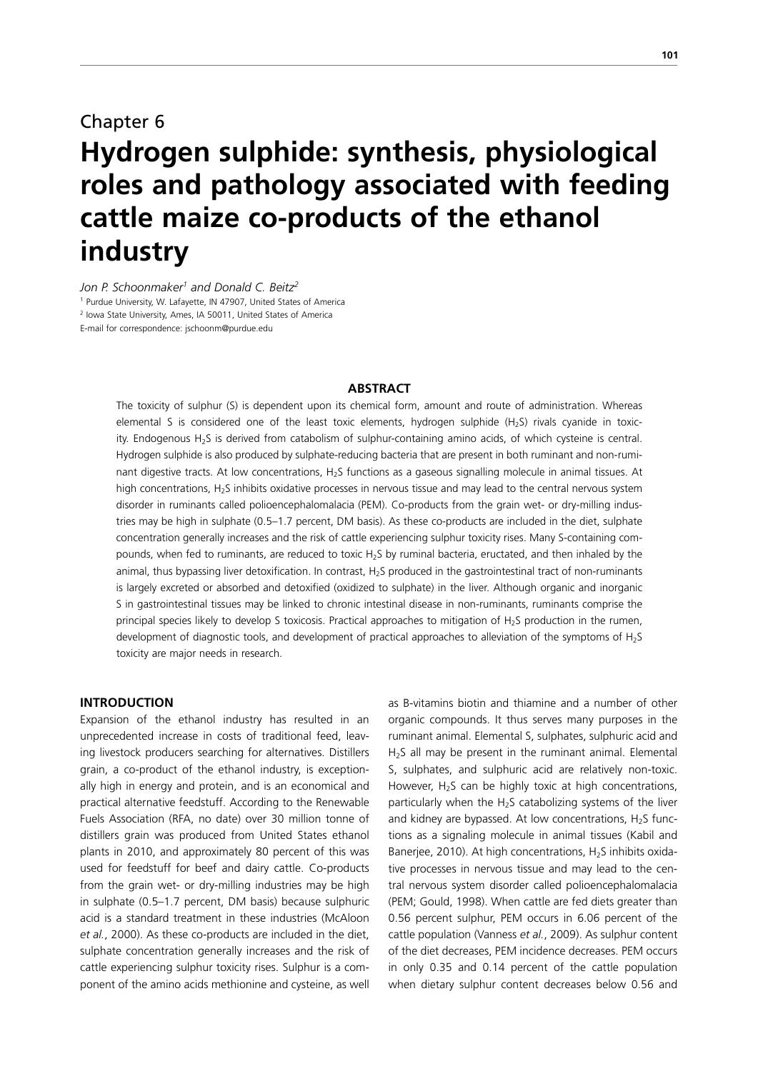# Chapter 6 **Hydrogen sulphide: synthesis, physiological roles and pathology associated with feeding cattle maize co-products of the ethanol industry**

*Jon P. Schoonmaker1 and Donald C. Beitz2* <sup>1</sup> Purdue University, W. Lafayette, IN 47907, United States of America 2 Iowa State University, Ames, IA 50011, United States of America E-mail for correspondence: jschoonm@purdue.edu

## **ABSTRACT**

The toxicity of sulphur (S) is dependent upon its chemical form, amount and route of administration. Whereas elemental S is considered one of the least toxic elements, hydrogen sulphide (H<sub>2</sub>S) rivals cyanide in toxicity. Endogenous H2S is derived from catabolism of sulphur-containing amino acids, of which cysteine is central. Hydrogen sulphide is also produced by sulphate-reducing bacteria that are present in both ruminant and non-ruminant digestive tracts. At low concentrations, H<sub>2</sub>S functions as a gaseous signalling molecule in animal tissues. At high concentrations, H<sub>2</sub>S inhibits oxidative processes in nervous tissue and may lead to the central nervous system disorder in ruminants called polioencephalomalacia (PEM). Co-products from the grain wet- or dry-milling industries may be high in sulphate (0.5–1.7 percent, DM basis). As these co-products are included in the diet, sulphate concentration generally increases and the risk of cattle experiencing sulphur toxicity rises. Many S-containing compounds, when fed to ruminants, are reduced to toxic H2S by ruminal bacteria, eructated, and then inhaled by the animal, thus bypassing liver detoxification. In contrast, H<sub>2</sub>S produced in the gastrointestinal tract of non-ruminants is largely excreted or absorbed and detoxified (oxidized to sulphate) in the liver. Although organic and inorganic S in gastrointestinal tissues may be linked to chronic intestinal disease in non-ruminants, ruminants comprise the principal species likely to develop S toxicosis. Practical approaches to mitigation of H<sub>2</sub>S production in the rumen, development of diagnostic tools, and development of practical approaches to alleviation of the symptoms of  $H_2S$ toxicity are major needs in research.

# **INTRODUCTION**

Expansion of the ethanol industry has resulted in an unprecedented increase in costs of traditional feed, leaving livestock producers searching for alternatives. Distillers grain, a co-product of the ethanol industry, is exceptionally high in energy and protein, and is an economical and practical alternative feedstuff. According to the Renewable Fuels Association (RFA, no date) over 30 million tonne of distillers grain was produced from United States ethanol plants in 2010, and approximately 80 percent of this was used for feedstuff for beef and dairy cattle. Co-products from the grain wet- or dry-milling industries may be high in sulphate (0.5–1.7 percent, DM basis) because sulphuric acid is a standard treatment in these industries (McAloon *et al.*, 2000). As these co-products are included in the diet, sulphate concentration generally increases and the risk of cattle experiencing sulphur toxicity rises. Sulphur is a component of the amino acids methionine and cysteine, as well

as B-vitamins biotin and thiamine and a number of other organic compounds. It thus serves many purposes in the ruminant animal. Elemental S, sulphates, sulphuric acid and H<sub>2</sub>S all may be present in the ruminant animal. Elemental S, sulphates, and sulphuric acid are relatively non-toxic. However,  $H_2S$  can be highly toxic at high concentrations, particularly when the  $H_2S$  catabolizing systems of the liver and kidney are bypassed. At low concentrations,  $H_2S$  functions as a signaling molecule in animal tissues (Kabil and Banerjee, 2010). At high concentrations,  $H_2S$  inhibits oxidative processes in nervous tissue and may lead to the central nervous system disorder called polioencephalomalacia (PEM; Gould, 1998). When cattle are fed diets greater than 0.56 percent sulphur, PEM occurs in 6.06 percent of the cattle population (Vanness *et al.*, 2009). As sulphur content of the diet decreases, PEM incidence decreases. PEM occurs in only 0.35 and 0.14 percent of the cattle population when dietary sulphur content decreases below 0.56 and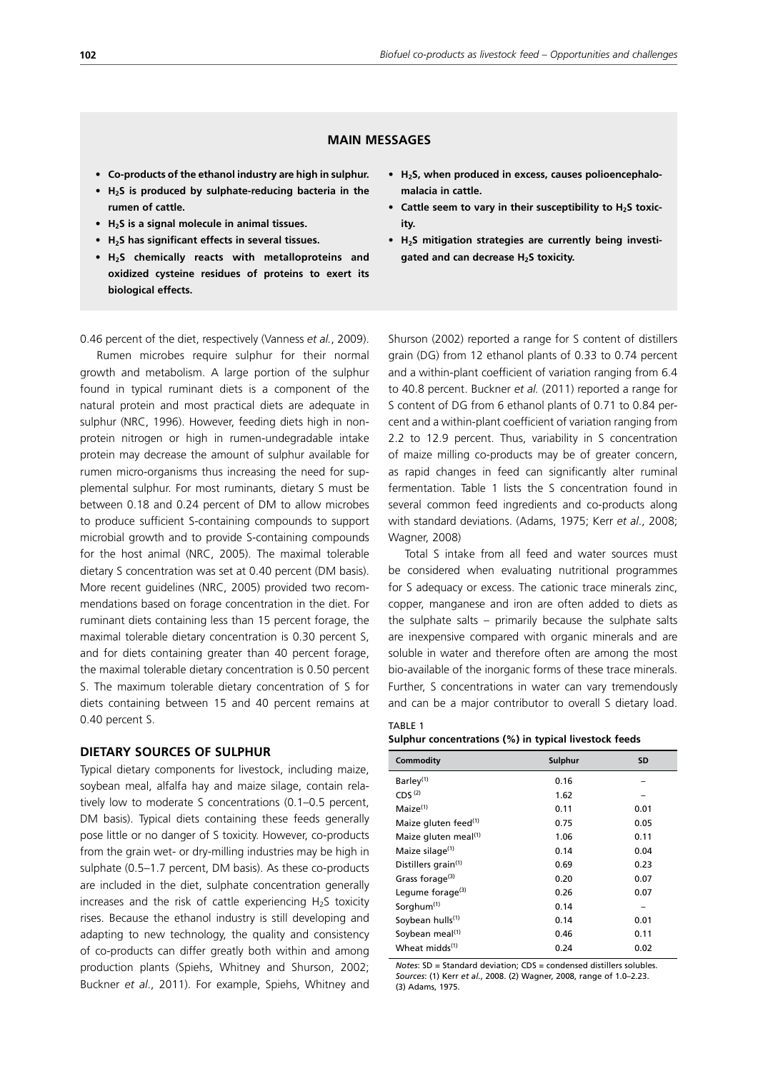# **MAIN MESSAGES**

- **• Co-products of the ethanol industry are high in sulphur.**
- **• H2S is produced by sulphate-reducing bacteria in the rumen of cattle.**
- **• H2S is a signal molecule in animal tissues.**
- **• H2S has significant effects in several tissues.**
- **• H2S chemically reacts with metalloproteins and oxidized cysteine residues of proteins to exert its biological effects.**

0.46 percent of the diet, respectively (Vanness *et al.*, 2009).

Rumen microbes require sulphur for their normal growth and metabolism. A large portion of the sulphur found in typical ruminant diets is a component of the natural protein and most practical diets are adequate in sulphur (NRC, 1996). However, feeding diets high in nonprotein nitrogen or high in rumen-undegradable intake protein may decrease the amount of sulphur available for rumen micro-organisms thus increasing the need for supplemental sulphur. For most ruminants, dietary S must be between 0.18 and 0.24 percent of DM to allow microbes to produce sufficient S-containing compounds to support microbial growth and to provide S-containing compounds for the host animal (NRC, 2005). The maximal tolerable dietary S concentration was set at 0.40 percent (DM basis). More recent guidelines (NRC, 2005) provided two recommendations based on forage concentration in the diet. For ruminant diets containing less than 15 percent forage, the maximal tolerable dietary concentration is 0.30 percent S, and for diets containing greater than 40 percent forage. the maximal tolerable dietary concentration is 0.50 percent S. The maximum tolerable dietary concentration of S for diets containing between 15 and 40 percent remains at 0.40 percent S.

## **DIETARY SOURCES OF SULPHUR**

Typical dietary components for livestock, including maize, soybean meal, alfalfa hay and maize silage, contain relatively low to moderate S concentrations (0.1–0.5 percent, DM basis). Typical diets containing these feeds generally pose little or no danger of S toxicity. However, co-products from the grain wet- or dry-milling industries may be high in sulphate (0.5–1.7 percent, DM basis). As these co-products are included in the diet, sulphate concentration generally increases and the risk of cattle experiencing  $H_2S$  toxicity rises. Because the ethanol industry is still developing and adapting to new technology, the quality and consistency of co-products can differ greatly both within and among production plants (Spiehs, Whitney and Shurson, 2002; Buckner *et al*., 2011). For example, Spiehs, Whitney and

- **• H2S, when produced in excess, causes polioencephalomalacia in cattle.**
- Cattle seem to vary in their susceptibility to H<sub>2</sub>S toxic**ity.**
- **• H2S mitigation strategies are currently being investigated and can decrease H2S toxicity.**

Shurson (2002) reported a range for S content of distillers grain (DG) from 12 ethanol plants of 0.33 to 0.74 percent and a within-plant coefficient of variation ranging from 6.4 to 40.8 percent. Buckner *et al.* (2011) reported a range for S content of DG from 6 ethanol plants of 0.71 to 0.84 percent and a within-plant coefficient of variation ranging from 2.2 to 12.9 percent. Thus, variability in S concentration of maize milling co-products may be of greater concern, as rapid changes in feed can significantly alter ruminal fermentation. Table 1 lists the S concentration found in several common feed ingredients and co-products along with standard deviations. (Adams, 1975; Kerr *et al*., 2008; Wagner, 2008)

Total S intake from all feed and water sources must be considered when evaluating nutritional programmes for S adequacy or excess. The cationic trace minerals zinc, copper, manganese and iron are often added to diets as the sulphate salts – primarily because the sulphate salts are inexpensive compared with organic minerals and are soluble in water and therefore often are among the most bio-available of the inorganic forms of these trace minerals. Further, S concentrations in water can vary tremendously and can be a major contributor to overall S dietary load.

#### TABLE 1 **Sulphur concentrations (%) in typical livestock feeds**

| Commodity                        | Sulphur | <b>SD</b> |
|----------------------------------|---------|-----------|
| Barley <sup>(1)</sup>            | 0.16    |           |
| CDS <sup>(2)</sup>               | 1.62    |           |
| Maize <sup>(1)</sup>             | 0.11    | 0.01      |
| Maize gluten feed <sup>(1)</sup> | 0.75    | 0.05      |
| Maize gluten meal <sup>(1)</sup> | 1.06    | 0.11      |
| Maize silage <sup>(1)</sup>      | 0.14    | 0.04      |
| Distillers grain <sup>(1)</sup>  | 0.69    | 0.23      |
| Grass forage <sup>(3)</sup>      | 0.20    | 0.07      |
| Legume forage <sup>(3)</sup>     | 0.26    | 0.07      |
| Sorghum <sup>(1)</sup>           | 0.14    |           |
| Soybean hulls <sup>(1)</sup>     | 0.14    | 0.01      |
| Soybean meal <sup>(1)</sup>      | 0.46    | 0.11      |
| Wheat midds <sup>(1)</sup>       | 0.24    | 0.02      |

*Notes*: SD = Standard deviation; CDS = condensed distillers solubles. *Sources*: (1) Kerr *et al.*, 2008. (2) Wagner, 2008, range of 1.0–2.23. (3) Adams, 1975.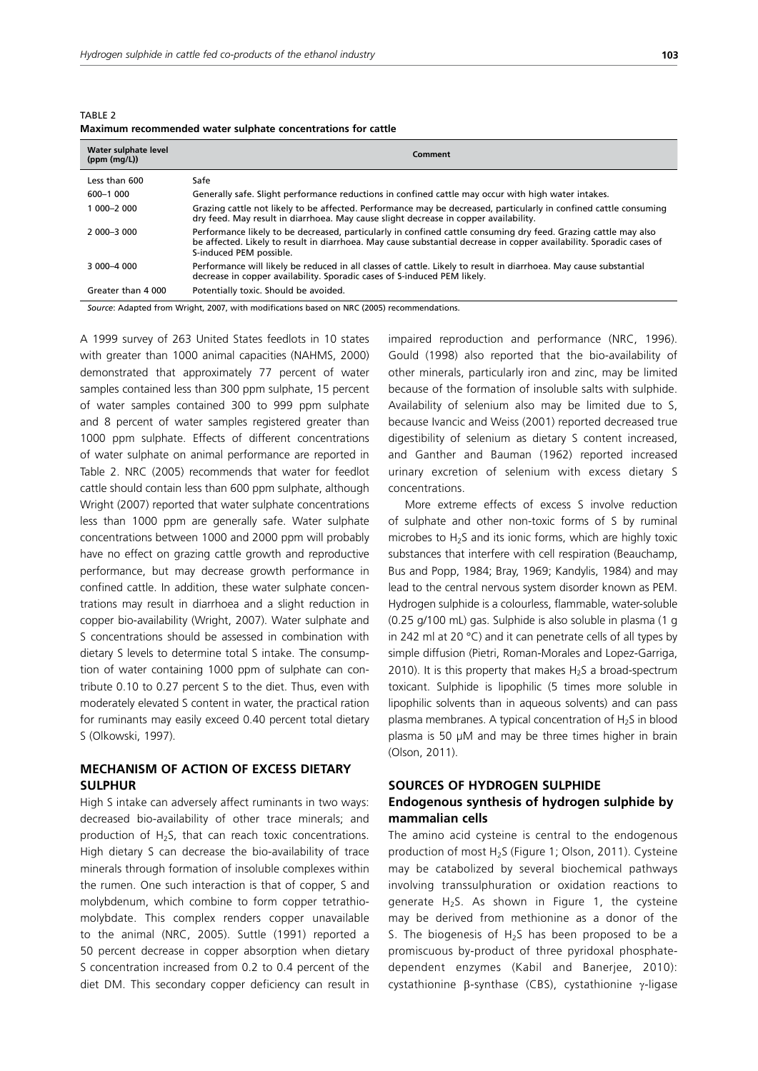| TABLE 2 |                                                              |  |  |  |
|---------|--------------------------------------------------------------|--|--|--|
|         | Maximum recommended water sulphate concentrations for cattle |  |  |  |

| Water sulphate level<br>(ppm (mg/L)) | Comment                                                                                                                                                                                                                                                            |  |  |
|--------------------------------------|--------------------------------------------------------------------------------------------------------------------------------------------------------------------------------------------------------------------------------------------------------------------|--|--|
| Less than 600                        | Safe                                                                                                                                                                                                                                                               |  |  |
| 600-1 000                            | Generally safe. Slight performance reductions in confined cattle may occur with high water intakes.                                                                                                                                                                |  |  |
| 1 000-2 000                          | Grazing cattle not likely to be affected. Performance may be decreased, particularly in confined cattle consuming<br>dry feed. May result in diarrhoea. May cause slight decrease in copper availability.                                                          |  |  |
| $2000 - 3000$                        | Performance likely to be decreased, particularly in confined cattle consuming dry feed. Grazing cattle may also<br>be affected. Likely to result in diarrhoea. May cause substantial decrease in copper availability. Sporadic cases of<br>S-induced PEM possible. |  |  |
| 3 000-4 000                          | Performance will likely be reduced in all classes of cattle. Likely to result in diarrhoea. May cause substantial<br>decrease in copper availability. Sporadic cases of S-induced PEM likely.                                                                      |  |  |
| Greater than 4 000                   | Potentially toxic. Should be avoided.                                                                                                                                                                                                                              |  |  |

*Source*: Adapted from Wright, 2007, with modifications based on NRC (2005) recommendations.

A 1999 survey of 263 United States feedlots in 10 states with greater than 1000 animal capacities (NAHMS, 2000) demonstrated that approximately 77 percent of water samples contained less than 300 ppm sulphate, 15 percent of water samples contained 300 to 999 ppm sulphate and 8 percent of water samples registered greater than 1000 ppm sulphate. Effects of different concentrations of water sulphate on animal performance are reported in Table 2. NRC (2005) recommends that water for feedlot cattle should contain less than 600 ppm sulphate, although Wright (2007) reported that water sulphate concentrations less than 1000 ppm are generally safe. Water sulphate concentrations between 1000 and 2000 ppm will probably have no effect on grazing cattle growth and reproductive performance, but may decrease growth performance in confined cattle. In addition, these water sulphate concentrations may result in diarrhoea and a slight reduction in copper bio-availability (Wright, 2007). Water sulphate and S concentrations should be assessed in combination with dietary S levels to determine total S intake. The consumption of water containing 1000 ppm of sulphate can contribute 0.10 to 0.27 percent S to the diet. Thus, even with moderately elevated S content in water, the practical ration for ruminants may easily exceed 0.40 percent total dietary S (Olkowski, 1997).

# **MECHANISM OF ACTION OF EXCESS DIETARY SULPHUR**

High S intake can adversely affect ruminants in two ways: decreased bio-availability of other trace minerals; and production of  $H_2S$ , that can reach toxic concentrations. High dietary S can decrease the bio-availability of trace minerals through formation of insoluble complexes within the rumen. One such interaction is that of copper, S and molybdenum, which combine to form copper tetrathiomolybdate. This complex renders copper unavailable to the animal (NRC, 2005). Suttle (1991) reported a 50 percent decrease in copper absorption when dietary S concentration increased from 0.2 to 0.4 percent of the diet DM. This secondary copper deficiency can result in impaired reproduction and performance (NRC, 1996). Gould (1998) also reported that the bio-availability of other minerals, particularly iron and zinc, may be limited because of the formation of insoluble salts with sulphide. Availability of selenium also may be limited due to S, because Ivancic and Weiss (2001) reported decreased true digestibility of selenium as dietary S content increased, and Ganther and Bauman (1962) reported increased urinary excretion of selenium with excess dietary S concentrations.

More extreme effects of excess S involve reduction of sulphate and other non-toxic forms of S by ruminal microbes to  $H_2S$  and its ionic forms, which are highly toxic substances that interfere with cell respiration (Beauchamp, Bus and Popp, 1984; Bray, 1969; Kandylis, 1984) and may lead to the central nervous system disorder known as PEM. Hydrogen sulphide is a colourless, flammable, water-soluble (0.25 g/100 mL) gas. Sulphide is also soluble in plasma (1 g in 242 ml at 20 °C) and it can penetrate cells of all types by simple diffusion (Pietri, Roman-Morales and Lopez-Garriga, 2010). It is this property that makes  $H_2S$  a broad-spectrum toxicant. Sulphide is lipophilic (5 times more soluble in lipophilic solvents than in aqueous solvents) and can pass plasma membranes. A typical concentration of  $H<sub>2</sub>S$  in blood plasma is 50 µM and may be three times higher in brain (Olson, 2011).

# **SOURCES OF HYDROGEN SULPHIDE Endogenous synthesis of hydrogen sulphide by mammalian cells**

The amino acid cysteine is central to the endogenous production of most  $H_2S$  (Figure 1; Olson, 2011). Cysteine may be catabolized by several biochemical pathways involving transsulphuration or oxidation reactions to generate  $H_2S$ . As shown in Figure 1, the cysteine may be derived from methionine as a donor of the S. The biogenesis of  $H<sub>2</sub>S$  has been proposed to be a promiscuous by-product of three pyridoxal phosphatedependent enzymes (Kabil and Banerjee, 2010): cystathionine β-synthase (CBS), cystathionine γ-ligase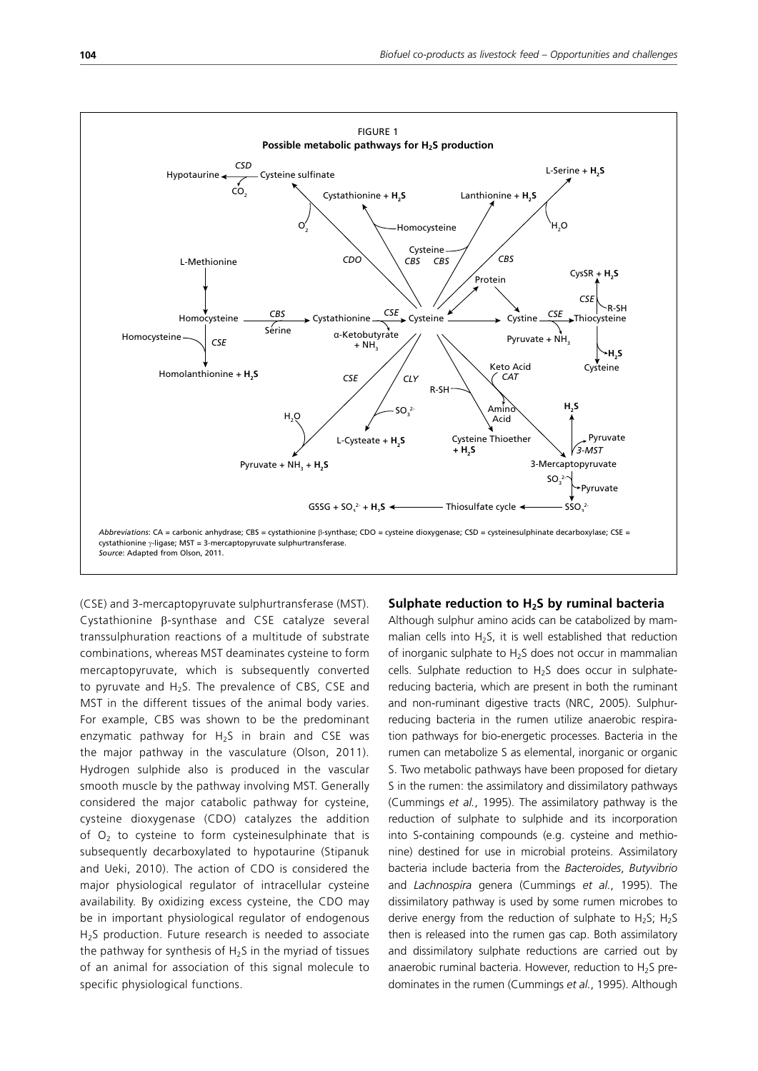

(CSE) and 3-mercaptopyruvate sulphurtransferase (MST). Cystathionine β-synthase and CSE catalyze several transsulphuration reactions of a multitude of substrate combinations, whereas MST deaminates cysteine to form mercaptopyruvate, which is subsequently converted to pyruvate and  $H_2S$ . The prevalence of CBS, CSE and MST in the different tissues of the animal body varies. For example, CBS was shown to be the predominant enzymatic pathway for  $H_2S$  in brain and CSE was the major pathway in the vasculature (Olson, 2011). Hydrogen sulphide also is produced in the vascular smooth muscle by the pathway involving MST. Generally considered the major catabolic pathway for cysteine, cysteine dioxygenase (CDO) catalyzes the addition of  $O<sub>2</sub>$  to cysteine to form cysteinesulphinate that is subsequently decarboxylated to hypotaurine (Stipanuk and Ueki, 2010). The action of CDO is considered the major physiological regulator of intracellular cysteine availability. By oxidizing excess cysteine, the CDO may be in important physiological regulator of endogenous H<sub>2</sub>S production. Future research is needed to associate the pathway for synthesis of  $H_2S$  in the myriad of tissues of an animal for association of this signal molecule to specific physiological functions.

## **Sulphate reduction to H2S by ruminal bacteria**

Although sulphur amino acids can be catabolized by mammalian cells into  $H_2S$ , it is well established that reduction of inorganic sulphate to H2S does not occur in mammalian cells. Sulphate reduction to H2S does occur in sulphatereducing bacteria, which are present in both the ruminant and non-ruminant digestive tracts (NRC, 2005). Sulphurreducing bacteria in the rumen utilize anaerobic respiration pathways for bio-energetic processes. Bacteria in the rumen can metabolize S as elemental, inorganic or organic S. Two metabolic pathways have been proposed for dietary S in the rumen: the assimilatory and dissimilatory pathways (Cummings *et al.*, 1995). The assimilatory pathway is the reduction of sulphate to sulphide and its incorporation into S-containing compounds (e.g. cysteine and methionine) destined for use in microbial proteins. Assimilatory bacteria include bacteria from the *Bacteroides*, *Butyvibrio* and *Lachnospira* genera (Cummings *et al.*, 1995). The dissimilatory pathway is used by some rumen microbes to derive energy from the reduction of sulphate to  $H_2S$ ;  $H_2S$ then is released into the rumen gas cap. Both assimilatory and dissimilatory sulphate reductions are carried out by anaerobic ruminal bacteria. However, reduction to  $H_2S$  predominates in the rumen (Cummings *et al.*, 1995). Although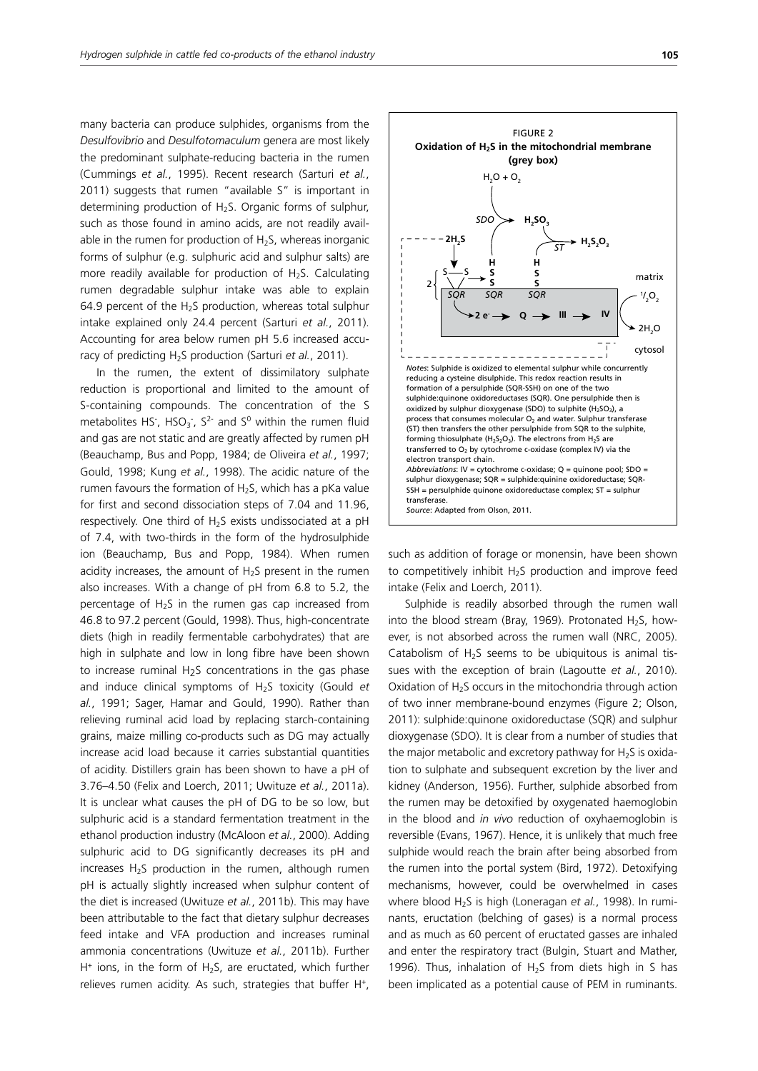many bacteria can produce sulphides, organisms from the *Desulfovibrio* and *Desulfotomaculum* genera are most likely the predominant sulphate-reducing bacteria in the rumen (Cummings *et al.*, 1995). Recent research (Sarturi *et al.*, 2011) suggests that rumen "available S" is important in determining production of H<sub>2</sub>S. Organic forms of sulphur, such as those found in amino acids, are not readily available in the rumen for production of  $H_2S$ , whereas inorganic forms of sulphur (e.g. sulphuric acid and sulphur salts) are more readily available for production of  $H_2S$ . Calculating rumen degradable sulphur intake was able to explain 64.9 percent of the H<sub>2</sub>S production, whereas total sulphur intake explained only 24.4 percent (Sarturi *et al.*, 2011). Accounting for area below rumen pH 5.6 increased accuracy of predicting H<sub>2</sub>S production (Sarturi *et al.*, 2011).

In the rumen, the extent of dissimilatory sulphate reduction is proportional and limited to the amount of S-containing compounds. The concentration of the S metabolites HS<sup>-</sup>, HSO<sub>3</sub><sup>-</sup>, S<sup>2-</sup> and S<sup>0</sup> within the rumen fluid and gas are not static and are greatly affected by rumen pH (Beauchamp, Bus and Popp, 1984; de Oliveira *et al.*, 1997; Gould, 1998; Kung *et al.*, 1998). The acidic nature of the rumen favours the formation of  $H_2S$ , which has a pKa value for first and second dissociation steps of 7.04 and 11.96, respectively. One third of  $H_2S$  exists undissociated at a pH of 7.4, with two-thirds in the form of the hydrosulphide ion (Beauchamp, Bus and Popp, 1984). When rumen acidity increases, the amount of  $H<sub>2</sub>S$  present in the rumen also increases. With a change of pH from 6.8 to 5.2, the percentage of  $H_2S$  in the rumen gas cap increased from 46.8 to 97.2 percent (Gould, 1998). Thus, high-concentrate diets (high in readily fermentable carbohydrates) that are high in sulphate and low in long fibre have been shown to increase ruminal  $H<sub>2</sub>S$  concentrations in the gas phase and induce clinical symptoms of H2S toxicity (Gould *et al.*, 1991; Sager, Hamar and Gould, 1990). Rather than relieving ruminal acid load by replacing starch-containing grains, maize milling co-products such as DG may actually increase acid load because it carries substantial quantities of acidity. Distillers grain has been shown to have a pH of 3.76–4.50 (Felix and Loerch, 2011; Uwituze *et al.*, 2011a). It is unclear what causes the pH of DG to be so low, but sulphuric acid is a standard fermentation treatment in the ethanol production industry (McAloon *et al.*, 2000). Adding sulphuric acid to DG significantly decreases its pH and increases  $H_2S$  production in the rumen, although rumen pH is actually slightly increased when sulphur content of the diet is increased (Uwituze *et al.*, 2011b). This may have been attributable to the fact that dietary sulphur decreases feed intake and VFA production and increases ruminal ammonia concentrations (Uwituze *et al.*, 2011b). Further  $H^+$  ions, in the form of  $H_2S$ , are eructated, which further relieves rumen acidity. As such, strategies that buffer H<sup>+</sup>,



such as addition of forage or monensin, have been shown to competitively inhibit  $H_2S$  production and improve feed intake (Felix and Loerch, 2011).

Sulphide is readily absorbed through the rumen wall into the blood stream (Bray, 1969). Protonated H<sub>2</sub>S, however, is not absorbed across the rumen wall (NRC, 2005). Catabolism of  $H_2S$  seems to be ubiquitous is animal tissues with the exception of brain (Lagoutte *et al.*, 2010). Oxidation of  $H_2S$  occurs in the mitochondria through action of two inner membrane-bound enzymes (Figure 2; Olson, 2011): sulphide:quinone oxidoreductase (SQR) and sulphur dioxygenase (SDO). It is clear from a number of studies that the major metabolic and excretory pathway for  $H<sub>2</sub>S$  is oxidation to sulphate and subsequent excretion by the liver and kidney (Anderson, 1956). Further, sulphide absorbed from the rumen may be detoxified by oxygenated haemoglobin in the blood and *in vivo* reduction of oxyhaemoglobin is reversible (Evans, 1967). Hence, it is unlikely that much free sulphide would reach the brain after being absorbed from the rumen into the portal system (Bird, 1972). Detoxifying mechanisms, however, could be overwhelmed in cases where blood H<sub>2</sub>S is high (Loneragan *et al.*, 1998). In ruminants, eructation (belching of gases) is a normal process and as much as 60 percent of eructated gasses are inhaled and enter the respiratory tract (Bulgin, Stuart and Mather, 1996). Thus, inhalation of  $H<sub>2</sub>S$  from diets high in S has been implicated as a potential cause of PEM in ruminants.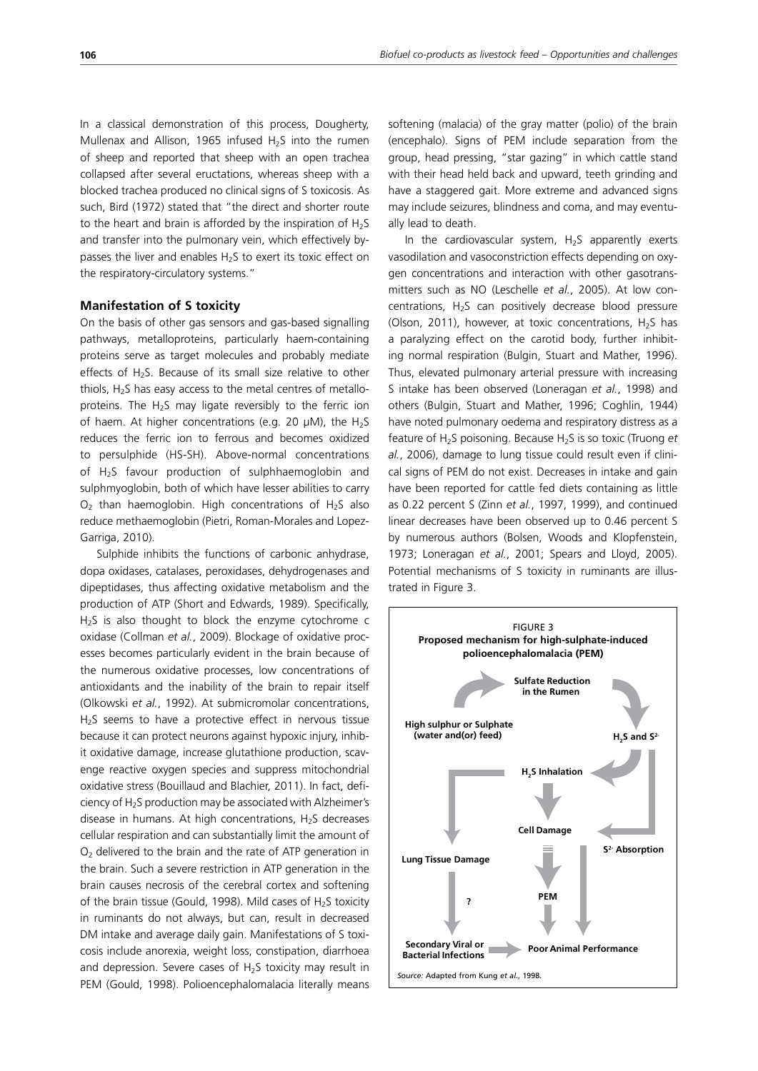In a classical demonstration of this process, Dougherty, Mullenax and Allison, 1965 infused  $H_2S$  into the rumen of sheep and reported that sheep with an open trachea collapsed after several eructations, whereas sheep with a blocked trachea produced no clinical signs of S toxicosis. As such, Bird (1972) stated that "the direct and shorter route to the heart and brain is afforded by the inspiration of  $H_2S$ and transfer into the pulmonary vein, which effectively bypasses the liver and enables  $H<sub>2</sub>S$  to exert its toxic effect on the respiratory-circulatory systems."

## **Manifestation of S toxicity**

On the basis of other gas sensors and gas-based signalling pathways, metalloproteins, particularly haem-containing proteins serve as target molecules and probably mediate effects of  $H_2S$ . Because of its small size relative to other thiols,  $H<sub>2</sub>S$  has easy access to the metal centres of metalloproteins. The  $H_2S$  may ligate reversibly to the ferric ion of haem. At higher concentrations (e.g. 20  $\mu$ M), the H<sub>2</sub>S reduces the ferric ion to ferrous and becomes oxidized to persulphide (HS-SH). Above-normal concentrations of  $H<sub>2</sub>S$  favour production of sulphhaemoglobin and sulphmyoglobin, both of which have lesser abilities to carry  $O<sub>2</sub>$  than haemoglobin. High concentrations of H<sub>2</sub>S also reduce methaemoglobin (Pietri, Roman-Morales and Lopez-Garriga, 2010).

Sulphide inhibits the functions of carbonic anhydrase, dopa oxidases, catalases, peroxidases, dehydrogenases and dipeptidases, thus affecting oxidative metabolism and the production of ATP (Short and Edwards, 1989). Specifically, H<sub>2</sub>S is also thought to block the enzyme cytochrome c oxidase (Collman *et al.*, 2009). Blockage of oxidative processes becomes particularly evident in the brain because of the numerous oxidative processes, low concentrations of antioxidants and the inability of the brain to repair itself (Olkowski *et al.*, 1992). At submicromolar concentrations, H<sub>2</sub>S seems to have a protective effect in nervous tissue because it can protect neurons against hypoxic injury, inhibit oxidative damage, increase glutathione production, scavenge reactive oxygen species and suppress mitochondrial oxidative stress (Bouillaud and Blachier, 2011). In fact, deficiency of  $H<sub>2</sub>S$  production may be associated with Alzheimer's disease in humans. At high concentrations,  $H_2S$  decreases cellular respiration and can substantially limit the amount of  $O<sub>2</sub>$  delivered to the brain and the rate of ATP generation in the brain. Such a severe restriction in ATP generation in the brain causes necrosis of the cerebral cortex and softening of the brain tissue (Gould, 1998). Mild cases of  $H<sub>2</sub>S$  toxicity in ruminants do not always, but can, result in decreased DM intake and average daily gain. Manifestations of S toxicosis include anorexia, weight loss, constipation, diarrhoea and depression. Severe cases of  $H_2S$  toxicity may result in PEM (Gould, 1998). Polioencephalomalacia literally means softening (malacia) of the gray matter (polio) of the brain (encephalo). Signs of PEM include separation from the group, head pressing, "star gazing" in which cattle stand with their head held back and upward, teeth grinding and have a staggered gait. More extreme and advanced signs may include seizures, blindness and coma, and may eventually lead to death.

In the cardiovascular system,  $H_2S$  apparently exerts vasodilation and vasoconstriction effects depending on oxygen concentrations and interaction with other gasotransmitters such as NO (Leschelle *et al.*, 2005). At low concentrations,  $H_2S$  can positively decrease blood pressure (Olson, 2011), however, at toxic concentrations,  $H_2S$  has a paralyzing effect on the carotid body, further inhibiting normal respiration (Bulgin, Stuart and Mather, 1996). Thus, elevated pulmonary arterial pressure with increasing S intake has been observed (Loneragan *et al.*, 1998) and others (Bulgin, Stuart and Mather, 1996; Coghlin, 1944) have noted pulmonary oedema and respiratory distress as a feature of H<sub>2</sub>S poisoning. Because H<sub>2</sub>S is so toxic (Truong *et al.*, 2006), damage to lung tissue could result even if clinical signs of PEM do not exist. Decreases in intake and gain have been reported for cattle fed diets containing as little as 0.22 percent S (Zinn *et al.*, 1997, 1999), and continued linear decreases have been observed up to 0.46 percent S by numerous authors (Bolsen, Woods and Klopfenstein, 1973; Loneragan *et al.*, 2001; Spears and Lloyd, 2005). Potential mechanisms of S toxicity in ruminants are illustrated in Figure 3.

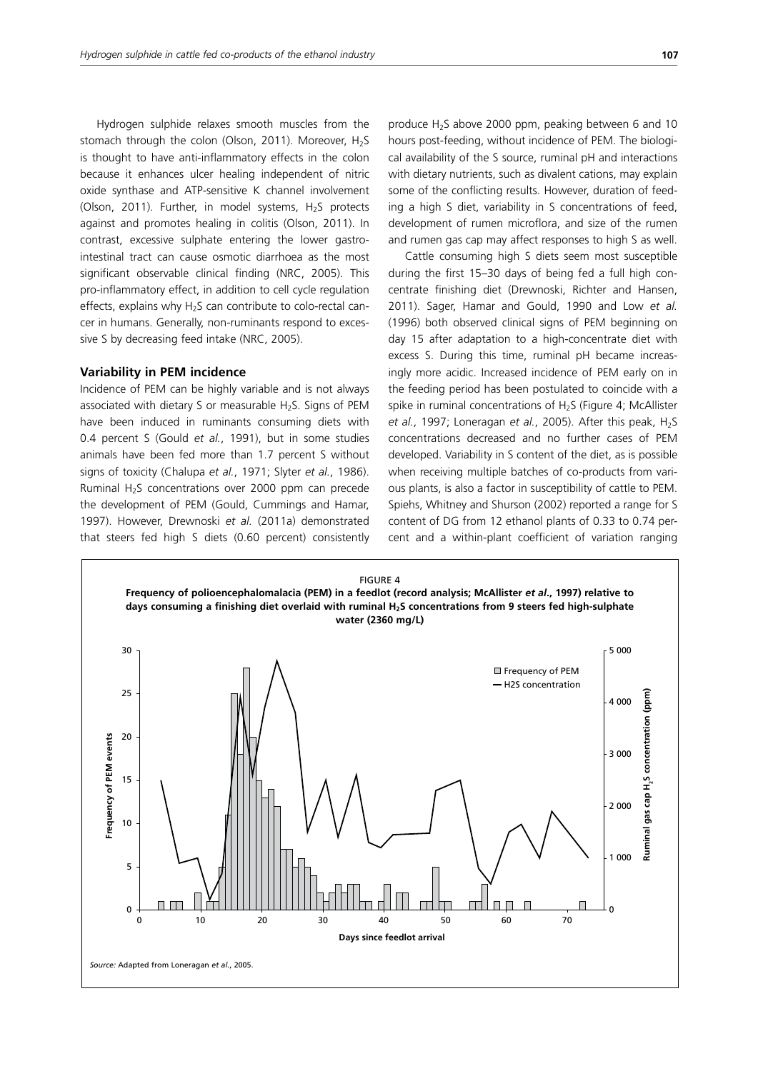Hydrogen sulphide relaxes smooth muscles from the stomach through the colon (Olson, 2011). Moreover,  $H_2S$ is thought to have anti-inflammatory effects in the colon because it enhances ulcer healing independent of nitric oxide synthase and ATP-sensitive K channel involvement (Olson, 2011). Further, in model systems, H<sub>2</sub>S protects against and promotes healing in colitis (Olson, 2011). In contrast, excessive sulphate entering the lower gastrointestinal tract can cause osmotic diarrhoea as the most significant observable clinical finding (NRC, 2005). This pro-inflammatory effect, in addition to cell cycle regulation effects, explains why  $H_2S$  can contribute to colo-rectal cancer in humans. Generally, non-ruminants respond to excessive S by decreasing feed intake (NRC, 2005).

## **Variability in PEM incidence**

Incidence of PEM can be highly variable and is not always associated with dietary S or measurable H<sub>2</sub>S. Signs of PEM have been induced in ruminants consuming diets with 0.4 percent S (Gould *et al.*, 1991), but in some studies animals have been fed more than 1.7 percent S without signs of toxicity (Chalupa *et al.*, 1971; Slyter *et al.*, 1986). Ruminal  $H_2S$  concentrations over 2000 ppm can precede the development of PEM (Gould, Cummings and Hamar, 1997). However, Drewnoski *et al.* (2011a) demonstrated that steers fed high S diets (0.60 percent) consistently produce  $H_2S$  above 2000 ppm, peaking between 6 and 10 hours post-feeding, without incidence of PEM. The biological availability of the S source, ruminal pH and interactions with dietary nutrients, such as divalent cations, may explain some of the conflicting results. However, duration of feeding a high S diet, variability in S concentrations of feed, development of rumen microflora, and size of the rumen and rumen gas cap may affect responses to high S as well.

Cattle consuming high S diets seem most susceptible during the first 15–30 days of being fed a full high concentrate finishing diet (Drewnoski, Richter and Hansen, 2011). Sager, Hamar and Gould, 1990 and Low *et al.* (1996) both observed clinical signs of PEM beginning on day 15 after adaptation to a high-concentrate diet with excess S. During this time, ruminal pH became increasingly more acidic. Increased incidence of PEM early on in the feeding period has been postulated to coincide with a spike in ruminal concentrations of  $H<sub>2</sub>S$  (Figure 4; McAllister *et al.*, 1997; Loneragan *et al.*, 2005). After this peak, H<sub>2</sub>S concentrations decreased and no further cases of PEM developed. Variability in S content of the diet, as is possible when receiving multiple batches of co-products from various plants, is also a factor in susceptibility of cattle to PEM. Spiehs, Whitney and Shurson (2002) reported a range for S content of DG from 12 ethanol plants of 0.33 to 0.74 percent and a within-plant coefficient of variation ranging

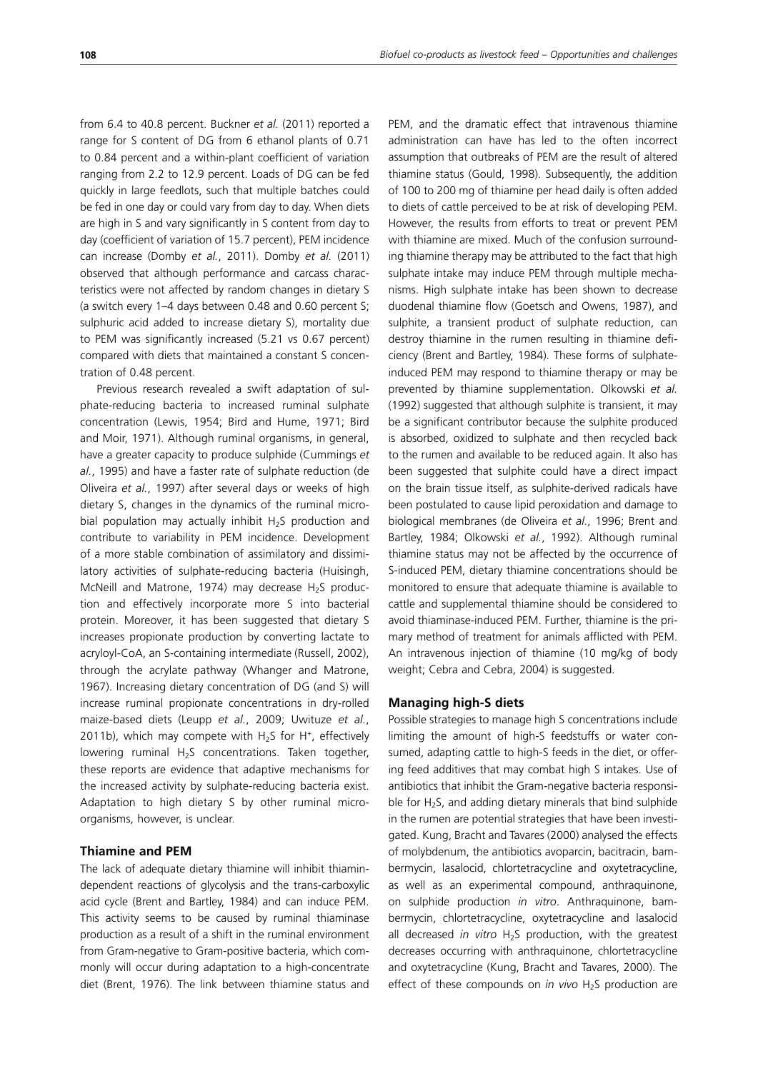from 6.4 to 40.8 percent. Buckner *et al.* (2011) reported a range for S content of DG from 6 ethanol plants of 0.71 to 0.84 percent and a within-plant coefficient of variation ranging from 2.2 to 12.9 percent. Loads of DG can be fed quickly in large feedlots, such that multiple batches could be fed in one day or could vary from day to day. When diets are high in S and vary significantly in S content from day to day (coefficient of variation of 15.7 percent), PEM incidence can increase (Domby *et al.*, 2011). Domby *et al.* (2011) observed that although performance and carcass characteristics were not affected by random changes in dietary S (a switch every 1–4 days between 0.48 and 0.60 percent S; sulphuric acid added to increase dietary S), mortality due to PEM was significantly increased (5.21 vs 0.67 percent) compared with diets that maintained a constant S concentration of 0.48 percent.

Previous research revealed a swift adaptation of sulphate-reducing bacteria to increased ruminal sulphate concentration (Lewis, 1954; Bird and Hume, 1971; Bird and Moir, 1971). Although ruminal organisms, in general, have a greater capacity to produce sulphide (Cummings *et al.*, 1995) and have a faster rate of sulphate reduction (de Oliveira *et al.*, 1997) after several days or weeks of high dietary S, changes in the dynamics of the ruminal microbial population may actually inhibit  $H_2S$  production and contribute to variability in PEM incidence. Development of a more stable combination of assimilatory and dissimilatory activities of sulphate-reducing bacteria (Huisingh, McNeill and Matrone, 1974) may decrease  $H_2S$  production and effectively incorporate more S into bacterial protein. Moreover, it has been suggested that dietary S increases propionate production by converting lactate to acryloyl-CoA, an S-containing intermediate (Russell, 2002), through the acrylate pathway (Whanger and Matrone, 1967). Increasing dietary concentration of DG (and S) will increase ruminal propionate concentrations in dry-rolled maize-based diets (Leupp *et al.*, 2009; Uwituze *et al.*, 2011b), which may compete with  $H_2S$  for H<sup>+</sup>, effectively lowering ruminal  $H_2S$  concentrations. Taken together, these reports are evidence that adaptive mechanisms for the increased activity by sulphate-reducing bacteria exist. Adaptation to high dietary S by other ruminal microorganisms, however, is unclear.

## **Thiamine and PEM**

The lack of adequate dietary thiamine will inhibit thiamindependent reactions of glycolysis and the trans-carboxylic acid cycle (Brent and Bartley, 1984) and can induce PEM. This activity seems to be caused by ruminal thiaminase production as a result of a shift in the ruminal environment from Gram-negative to Gram-positive bacteria, which commonly will occur during adaptation to a high-concentrate diet (Brent, 1976). The link between thiamine status and PEM, and the dramatic effect that intravenous thiamine administration can have has led to the often incorrect assumption that outbreaks of PEM are the result of altered thiamine status (Gould, 1998). Subsequently, the addition of 100 to 200 mg of thiamine per head daily is often added to diets of cattle perceived to be at risk of developing PEM. However, the results from efforts to treat or prevent PEM with thiamine are mixed. Much of the confusion surrounding thiamine therapy may be attributed to the fact that high sulphate intake may induce PEM through multiple mechanisms. High sulphate intake has been shown to decrease duodenal thiamine flow (Goetsch and Owens, 1987), and sulphite, a transient product of sulphate reduction, can destroy thiamine in the rumen resulting in thiamine deficiency (Brent and Bartley, 1984). These forms of sulphateinduced PEM may respond to thiamine therapy or may be prevented by thiamine supplementation. Olkowski *et al.* (1992) suggested that although sulphite is transient, it may be a significant contributor because the sulphite produced is absorbed, oxidized to sulphate and then recycled back to the rumen and available to be reduced again. It also has been suggested that sulphite could have a direct impact on the brain tissue itself, as sulphite-derived radicals have been postulated to cause lipid peroxidation and damage to biological membranes (de Oliveira *et al.*, 1996; Brent and Bartley, 1984; Olkowski *et al.*, 1992). Although ruminal thiamine status may not be affected by the occurrence of S-induced PEM, dietary thiamine concentrations should be monitored to ensure that adequate thiamine is available to cattle and supplemental thiamine should be considered to avoid thiaminase-induced PEM. Further, thiamine is the primary method of treatment for animals afflicted with PEM. An intravenous injection of thiamine (10 mg/kg of body weight; Cebra and Cebra, 2004) is suggested.

## **Managing high-S diets**

Possible strategies to manage high S concentrations include limiting the amount of high-S feedstuffs or water consumed, adapting cattle to high-S feeds in the diet, or offering feed additives that may combat high S intakes. Use of antibiotics that inhibit the Gram-negative bacteria responsible for  $H_2S$ , and adding dietary minerals that bind sulphide in the rumen are potential strategies that have been investigated. Kung, Bracht and Tavares (2000) analysed the effects of molybdenum, the antibiotics avoparcin, bacitracin, bambermycin, lasalocid, chlortetracycline and oxytetracycline, as well as an experimental compound, anthraquinone, on sulphide production *in vitro*. Anthraquinone, bambermycin, chlortetracycline, oxytetracycline and lasalocid all decreased *in vitro* H<sub>2</sub>S production, with the greatest decreases occurring with anthraquinone, chlortetracycline and oxytetracycline (Kung, Bracht and Tavares, 2000). The effect of these compounds on *in vivo* H<sub>2</sub>S production are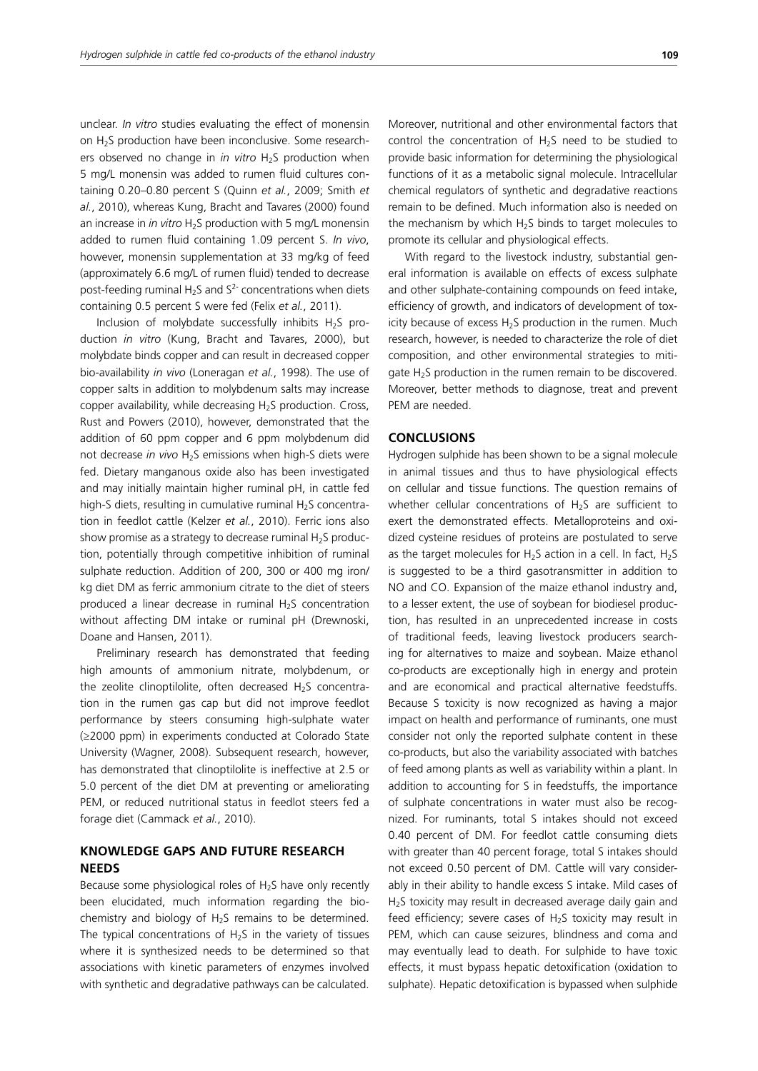unclear. *In vitro* studies evaluating the effect of monensin on H2S production have been inconclusive. Some researchers observed no change in *in vitro* H<sub>2</sub>S production when 5 mg/L monensin was added to rumen fluid cultures containing 0.20–0.80 percent S (Quinn *et al.*, 2009; Smith *et al.*, 2010), whereas Kung, Bracht and Tavares (2000) found an increase in *in vitro* H<sub>2</sub>S production with 5 mg/L monensin added to rumen fluid containing 1.09 percent S. *In vivo*, however, monensin supplementation at 33 mg/kg of feed (approximately 6.6 mg/L of rumen fluid) tended to decrease post-feeding ruminal H<sub>2</sub>S and  $S<sup>2</sup>$  concentrations when diets containing 0.5 percent S were fed (Felix *et al.*, 2011).

Inclusion of molybdate successfully inhibits  $H_2S$  production *in vitro* (Kung, Bracht and Tavares, 2000), but molybdate binds copper and can result in decreased copper bio-availability *in vivo* (Loneragan *et al.*, 1998). The use of copper salts in addition to molybdenum salts may increase copper availability, while decreasing H<sub>2</sub>S production. Cross, Rust and Powers (2010), however, demonstrated that the addition of 60 ppm copper and 6 ppm molybdenum did not decrease *in vivo* H<sub>2</sub>S emissions when high-S diets were fed. Dietary manganous oxide also has been investigated and may initially maintain higher ruminal pH, in cattle fed high-S diets, resulting in cumulative ruminal  $H<sub>2</sub>S$  concentration in feedlot cattle (Kelzer *et al.*, 2010). Ferric ions also show promise as a strategy to decrease ruminal  $H_2S$  production, potentially through competitive inhibition of ruminal sulphate reduction. Addition of 200, 300 or 400 mg iron/ kg diet DM as ferric ammonium citrate to the diet of steers produced a linear decrease in ruminal  $H<sub>2</sub>S$  concentration without affecting DM intake or ruminal pH (Drewnoski, Doane and Hansen, 2011).

Preliminary research has demonstrated that feeding high amounts of ammonium nitrate, molybdenum, or the zeolite clinoptilolite, often decreased  $H_2S$  concentration in the rumen gas cap but did not improve feedlot performance by steers consuming high-sulphate water (≥2000 ppm) in experiments conducted at Colorado State University (Wagner, 2008). Subsequent research, however, has demonstrated that clinoptilolite is ineffective at 2.5 or 5.0 percent of the diet DM at preventing or ameliorating PEM, or reduced nutritional status in feedlot steers fed a forage diet (Cammack *et al.*, 2010).

# **KNOWLEDGE GAPS AND FUTURE RESEARCH NEEDS**

Because some physiological roles of  $H<sub>2</sub>S$  have only recently been elucidated, much information regarding the biochemistry and biology of  $H_2S$  remains to be determined. The typical concentrations of  $H<sub>2</sub>S$  in the variety of tissues where it is synthesized needs to be determined so that associations with kinetic parameters of enzymes involved with synthetic and degradative pathways can be calculated. Moreover, nutritional and other environmental factors that control the concentration of  $H_2S$  need to be studied to provide basic information for determining the physiological functions of it as a metabolic signal molecule. Intracellular chemical regulators of synthetic and degradative reactions remain to be defined. Much information also is needed on the mechanism by which  $H_2S$  binds to target molecules to promote its cellular and physiological effects.

With regard to the livestock industry, substantial general information is available on effects of excess sulphate and other sulphate-containing compounds on feed intake, efficiency of growth, and indicators of development of toxicity because of excess  $H_2S$  production in the rumen. Much research, however, is needed to characterize the role of diet composition, and other environmental strategies to mitigate  $H_2S$  production in the rumen remain to be discovered. Moreover, better methods to diagnose, treat and prevent PEM are needed.

## **CONCLUSIONS**

Hydrogen sulphide has been shown to be a signal molecule in animal tissues and thus to have physiological effects on cellular and tissue functions. The question remains of whether cellular concentrations of  $H_2S$  are sufficient to exert the demonstrated effects. Metalloproteins and oxidized cysteine residues of proteins are postulated to serve as the target molecules for  $H_2S$  action in a cell. In fact,  $H_2S$ is suggested to be a third gasotransmitter in addition to NO and CO. Expansion of the maize ethanol industry and, to a lesser extent, the use of soybean for biodiesel production, has resulted in an unprecedented increase in costs of traditional feeds, leaving livestock producers searching for alternatives to maize and soybean. Maize ethanol co-products are exceptionally high in energy and protein and are economical and practical alternative feedstuffs. Because S toxicity is now recognized as having a major impact on health and performance of ruminants, one must consider not only the reported sulphate content in these co-products, but also the variability associated with batches of feed among plants as well as variability within a plant. In addition to accounting for S in feedstuffs, the importance of sulphate concentrations in water must also be recognized. For ruminants, total S intakes should not exceed 0.40 percent of DM. For feedlot cattle consuming diets with greater than 40 percent forage, total S intakes should not exceed 0.50 percent of DM. Cattle will vary considerably in their ability to handle excess S intake. Mild cases of H<sub>2</sub>S toxicity may result in decreased average daily gain and feed efficiency; severe cases of  $H_2S$  toxicity may result in PEM, which can cause seizures, blindness and coma and may eventually lead to death. For sulphide to have toxic effects, it must bypass hepatic detoxification (oxidation to sulphate). Hepatic detoxification is bypassed when sulphide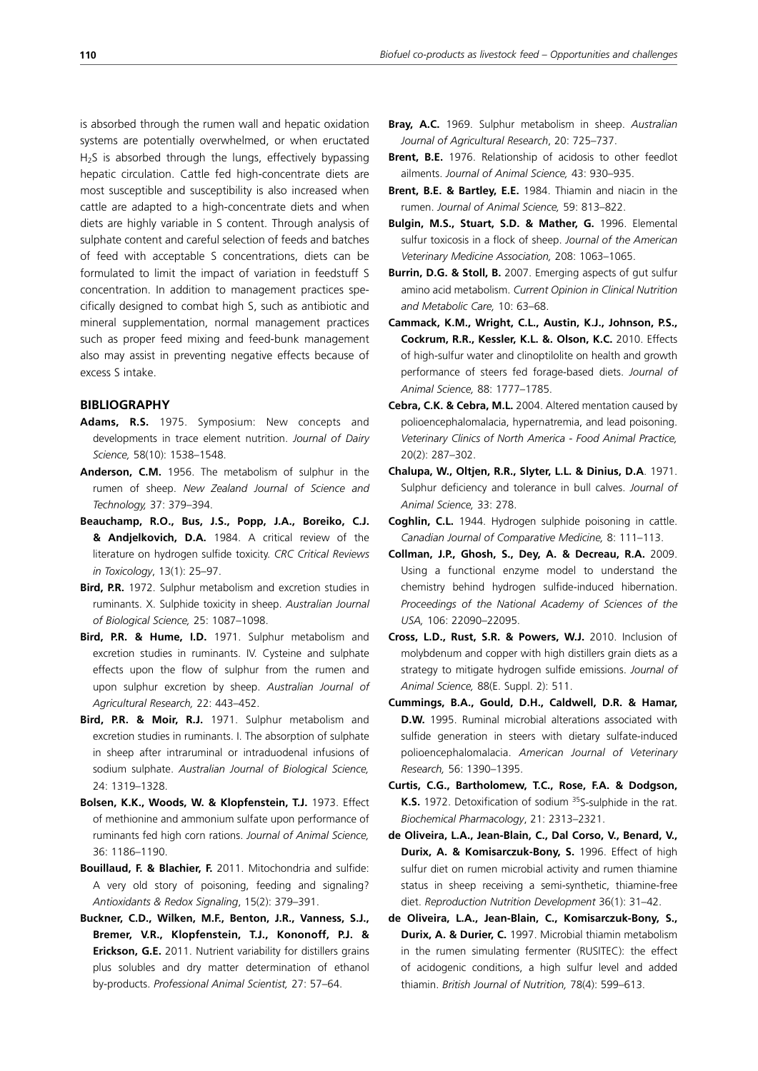is absorbed through the rumen wall and hepatic oxidation systems are potentially overwhelmed, or when eructated  $H<sub>2</sub>S$  is absorbed through the lungs, effectively bypassing hepatic circulation. Cattle fed high-concentrate diets are most susceptible and susceptibility is also increased when cattle are adapted to a high-concentrate diets and when diets are highly variable in S content. Through analysis of sulphate content and careful selection of feeds and batches of feed with acceptable S concentrations, diets can be formulated to limit the impact of variation in feedstuff S concentration. In addition to management practices specifically designed to combat high S, such as antibiotic and mineral supplementation, normal management practices such as proper feed mixing and feed-bunk management also may assist in preventing negative effects because of excess S intake.

# **BIBLIOGRAPHY**

- **Adams, R.S.** 1975. Symposium: New concepts and developments in trace element nutrition. *Journal of Dairy Science,* 58(10): 1538–1548.
- **Anderson, C.M.** 1956. The metabolism of sulphur in the rumen of sheep. *New Zealand Journal of Science and Technology,* 37: 379–394.
- **Beauchamp, R.O., Bus, J.S., Popp, J.A., Boreiko, C.J. & Andjelkovich, D.A.** 1984. A critical review of the literature on hydrogen sulfide toxicity. *CRC Critical Reviews in Toxicology*, 13(1): 25–97.
- **Bird, P.R.** 1972. Sulphur metabolism and excretion studies in ruminants. X. Sulphide toxicity in sheep. *Australian Journal of Biological Science,* 25: 1087–1098.
- **Bird, P.R. & Hume, I.D.** 1971. Sulphur metabolism and excretion studies in ruminants. IV. Cysteine and sulphate effects upon the flow of sulphur from the rumen and upon sulphur excretion by sheep. *Australian Journal of Agricultural Research,* 22: 443–452.
- **Bird, P.R. & Moir, R.J.** 1971. Sulphur metabolism and excretion studies in ruminants. I. The absorption of sulphate in sheep after intraruminal or intraduodenal infusions of sodium sulphate. *Australian Journal of Biological Science,* 24: 1319–1328.
- **Bolsen, K.K., Woods, W. & Klopfenstein, T.J.** 1973. Effect of methionine and ammonium sulfate upon performance of ruminants fed high corn rations. *Journal of Animal Science,* 36: 1186–1190.
- **Bouillaud, F. & Blachier, F.** 2011. Mitochondria and sulfide: A very old story of poisoning, feeding and signaling? *Antioxidants & Redox Signaling*, 15(2): 379–391.
- **Buckner, C.D., Wilken, M.F., Benton, J.R., Vanness, S.J., Bremer, V.R., Klopfenstein, T.J., Kononoff, P.J. & Erickson, G.E.** 2011. Nutrient variability for distillers grains plus solubles and dry matter determination of ethanol by-products. *Professional Animal Scientist,* 27: 57–64.
- **Bray, A.C.** 1969. Sulphur metabolism in sheep. *Australian Journal of Agricultural Research*, 20: 725–737.
- **Brent, B.E.** 1976. Relationship of acidosis to other feedlot ailments. *Journal of Animal Science,* 43: 930–935.
- **Brent, B.E. & Bartley, E.E.** 1984. Thiamin and niacin in the rumen. *Journal of Animal Science,* 59: 813–822.
- **Bulgin, M.S., Stuart, S.D. & Mather, G.** 1996. Elemental sulfur toxicosis in a flock of sheep. *Journal of the American Veterinary Medicine Association,* 208: 1063–1065.
- **Burrin, D.G. & Stoll, B.** 2007. Emerging aspects of gut sulfur amino acid metabolism. *Current Opinion in Clinical Nutrition and Metabolic Care,* 10: 63–68.
- **Cammack, K.M., Wright, C.L., Austin, K.J., Johnson, P.S., Cockrum, R.R., Kessler, K.L. &. Olson, K.C.** 2010. Effects of high-sulfur water and clinoptilolite on health and growth performance of steers fed forage-based diets. *Journal of Animal Science,* 88: 1777–1785.
- **Cebra, C.K. & Cebra, M.L.** 2004. Altered mentation caused by polioencephalomalacia, hypernatremia, and lead poisoning. *Veterinary Clinics of North America - Food Animal Practice,* 20(2): 287–302.
- **Chalupa, W., Oltjen, R.R., Slyter, L.L. & Dinius, D.A**. 1971. Sulphur deficiency and tolerance in bull calves. *Journal of Animal Science,* 33: 278.
- **Coghlin, C.L.** 1944. Hydrogen sulphide poisoning in cattle. *Canadian Journal of Comparative Medicine,* 8: 111–113.
- **Collman, J.P., Ghosh, S., Dey, A. & Decreau, R.A.** 2009. Using a functional enzyme model to understand the chemistry behind hydrogen sulfide-induced hibernation. *Proceedings of the National Academy of Sciences of the USA,* 106: 22090–22095.
- **Cross, L.D., Rust, S.R. & Powers, W.J.** 2010. Inclusion of molybdenum and copper with high distillers grain diets as a strategy to mitigate hydrogen sulfide emissions. *Journal of Animal Science,* 88(E. Suppl. 2): 511.
- **Cummings, B.A., Gould, D.H., Caldwell, D.R. & Hamar, D.W.** 1995. Ruminal microbial alterations associated with sulfide generation in steers with dietary sulfate-induced polioencephalomalacia. *American Journal of Veterinary Research,* 56: 1390–1395.
- **Curtis, C.G., Bartholomew, T.C., Rose, F.A. & Dodgson, K.S.** 1972. Detoxification of sodium <sup>35</sup>S-sulphide in the rat. *Biochemical Pharmacology*, 21: 2313–2321.
- **de Oliveira, L.A., Jean-Blain, C., Dal Corso, V., Benard, V., Durix, A. & Komisarczuk-Bony, S.** 1996. Effect of high sulfur diet on rumen microbial activity and rumen thiamine status in sheep receiving a semi-synthetic, thiamine-free diet. *Reproduction Nutrition Development* 36(1): 31–42.
- **de Oliveira, L.A., Jean-Blain, C., Komisarczuk-Bony, S., Durix, A. & Durier, C.** 1997. Microbial thiamin metabolism in the rumen simulating fermenter (RUSITEC): the effect of acidogenic conditions, a high sulfur level and added thiamin. *British Journal of Nutrition,* 78(4): 599–613.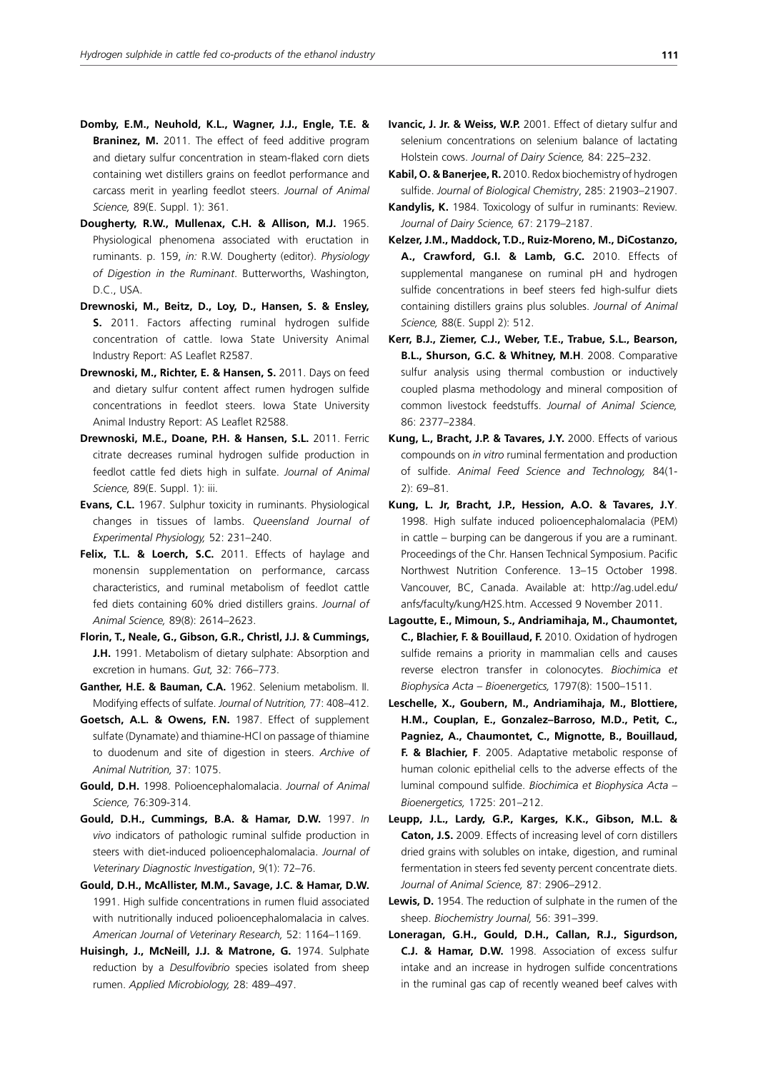- **Domby, E.M., Neuhold, K.L., Wagner, J.J., Engle, T.E. & Braninez, M.** 2011. The effect of feed additive program and dietary sulfur concentration in steam-flaked corn diets containing wet distillers grains on feedlot performance and carcass merit in yearling feedlot steers. *Journal of Animal Science,* 89(E. Suppl. 1): 361.
- **Dougherty, R.W., Mullenax, C.H. & Allison, M.J.** 1965. Physiological phenomena associated with eructation in ruminants. p. 159, *in:* R.W. Dougherty (editor). *Physiology of Digestion in the Ruminant*. Butterworths, Washington, D.C., USA.
- **Drewnoski, M., Beitz, D., Loy, D., Hansen, S. & Ensley, S.** 2011. Factors affecting ruminal hydrogen sulfide concentration of cattle. Iowa State University Animal Industry Report: AS Leaflet R2587.
- **Drewnoski, M., Richter, E. & Hansen, S.** 2011. Days on feed and dietary sulfur content affect rumen hydrogen sulfide concentrations in feedlot steers. Iowa State University Animal Industry Report: AS Leaflet R2588.
- **Drewnoski, M.E., Doane, P.H. & Hansen, S.L.** 2011. Ferric citrate decreases ruminal hydrogen sulfide production in feedlot cattle fed diets high in sulfate. *Journal of Animal Science,* 89(E. Suppl. 1): iii.
- **Evans, C.L.** 1967. Sulphur toxicity in ruminants. Physiological changes in tissues of lambs. *Queensland Journal of Experimental Physiology,* 52: 231–240.
- **Felix, T.L. & Loerch, S.C.** 2011. Effects of haylage and monensin supplementation on performance, carcass characteristics, and ruminal metabolism of feedlot cattle fed diets containing 60% dried distillers grains. *Journal of Animal Science,* 89(8): 2614–2623.
- **Florin, T., Neale, G., Gibson, G.R., Christl, J.J. & Cummings, J.H.** 1991. Metabolism of dietary sulphate: Absorption and excretion in humans. *Gut,* 32: 766–773.
- **Ganther, H.E. & Bauman, C.A.** 1962. Selenium metabolism. II. Modifying effects of sulfate. *Journal of Nutrition,* 77: 408–412.
- **Goetsch, A.L. & Owens, F.N.** 1987. Effect of supplement sulfate (Dynamate) and thiamine-HCl on passage of thiamine to duodenum and site of digestion in steers. *Archive of Animal Nutrition,* 37: 1075.
- **Gould, D.H.** 1998. Polioencephalomalacia. *Journal of Animal Science,* 76:309-314.
- **Gould, D.H., Cummings, B.A. & Hamar, D.W.** 1997. *In vivo* indicators of pathologic ruminal sulfide production in steers with diet-induced polioencephalomalacia. *Journal of Veterinary Diagnostic Investigation*, 9(1): 72–76.
- **Gould, D.H., McAllister, M.M., Savage, J.C. & Hamar, D.W.** 1991. High sulfide concentrations in rumen fluid associated with nutritionally induced polioencephalomalacia in calves. *American Journal of Veterinary Research,* 52: 1164–1169.
- **Huisingh, J., McNeill, J.J. & Matrone, G.** 1974. Sulphate reduction by a *Desulfovibrio* species isolated from sheep rumen. *Applied Microbiology,* 28: 489–497.
- **Ivancic, J. Jr. & Weiss, W.P.** 2001. Effect of dietary sulfur and selenium concentrations on selenium balance of lactating Holstein cows. *Journal of Dairy Science,* 84: 225–232.
- **Kabil, O. & Banerjee, R.** 2010. Redox biochemistry of hydrogen sulfide. *Journal of Biological Chemistry*, 285: 21903–21907.
- **Kandylis, K.** 1984. Toxicology of sulfur in ruminants: Review. *Journal of Dairy Science,* 67: 2179–2187.
- **Kelzer, J.M., Maddock, T.D., Ruiz-Moreno, M., DiCostanzo, A., Crawford, G.I. & Lamb, G.C.** 2010. Effects of supplemental manganese on ruminal pH and hydrogen sulfide concentrations in beef steers fed high-sulfur diets containing distillers grains plus solubles. *Journal of Animal Science,* 88(E. Suppl 2): 512.
- **Kerr, B.J., Ziemer, C.J., Weber, T.E., Trabue, S.L., Bearson, B.L., Shurson, G.C. & Whitney, M.H**. 2008. Comparative sulfur analysis using thermal combustion or inductively coupled plasma methodology and mineral composition of common livestock feedstuffs. *Journal of Animal Science,* 86: 2377–2384.
- **Kung, L., Bracht, J.P. & Tavares, J.Y.** 2000. Effects of various compounds on *in vitro* ruminal fermentation and production of sulfide. *Animal Feed Science and Technology,* 84(1- 2): 69–81.
- **Kung, L. Jr, Bracht, J.P., Hession, A.O. & Tavares, J.Y**. 1998. High sulfate induced polioencephalomalacia (PEM) in cattle – burping can be dangerous if you are a ruminant. Proceedings of the Chr. Hansen Technical Symposium. Pacific Northwest Nutrition Conference. 13–15 October 1998. Vancouver, BC, Canada. Available at: http://ag.udel.edu/ anfs/faculty/kung/H2S.htm. Accessed 9 November 2011.
- **Lagoutte, E., Mimoun, S., Andriamihaja, M., Chaumontet, C., Blachier, F. & Bouillaud, F.** 2010. Oxidation of hydrogen sulfide remains a priority in mammalian cells and causes reverse electron transfer in colonocytes. *Biochimica et Biophysica Acta – Bioenergetics,* 1797(8): 1500–1511.
- **Leschelle, X., Goubern, M., Andriamihaja, M., Blottiere, H.M., Couplan, E., Gonzalez–Barroso, M.D., Petit, C., Pagniez, A., Chaumontet, C., Mignotte, B., Bouillaud, F. & Blachier, F**. 2005. Adaptative metabolic response of human colonic epithelial cells to the adverse effects of the luminal compound sulfide. *Biochimica et Biophysica Acta – Bioenergetics,* 1725: 201–212.
- **Leupp, J.L., Lardy, G.P., Karges, K.K., Gibson, M.L. & Caton, J.S.** 2009. Effects of increasing level of corn distillers dried grains with solubles on intake, digestion, and ruminal fermentation in steers fed seventy percent concentrate diets. *Journal of Animal Science,* 87: 2906–2912.
- **Lewis, D.** 1954. The reduction of sulphate in the rumen of the sheep. *Biochemistry Journal,* 56: 391–399.
- **Loneragan, G.H., Gould, D.H., Callan, R.J., Sigurdson, C.J. & Hamar, D.W.** 1998. Association of excess sulfur intake and an increase in hydrogen sulfide concentrations in the ruminal gas cap of recently weaned beef calves with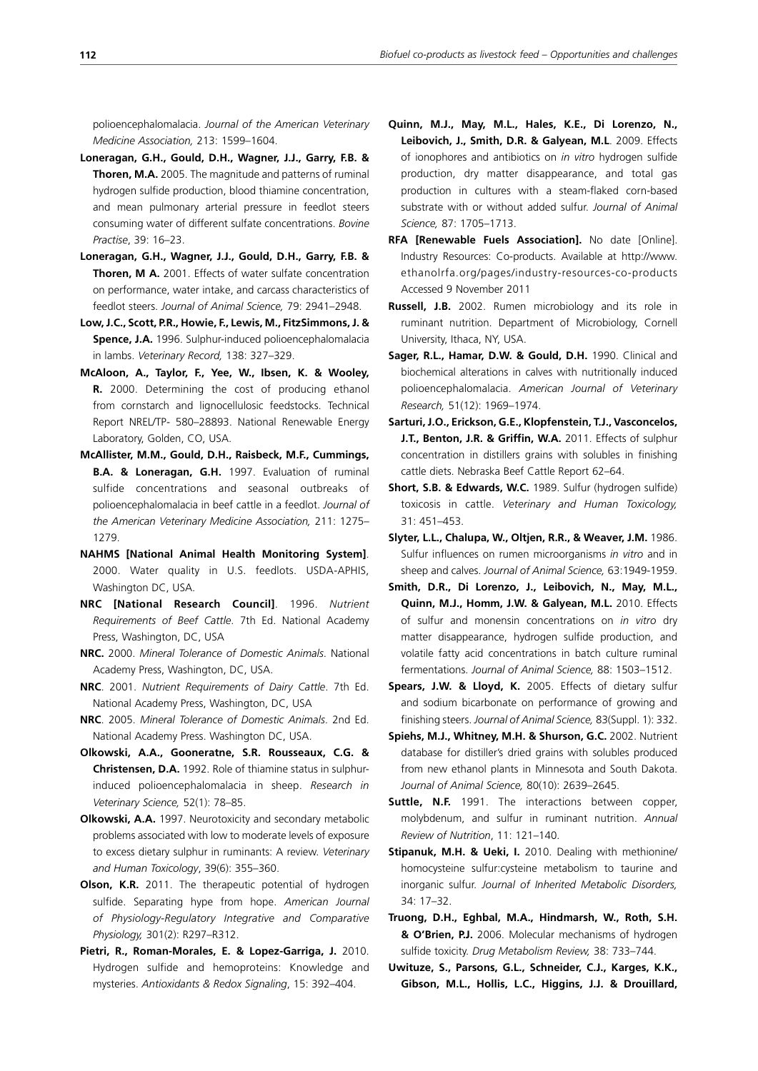polioencephalomalacia. *Journal of the American Veterinary Medicine Association,* 213: 1599–1604.

- **Loneragan, G.H., Gould, D.H., Wagner, J.J., Garry, F.B. & Thoren, M.A.** 2005. The magnitude and patterns of ruminal hydrogen sulfide production, blood thiamine concentration, and mean pulmonary arterial pressure in feedlot steers consuming water of different sulfate concentrations. *Bovine Practise*, 39: 16–23.
- **Loneragan, G.H., Wagner, J.J., Gould, D.H., Garry, F.B. & Thoren, M A.** 2001. Effects of water sulfate concentration on performance, water intake, and carcass characteristics of feedlot steers. *Journal of Animal Science,* 79: 2941–2948.
- **Low, J.C., Scott, P.R., Howie, F., Lewis, M., FitzSimmons, J. & Spence, J.A.** 1996. Sulphur-induced polioencephalomalacia in lambs. *Veterinary Record,* 138: 327–329.
- **McAloon, A., Taylor, F., Yee, W., Ibsen, K. & Wooley, R.** 2000. Determining the cost of producing ethanol from cornstarch and lignocellulosic feedstocks. Technical Report NREL/TP- 580–28893. National Renewable Energy Laboratory, Golden, CO, USA.
- **McAllister, M.M., Gould, D.H., Raisbeck, M.F., Cummings, B.A. & Loneragan, G.H.** 1997. Evaluation of ruminal sulfide concentrations and seasonal outbreaks of polioencephalomalacia in beef cattle in a feedlot. *Journal of the American Veterinary Medicine Association,* 211: 1275– 1279.
- **NAHMS [National Animal Health Monitoring System]**. 2000. Water quality in U.S. feedlots. USDA-APHIS, Washington DC, USA.
- **NRC [National Research Council]**. 1996. *Nutrient Requirements of Beef Cattle*. 7th Ed. National Academy Press, Washington, DC, USA
- **NRC.** 2000. *Mineral Tolerance of Domestic Animals*. National Academy Press, Washington, DC, USA.
- **NRC**. 2001. *Nutrient Requirements of Dairy Cattle*. 7th Ed. National Academy Press, Washington, DC, USA
- **NRC**. 2005. *Mineral Tolerance of Domestic Animals*. 2nd Ed. National Academy Press. Washington DC, USA.
- **Olkowski, A.A., Gooneratne, S.R. Rousseaux, C.G. & Christensen, D.A.** 1992. Role of thiamine status in sulphurinduced polioencephalomalacia in sheep. *Research in Veterinary Science,* 52(1): 78–85.
- **Olkowski, A.A.** 1997. Neurotoxicity and secondary metabolic problems associated with low to moderate levels of exposure to excess dietary sulphur in ruminants: A review. *Veterinary and Human Toxicology*, 39(6): 355–360.
- **Olson, K.R.** 2011. The therapeutic potential of hydrogen sulfide. Separating hype from hope. *American Journal of Physiology-Regulatory Integrative and Comparative Physiology,* 301(2): R297–R312.
- **Pietri, R., Roman-Morales, E. & Lopez-Garriga, J.** 2010. Hydrogen sulfide and hemoproteins: Knowledge and mysteries. *Antioxidants & Redox Signaling*, 15: 392–404.
- **Quinn, M.J., May, M.L., Hales, K.E., Di Lorenzo, N., Leibovich, J., Smith, D.R. & Galyean, M.L**. 2009. Effects of ionophores and antibiotics on *in vitro* hydrogen sulfide production, dry matter disappearance, and total gas production in cultures with a steam-flaked corn-based substrate with or without added sulfur. *Journal of Animal Science,* 87: 1705–1713.
- **RFA [Renewable Fuels Association].** No date [Online]. Industry Resources: Co-products. Available at http://www. ethanolrfa.org/pages/industry-resources-co-products Accessed 9 November 2011
- **Russell, J.B.** 2002. Rumen microbiology and its role in ruminant nutrition. Department of Microbiology, Cornell University, Ithaca, NY, USA.
- **Sager, R.L., Hamar, D.W. & Gould, D.H.** 1990. Clinical and biochemical alterations in calves with nutritionally induced polioencephalomalacia. *American Journal of Veterinary Research,* 51(12): 1969–1974.
- **Sarturi, J.O., Erickson, G.E., Klopfenstein, T.J., Vasconcelos, J.T., Benton, J.R. & Griffin, W.A.** 2011. Effects of sulphur concentration in distillers grains with solubles in finishing cattle diets. Nebraska Beef Cattle Report 62–64.
- **Short, S.B. & Edwards, W.C.** 1989. Sulfur (hydrogen sulfide) toxicosis in cattle. *Veterinary and Human Toxicology,* 31: 451–453.
- **Slyter, L.L., Chalupa, W., Oltjen, R.R., & Weaver, J.M.** 1986. Sulfur influences on rumen microorganisms *in vitro* and in sheep and calves. *Journal of Animal Science,* 63:1949-1959.
- **Smith, D.R., Di Lorenzo, J., Leibovich, N., May, M.L., Quinn, M.J., Homm, J.W. & Galyean, M.L.** 2010. Effects of sulfur and monensin concentrations on *in vitro* dry matter disappearance, hydrogen sulfide production, and volatile fatty acid concentrations in batch culture ruminal fermentations. *Journal of Animal Science,* 88: 1503–1512.
- **Spears, J.W. & Lloyd, K.** 2005. Effects of dietary sulfur and sodium bicarbonate on performance of growing and finishing steers. *Journal of Animal Science,* 83(Suppl. 1): 332.
- **Spiehs, M.J., Whitney, M.H. & Shurson, G.C.** 2002. Nutrient database for distiller's dried grains with solubles produced from new ethanol plants in Minnesota and South Dakota. *Journal of Animal Science,* 80(10): 2639–2645.
- **Suttle, N.F.** 1991. The interactions between copper, molybdenum, and sulfur in ruminant nutrition. *Annual Review of Nutrition*, 11: 121–140.
- **Stipanuk, M.H. & Ueki, I.** 2010. Dealing with methionine/ homocysteine sulfur:cysteine metabolism to taurine and inorganic sulfur. *Journal of Inherited Metabolic Disorders,* 34: 17–32.
- **Truong, D.H., Eghbal, M.A., Hindmarsh, W., Roth, S.H. & O'Brien, P.J.** 2006. Molecular mechanisms of hydrogen sulfide toxicity. *Drug Metabolism Review,* 38: 733–744.
- **Uwituze, S., Parsons, G.L., Schneider, C.J., Karges, K.K., Gibson, M.L., Hollis, L.C., Higgins, J.J. & Drouillard,**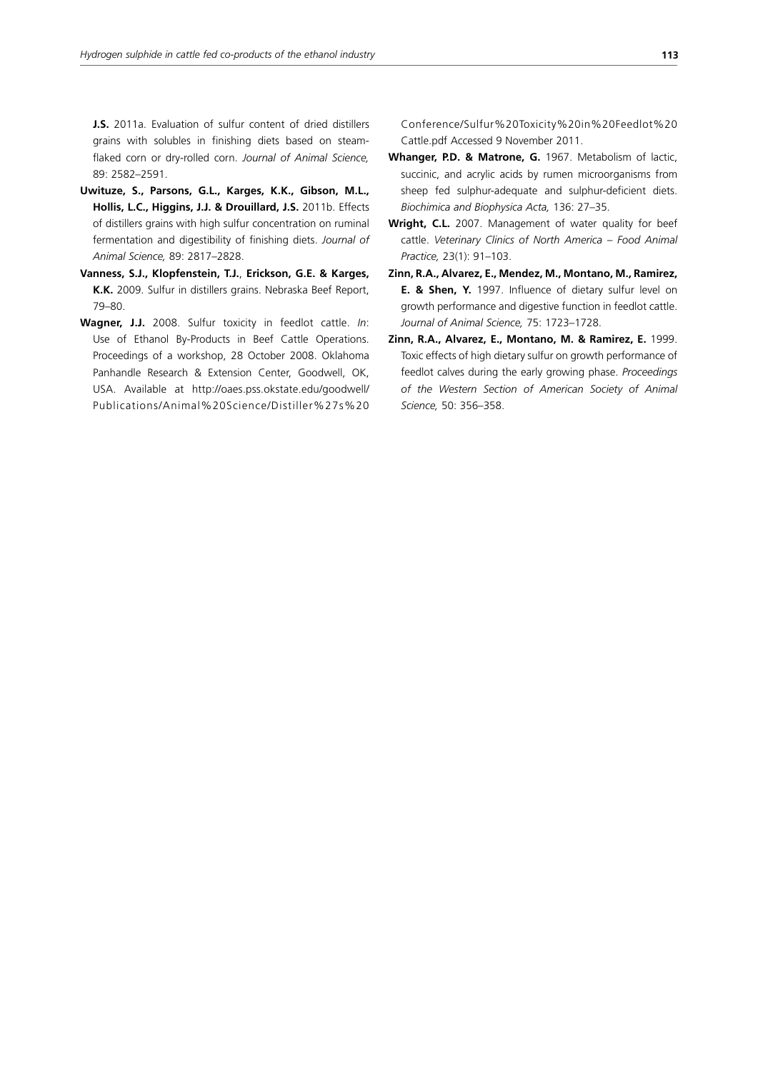**J.S.** 2011a. Evaluation of sulfur content of dried distillers grains with solubles in finishing diets based on steamflaked corn or dry-rolled corn. *Journal of Animal Science,* 89: 2582–2591.

- **Uwituze, S., Parsons, G.L., Karges, K.K., Gibson, M.L., Hollis, L.C., Higgins, J.J. & Drouillard, J.S.** 2011b. Effects of distillers grains with high sulfur concentration on ruminal fermentation and digestibility of finishing diets. *Journal of Animal Science,* 89: 2817–2828.
- **Vanness, S.J., Klopfenstein, T.J.**, **Erickson, G.E. & Karges, K.K.** 2009. Sulfur in distillers grains. Nebraska Beef Report, 79–80.
- **Wagner, J.J.** 2008. Sulfur toxicity in feedlot cattle. *In*: Use of Ethanol By-Products in Beef Cattle Operations. Proceedings of a workshop, 28 October 2008. Oklahoma Panhandle Research & Extension Center, Goodwell, OK, USA. Available at http://oaes.pss.okstate.edu/goodwell/ Publications/Animal%20Science/Distiller%27s%20

Conference/Sulfur%20Toxicity%20in%20Feedlot%20 Cattle.pdf Accessed 9 November 2011.

- **Whanger, P.D. & Matrone, G.** 1967. Metabolism of lactic, succinic, and acrylic acids by rumen microorganisms from sheep fed sulphur-adequate and sulphur-deficient diets. *Biochimica and Biophysica Acta,* 136: 27–35.
- Wright, C.L. 2007. Management of water quality for beef cattle. *Veterinary Clinics of North America – Food Animal Practice,* 23(1): 91–103.
- **Zinn, R.A., Alvarez, E., Mendez, M., Montano, M., Ramirez, E. & Shen, Y.** 1997. Influence of dietary sulfur level on growth performance and digestive function in feedlot cattle. *Journal of Animal Science,* 75: 1723–1728.
- **Zinn, R.A., Alvarez, E., Montano, M. & Ramirez, E.** 1999. Toxic effects of high dietary sulfur on growth performance of feedlot calves during the early growing phase. *Proceedings of the Western Section of American Society of Animal Science,* 50: 356–358.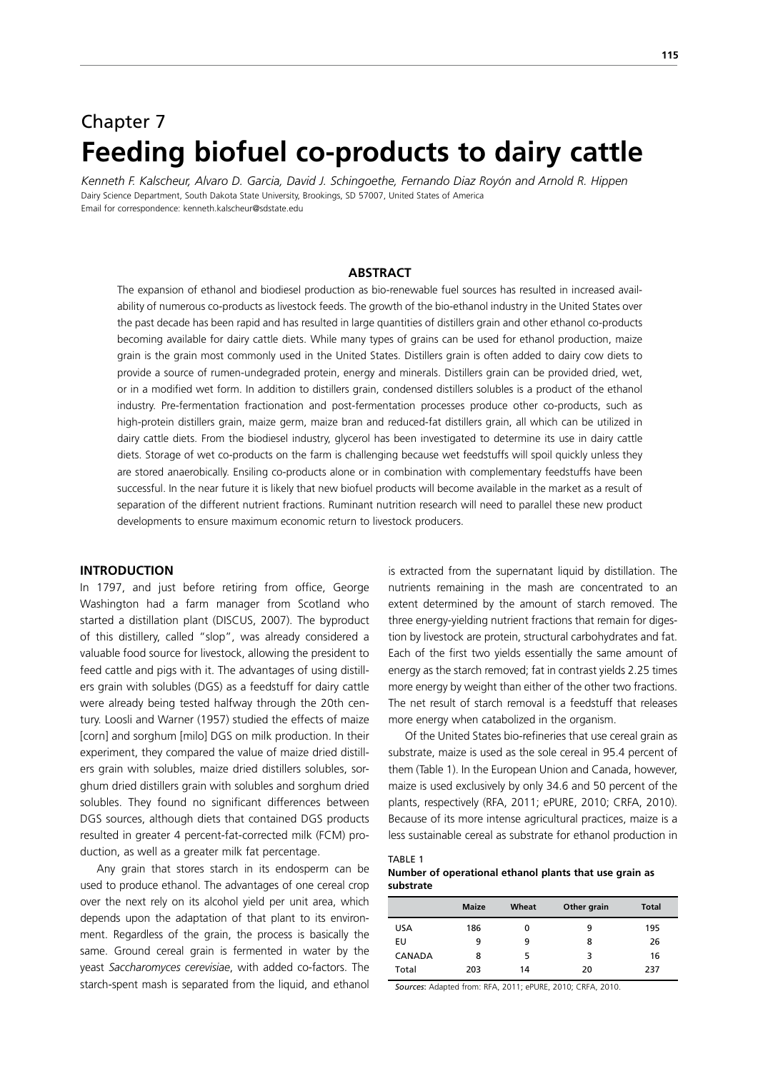# Chapter 7 **Feeding biofuel co-products to dairy cattle**

*Kenneth F. Kalscheur, Alvaro D. Garcia, David J. Schingoethe, Fernando Diaz Royón and Arnold R. Hippen* Dairy Science Department, South Dakota State University, Brookings, SD 57007, United States of America Email for correspondence: kenneth.kalscheur@sdstate.edu

#### **ABSTRACT**

The expansion of ethanol and biodiesel production as bio-renewable fuel sources has resulted in increased availability of numerous co-products as livestock feeds. The growth of the bio-ethanol industry in the United States over the past decade has been rapid and has resulted in large quantities of distillers grain and other ethanol co-products becoming available for dairy cattle diets. While many types of grains can be used for ethanol production, maize grain is the grain most commonly used in the United States. Distillers grain is often added to dairy cow diets to provide a source of rumen-undegraded protein, energy and minerals. Distillers grain can be provided dried, wet, or in a modified wet form. In addition to distillers grain, condensed distillers solubles is a product of the ethanol industry. Pre-fermentation fractionation and post-fermentation processes produce other co-products, such as high-protein distillers grain, maize germ, maize bran and reduced-fat distillers grain, all which can be utilized in dairy cattle diets. From the biodiesel industry, glycerol has been investigated to determine its use in dairy cattle diets. Storage of wet co-products on the farm is challenging because wet feedstuffs will spoil quickly unless they are stored anaerobically. Ensiling co-products alone or in combination with complementary feedstuffs have been successful. In the near future it is likely that new biofuel products will become available in the market as a result of separation of the different nutrient fractions. Ruminant nutrition research will need to parallel these new product developments to ensure maximum economic return to livestock producers.

#### **INTRODUCTION**

In 1797, and just before retiring from office, George Washington had a farm manager from Scotland who started a distillation plant (DISCUS, 2007). The byproduct of this distillery, called "slop", was already considered a valuable food source for livestock, allowing the president to feed cattle and pigs with it. The advantages of using distillers grain with solubles (DGS) as a feedstuff for dairy cattle were already being tested halfway through the 20th century. Loosli and Warner (1957) studied the effects of maize [corn] and sorghum [milo] DGS on milk production. In their experiment, they compared the value of maize dried distillers grain with solubles, maize dried distillers solubles, sorghum dried distillers grain with solubles and sorghum dried solubles. They found no significant differences between DGS sources, although diets that contained DGS products resulted in greater 4 percent-fat-corrected milk (FCM) production, as well as a greater milk fat percentage.

Any grain that stores starch in its endosperm can be used to produce ethanol. The advantages of one cereal crop over the next rely on its alcohol yield per unit area, which depends upon the adaptation of that plant to its environment. Regardless of the grain, the process is basically the same. Ground cereal grain is fermented in water by the yeast *Saccharomyces cerevisiae*, with added co-factors. The starch-spent mash is separated from the liquid, and ethanol is extracted from the supernatant liquid by distillation. The nutrients remaining in the mash are concentrated to an extent determined by the amount of starch removed. The three energy-yielding nutrient fractions that remain for digestion by livestock are protein, structural carbohydrates and fat. Each of the first two yields essentially the same amount of energy as the starch removed; fat in contrast yields 2.25 times more energy by weight than either of the other two fractions. The net result of starch removal is a feedstuff that releases more energy when catabolized in the organism.

Of the United States bio-refineries that use cereal grain as substrate, maize is used as the sole cereal in 95.4 percent of them (Table 1). In the European Union and Canada, however, maize is used exclusively by only 34.6 and 50 percent of the plants, respectively (RFA, 2011; ePURE, 2010; CRFA, 2010). Because of its more intense agricultural practices, maize is a less sustainable cereal as substrate for ethanol production in

#### TABLE 1 **Number of operational ethanol plants that use grain as substrate**

|               | <b>Maize</b> | Wheat | Other grain | <b>Total</b> |
|---------------|--------------|-------|-------------|--------------|
| <b>USA</b>    | 186          | 0     | 9           | 195          |
| EU            | 9            | 9     | 8           | 26           |
| <b>CANADA</b> | 8            | 5     | 3           | 16           |
| Total         | 203          | 14    | 20          | 237          |

*Sources*: Adapted from: RFA, 2011; ePURE, 2010; CRFA, 2010.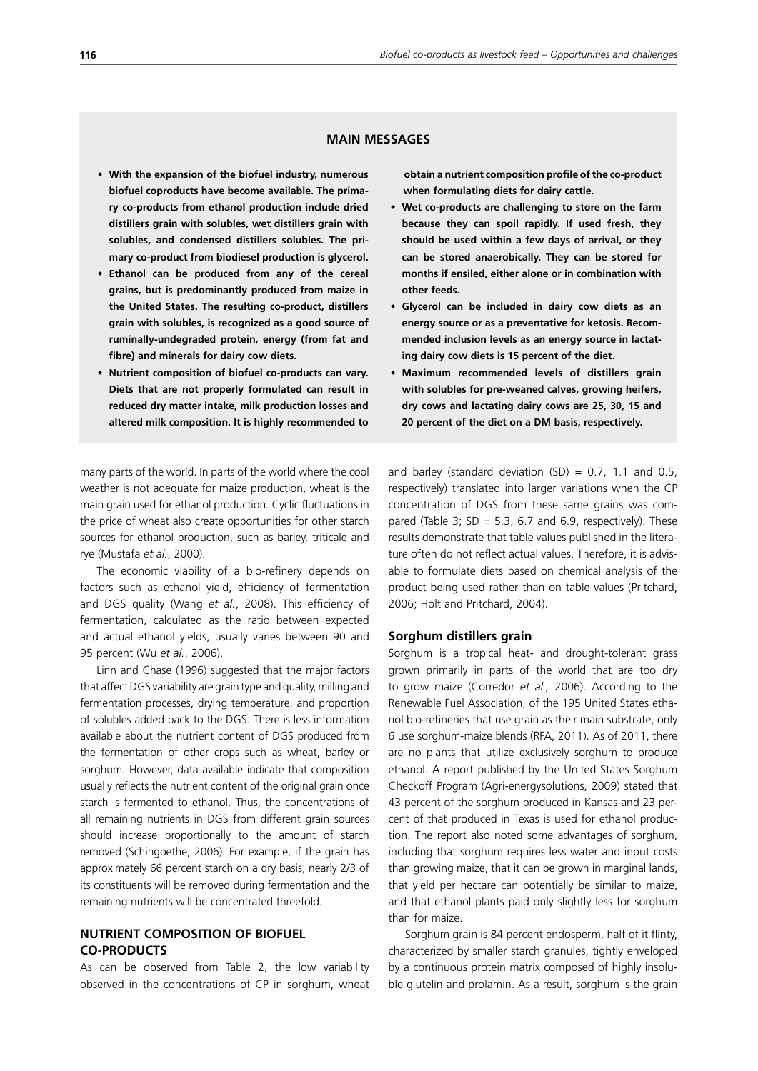#### **MAIN MESSAGES**

- **• With the expansion of the biofuel industry, numerous biofuel coproducts have become available. The primary co-products from ethanol production include dried distillers grain with solubles, wet distillers grain with solubles, and condensed distillers solubles. The primary co-product from biodiesel production is glycerol.**
- **• Ethanol can be produced from any of the cereal grains, but is predominantly produced from maize in the United States. The resulting co-product, distillers grain with solubles, is recognized as a good source of ruminally-undegraded protein, energy (from fat and fibre) and minerals for dairy cow diets.**
- **• Nutrient composition of biofuel co-products can vary. Diets that are not properly formulated can result in reduced dry matter intake, milk production losses and altered milk composition. It is highly recommended to**

many parts of the world. In parts of the world where the cool weather is not adequate for maize production, wheat is the main grain used for ethanol production. Cyclic fluctuations in the price of wheat also create opportunities for other starch sources for ethanol production, such as barley, triticale and rye (Mustafa *et al.*, 2000).

The economic viability of a bio-refinery depends on factors such as ethanol yield, efficiency of fermentation and DGS quality (Wang *et al.*, 2008). This efficiency of fermentation, calculated as the ratio between expected and actual ethanol yields, usually varies between 90 and 95 percent (Wu *et al.*, 2006).

Linn and Chase (1996) suggested that the major factors that affect DGS variability are grain type and quality, milling and fermentation processes, drying temperature, and proportion of solubles added back to the DGS. There is less information available about the nutrient content of DGS produced from the fermentation of other crops such as wheat, barley or sorghum. However, data available indicate that composition usually reflects the nutrient content of the original grain once starch is fermented to ethanol. Thus, the concentrations of all remaining nutrients in DGS from different grain sources should increase proportionally to the amount of starch removed (Schingoethe, 2006). For example, if the grain has approximately 66 percent starch on a dry basis, nearly 2/3 of its constituents will be removed during fermentation and the remaining nutrients will be concentrated threefold.

## **NUTRIENT COMPOSITION OF BIOFUEL CO-PRODUCTS**

As can be observed from Table 2, the low variability observed in the concentrations of CP in sorghum, wheat **obtain a nutrient composition profile of the co-product when formulating diets for dairy cattle.**

- **• Wet co-products are challenging to store on the farm because they can spoil rapidly. If used fresh, they should be used within a few days of arrival, or they can be stored anaerobically. They can be stored for months if ensiled, either alone or in combination with other feeds.**
- **• Glycerol can be included in dairy cow diets as an energy source or as a preventative for ketosis. Recommended inclusion levels as an energy source in lactating dairy cow diets is 15 percent of the diet.**
- **• Maximum recommended levels of distillers grain with solubles for pre-weaned calves, growing heifers, dry cows and lactating dairy cows are 25, 30, 15 and 20 percent of the diet on a DM basis, respectively.**

and barley (standard deviation  $(SD) = 0.7$ , 1.1 and 0.5, respectively) translated into larger variations when the CP concentration of DGS from these same grains was compared (Table 3;  $SD = 5.3$ , 6.7 and 6.9, respectively). These results demonstrate that table values published in the literature often do not reflect actual values. Therefore, it is advisable to formulate diets based on chemical analysis of the product being used rather than on table values (Pritchard, 2006; Holt and Pritchard, 2004).

#### **Sorghum distillers grain**

Sorghum is a tropical heat- and drought-tolerant grass grown primarily in parts of the world that are too dry to grow maize (Corredor *et al.,* 2006). According to the Renewable Fuel Association, of the 195 United States ethanol bio-refineries that use grain as their main substrate, only 6 use sorghum-maize blends (RFA, 2011). As of 2011, there are no plants that utilize exclusively sorghum to produce ethanol. A report published by the United States Sorghum Checkoff Program (Agri-energysolutions, 2009) stated that 43 percent of the sorghum produced in Kansas and 23 percent of that produced in Texas is used for ethanol production. The report also noted some advantages of sorghum, including that sorghum requires less water and input costs than growing maize, that it can be grown in marginal lands, that yield per hectare can potentially be similar to maize, and that ethanol plants paid only slightly less for sorghum than for maize.

Sorghum grain is 84 percent endosperm, half of it flinty, characterized by smaller starch granules, tightly enveloped by a continuous protein matrix composed of highly insoluble glutelin and prolamin. As a result, sorghum is the grain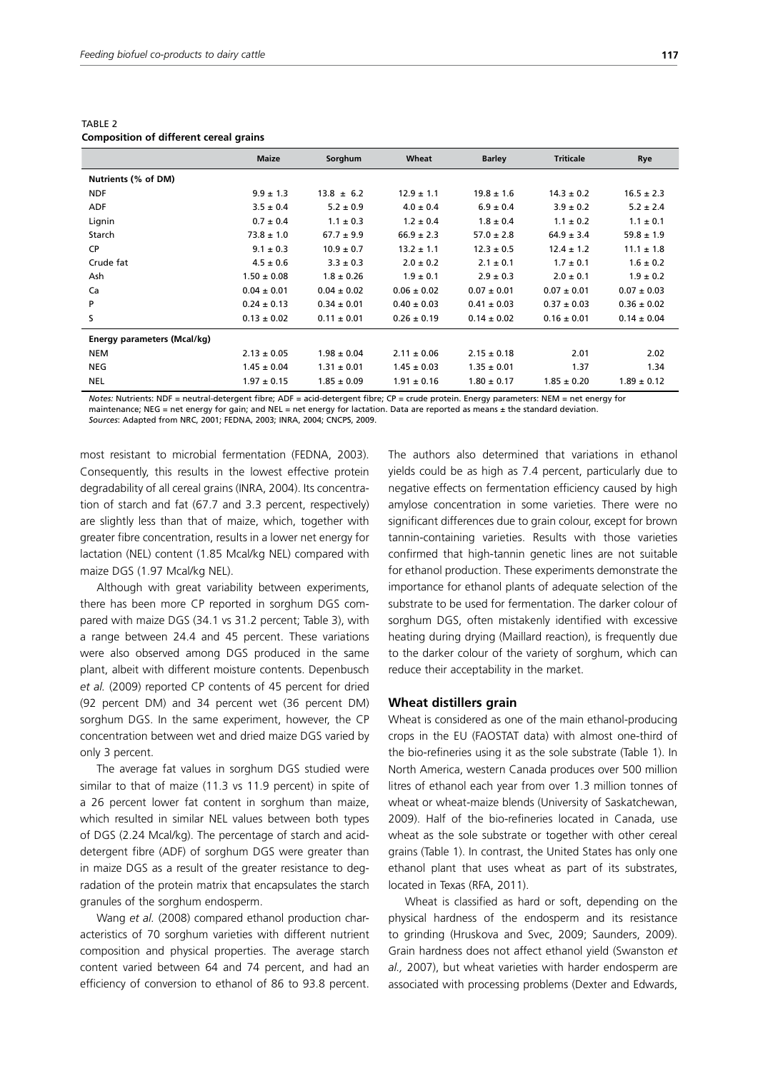|                             | <b>Maize</b>    | Sorghum         | Wheat           | <b>Barley</b>   | <b>Triticale</b> | Rye             |
|-----------------------------|-----------------|-----------------|-----------------|-----------------|------------------|-----------------|
| Nutrients (% of DM)         |                 |                 |                 |                 |                  |                 |
| <b>NDF</b>                  | $9.9 \pm 1.3$   | $13.8 \pm 6.2$  | $12.9 \pm 1.1$  | $19.8 \pm 1.6$  | $14.3 \pm 0.2$   | $16.5 \pm 2.3$  |
| <b>ADF</b>                  | $3.5 \pm 0.4$   | $5.2 \pm 0.9$   | $4.0 \pm 0.4$   | $6.9 \pm 0.4$   | $3.9 \pm 0.2$    | $5.2 \pm 2.4$   |
| Lignin                      | $0.7 \pm 0.4$   | $1.1 \pm 0.3$   | $1.2 \pm 0.4$   | $1.8 \pm 0.4$   | $1.1 \pm 0.2$    | $1.1 \pm 0.1$   |
| Starch                      | $73.8 \pm 1.0$  | $67.7 \pm 9.9$  | $66.9 \pm 2.3$  | $57.0 \pm 2.8$  | $64.9 \pm 3.4$   | $59.8 \pm 1.9$  |
| CP                          | $9.1 \pm 0.3$   | $10.9 \pm 0.7$  | $13.2 \pm 1.1$  | $12.3 \pm 0.5$  | $12.4 \pm 1.2$   | $11.1 \pm 1.8$  |
| Crude fat                   | $4.5 \pm 0.6$   | $3.3 \pm 0.3$   | $2.0 \pm 0.2$   | $2.1 \pm 0.1$   | $1.7 \pm 0.1$    | $1.6 \pm 0.2$   |
| Ash                         | $1.50 \pm 0.08$ | $1.8 \pm 0.26$  | $1.9 \pm 0.1$   | $2.9 \pm 0.3$   | $2.0 \pm 0.1$    | $1.9 \pm 0.2$   |
| Ca                          | $0.04 \pm 0.01$ | $0.04 \pm 0.02$ | $0.06 \pm 0.02$ | $0.07 \pm 0.01$ | $0.07 \pm 0.01$  | $0.07 \pm 0.03$ |
| P                           | $0.24 \pm 0.13$ | $0.34 \pm 0.01$ | $0.40 \pm 0.03$ | $0.41 \pm 0.03$ | $0.37 \pm 0.03$  | $0.36 \pm 0.02$ |
| S                           | $0.13 \pm 0.02$ | $0.11 \pm 0.01$ | $0.26 \pm 0.19$ | $0.14 \pm 0.02$ | $0.16 \pm 0.01$  | $0.14 \pm 0.04$ |
| Energy parameters (Mcal/kg) |                 |                 |                 |                 |                  |                 |
| <b>NEM</b>                  | $2.13 \pm 0.05$ | $1.98 \pm 0.04$ | $2.11 \pm 0.06$ | $2.15 \pm 0.18$ | 2.01             | 2.02            |
| <b>NEG</b>                  | $1.45 \pm 0.04$ | $1.31 \pm 0.01$ | $1.45 \pm 0.03$ | $1.35 \pm 0.01$ | 1.37             | 1.34            |
| <b>NEL</b>                  | $1.97 \pm 0.15$ | $1.85 \pm 0.09$ | $1.91 \pm 0.16$ | $1.80 \pm 0.17$ | $1.85 \pm 0.20$  | $1.89 \pm 0.12$ |

TABLE 2 **Composition of different cereal grains**

*Notes:* Nutrients: NDF = neutral-detergent fibre; ADF = acid-detergent fibre; CP = crude protein. Energy parameters: NEM = net energy for maintenance; NEG = net energy for gain; and NEL = net energy for lactation. Data are reported as means ± the standard deviation. *Sources*: Adapted from NRC, 2001; FEDNA, 2003; INRA, 2004; CNCPS, 2009.

most resistant to microbial fermentation (FEDNA, 2003). Consequently, this results in the lowest effective protein degradability of all cereal grains (INRA, 2004). Its concentration of starch and fat (67.7 and 3.3 percent, respectively) are slightly less than that of maize, which, together with greater fibre concentration, results in a lower net energy for lactation (NEL) content (1.85 Mcal/kg NEL) compared with maize DGS (1.97 Mcal/kg NEL).

Although with great variability between experiments, there has been more CP reported in sorghum DGS compared with maize DGS (34.1 vs 31.2 percent; Table 3), with a range between 24.4 and 45 percent. These variations were also observed among DGS produced in the same plant, albeit with different moisture contents. Depenbusch *et al.* (2009) reported CP contents of 45 percent for dried (92 percent DM) and 34 percent wet (36 percent DM) sorghum DGS. In the same experiment, however, the CP concentration between wet and dried maize DGS varied by only 3 percent.

The average fat values in sorghum DGS studied were similar to that of maize (11.3 vs 11.9 percent) in spite of a 26 percent lower fat content in sorghum than maize, which resulted in similar NEL values between both types of DGS (2.24 Mcal/kg). The percentage of starch and aciddetergent fibre (ADF) of sorghum DGS were greater than in maize DGS as a result of the greater resistance to degradation of the protein matrix that encapsulates the starch granules of the sorghum endosperm.

Wang *et al.* (2008) compared ethanol production characteristics of 70 sorghum varieties with different nutrient composition and physical properties. The average starch content varied between 64 and 74 percent, and had an efficiency of conversion to ethanol of 86 to 93.8 percent.

The authors also determined that variations in ethanol yields could be as high as 7.4 percent, particularly due to negative effects on fermentation efficiency caused by high amylose concentration in some varieties. There were no significant differences due to grain colour, except for brown tannin-containing varieties. Results with those varieties confirmed that high-tannin genetic lines are not suitable for ethanol production. These experiments demonstrate the importance for ethanol plants of adequate selection of the substrate to be used for fermentation. The darker colour of sorghum DGS, often mistakenly identified with excessive heating during drying (Maillard reaction), is frequently due to the darker colour of the variety of sorghum, which can reduce their acceptability in the market.

#### **Wheat distillers grain**

Wheat is considered as one of the main ethanol-producing crops in the EU (FAOSTAT data) with almost one-third of the bio-refineries using it as the sole substrate (Table 1). In North America, western Canada produces over 500 million litres of ethanol each year from over 1.3 million tonnes of wheat or wheat-maize blends (University of Saskatchewan, 2009). Half of the bio-refineries located in Canada, use wheat as the sole substrate or together with other cereal grains (Table 1). In contrast, the United States has only one ethanol plant that uses wheat as part of its substrates, located in Texas (RFA, 2011).

Wheat is classified as hard or soft, depending on the physical hardness of the endosperm and its resistance to grinding (Hruskova and Svec, 2009; Saunders, 2009). Grain hardness does not affect ethanol yield (Swanston *et al.,* 2007), but wheat varieties with harder endosperm are associated with processing problems (Dexter and Edwards,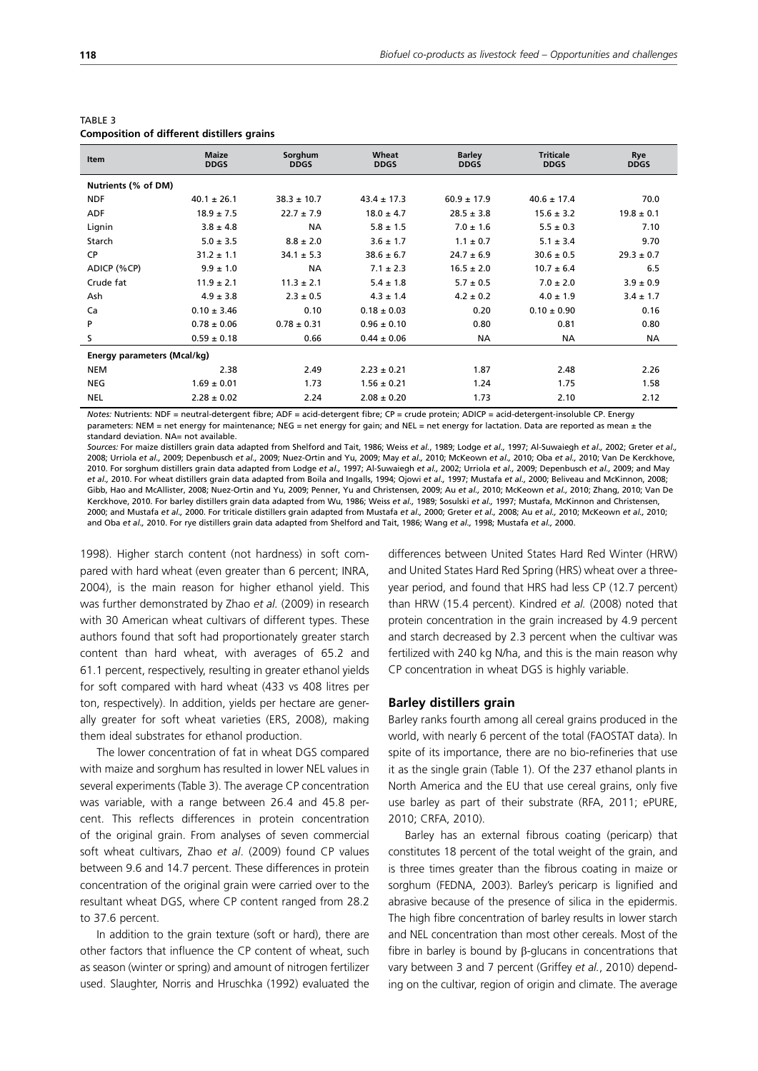| <b>Item</b>         | <b>Maize</b><br><b>DDGS</b> | Sorghum<br><b>DDGS</b> | Wheat<br><b>DDGS</b> | <b>Barley</b><br><b>DDGS</b> | <b>Triticale</b><br><b>DDGS</b> | Rye<br><b>DDGS</b> |
|---------------------|-----------------------------|------------------------|----------------------|------------------------------|---------------------------------|--------------------|
|                     |                             |                        |                      |                              |                                 |                    |
| Nutrients (% of DM) |                             |                        |                      |                              |                                 |                    |
| <b>NDF</b>          | $40.1 \pm 26.1$             | $38.3 \pm 10.7$        | $43.4 \pm 17.3$      | $60.9 \pm 17.9$              | $40.6 \pm 17.4$                 | 70.C               |
| <b>ADF</b>          | $18.9 \pm 7.5$              | $22.7 \pm 7.9$         | $18.0 \pm 4.7$       | $28.5 \pm 3.8$               | $15.6 \pm 3.2$                  | $19.8 \pm 0.1$     |
| Lignin              | $3.8 \pm 4.8$               | <b>NA</b>              | $5.8 \pm 1.5$        | $7.0 \pm 1.6$                | $5.5 \pm 0.3$                   | 7.10               |
| Starch              | $5.0 \pm 3.5$               | $8.8 \pm 2.0$          | $3.6 \pm 1.7$        | $1.1 \pm 0.7$                | $5.1 \pm 3.4$                   | 9.70               |
| CP                  | $31.2 \pm 1.1$              | $34.1 \pm 5.3$         | $38.6 \pm 6.7$       | $24.7 \pm 6.9$               | $30.6 \pm 0.5$                  | $29.3 \pm 0.7$     |
| ADICP (%CP)         | $9.9 \pm 1.0$               | <b>NA</b>              | $7.1 \pm 2.3$        | $16.5 \pm 2.0$               | $10.7 \pm 6.4$                  | 6.5                |
| Crude fat           | $11.9 \pm 2.1$              | $11.3 \pm 2.1$         | $5.4 \pm 1.8$        | $5.7 \pm 0.5$                | $7.0 \pm 2.0$                   | $3.9 \pm 0.9$      |
| Ash                 | $4.9 \pm 3.8$               | $2.3 \pm 0.5$          | $4.3 \pm 1.4$        | $4.2 \pm 0.2$                | $4.0 \pm 1.9$                   | $3.4 \pm 1.7$      |
|                     |                             |                        |                      |                              |                                 |                    |

 $\rm Ca$  0.10  $\pm$  3.46 0.10 0.10  $\pm$  0.03 0.20 0.10  $\pm$  0.90 0.16 P 0.78  $\pm$  0.06 0.78  $\pm$  0.31 0.96  $\pm$  0.10 0.80 0.81 0.80 0.81 0.80 S 0.59 ± 0.18 0.66 0.44 ± 0.06 NA NA NA

NEM 2.38 2.49 2.23 ± 0.21 1.87 2.48 2.26 NEG 1.69 ± 0.01 1.73 1.56 ± 0.21 1.24 1.75 1.58 NEL 2.28 ± 0.02 2.24 2.08 ± 0.20 1.73 2.10 2.12

## TABLE 3

**Energy parameters (Mcal/kg)**

*Notes:* Nutrients: NDF = neutral-detergent fibre; ADF = acid-detergent fibre; CP = crude protein; ADICP = acid-detergent-insoluble CP. Energy parameters: NEM = net energy for maintenance; NEG = net energy for gain; and NEL = net energy for lactation. Data are reported as mean ± the standard deviation. NA= not available.

*Sources:* For maize distillers grain data adapted from Shelford and Tait, 1986; Weiss *et al.*, 1989; Lodge *et al.,* 1997; Al-Suwaiegh *et al.,* 2002; Greter *et al.,* 2008; Urriola *et al.,* 2009; Depenbusch *et al.,* 2009; Nuez-Ortin and Yu, 2009; May *et al.,* 2010; McKeown *et al.,* 2010; Oba *et al.,* 2010; Van De Kerckhove, 2010. For sorghum distillers grain data adapted from Lodge *et al.,* 1997; Al-Suwaiegh *et al.,* 2002; Urriola *et al.,* 2009; Depenbusch *et al.,* 2009; and May *et al.,* 2010. For wheat distillers grain data adapted from Boila and Ingalls, 1994; Ojowi *et al.,* 1997; Mustafa *et al.,* 2000; Beliveau and McKinnon, 2008; Gibb, Hao and McAllister, 2008; Nuez-Ortin and Yu, 2009; Penner, Yu and Christensen, 2009; Au *et al.,* 2010; McKeown *et al.,* 2010; Zhang, 2010; Van De Kerckhove, 2010. For barley distillers grain data adapted from Wu, 1986; Weiss *et al.,* 1989; Sosulski *et al.,* 1997; Mustafa, McKinnon and Christensen, 2000; and Mustafa *et al.,* 2000. For triticale distillers grain adapted from Mustafa *et al.,* 2000; Greter *et al.,* 2008; Au *et al.,* 2010; McKeown *et al.,* 2010; and Oba *et al.,* 2010. For rye distillers grain data adapted from Shelford and Tait, 1986; Wang *et al.,* 1998; Mustafa *et al.,* 2000.

1998). Higher starch content (not hardness) in soft compared with hard wheat (even greater than 6 percent; INRA, 2004), is the main reason for higher ethanol yield. This was further demonstrated by Zhao *et al.* (2009) in research with 30 American wheat cultivars of different types. These authors found that soft had proportionately greater starch content than hard wheat, with averages of 65.2 and 61.1 percent, respectively, resulting in greater ethanol yields for soft compared with hard wheat (433 vs 408 litres per ton, respectively). In addition, yields per hectare are generally greater for soft wheat varieties (ERS, 2008), making them ideal substrates for ethanol production.

The lower concentration of fat in wheat DGS compared with maize and sorghum has resulted in lower NEL values in several experiments (Table 3). The average CP concentration was variable, with a range between 26.4 and 45.8 percent. This reflects differences in protein concentration of the original grain. From analyses of seven commercial soft wheat cultivars, Zhao *et al*. (2009) found CP values between 9.6 and 14.7 percent. These differences in protein concentration of the original grain were carried over to the resultant wheat DGS, where CP content ranged from 28.2 to 37.6 percent.

In addition to the grain texture (soft or hard), there are other factors that influence the CP content of wheat, such as season (winter or spring) and amount of nitrogen fertilizer used. Slaughter, Norris and Hruschka (1992) evaluated the differences between United States Hard Red Winter (HRW) and United States Hard Red Spring (HRS) wheat over a threeyear period, and found that HRS had less CP (12.7 percent) than HRW (15.4 percent). Kindred *et al.* (2008) noted that protein concentration in the grain increased by 4.9 percent and starch decreased by 2.3 percent when the cultivar was fertilized with 240 kg N/ha, and this is the main reason why CP concentration in wheat DGS is highly variable.

#### **Barley distillers grain**

Barley ranks fourth among all cereal grains produced in the world, with nearly 6 percent of the total (FAOSTAT data). In spite of its importance, there are no bio-refineries that use it as the single grain (Table 1). Of the 237 ethanol plants in North America and the EU that use cereal grains, only five use barley as part of their substrate (RFA, 2011; ePURE, 2010; CRFA, 2010).

Barley has an external fibrous coating (pericarp) that constitutes 18 percent of the total weight of the grain, and is three times greater than the fibrous coating in maize or sorghum (FEDNA, 2003). Barley's pericarp is lignified and abrasive because of the presence of silica in the epidermis. The high fibre concentration of barley results in lower starch and NEL concentration than most other cereals. Most of the fibre in barley is bound by β-glucans in concentrations that vary between 3 and 7 percent (Griffey *et al.*, 2010) depending on the cultivar, region of origin and climate. The average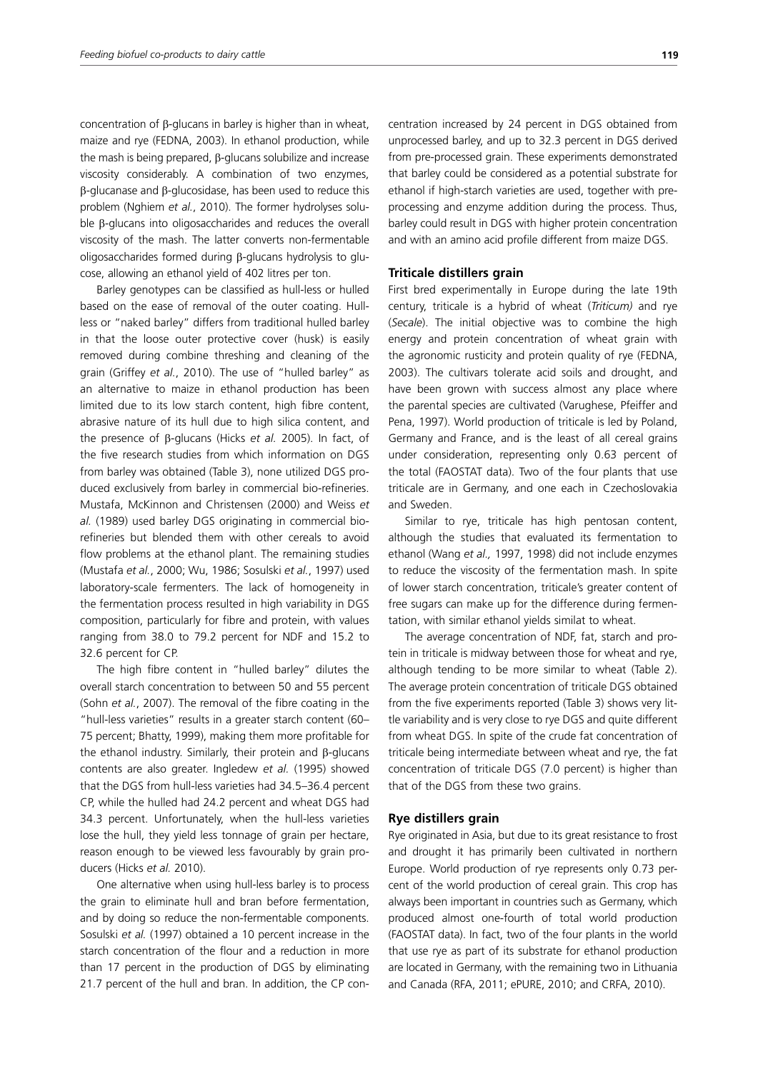concentration of β-glucans in barley is higher than in wheat, maize and rye (FEDNA, 2003). In ethanol production, while the mash is being prepared, β-glucans solubilize and increase viscosity considerably. A combination of two enzymes, β-glucanase and β-glucosidase, has been used to reduce this problem (Nghiem *et al.*, 2010). The former hydrolyses soluble β-glucans into oligosaccharides and reduces the overall viscosity of the mash. The latter converts non-fermentable oligosaccharides formed during β-glucans hydrolysis to glucose, allowing an ethanol yield of 402 litres per ton.

Barley genotypes can be classified as hull-less or hulled based on the ease of removal of the outer coating. Hullless or "naked barley" differs from traditional hulled barley in that the loose outer protective cover (husk) is easily removed during combine threshing and cleaning of the grain (Griffey *et al.*, 2010). The use of "hulled barley" as an alternative to maize in ethanol production has been limited due to its low starch content, high fibre content, abrasive nature of its hull due to high silica content, and the presence of β-glucans (Hicks *et al.* 2005). In fact, of the five research studies from which information on DGS from barley was obtained (Table 3), none utilized DGS produced exclusively from barley in commercial bio-refineries. Mustafa, McKinnon and Christensen (2000) and Weiss *et al.* (1989) used barley DGS originating in commercial biorefineries but blended them with other cereals to avoid flow problems at the ethanol plant. The remaining studies (Mustafa *et al.*, 2000; Wu, 1986; Sosulski *et al.*, 1997) used laboratory-scale fermenters. The lack of homogeneity in the fermentation process resulted in high variability in DGS composition, particularly for fibre and protein, with values ranging from 38.0 to 79.2 percent for NDF and 15.2 to 32.6 percent for CP.

The high fibre content in "hulled barley" dilutes the overall starch concentration to between 50 and 55 percent (Sohn *et al.*, 2007). The removal of the fibre coating in the "hull-less varieties" results in a greater starch content (60– 75 percent; Bhatty, 1999), making them more profitable for the ethanol industry. Similarly, their protein and β-glucans contents are also greater. Ingledew *et al.* (1995) showed that the DGS from hull-less varieties had 34.5–36.4 percent CP, while the hulled had 24.2 percent and wheat DGS had 34.3 percent. Unfortunately, when the hull-less varieties lose the hull, they yield less tonnage of grain per hectare, reason enough to be viewed less favourably by grain producers (Hicks *et al.* 2010).

One alternative when using hull-less barley is to process the grain to eliminate hull and bran before fermentation, and by doing so reduce the non-fermentable components. Sosulski *et al.* (1997) obtained a 10 percent increase in the starch concentration of the flour and a reduction in more than 17 percent in the production of DGS by eliminating 21.7 percent of the hull and bran. In addition, the CP concentration increased by 24 percent in DGS obtained from unprocessed barley, and up to 32.3 percent in DGS derived from pre-processed grain. These experiments demonstrated that barley could be considered as a potential substrate for ethanol if high-starch varieties are used, together with preprocessing and enzyme addition during the process. Thus, barley could result in DGS with higher protein concentration and with an amino acid profile different from maize DGS.

#### **Triticale distillers grain**

First bred experimentally in Europe during the late 19th century, triticale is a hybrid of wheat (*Triticum)* and rye (*Secale*). The initial objective was to combine the high energy and protein concentration of wheat grain with the agronomic rusticity and protein quality of rye (FEDNA, 2003). The cultivars tolerate acid soils and drought, and have been grown with success almost any place where the parental species are cultivated (Varughese, Pfeiffer and Pena, 1997). World production of triticale is led by Poland, Germany and France, and is the least of all cereal grains under consideration, representing only 0.63 percent of the total (FAOSTAT data). Two of the four plants that use triticale are in Germany, and one each in Czechoslovakia and Sweden.

Similar to rye, triticale has high pentosan content, although the studies that evaluated its fermentation to ethanol (Wang *et al.,* 1997, 1998) did not include enzymes to reduce the viscosity of the fermentation mash. In spite of lower starch concentration, triticale's greater content of free sugars can make up for the difference during fermentation, with similar ethanol yields similat to wheat.

The average concentration of NDF, fat, starch and protein in triticale is midway between those for wheat and rye, although tending to be more similar to wheat (Table 2). The average protein concentration of triticale DGS obtained from the five experiments reported (Table 3) shows very little variability and is very close to rye DGS and quite different from wheat DGS. In spite of the crude fat concentration of triticale being intermediate between wheat and rye, the fat concentration of triticale DGS (7.0 percent) is higher than that of the DGS from these two grains.

#### **Rye distillers grain**

Rye originated in Asia, but due to its great resistance to frost and drought it has primarily been cultivated in northern Europe. World production of rye represents only 0.73 percent of the world production of cereal grain. This crop has always been important in countries such as Germany, which produced almost one-fourth of total world production (FAOSTAT data). In fact, two of the four plants in the world that use rye as part of its substrate for ethanol production are located in Germany, with the remaining two in Lithuania and Canada (RFA, 2011; ePURE, 2010; and CRFA, 2010).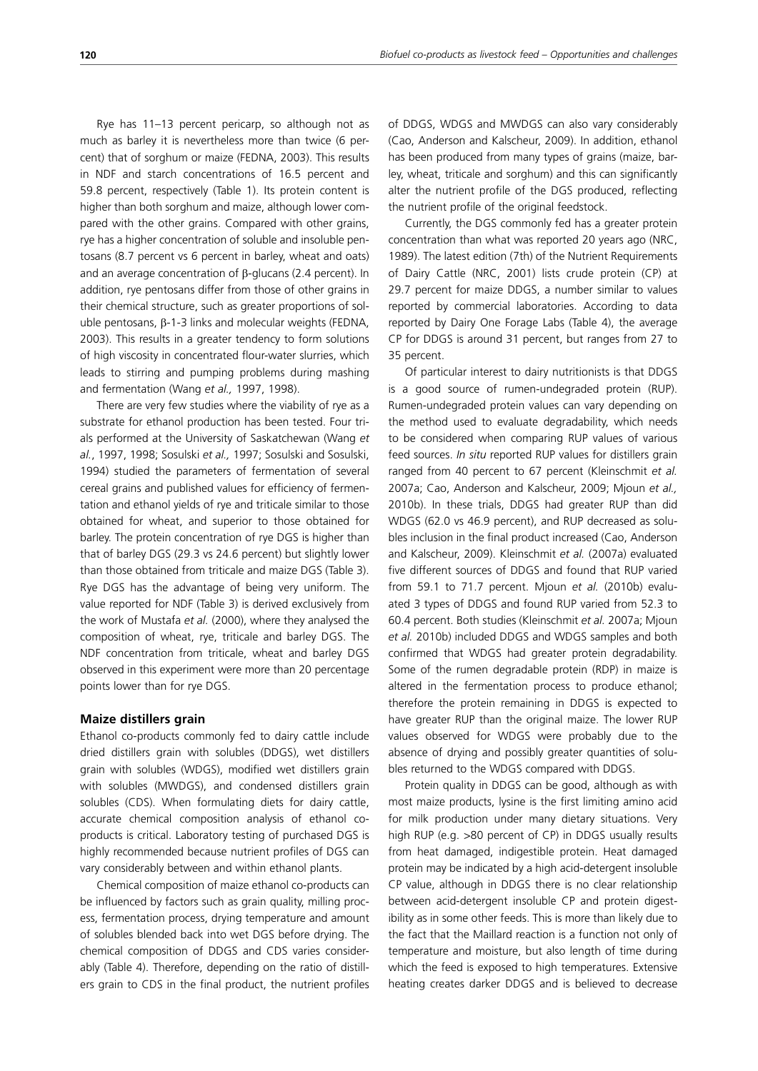Rye has 11–13 percent pericarp, so although not as much as barley it is nevertheless more than twice (6 percent) that of sorghum or maize (FEDNA, 2003). This results in NDF and starch concentrations of 16.5 percent and 59.8 percent, respectively (Table 1). Its protein content is higher than both sorghum and maize, although lower compared with the other grains. Compared with other grains, rye has a higher concentration of soluble and insoluble pentosans (8.7 percent vs 6 percent in barley, wheat and oats) and an average concentration of β-glucans (2.4 percent). In addition, rye pentosans differ from those of other grains in their chemical structure, such as greater proportions of soluble pentosans, β-1-3 links and molecular weights (FEDNA, 2003). This results in a greater tendency to form solutions of high viscosity in concentrated flour-water slurries, which leads to stirring and pumping problems during mashing and fermentation (Wang *et al.,* 1997, 1998).

There are very few studies where the viability of rye as a substrate for ethanol production has been tested. Four trials performed at the University of Saskatchewan (Wang *et al.*, 1997, 1998; Sosulski *et al.,* 1997; Sosulski and Sosulski, 1994) studied the parameters of fermentation of several cereal grains and published values for efficiency of fermentation and ethanol yields of rye and triticale similar to those obtained for wheat, and superior to those obtained for barley. The protein concentration of rye DGS is higher than that of barley DGS (29.3 vs 24.6 percent) but slightly lower than those obtained from triticale and maize DGS (Table 3). Rye DGS has the advantage of being very uniform. The value reported for NDF (Table 3) is derived exclusively from the work of Mustafa *et al.* (2000), where they analysed the composition of wheat, rye, triticale and barley DGS. The NDF concentration from triticale, wheat and barley DGS observed in this experiment were more than 20 percentage points lower than for rye DGS.

#### **Maize distillers grain**

Ethanol co-products commonly fed to dairy cattle include dried distillers grain with solubles (DDGS), wet distillers grain with solubles (WDGS), modified wet distillers grain with solubles (MWDGS), and condensed distillers grain solubles (CDS). When formulating diets for dairy cattle, accurate chemical composition analysis of ethanol coproducts is critical. Laboratory testing of purchased DGS is highly recommended because nutrient profiles of DGS can vary considerably between and within ethanol plants.

Chemical composition of maize ethanol co-products can be influenced by factors such as grain quality, milling process, fermentation process, drying temperature and amount of solubles blended back into wet DGS before drying. The chemical composition of DDGS and CDS varies considerably (Table 4). Therefore, depending on the ratio of distillers grain to CDS in the final product, the nutrient profiles of DDGS, WDGS and MWDGS can also vary considerably (Cao, Anderson and Kalscheur, 2009). In addition, ethanol has been produced from many types of grains (maize, barley, wheat, triticale and sorghum) and this can significantly alter the nutrient profile of the DGS produced, reflecting the nutrient profile of the original feedstock.

Currently, the DGS commonly fed has a greater protein concentration than what was reported 20 years ago (NRC, 1989). The latest edition (7th) of the Nutrient Requirements of Dairy Cattle (NRC, 2001) lists crude protein (CP) at 29.7 percent for maize DDGS, a number similar to values reported by commercial laboratories. According to data reported by Dairy One Forage Labs (Table 4), the average CP for DDGS is around 31 percent, but ranges from 27 to 35 percent.

Of particular interest to dairy nutritionists is that DDGS is a good source of rumen-undegraded protein (RUP). Rumen-undegraded protein values can vary depending on the method used to evaluate degradability, which needs to be considered when comparing RUP values of various feed sources. *In situ* reported RUP values for distillers grain ranged from 40 percent to 67 percent (Kleinschmit *et al.* 2007a; Cao, Anderson and Kalscheur, 2009; Mjoun *et al.,* 2010b). In these trials, DDGS had greater RUP than did WDGS (62.0 vs 46.9 percent), and RUP decreased as solubles inclusion in the final product increased (Cao, Anderson and Kalscheur, 2009). Kleinschmit *et al.* (2007a) evaluated five different sources of DDGS and found that RUP varied from 59.1 to 71.7 percent. Mjoun *et al.* (2010b) evaluated 3 types of DDGS and found RUP varied from 52.3 to 60.4 percent. Both studies (Kleinschmit *et al.* 2007a; Mjoun *et al.* 2010b) included DDGS and WDGS samples and both confirmed that WDGS had greater protein degradability. Some of the rumen degradable protein (RDP) in maize is altered in the fermentation process to produce ethanol; therefore the protein remaining in DDGS is expected to have greater RUP than the original maize. The lower RUP values observed for WDGS were probably due to the absence of drying and possibly greater quantities of solubles returned to the WDGS compared with DDGS.

Protein quality in DDGS can be good, although as with most maize products, lysine is the first limiting amino acid for milk production under many dietary situations. Very high RUP (e.g. >80 percent of CP) in DDGS usually results from heat damaged, indigestible protein. Heat damaged protein may be indicated by a high acid-detergent insoluble CP value, although in DDGS there is no clear relationship between acid-detergent insoluble CP and protein digestibility as in some other feeds. This is more than likely due to the fact that the Maillard reaction is a function not only of temperature and moisture, but also length of time during which the feed is exposed to high temperatures. Extensive heating creates darker DDGS and is believed to decrease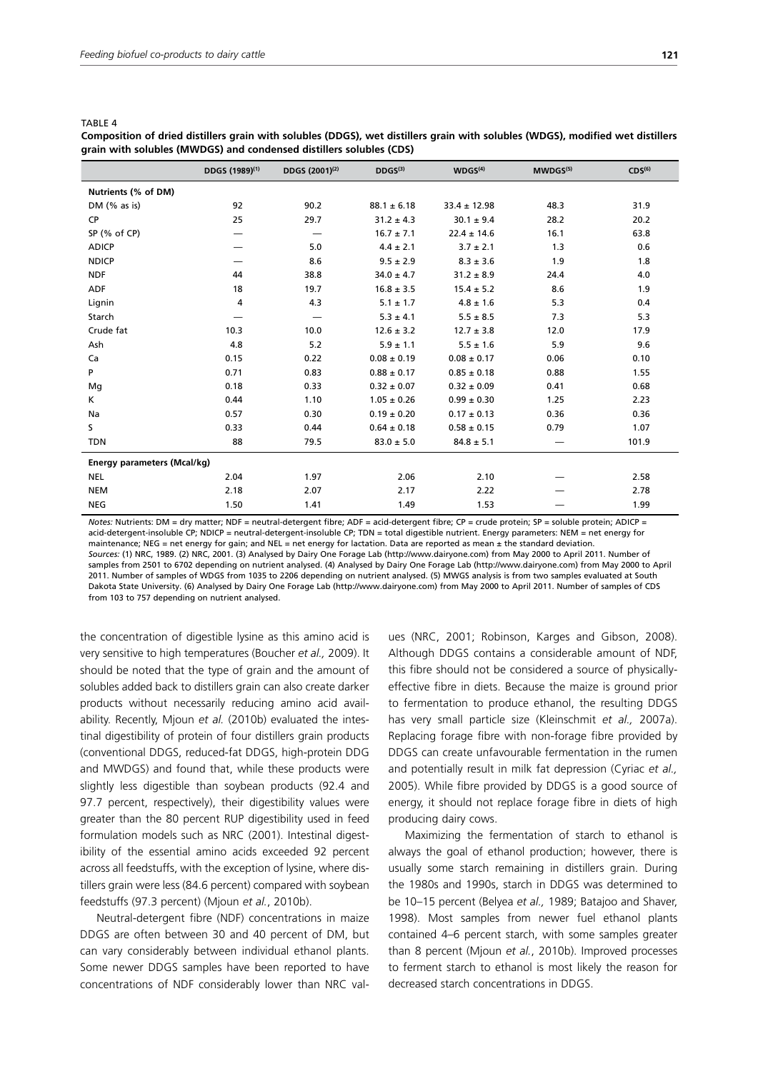| TABLE |  |
|-------|--|
|-------|--|

**Composition of dried distillers grain with solubles (DDGS), wet distillers grain with solubles (WDGS), modified wet distillers grain with solubles (MWDGS) and condensed distillers solubles (CDS)**

|                                    | DDGS (1989) <sup>(1)</sup> | DDGS (2001) <sup>(2)</sup> | DDGS <sup>(3)</sup> | WDGS <sup>(4)</sup> | MWDGS <sup>(5)</sup> | CDS <sup>(6)</sup> |
|------------------------------------|----------------------------|----------------------------|---------------------|---------------------|----------------------|--------------------|
| Nutrients (% of DM)                |                            |                            |                     |                     |                      |                    |
| DM $(%$ $\mathcal{A}$ as is)       | 92                         | 90.2                       | $88.1 \pm 6.18$     | $33.4 \pm 12.98$    | 48.3                 | 31.9               |
| CP                                 | 25                         | 29.7                       | $31.2 \pm 4.3$      | $30.1 \pm 9.4$      | 28.2                 | 20.2               |
| SP (% of CP)                       |                            | —                          | $16.7 \pm 7.1$      | $22.4 \pm 14.6$     | 16.1                 | 63.8               |
| <b>ADICP</b>                       |                            | 5.0                        | $4.4 \pm 2.1$       | $3.7 \pm 2.1$       | 1.3                  | 0.6                |
| <b>NDICP</b>                       |                            | 8.6                        | $9.5 \pm 2.9$       | $8.3 \pm 3.6$       | 1.9                  | 1.8                |
| <b>NDF</b>                         | 44                         | 38.8                       | $34.0 \pm 4.7$      | $31.2 \pm 8.9$      | 24.4                 | 4.0                |
| <b>ADF</b>                         | 18                         | 19.7                       | $16.8 \pm 3.5$      | $15.4 \pm 5.2$      | 8.6                  | 1.9                |
| Lignin                             | 4                          | 4.3                        | $5.1 \pm 1.7$       | $4.8 \pm 1.6$       | 5.3                  | 0.4                |
| Starch                             |                            |                            | $5.3 \pm 4.1$       | $5.5 \pm 8.5$       | 7.3                  | 5.3                |
| Crude fat                          | 10.3                       | 10.0                       | $12.6 \pm 3.2$      | $12.7 \pm 3.8$      | 12.0                 | 17.9               |
| Ash                                | 4.8                        | 5.2                        | $5.9 \pm 1.1$       | $5.5 \pm 1.6$       | 5.9                  | 9.6                |
| Ca                                 | 0.15                       | 0.22                       | $0.08 \pm 0.19$     | $0.08 \pm 0.17$     | 0.06                 | 0.10               |
| P                                  | 0.71                       | 0.83                       | $0.88 \pm 0.17$     | $0.85 \pm 0.18$     | 0.88                 | 1.55               |
| Mg                                 | 0.18                       | 0.33                       | $0.32 \pm 0.07$     | $0.32 \pm 0.09$     | 0.41                 | 0.68               |
| Κ                                  | 0.44                       | 1.10                       | $1.05 \pm 0.26$     | $0.99 \pm 0.30$     | 1.25                 | 2.23               |
| Na                                 | 0.57                       | 0.30                       | $0.19 \pm 0.20$     | $0.17 \pm 0.13$     | 0.36                 | 0.36               |
| S.                                 | 0.33                       | 0.44                       | $0.64 \pm 0.18$     | $0.58 \pm 0.15$     | 0.79                 | 1.07               |
| <b>TDN</b>                         | 88                         | 79.5                       | $83.0 \pm 5.0$      | $84.8 \pm 5.1$      |                      | 101.9              |
| <b>Energy parameters (Mcal/kg)</b> |                            |                            |                     |                     |                      |                    |
| <b>NEL</b>                         | 2.04                       | 1.97                       | 2.06                | 2.10                |                      | 2.58               |
| <b>NEM</b>                         | 2.18                       | 2.07                       | 2.17                | 2.22                |                      | 2.78               |
| <b>NEG</b>                         | 1.50                       | 1.41                       | 1.49                | 1.53                |                      | 1.99               |

*Notes:* Nutrients: DM = dry matter; NDF = neutral-detergent fibre; ADF = acid-detergent fibre; CP = crude protein; SP = soluble protein; ADICP = acid-detergent-insoluble CP; NDICP = neutral-detergent-insoluble CP; TDN = total digestible nutrient. Energy parameters: NEM = net energy for maintenance: NEG = net energy for gain; and NEL = net energy for lactation. Data are reported as mean  $\pm$  the standard deviation *Sources:* (1) NRC, 1989. (2) NRC, 2001. (3) Analysed by Dairy One Forage Lab (http://www.dairyone.com) from May 2000 to April 2011. Number of samples from 2501 to 6702 depending on nutrient analysed. (4) Analysed by Dairy One Forage Lab (http://www.dairyone.com) from May 2000 to April 2011. Number of samples of WDGS from 1035 to 2206 depending on nutrient analysed. (5) MWGS analysis is from two samples evaluated at South Dakota State University. (6) Analysed by Dairy One Forage Lab (http://www.dairyone.com) from May 2000 to April 2011. Number of samples of CDS from 103 to 757 depending on nutrient analysed.

the concentration of digestible lysine as this amino acid is very sensitive to high temperatures (Boucher *et al.,* 2009). It should be noted that the type of grain and the amount of solubles added back to distillers grain can also create darker products without necessarily reducing amino acid availability. Recently, Mjoun *et al.* (2010b) evaluated the intestinal digestibility of protein of four distillers grain products (conventional DDGS, reduced-fat DDGS, high-protein DDG and MWDGS) and found that, while these products were slightly less digestible than soybean products (92.4 and 97.7 percent, respectively), their digestibility values were greater than the 80 percent RUP digestibility used in feed formulation models such as NRC (2001). Intestinal digestibility of the essential amino acids exceeded 92 percent across all feedstuffs, with the exception of lysine, where distillers grain were less (84.6 percent) compared with soybean feedstuffs (97.3 percent) (Mjoun *et al.*, 2010b).

Neutral-detergent fibre (NDF) concentrations in maize DDGS are often between 30 and 40 percent of DM, but can vary considerably between individual ethanol plants. Some newer DDGS samples have been reported to have concentrations of NDF considerably lower than NRC values (NRC, 2001; Robinson, Karges and Gibson, 2008). Although DDGS contains a considerable amount of NDF, this fibre should not be considered a source of physicallyeffective fibre in diets. Because the maize is ground prior to fermentation to produce ethanol, the resulting DDGS has very small particle size (Kleinschmit *et al.,* 2007a). Replacing forage fibre with non-forage fibre provided by DDGS can create unfavourable fermentation in the rumen and potentially result in milk fat depression (Cyriac *et al.,* 2005). While fibre provided by DDGS is a good source of energy, it should not replace forage fibre in diets of high producing dairy cows.

Maximizing the fermentation of starch to ethanol is always the goal of ethanol production; however, there is usually some starch remaining in distillers grain. During the 1980s and 1990s, starch in DDGS was determined to be 10–15 percent (Belyea *et al.,* 1989; Batajoo and Shaver, 1998). Most samples from newer fuel ethanol plants contained 4–6 percent starch, with some samples greater than 8 percent (Mjoun *et al.*, 2010b). Improved processes to ferment starch to ethanol is most likely the reason for decreased starch concentrations in DDGS.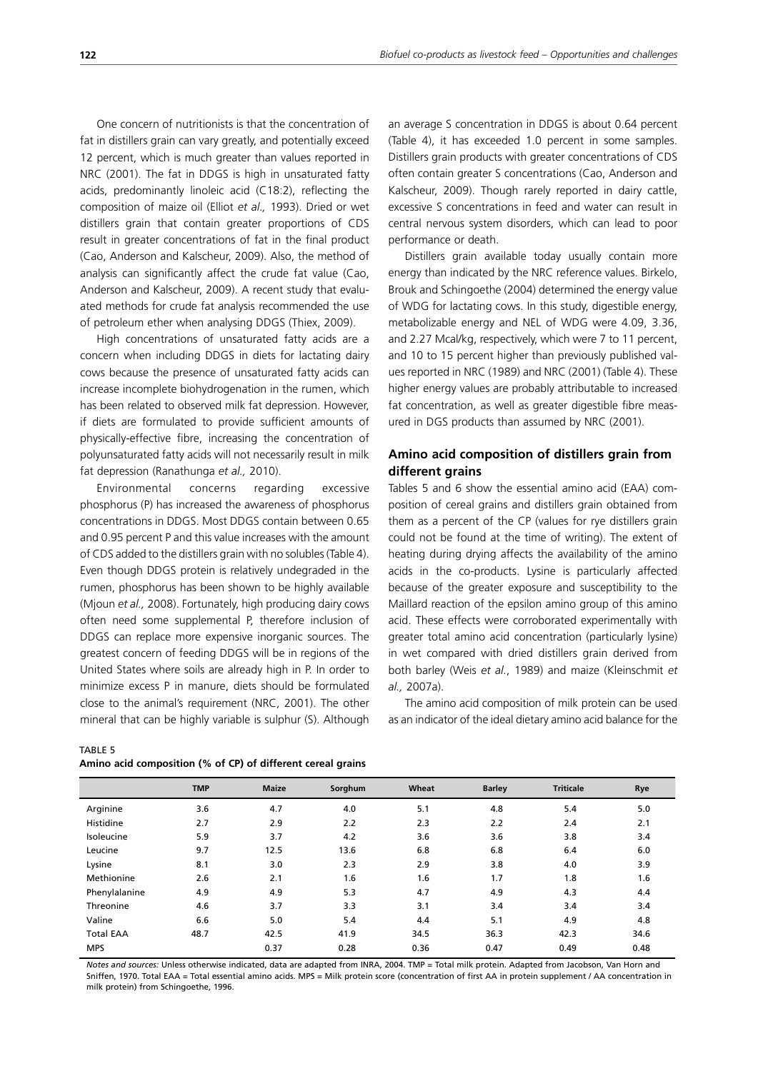One concern of nutritionists is that the concentration of fat in distillers grain can vary greatly, and potentially exceed 12 percent, which is much greater than values reported in NRC (2001). The fat in DDGS is high in unsaturated fatty acids, predominantly linoleic acid (C18:2), reflecting the composition of maize oil (Elliot *et al.,* 1993). Dried or wet distillers grain that contain greater proportions of CDS result in greater concentrations of fat in the final product (Cao, Anderson and Kalscheur, 2009). Also, the method of analysis can significantly affect the crude fat value (Cao, Anderson and Kalscheur, 2009). A recent study that evaluated methods for crude fat analysis recommended the use of petroleum ether when analysing DDGS (Thiex, 2009).

High concentrations of unsaturated fatty acids are a concern when including DDGS in diets for lactating dairy cows because the presence of unsaturated fatty acids can increase incomplete biohydrogenation in the rumen, which has been related to observed milk fat depression. However, if diets are formulated to provide sufficient amounts of physically-effective fibre, increasing the concentration of polyunsaturated fatty acids will not necessarily result in milk fat depression (Ranathunga *et al.,* 2010).

Environmental concerns regarding excessive phosphorus (P) has increased the awareness of phosphorus concentrations in DDGS. Most DDGS contain between 0.65 and 0.95 percent P and this value increases with the amount of CDS added to the distillers grain with no solubles (Table 4). Even though DDGS protein is relatively undegraded in the rumen, phosphorus has been shown to be highly available (Mjoun *et al.,* 2008). Fortunately, high producing dairy cows often need some supplemental P, therefore inclusion of DDGS can replace more expensive inorganic sources. The greatest concern of feeding DDGS will be in regions of the United States where soils are already high in P. In order to minimize excess P in manure, diets should be formulated close to the animal's requirement (NRC, 2001). The other mineral that can be highly variable is sulphur (S). Although an average S concentration in DDGS is about 0.64 percent (Table 4), it has exceeded 1.0 percent in some samples. Distillers grain products with greater concentrations of CDS often contain greater S concentrations (Cao, Anderson and Kalscheur, 2009). Though rarely reported in dairy cattle, excessive S concentrations in feed and water can result in central nervous system disorders, which can lead to poor performance or death.

Distillers grain available today usually contain more energy than indicated by the NRC reference values. Birkelo, Brouk and Schingoethe (2004) determined the energy value of WDG for lactating cows. In this study, digestible energy, metabolizable energy and NEL of WDG were 4.09, 3.36, and 2.27 Mcal/kg, respectively, which were 7 to 11 percent, and 10 to 15 percent higher than previously published values reported in NRC (1989) and NRC (2001) (Table 4). These higher energy values are probably attributable to increased fat concentration, as well as greater digestible fibre measured in DGS products than assumed by NRC (2001).

## **Amino acid composition of distillers grain from different grains**

Tables 5 and 6 show the essential amino acid (EAA) composition of cereal grains and distillers grain obtained from them as a percent of the CP (values for rye distillers grain could not be found at the time of writing). The extent of heating during drying affects the availability of the amino acids in the co-products. Lysine is particularly affected because of the greater exposure and susceptibility to the Maillard reaction of the epsilon amino group of this amino acid. These effects were corroborated experimentally with greater total amino acid concentration (particularly lysine) in wet compared with dried distillers grain derived from both barley (Weis *et al.*, 1989) and maize (Kleinschmit *et al.,* 2007a).

The amino acid composition of milk protein can be used as an indicator of the ideal dietary amino acid balance for the

| Amino acid composition (% of CP) of different cereal grains |  |
|-------------------------------------------------------------|--|

|                  | <b>TMP</b> | <b>Maize</b> | Sorghum | Wheat | <b>Barley</b> | <b>Triticale</b> | Rye  |
|------------------|------------|--------------|---------|-------|---------------|------------------|------|
| Arginine         | 3.6        | 4.7          | 4.0     | 5.1   | 4.8           | 5.4              | 5.0  |
| Histidine        | 2.7        | 2.9          | 2.2     | 2.3   | 2.2           | 2.4              | 2.1  |
| Isoleucine       | 5.9        | 3.7          | 4.2     | 3.6   | 3.6           | 3.8              | 3.4  |
| Leucine          | 9.7        | 12.5         | 13.6    | 6.8   | 6.8           | 6.4              | 6.0  |
| Lysine           | 8.1        | 3.0          | 2.3     | 2.9   | 3.8           | 4.0              | 3.9  |
| Methionine       | 2.6        | 2.1          | 1.6     | 1.6   | 1.7           | 1.8              | 1.6  |
| Phenylalanine    | 4.9        | 4.9          | 5.3     | 4.7   | 4.9           | 4.3              | 4.4  |
| Threonine        | 4.6        | 3.7          | 3.3     | 3.1   | 3.4           | 3.4              | 3.4  |
| Valine           | 6.6        | 5.0          | 5.4     | 4.4   | 5.1           | 4.9              | 4.8  |
| <b>Total EAA</b> | 48.7       | 42.5         | 41.9    | 34.5  | 36.3          | 42.3             | 34.6 |
| <b>MPS</b>       |            | 0.37         | 0.28    | 0.36  | 0.47          | 0.49             | 0.48 |

*Notes and sources:* Unless otherwise indicated, data are adapted from INRA, 2004. TMP = Total milk protein. Adapted from Jacobson, Van Horn and Sniffen, 1970. Total EAA = Total essential amino acids. MPS = Milk protein score (concentration of first AA in protein supplement / AA concentration in milk protein) from Schingoethe, 1996.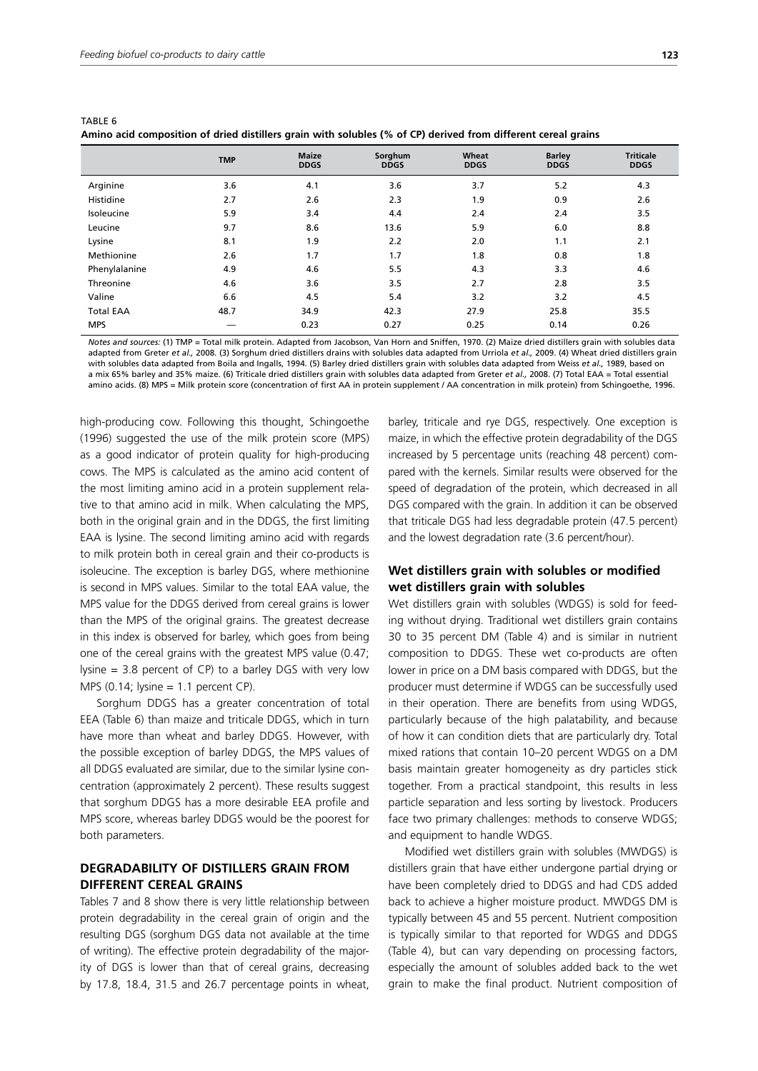|                  | <b>TMP</b> | <b>Maize</b><br><b>DDGS</b> | Sorghum<br><b>DDGS</b> | Wheat<br><b>DDGS</b> | <b>Barley</b><br><b>DDGS</b> | <b>Triticale</b><br><b>DDGS</b> |
|------------------|------------|-----------------------------|------------------------|----------------------|------------------------------|---------------------------------|
| Arginine         | 3.6        | 4.1                         | 3.6                    | 3.7                  | 5.2                          | 4.3                             |
| Histidine        | 2.7        | 2.6                         | 2.3                    | 1.9                  | 0.9                          | 2.6                             |
| Isoleucine       | 5.9        | 3.4                         | 4.4                    | 2.4                  | 2.4                          | 3.5                             |
| Leucine          | 9.7        | 8.6                         | 13.6                   | 5.9                  | 6.0                          | 8.8                             |
| Lysine           | 8.1        | 1.9                         | 2.2                    | 2.0                  | 1.1                          | 2.1                             |
| Methionine       | 2.6        | 1.7                         | 1.7                    | 1.8                  | 0.8                          | 1.8                             |
| Phenylalanine    | 4.9        | 4.6                         | 5.5                    | 4.3                  | 3.3                          | 4.6                             |
| Threonine        | 4.6        | 3.6                         | 3.5                    | 2.7                  | 2.8                          | 3.5                             |
| Valine           | 6.6        | 4.5                         | 5.4                    | 3.2                  | 3.2                          | 4.5                             |
| <b>Total EAA</b> | 48.7       | 34.9                        | 42.3                   | 27.9                 | 25.8                         | 35.5                            |
| <b>MPS</b>       |            | 0.23                        | 0.27                   | 0.25                 | 0.14                         | 0.26                            |

TABLE 6 **Amino acid composition of dried distillers grain with solubles (% of CP) derived from different cereal grains**

*Notes and sources:* (1) TMP = Total milk protein. Adapted from Jacobson, Van Horn and Sniffen, 1970. (2) Maize dried distillers grain with solubles data adapted from Greter *et al.,* 2008. (3) Sorghum dried distillers drains with solubles data adapted from Urriola *et al.,* 2009. (4) Wheat dried distillers grain with solubles data adapted from Boila and Ingalls, 1994. (5) Barley dried distillers grain with solubles data adapted from Weiss *et al.,* 1989, based on a mix 65% barley and 35% maize. (6) Triticale dried distillers grain with solubles data adapted from Greter *et al.,* 2008. (7) Total EAA = Total essential amino acids. (8) MPS = Milk protein score (concentration of first AA in protein supplement / AA concentration in milk protein) from Schingoethe, 1996.

high-producing cow. Following this thought, Schingoethe (1996) suggested the use of the milk protein score (MPS) as a good indicator of protein quality for high-producing cows. The MPS is calculated as the amino acid content of the most limiting amino acid in a protein supplement relative to that amino acid in milk. When calculating the MPS, both in the original grain and in the DDGS, the first limiting EAA is lysine. The second limiting amino acid with regards to milk protein both in cereal grain and their co-products is isoleucine. The exception is barley DGS, where methionine is second in MPS values. Similar to the total EAA value, the MPS value for the DDGS derived from cereal grains is lower than the MPS of the original grains. The greatest decrease in this index is observed for barley, which goes from being one of the cereal grains with the greatest MPS value (0.47; lysine = 3.8 percent of CP) to a barley DGS with very low MPS  $(0.14; \text{lysine} = 1.1 \text{ percent CP})$ .

Sorghum DDGS has a greater concentration of total EEA (Table 6) than maize and triticale DDGS, which in turn have more than wheat and barley DDGS. However, with the possible exception of barley DDGS, the MPS values of all DDGS evaluated are similar, due to the similar lysine concentration (approximately 2 percent). These results suggest that sorghum DDGS has a more desirable EEA profile and MPS score, whereas barley DDGS would be the poorest for both parameters.

## **DEGRADABILITY OF DISTILLERS GRAIN FROM DIFFERENT CEREAL GRAINS**

Tables 7 and 8 show there is very little relationship between protein degradability in the cereal grain of origin and the resulting DGS (sorghum DGS data not available at the time of writing). The effective protein degradability of the majority of DGS is lower than that of cereal grains, decreasing by 17.8, 18.4, 31.5 and 26.7 percentage points in wheat,

barley, triticale and rye DGS, respectively. One exception is maize, in which the effective protein degradability of the DGS increased by 5 percentage units (reaching 48 percent) compared with the kernels. Similar results were observed for the speed of degradation of the protein, which decreased in all DGS compared with the grain. In addition it can be observed that triticale DGS had less degradable protein (47.5 percent) and the lowest degradation rate (3.6 percent/hour).

## **Wet distillers grain with solubles or modified wet distillers grain with solubles**

Wet distillers grain with solubles (WDGS) is sold for feeding without drying. Traditional wet distillers grain contains 30 to 35 percent DM (Table 4) and is similar in nutrient composition to DDGS. These wet co-products are often lower in price on a DM basis compared with DDGS, but the producer must determine if WDGS can be successfully used in their operation. There are benefits from using WDGS, particularly because of the high palatability, and because of how it can condition diets that are particularly dry. Total mixed rations that contain 10–20 percent WDGS on a DM basis maintain greater homogeneity as dry particles stick together. From a practical standpoint, this results in less particle separation and less sorting by livestock. Producers face two primary challenges: methods to conserve WDGS; and equipment to handle WDGS.

Modified wet distillers grain with solubles (MWDGS) is distillers grain that have either undergone partial drying or have been completely dried to DDGS and had CDS added back to achieve a higher moisture product. MWDGS DM is typically between 45 and 55 percent. Nutrient composition is typically similar to that reported for WDGS and DDGS (Table 4), but can vary depending on processing factors, especially the amount of solubles added back to the wet grain to make the final product. Nutrient composition of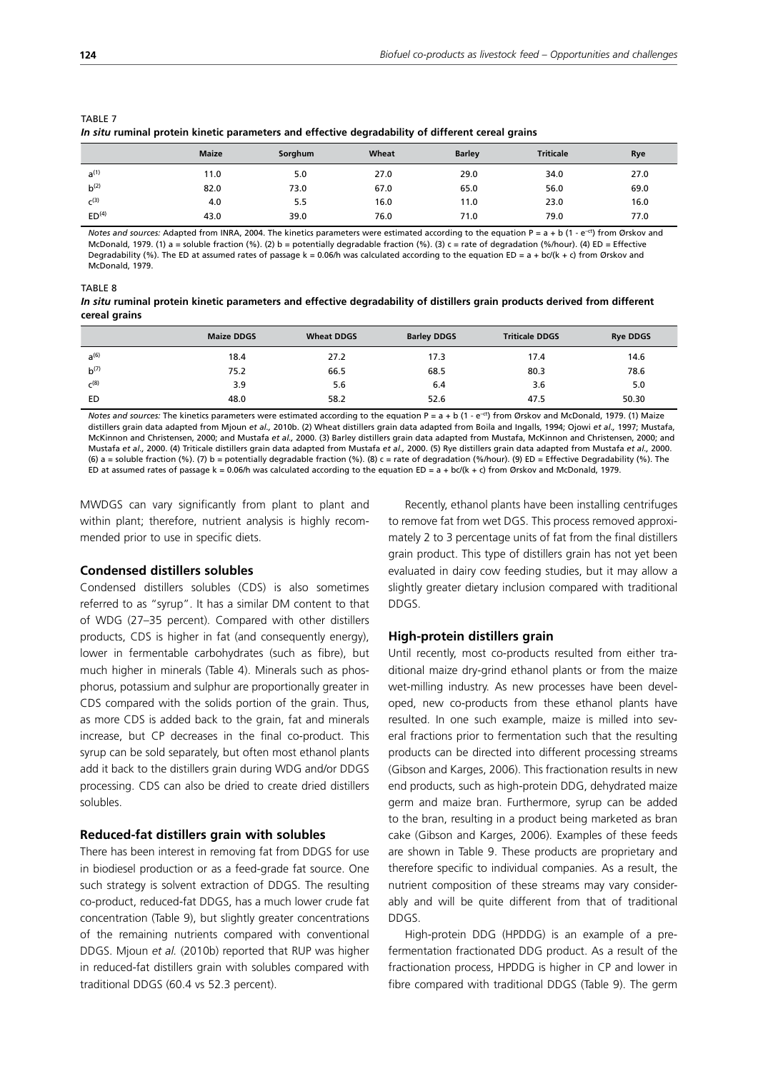| <u>   proton:  paramotes and ontother avgradually of antoront torum grants</u> |              |         |       |               |                  |      |
|--------------------------------------------------------------------------------|--------------|---------|-------|---------------|------------------|------|
|                                                                                | <b>Maize</b> | Sorghum | Wheat | <b>Barley</b> | <b>Triticale</b> | Rye  |
| $a^{(1)}$                                                                      | 11.0         | 5.0     | 27.0  | 29.0          | 34.0             | 27.0 |
| $b^{(2)}$                                                                      | 82.0         | 73.0    | 67.0  | 65.0          | 56.0             | 69.0 |
| $C^{(3)}$                                                                      | 4.0          | 5.5     | 16.0  | 11.0          | 23.0             | 16.0 |
| ED <sup>(4)</sup>                                                              | 43.0         | 39.0    | 76.0  | 71.0          | 79.0             | 77.0 |

TABLE 7 *In situ* **ruminal protein kinetic parameters and effective degradability of different cereal grains**

*Notes and sources:* Adapted from INRA, 2004. The kinetics parameters were estimated according to the equation P =  $a + b$  (1 - e<sup>-ct</sup>) from Ørskov and McDonald, 1979. (1) a = soluble fraction (%). (2) b = potentially degradable fraction (%). (3) c = rate of degradation (%/hour). (4) ED = Effective Degradability (%). The ED at assumed rates of passage k = 0.06/h was calculated according to the equation ED =  $a + bc/(k + c)$  from Ørskov and McDonald, 1979.

TABLE 8

*In situ* **ruminal protein kinetic parameters and effective degradability of distillers grain products derived from different cereal grains**

|           | <b>Maize DDGS</b> | <b>Wheat DDGS</b> | <b>Barley DDGS</b> | <b>Triticale DDGS</b> | <b>Rye DDGS</b> |
|-----------|-------------------|-------------------|--------------------|-----------------------|-----------------|
| $a^{(6)}$ | 18.4              | 27.2              | 17.3               | 17.4                  | 14.6            |
| $b^{(7)}$ | 75.2              | 66.5              | 68.5               | 80.3                  | 78.6            |
| $C^{(8)}$ | 3.9               | 5.6               | 6.4                | 3.6                   | 5.0             |
| ED        | 48.0              | 58.2              | 52.6               | 47.5                  | 50.30           |

*Notes and sources:* The kinetics parameters were estimated according to the equation P = a + b (1 - e<sup>-ct</sup>) from Ørskov and McDonald. 1979. (1) Maize distillers grain data adapted from Mjoun *et al.,* 2010b. (2) Wheat distillers grain data adapted from Boila and Ingalls, 1994; Ojowi *et al.,* 1997; Mustafa, McKinnon and Christensen, 2000; and Mustafa *et al.,* 2000. (3) Barley distillers grain data adapted from Mustafa, McKinnon and Christensen, 2000; and Mustafa *et al.,* 2000. (4) Triticale distillers grain data adapted from Mustafa *et al.,* 2000. (5) Rye distillers grain data adapted from Mustafa *et al.,* 2000. (6) a = soluble fraction (%). (7) b = potentially degradable fraction (%). (8) c = rate of degradation (%/hour). (9) ED = Effective Degradability (%). The ED at assumed rates of passage k = 0.06/h was calculated according to the equation ED =  $a + bc/(k + c)$  from Ørskov and McDonald, 1979.

MWDGS can vary significantly from plant to plant and within plant; therefore, nutrient analysis is highly recommended prior to use in specific diets.

#### **Condensed distillers solubles**

Condensed distillers solubles (CDS) is also sometimes referred to as "syrup". It has a similar DM content to that of WDG (27–35 percent). Compared with other distillers products, CDS is higher in fat (and consequently energy), lower in fermentable carbohydrates (such as fibre), but much higher in minerals (Table 4). Minerals such as phosphorus, potassium and sulphur are proportionally greater in CDS compared with the solids portion of the grain. Thus, as more CDS is added back to the grain, fat and minerals increase, but CP decreases in the final co-product. This syrup can be sold separately, but often most ethanol plants add it back to the distillers grain during WDG and/or DDGS processing. CDS can also be dried to create dried distillers solubles.

#### **Reduced-fat distillers grain with solubles**

There has been interest in removing fat from DDGS for use in biodiesel production or as a feed-grade fat source. One such strategy is solvent extraction of DDGS. The resulting co-product, reduced-fat DDGS, has a much lower crude fat concentration (Table 9), but slightly greater concentrations of the remaining nutrients compared with conventional DDGS. Mjoun *et al.* (2010b) reported that RUP was higher in reduced-fat distillers grain with solubles compared with traditional DDGS (60.4 vs 52.3 percent).

Recently, ethanol plants have been installing centrifuges to remove fat from wet DGS. This process removed approximately 2 to 3 percentage units of fat from the final distillers grain product. This type of distillers grain has not yet been evaluated in dairy cow feeding studies, but it may allow a slightly greater dietary inclusion compared with traditional DDGS.

#### **High-protein distillers grain**

Until recently, most co-products resulted from either traditional maize dry-grind ethanol plants or from the maize wet-milling industry. As new processes have been developed, new co-products from these ethanol plants have resulted. In one such example, maize is milled into several fractions prior to fermentation such that the resulting products can be directed into different processing streams (Gibson and Karges, 2006). This fractionation results in new end products, such as high-protein DDG, dehydrated maize germ and maize bran. Furthermore, syrup can be added to the bran, resulting in a product being marketed as bran cake (Gibson and Karges, 2006). Examples of these feeds are shown in Table 9. These products are proprietary and therefore specific to individual companies. As a result, the nutrient composition of these streams may vary considerably and will be quite different from that of traditional DDGS.

High-protein DDG (HPDDG) is an example of a prefermentation fractionated DDG product. As a result of the fractionation process, HPDDG is higher in CP and lower in fibre compared with traditional DDGS (Table 9). The germ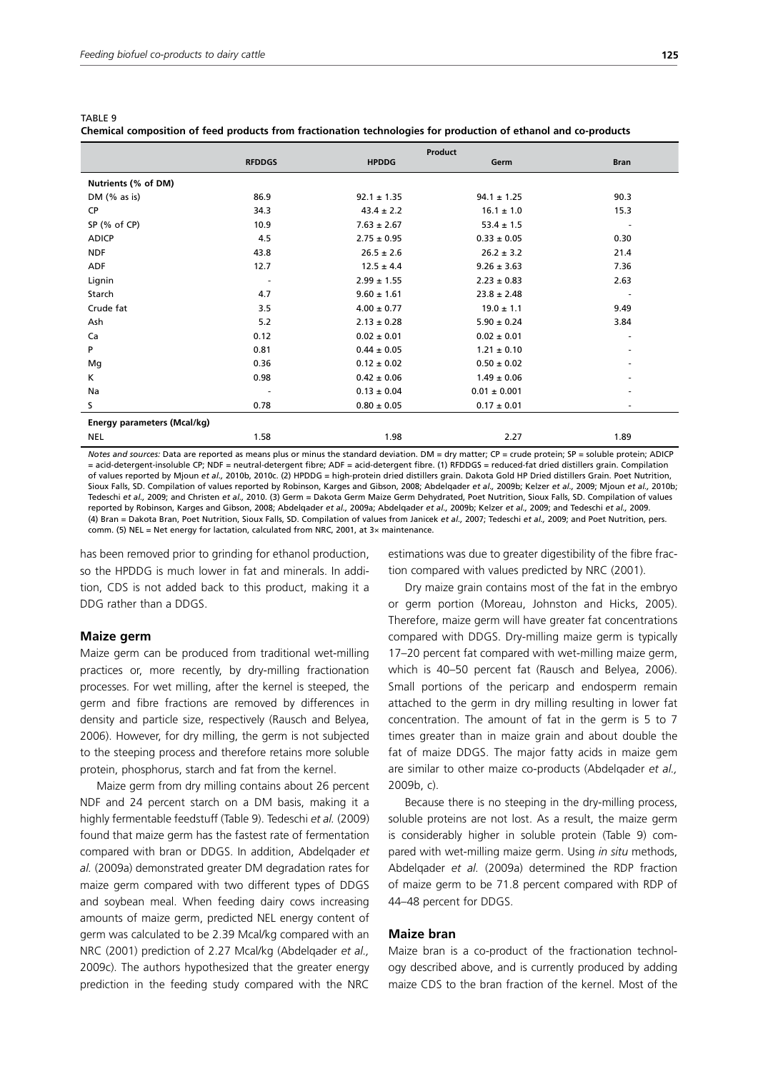TABLE 9

| ï |  | I<br>$\sim$ |
|---|--|-------------|
|---|--|-------------|

|                                                                                                                                                                                                                                                                                                                                                                                                                                                        | Product       |                 |                  |             |  |  |
|--------------------------------------------------------------------------------------------------------------------------------------------------------------------------------------------------------------------------------------------------------------------------------------------------------------------------------------------------------------------------------------------------------------------------------------------------------|---------------|-----------------|------------------|-------------|--|--|
|                                                                                                                                                                                                                                                                                                                                                                                                                                                        | <b>RFDDGS</b> | <b>HPDDG</b>    | Germ             | <b>Bran</b> |  |  |
| Nutrients (% of DM)                                                                                                                                                                                                                                                                                                                                                                                                                                    |               |                 |                  |             |  |  |
| DM $(%$ $\mathcal{A}$ $\rightarrow$ $\mathcal{A}$ $\rightarrow$ $\mathcal{A}$ $\rightarrow$ $\mathcal{A}$ $\rightarrow$ $\mathcal{A}$ $\rightarrow$ $\mathcal{A}$ $\rightarrow$ $\mathcal{A}$ $\rightarrow$ $\mathcal{A}$ $\rightarrow$ $\mathcal{A}$ $\rightarrow$ $\mathcal{A}$ $\rightarrow$ $\mathcal{A}$ $\rightarrow$ $\mathcal{A}$ $\rightarrow$ $\mathcal{A}$ $\rightarrow$ $\mathcal{A}$ $\rightarrow$ $\mathcal{A}$ $\rightarrow$ $\mathcal$ | 86.9          | $92.1 \pm 1.35$ | $94.1 \pm 1.25$  | 90.3        |  |  |
| <b>CP</b>                                                                                                                                                                                                                                                                                                                                                                                                                                              | 34.3          | $43.4 \pm 2.2$  | $16.1 \pm 1.0$   | 15.3        |  |  |
| SP (% of CP)                                                                                                                                                                                                                                                                                                                                                                                                                                           | 10.9          | $7.63 \pm 2.67$ | $53.4 \pm 1.5$   |             |  |  |
| <b>ADICP</b>                                                                                                                                                                                                                                                                                                                                                                                                                                           | 4.5           | $2.75 \pm 0.95$ | $0.33 \pm 0.05$  | 0.30        |  |  |
| <b>NDF</b>                                                                                                                                                                                                                                                                                                                                                                                                                                             | 43.8          | $26.5 \pm 2.6$  | $26.2 \pm 3.2$   | 21.4        |  |  |
| ADF                                                                                                                                                                                                                                                                                                                                                                                                                                                    | 12.7          | $12.5 \pm 4.4$  | $9.26 \pm 3.63$  | 7.36        |  |  |
| Lignin                                                                                                                                                                                                                                                                                                                                                                                                                                                 |               | $2.99 \pm 1.55$ | $2.23 \pm 0.83$  | 2.63        |  |  |
| Starch                                                                                                                                                                                                                                                                                                                                                                                                                                                 | 4.7           | $9.60 \pm 1.61$ | $23.8 \pm 2.48$  | ٠           |  |  |
| Crude fat                                                                                                                                                                                                                                                                                                                                                                                                                                              | 3.5           | $4.00 \pm 0.77$ | $19.0 \pm 1.1$   | 9.49        |  |  |
| Ash                                                                                                                                                                                                                                                                                                                                                                                                                                                    | 5.2           | $2.13 \pm 0.28$ | $5.90 \pm 0.24$  | 3.84        |  |  |
| Ca                                                                                                                                                                                                                                                                                                                                                                                                                                                     | 0.12          | $0.02 \pm 0.01$ | $0.02 \pm 0.01$  | ۰           |  |  |
| P                                                                                                                                                                                                                                                                                                                                                                                                                                                      | 0.81          | $0.44 \pm 0.05$ | $1.21 \pm 0.10$  |             |  |  |
| Mg                                                                                                                                                                                                                                                                                                                                                                                                                                                     | 0.36          | $0.12 \pm 0.02$ | $0.50 \pm 0.02$  |             |  |  |
| K                                                                                                                                                                                                                                                                                                                                                                                                                                                      | 0.98          | $0.42 \pm 0.06$ | $1.49 \pm 0.06$  |             |  |  |
| Na                                                                                                                                                                                                                                                                                                                                                                                                                                                     |               | $0.13 \pm 0.04$ | $0.01 \pm 0.001$ |             |  |  |
| s                                                                                                                                                                                                                                                                                                                                                                                                                                                      | 0.78          | $0.80 \pm 0.05$ | $0.17 \pm 0.01$  |             |  |  |
| Energy parameters (Mcal/kg)                                                                                                                                                                                                                                                                                                                                                                                                                            |               |                 |                  |             |  |  |
| <b>NEL</b>                                                                                                                                                                                                                                                                                                                                                                                                                                             | 1.58          | 198             | 2.27             | 1.89        |  |  |

NEL 1.58 1.98 2.27 1.89 *Notes and sources: Data are reported as means plus or minus the standard deviation. DM = dry matter; CP = crude protein; SP = soluble protein; ADICP* = acid-detergent-insoluble CP; NDF = neutral-detergent fibre; ADF = acid-detergent fibre. (1) RFDDGS = reduced-fat dried distillers grain. Compilation of values reported by Mjoun *et al.,* 2010b, 2010c. (2) HPDDG = high-protein dried distillers grain. Dakota Gold HP Dried distillers Grain. Poet Nutrition, Sioux Falls, SD. Compilation of values reported by Robinson, Karges and Gibson, 2008; Abdelqader *et al.,* 2009b; Kelzer *et al.,* 2009; Mjoun *et al.,* 2010b; Tedeschi *et al.,* 2009; and Christen *et al.,* 2010. (3) Germ = Dakota Germ Maize Germ Dehydrated, Poet Nutrition, Sioux Falls, SD. Compilation of values reported by Robinson, Karges and Gibson, 2008; Abdelqader *et al.,* 2009a; Abdelqader *et al.,* 2009b; Kelzer *et al.,* 2009; and Tedeschi *et al.,* 2009. (4) Bran = Dakota Bran, Poet Nutrition, Sioux Falls, SD. Compilation of values from Janicek *et al.,* 2007; Tedeschi *et al.,* 2009; and Poet Nutrition, pers.

comm. (5) NEL = Net energy for lactation, calculated from NRC, 2001, at  $3\times$  maintenance.

has been removed prior to grinding for ethanol production, so the HPDDG is much lower in fat and minerals. In addition, CDS is not added back to this product, making it a DDG rather than a DDGS.

#### **Maize germ**

Maize germ can be produced from traditional wet-milling practices or, more recently, by dry-milling fractionation processes. For wet milling, after the kernel is steeped, the germ and fibre fractions are removed by differences in density and particle size, respectively (Rausch and Belyea, 2006). However, for dry milling, the germ is not subjected to the steeping process and therefore retains more soluble protein, phosphorus, starch and fat from the kernel.

Maize germ from dry milling contains about 26 percent NDF and 24 percent starch on a DM basis, making it a highly fermentable feedstuff (Table 9). Tedeschi *et al.* (2009) found that maize germ has the fastest rate of fermentation compared with bran or DDGS. In addition, Abdelqader *et al.* (2009a) demonstrated greater DM degradation rates for maize germ compared with two different types of DDGS and soybean meal. When feeding dairy cows increasing amounts of maize germ, predicted NEL energy content of germ was calculated to be 2.39 Mcal/kg compared with an NRC (2001) prediction of 2.27 Mcal/kg (Abdelqader *et al.,* 2009c). The authors hypothesized that the greater energy prediction in the feeding study compared with the NRC estimations was due to greater digestibility of the fibre fraction compared with values predicted by NRC (2001).

Dry maize grain contains most of the fat in the embryo or germ portion (Moreau, Johnston and Hicks, 2005). Therefore, maize germ will have greater fat concentrations compared with DDGS. Dry-milling maize germ is typically 17–20 percent fat compared with wet-milling maize germ, which is 40–50 percent fat (Rausch and Belyea, 2006). Small portions of the pericarp and endosperm remain attached to the germ in dry milling resulting in lower fat concentration. The amount of fat in the germ is 5 to 7 times greater than in maize grain and about double the fat of maize DDGS. The major fatty acids in maize gem are similar to other maize co-products (Abdelqader *et al.,* 2009b, c).

Because there is no steeping in the dry-milling process, soluble proteins are not lost. As a result, the maize germ is considerably higher in soluble protein (Table 9) compared with wet-milling maize germ. Using *in situ* methods, Abdelqader *et al.* (2009a) determined the RDP fraction of maize germ to be 71.8 percent compared with RDP of 44–48 percent for DDGS.

#### **Maize bran**

Maize bran is a co-product of the fractionation technology described above, and is currently produced by adding maize CDS to the bran fraction of the kernel. Most of the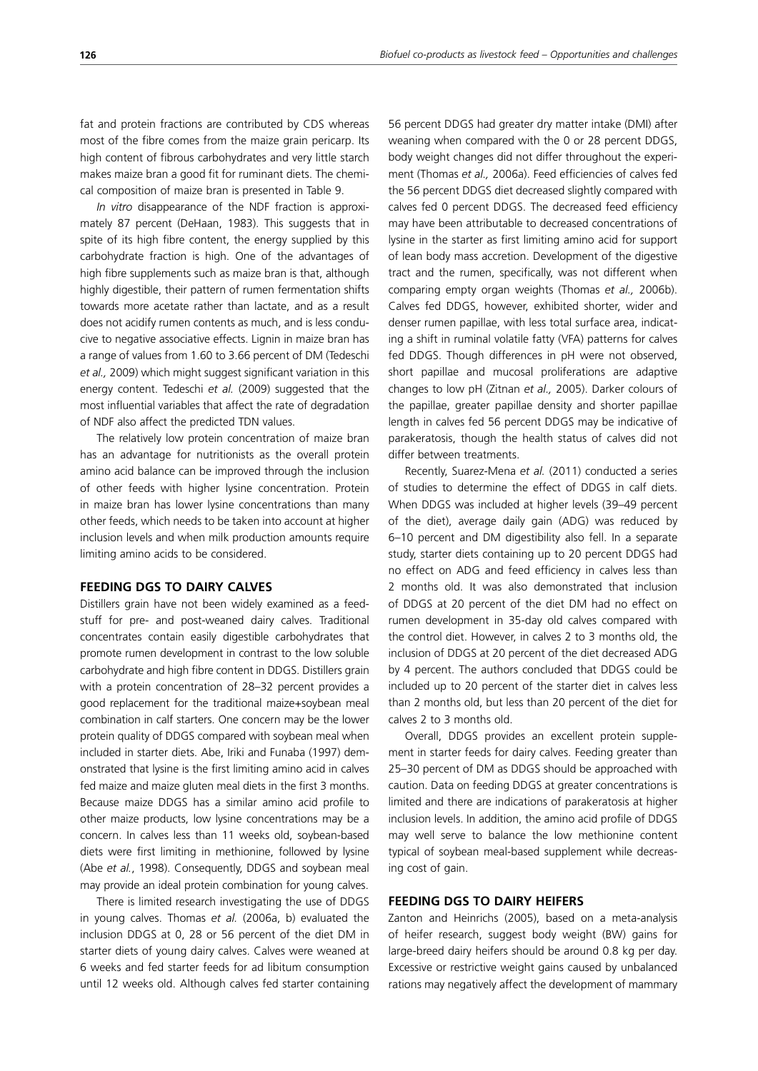fat and protein fractions are contributed by CDS whereas most of the fibre comes from the maize grain pericarp. Its high content of fibrous carbohydrates and very little starch makes maize bran a good fit for ruminant diets. The chemical composition of maize bran is presented in Table 9.

*In vitro* disappearance of the NDF fraction is approximately 87 percent (DeHaan, 1983). This suggests that in spite of its high fibre content, the energy supplied by this carbohydrate fraction is high. One of the advantages of high fibre supplements such as maize bran is that, although highly digestible, their pattern of rumen fermentation shifts towards more acetate rather than lactate, and as a result does not acidify rumen contents as much, and is less conducive to negative associative effects. Lignin in maize bran has a range of values from 1.60 to 3.66 percent of DM (Tedeschi *et al.,* 2009) which might suggest significant variation in this energy content. Tedeschi *et al.* (2009) suggested that the most influential variables that affect the rate of degradation of NDF also affect the predicted TDN values.

The relatively low protein concentration of maize bran has an advantage for nutritionists as the overall protein amino acid balance can be improved through the inclusion of other feeds with higher lysine concentration. Protein in maize bran has lower lysine concentrations than many other feeds, which needs to be taken into account at higher inclusion levels and when milk production amounts require limiting amino acids to be considered.

#### **FEEDING DGS TO DAIRY CALVES**

Distillers grain have not been widely examined as a feedstuff for pre- and post-weaned dairy calves. Traditional concentrates contain easily digestible carbohydrates that promote rumen development in contrast to the low soluble carbohydrate and high fibre content in DDGS. Distillers grain with a protein concentration of 28–32 percent provides a good replacement for the traditional maize+soybean meal combination in calf starters. One concern may be the lower protein quality of DDGS compared with soybean meal when included in starter diets. Abe, Iriki and Funaba (1997) demonstrated that lysine is the first limiting amino acid in calves fed maize and maize gluten meal diets in the first 3 months. Because maize DDGS has a similar amino acid profile to other maize products, low lysine concentrations may be a concern. In calves less than 11 weeks old, soybean-based diets were first limiting in methionine, followed by lysine (Abe *et al.*, 1998). Consequently, DDGS and soybean meal may provide an ideal protein combination for young calves.

There is limited research investigating the use of DDGS in young calves. Thomas *et al.* (2006a, b) evaluated the inclusion DDGS at 0, 28 or 56 percent of the diet DM in starter diets of young dairy calves. Calves were weaned at 6 weeks and fed starter feeds for ad libitum consumption until 12 weeks old. Although calves fed starter containing 56 percent DDGS had greater dry matter intake (DMI) after weaning when compared with the 0 or 28 percent DDGS, body weight changes did not differ throughout the experiment (Thomas *et al.,* 2006a). Feed efficiencies of calves fed the 56 percent DDGS diet decreased slightly compared with calves fed 0 percent DDGS. The decreased feed efficiency may have been attributable to decreased concentrations of lysine in the starter as first limiting amino acid for support of lean body mass accretion. Development of the digestive tract and the rumen, specifically, was not different when comparing empty organ weights (Thomas *et al.,* 2006b). Calves fed DDGS, however, exhibited shorter, wider and denser rumen papillae, with less total surface area, indicating a shift in ruminal volatile fatty (VFA) patterns for calves fed DDGS. Though differences in pH were not observed, short papillae and mucosal proliferations are adaptive changes to low pH (Zitnan *et al.,* 2005). Darker colours of the papillae, greater papillae density and shorter papillae length in calves fed 56 percent DDGS may be indicative of parakeratosis, though the health status of calves did not differ between treatments.

Recently, Suarez-Mena *et al.* (2011) conducted a series of studies to determine the effect of DDGS in calf diets. When DDGS was included at higher levels (39–49 percent of the diet), average daily gain (ADG) was reduced by 6–10 percent and DM digestibility also fell. In a separate study, starter diets containing up to 20 percent DDGS had no effect on ADG and feed efficiency in calves less than 2 months old. It was also demonstrated that inclusion of DDGS at 20 percent of the diet DM had no effect on rumen development in 35-day old calves compared with the control diet. However, in calves 2 to 3 months old, the inclusion of DDGS at 20 percent of the diet decreased ADG by 4 percent. The authors concluded that DDGS could be included up to 20 percent of the starter diet in calves less than 2 months old, but less than 20 percent of the diet for calves 2 to 3 months old.

Overall, DDGS provides an excellent protein supplement in starter feeds for dairy calves. Feeding greater than 25–30 percent of DM as DDGS should be approached with caution. Data on feeding DDGS at greater concentrations is limited and there are indications of parakeratosis at higher inclusion levels. In addition, the amino acid profile of DDGS may well serve to balance the low methionine content typical of soybean meal-based supplement while decreasing cost of gain.

## **FEEDING DGS TO DAIRY HEIFERS**

Zanton and Heinrichs (2005), based on a meta-analysis of heifer research, suggest body weight (BW) gains for large-breed dairy heifers should be around 0.8 kg per day. Excessive or restrictive weight gains caused by unbalanced rations may negatively affect the development of mammary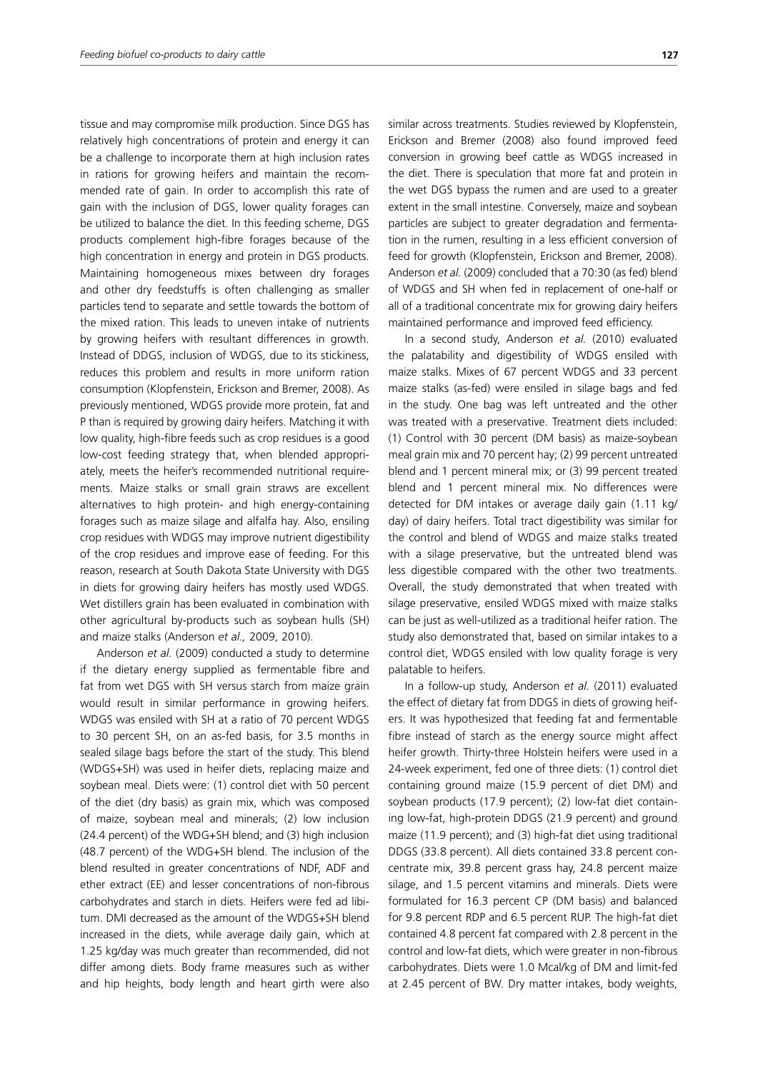tissue and may compromise milk production. Since DGS has relatively high concentrations of protein and energy it can be a challenge to incorporate them at high inclusion rates in rations for growing heifers and maintain the recommended rate of gain. In order to accomplish this rate of gain with the inclusion of DGS, lower quality forages can be utilized to balance the diet. In this feeding scheme, DGS products complement high-fibre forages because of the high concentration in energy and protein in DGS products. Maintaining homogeneous mixes between dry forages and other dry feedstuffs is often challenging as smaller particles tend to separate and settle towards the bottom of the mixed ration. This leads to uneven intake of nutrients by growing heifers with resultant differences in growth. Instead of DDGS, inclusion of WDGS, due to its stickiness, reduces this problem and results in more uniform ration consumption (Klopfenstein, Erickson and Bremer, 2008). As previously mentioned, WDGS provide more protein, fat and P than is required by growing dairy heifers. Matching it with low quality, high-fibre feeds such as crop residues is a good low-cost feeding strategy that, when blended appropriately, meets the heifer's recommended nutritional requirements. Maize stalks or small grain straws are excellent alternatives to high protein- and high energy-containing forages such as maize silage and alfalfa hay. Also, ensiling crop residues with WDGS may improve nutrient digestibility of the crop residues and improve ease of feeding. For this reason, research at South Dakota State University with DGS in diets for growing dairy heifers has mostly used WDGS. Wet distillers grain has been evaluated in combination with other agricultural by-products such as soybean hulls (SH) and maize stalks (Anderson *et al.,* 2009, 2010).

Anderson *et al.* (2009) conducted a study to determine if the dietary energy supplied as fermentable fibre and fat from wet DGS with SH versus starch from maize grain would result in similar performance in growing heifers. WDGS was ensiled with SH at a ratio of 70 percent WDGS to 30 percent SH, on an as-fed basis, for 3.5 months in sealed silage bags before the start of the study. This blend (WDGS+SH) was used in heifer diets, replacing maize and soybean meal. Diets were: (1) control diet with 50 percent of the diet (dry basis) as grain mix, which was composed of maize, soybean meal and minerals; (2) low inclusion (24.4 percent) of the WDG+SH blend; and (3) high inclusion (48.7 percent) of the WDG+SH blend. The inclusion of the blend resulted in greater concentrations of NDF, ADF and ether extract (EE) and lesser concentrations of non-fibrous carbohydrates and starch in diets. Heifers were fed ad libitum. DMI decreased as the amount of the WDGS+SH blend increased in the diets, while average daily gain, which at 1.25 kg/day was much greater than recommended, did not differ among diets. Body frame measures such as wither and hip heights, body length and heart girth were also similar across treatments. Studies reviewed by Klopfenstein, Erickson and Bremer (2008) also found improved feed conversion in growing beef cattle as WDGS increased in the diet. There is speculation that more fat and protein in the wet DGS bypass the rumen and are used to a greater extent in the small intestine. Conversely, maize and soybean particles are subject to greater degradation and fermentation in the rumen, resulting in a less efficient conversion of feed for growth (Klopfenstein, Erickson and Bremer, 2008). Anderson *et al.* (2009) concluded that a 70:30 (as fed) blend of WDGS and SH when fed in replacement of one-half or all of a traditional concentrate mix for growing dairy heifers maintained performance and improved feed efficiency.

In a second study, Anderson *et al.* (2010) evaluated the palatability and digestibility of WDGS ensiled with maize stalks. Mixes of 67 percent WDGS and 33 percent maize stalks (as-fed) were ensiled in silage bags and fed in the study. One bag was left untreated and the other was treated with a preservative. Treatment diets included: (1) Control with 30 percent (DM basis) as maize-soybean meal grain mix and 70 percent hay; (2) 99 percent untreated blend and 1 percent mineral mix; or (3) 99 percent treated blend and 1 percent mineral mix. No differences were detected for DM intakes or average daily gain (1.11 kg/ day) of dairy heifers. Total tract digestibility was similar for the control and blend of WDGS and maize stalks treated with a silage preservative, but the untreated blend was less digestible compared with the other two treatments. Overall, the study demonstrated that when treated with silage preservative, ensiled WDGS mixed with maize stalks can be just as well-utilized as a traditional heifer ration. The study also demonstrated that, based on similar intakes to a control diet, WDGS ensiled with low quality forage is very palatable to heifers.

In a follow-up study, Anderson *et al.* (2011) evaluated the effect of dietary fat from DDGS in diets of growing heifers. It was hypothesized that feeding fat and fermentable fibre instead of starch as the energy source might affect heifer growth. Thirty-three Holstein heifers were used in a 24-week experiment, fed one of three diets: (1) control diet containing ground maize (15.9 percent of diet DM) and soybean products (17.9 percent); (2) low-fat diet containing low-fat, high-protein DDGS (21.9 percent) and ground maize (11.9 percent); and (3) high-fat diet using traditional DDGS (33.8 percent). All diets contained 33.8 percent concentrate mix, 39.8 percent grass hay, 24.8 percent maize silage, and 1.5 percent vitamins and minerals. Diets were formulated for 16.3 percent CP (DM basis) and balanced for 9.8 percent RDP and 6.5 percent RUP. The high-fat diet contained 4.8 percent fat compared with 2.8 percent in the control and low-fat diets, which were greater in non-fibrous carbohydrates. Diets were 1.0 Mcal/kg of DM and limit-fed at 2.45 percent of BW. Dry matter intakes, body weights,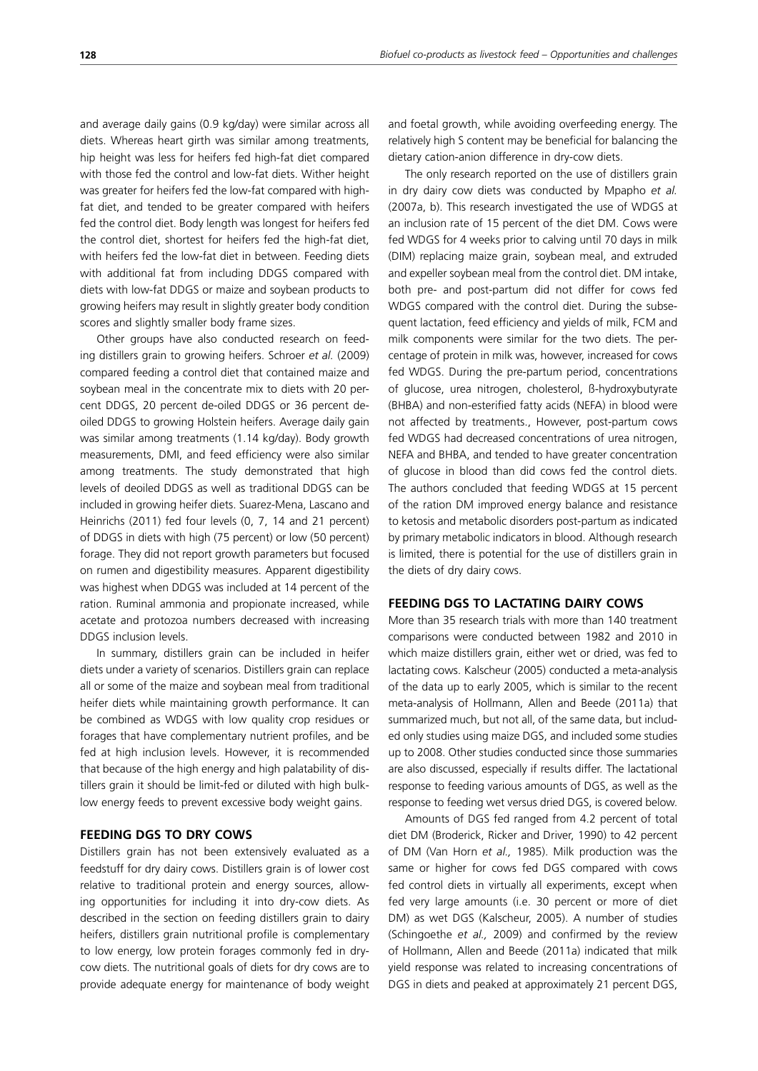and average daily gains (0.9 kg/day) were similar across all diets. Whereas heart girth was similar among treatments, hip height was less for heifers fed high-fat diet compared with those fed the control and low-fat diets. Wither height was greater for heifers fed the low-fat compared with highfat diet, and tended to be greater compared with heifers fed the control diet. Body length was longest for heifers fed the control diet, shortest for heifers fed the high-fat diet, with heifers fed the low-fat diet in between. Feeding diets with additional fat from including DDGS compared with diets with low-fat DDGS or maize and soybean products to growing heifers may result in slightly greater body condition scores and slightly smaller body frame sizes.

Other groups have also conducted research on feeding distillers grain to growing heifers. Schroer *et al.* (2009) compared feeding a control diet that contained maize and soybean meal in the concentrate mix to diets with 20 percent DDGS, 20 percent de-oiled DDGS or 36 percent deoiled DDGS to growing Holstein heifers. Average daily gain was similar among treatments (1.14 kg/day). Body growth measurements, DMI, and feed efficiency were also similar among treatments. The study demonstrated that high levels of deoiled DDGS as well as traditional DDGS can be included in growing heifer diets. Suarez-Mena, Lascano and Heinrichs (2011) fed four levels (0, 7, 14 and 21 percent) of DDGS in diets with high (75 percent) or low (50 percent) forage. They did not report growth parameters but focused on rumen and digestibility measures. Apparent digestibility was highest when DDGS was included at 14 percent of the ration. Ruminal ammonia and propionate increased, while acetate and protozoa numbers decreased with increasing DDGS inclusion levels.

In summary, distillers grain can be included in heifer diets under a variety of scenarios. Distillers grain can replace all or some of the maize and soybean meal from traditional heifer diets while maintaining growth performance. It can be combined as WDGS with low quality crop residues or forages that have complementary nutrient profiles, and be fed at high inclusion levels. However, it is recommended that because of the high energy and high palatability of distillers grain it should be limit-fed or diluted with high bulklow energy feeds to prevent excessive body weight gains.

#### **FEEDING DGS TO DRY COWS**

Distillers grain has not been extensively evaluated as a feedstuff for dry dairy cows. Distillers grain is of lower cost relative to traditional protein and energy sources, allowing opportunities for including it into dry-cow diets. As described in the section on feeding distillers grain to dairy heifers, distillers grain nutritional profile is complementary to low energy, low protein forages commonly fed in drycow diets. The nutritional goals of diets for dry cows are to provide adequate energy for maintenance of body weight and foetal growth, while avoiding overfeeding energy. The relatively high S content may be beneficial for balancing the dietary cation-anion difference in dry-cow diets.

The only research reported on the use of distillers grain in dry dairy cow diets was conducted by Mpapho *et al.* (2007a, b). This research investigated the use of WDGS at an inclusion rate of 15 percent of the diet DM. Cows were fed WDGS for 4 weeks prior to calving until 70 days in milk (DIM) replacing maize grain, soybean meal, and extruded and expeller soybean meal from the control diet. DM intake, both pre- and post-partum did not differ for cows fed WDGS compared with the control diet. During the subsequent lactation, feed efficiency and yields of milk, FCM and milk components were similar for the two diets. The percentage of protein in milk was, however, increased for cows fed WDGS. During the pre-partum period, concentrations of glucose, urea nitrogen, cholesterol, ß-hydroxybutyrate (BHBA) and non-esterified fatty acids (NEFA) in blood were not affected by treatments., However, post-partum cows fed WDGS had decreased concentrations of urea nitrogen, NEFA and BHBA, and tended to have greater concentration of glucose in blood than did cows fed the control diets. The authors concluded that feeding WDGS at 15 percent of the ration DM improved energy balance and resistance to ketosis and metabolic disorders post-partum as indicated by primary metabolic indicators in blood. Although research is limited, there is potential for the use of distillers grain in the diets of dry dairy cows.

#### **FEEDING DGS TO LACTATING DAIRY COWS**

More than 35 research trials with more than 140 treatment comparisons were conducted between 1982 and 2010 in which maize distillers grain, either wet or dried, was fed to lactating cows. Kalscheur (2005) conducted a meta-analysis of the data up to early 2005, which is similar to the recent meta-analysis of Hollmann, Allen and Beede (2011a) that summarized much, but not all, of the same data, but included only studies using maize DGS, and included some studies up to 2008. Other studies conducted since those summaries are also discussed, especially if results differ. The lactational response to feeding various amounts of DGS, as well as the response to feeding wet versus dried DGS, is covered below.

Amounts of DGS fed ranged from 4.2 percent of total diet DM (Broderick, Ricker and Driver, 1990) to 42 percent of DM (Van Horn *et al.,* 1985). Milk production was the same or higher for cows fed DGS compared with cows fed control diets in virtually all experiments, except when fed very large amounts (i.e. 30 percent or more of diet DM) as wet DGS (Kalscheur, 2005). A number of studies (Schingoethe *et al.,* 2009) and confirmed by the review of Hollmann, Allen and Beede (2011a) indicated that milk yield response was related to increasing concentrations of DGS in diets and peaked at approximately 21 percent DGS,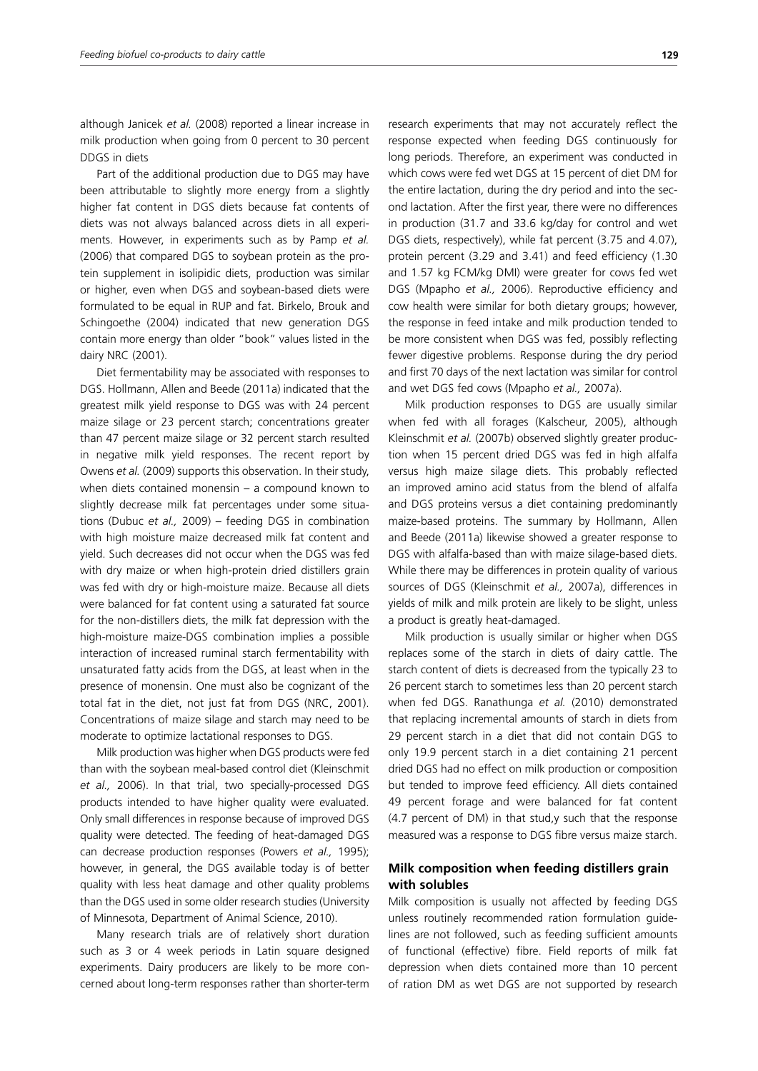although Janicek *et al.* (2008) reported a linear increase in milk production when going from 0 percent to 30 percent DDGS in diets

Part of the additional production due to DGS may have been attributable to slightly more energy from a slightly higher fat content in DGS diets because fat contents of diets was not always balanced across diets in all experiments. However, in experiments such as by Pamp *et al.* (2006) that compared DGS to soybean protein as the protein supplement in isolipidic diets, production was similar or higher, even when DGS and soybean-based diets were formulated to be equal in RUP and fat. Birkelo, Brouk and Schingoethe (2004) indicated that new generation DGS contain more energy than older "book" values listed in the dairy NRC (2001).

Diet fermentability may be associated with responses to DGS. Hollmann, Allen and Beede (2011a) indicated that the greatest milk yield response to DGS was with 24 percent maize silage or 23 percent starch; concentrations greater than 47 percent maize silage or 32 percent starch resulted in negative milk yield responses. The recent report by Owens *et al.* (2009) supports this observation. In their study, when diets contained monensin – a compound known to slightly decrease milk fat percentages under some situations (Dubuc *et al.,* 2009) – feeding DGS in combination with high moisture maize decreased milk fat content and yield. Such decreases did not occur when the DGS was fed with dry maize or when high-protein dried distillers grain was fed with dry or high-moisture maize. Because all diets were balanced for fat content using a saturated fat source for the non-distillers diets, the milk fat depression with the high-moisture maize-DGS combination implies a possible interaction of increased ruminal starch fermentability with unsaturated fatty acids from the DGS, at least when in the presence of monensin. One must also be cognizant of the total fat in the diet, not just fat from DGS (NRC, 2001). Concentrations of maize silage and starch may need to be moderate to optimize lactational responses to DGS.

Milk production was higher when DGS products were fed than with the soybean meal-based control diet (Kleinschmit *et al.,* 2006). In that trial, two specially-processed DGS products intended to have higher quality were evaluated. Only small differences in response because of improved DGS quality were detected. The feeding of heat-damaged DGS can decrease production responses (Powers *et al.,* 1995); however, in general, the DGS available today is of better quality with less heat damage and other quality problems than the DGS used in some older research studies (University of Minnesota, Department of Animal Science, 2010).

Many research trials are of relatively short duration such as 3 or 4 week periods in Latin square designed experiments. Dairy producers are likely to be more concerned about long-term responses rather than shorter-term research experiments that may not accurately reflect the response expected when feeding DGS continuously for long periods. Therefore, an experiment was conducted in which cows were fed wet DGS at 15 percent of diet DM for the entire lactation, during the dry period and into the second lactation. After the first year, there were no differences in production (31.7 and 33.6 kg/day for control and wet DGS diets, respectively), while fat percent (3.75 and 4.07), protein percent (3.29 and 3.41) and feed efficiency (1.30 and 1.57 kg FCM/kg DMI) were greater for cows fed wet DGS (Mpapho *et al.,* 2006). Reproductive efficiency and cow health were similar for both dietary groups; however, the response in feed intake and milk production tended to be more consistent when DGS was fed, possibly reflecting fewer digestive problems. Response during the dry period and first 70 days of the next lactation was similar for control and wet DGS fed cows (Mpapho *et al.,* 2007a).

Milk production responses to DGS are usually similar when fed with all forages (Kalscheur, 2005), although Kleinschmit *et al.* (2007b) observed slightly greater production when 15 percent dried DGS was fed in high alfalfa versus high maize silage diets. This probably reflected an improved amino acid status from the blend of alfalfa and DGS proteins versus a diet containing predominantly maize-based proteins. The summary by Hollmann, Allen and Beede (2011a) likewise showed a greater response to DGS with alfalfa-based than with maize silage-based diets. While there may be differences in protein quality of various sources of DGS (Kleinschmit *et al.,* 2007a), differences in yields of milk and milk protein are likely to be slight, unless a product is greatly heat-damaged.

Milk production is usually similar or higher when DGS replaces some of the starch in diets of dairy cattle. The starch content of diets is decreased from the typically 23 to 26 percent starch to sometimes less than 20 percent starch when fed DGS. Ranathunga *et al.* (2010) demonstrated that replacing incremental amounts of starch in diets from 29 percent starch in a diet that did not contain DGS to only 19.9 percent starch in a diet containing 21 percent dried DGS had no effect on milk production or composition but tended to improve feed efficiency. All diets contained 49 percent forage and were balanced for fat content (4.7 percent of DM) in that stud,y such that the response measured was a response to DGS fibre versus maize starch.

## **Milk composition when feeding distillers grain with solubles**

Milk composition is usually not affected by feeding DGS unless routinely recommended ration formulation guidelines are not followed, such as feeding sufficient amounts of functional (effective) fibre. Field reports of milk fat depression when diets contained more than 10 percent of ration DM as wet DGS are not supported by research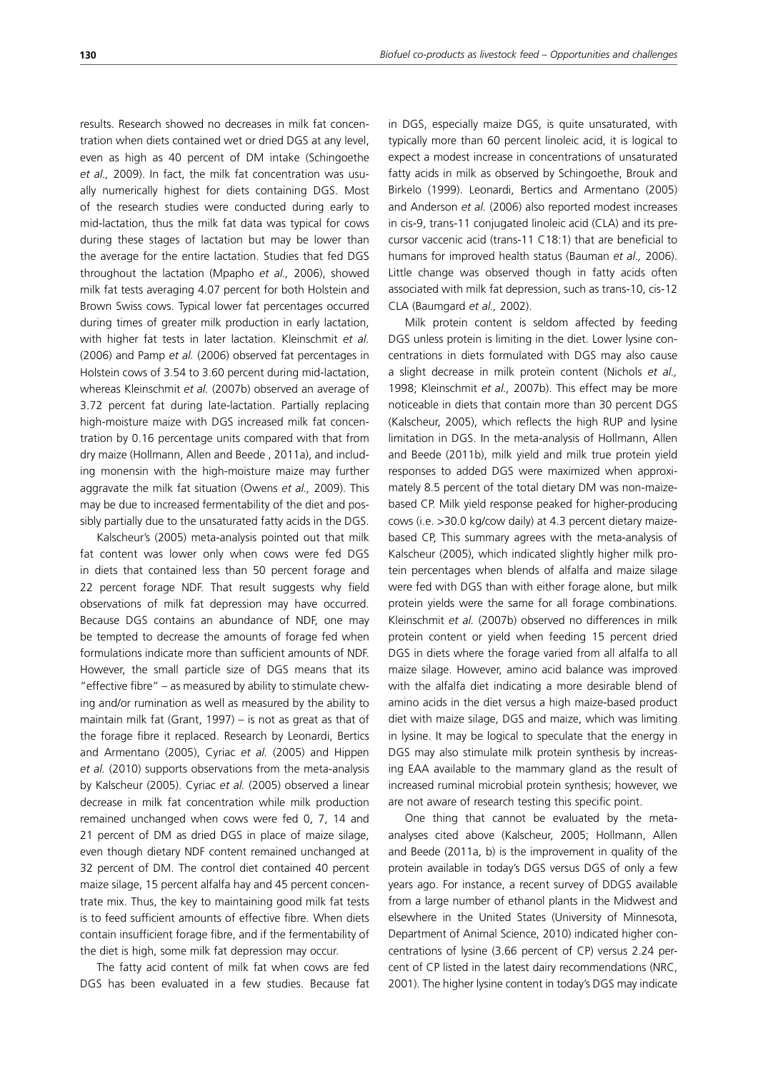results. Research showed no decreases in milk fat concentration when diets contained wet or dried DGS at any level, even as high as 40 percent of DM intake (Schingoethe *et al.,* 2009). In fact, the milk fat concentration was usually numerically highest for diets containing DGS. Most of the research studies were conducted during early to

mid-lactation, thus the milk fat data was typical for cows during these stages of lactation but may be lower than the average for the entire lactation. Studies that fed DGS throughout the lactation (Mpapho *et al.,* 2006), showed milk fat tests averaging 4.07 percent for both Holstein and Brown Swiss cows. Typical lower fat percentages occurred during times of greater milk production in early lactation, with higher fat tests in later lactation. Kleinschmit *et al.* (2006) and Pamp *et al.* (2006) observed fat percentages in Holstein cows of 3.54 to 3.60 percent during mid-lactation, whereas Kleinschmit *et al.* (2007b) observed an average of 3.72 percent fat during late-lactation. Partially replacing high-moisture maize with DGS increased milk fat concentration by 0.16 percentage units compared with that from dry maize (Hollmann, Allen and Beede , 2011a), and including monensin with the high-moisture maize may further aggravate the milk fat situation (Owens *et al.,* 2009). This may be due to increased fermentability of the diet and possibly partially due to the unsaturated fatty acids in the DGS.

Kalscheur's (2005) meta-analysis pointed out that milk fat content was lower only when cows were fed DGS in diets that contained less than 50 percent forage and 22 percent forage NDF. That result suggests why field observations of milk fat depression may have occurred. Because DGS contains an abundance of NDF, one may be tempted to decrease the amounts of forage fed when formulations indicate more than sufficient amounts of NDF. However, the small particle size of DGS means that its "effective fibre" – as measured by ability to stimulate chewing and/or rumination as well as measured by the ability to maintain milk fat (Grant, 1997) – is not as great as that of the forage fibre it replaced. Research by Leonardi, Bertics and Armentano (2005), Cyriac *et al.* (2005) and Hippen *et al.* (2010) supports observations from the meta-analysis by Kalscheur (2005). Cyriac *et al.* (2005) observed a linear decrease in milk fat concentration while milk production remained unchanged when cows were fed 0, 7, 14 and 21 percent of DM as dried DGS in place of maize silage, even though dietary NDF content remained unchanged at 32 percent of DM. The control diet contained 40 percent maize silage, 15 percent alfalfa hay and 45 percent concentrate mix. Thus, the key to maintaining good milk fat tests is to feed sufficient amounts of effective fibre. When diets contain insufficient forage fibre, and if the fermentability of the diet is high, some milk fat depression may occur.

The fatty acid content of milk fat when cows are fed DGS has been evaluated in a few studies. Because fat in DGS, especially maize DGS, is quite unsaturated, with typically more than 60 percent linoleic acid, it is logical to expect a modest increase in concentrations of unsaturated fatty acids in milk as observed by Schingoethe, Brouk and Birkelo (1999). Leonardi, Bertics and Armentano (2005) and Anderson *et al.* (2006) also reported modest increases in cis-9, trans-11 conjugated linoleic acid (CLA) and its precursor vaccenic acid (trans-11 C18:1) that are beneficial to humans for improved health status (Bauman *et al.,* 2006). Little change was observed though in fatty acids often associated with milk fat depression, such as trans-10, cis-12 CLA (Baumgard *et al.,* 2002).

Milk protein content is seldom affected by feeding DGS unless protein is limiting in the diet. Lower lysine concentrations in diets formulated with DGS may also cause a slight decrease in milk protein content (Nichols *et al.,* 1998; Kleinschmit *et al.,* 2007b). This effect may be more noticeable in diets that contain more than 30 percent DGS (Kalscheur, 2005), which reflects the high RUP and lysine limitation in DGS. In the meta-analysis of Hollmann, Allen and Beede (2011b), milk yield and milk true protein yield responses to added DGS were maximized when approximately 8.5 percent of the total dietary DM was non-maizebased CP. Milk yield response peaked for higher-producing cows (i.e. >30.0 kg/cow daily) at 4.3 percent dietary maizebased CP, This summary agrees with the meta-analysis of Kalscheur (2005), which indicated slightly higher milk protein percentages when blends of alfalfa and maize silage were fed with DGS than with either forage alone, but milk protein yields were the same for all forage combinations. Kleinschmit *et al.* (2007b) observed no differences in milk protein content or yield when feeding 15 percent dried DGS in diets where the forage varied from all alfalfa to all maize silage. However, amino acid balance was improved with the alfalfa diet indicating a more desirable blend of amino acids in the diet versus a high maize-based product diet with maize silage, DGS and maize, which was limiting in lysine. It may be logical to speculate that the energy in DGS may also stimulate milk protein synthesis by increasing EAA available to the mammary gland as the result of increased ruminal microbial protein synthesis; however, we are not aware of research testing this specific point.

One thing that cannot be evaluated by the metaanalyses cited above (Kalscheur, 2005; Hollmann, Allen and Beede (2011a, b) is the improvement in quality of the protein available in today's DGS versus DGS of only a few years ago. For instance, a recent survey of DDGS available from a large number of ethanol plants in the Midwest and elsewhere in the United States (University of Minnesota, Department of Animal Science, 2010) indicated higher concentrations of lysine (3.66 percent of CP) versus 2.24 percent of CP listed in the latest dairy recommendations (NRC, 2001). The higher lysine content in today's DGS may indicate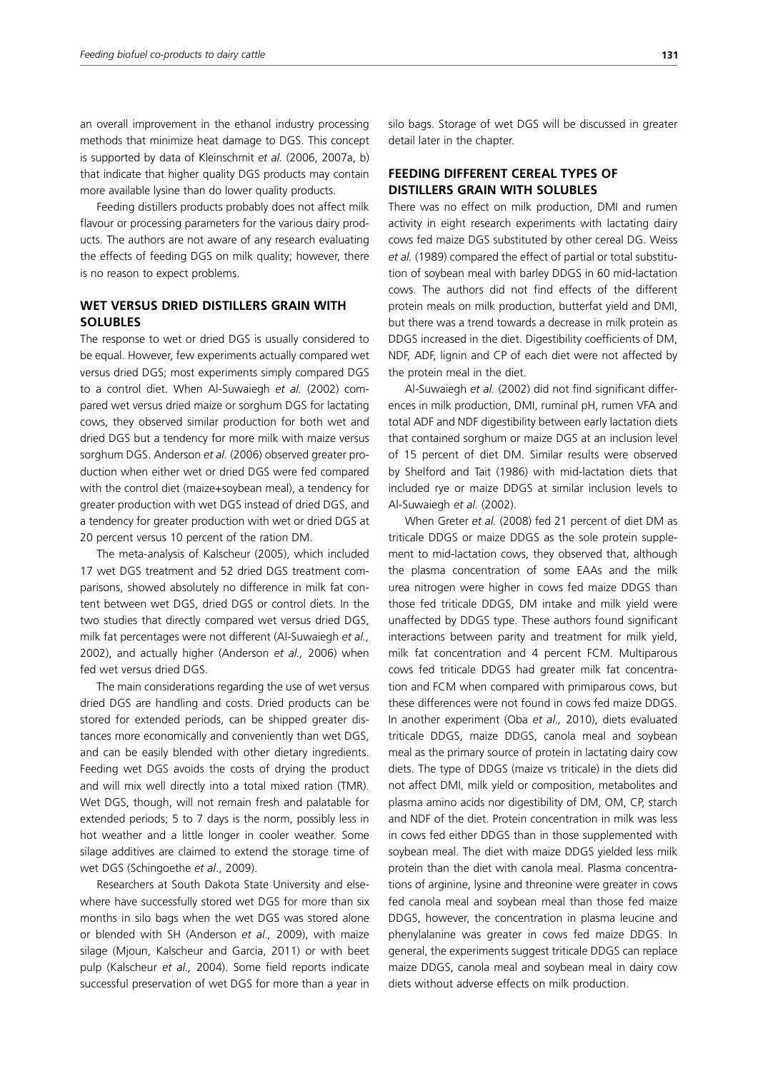an overall improvement in the ethanol industry processing methods that minimize heat damage to DGS. This concept is supported by data of Kleinschmit *et al.* (2006, 2007a, b) that indicate that higher quality DGS products may contain more available lysine than do lower quality products.

Feeding distillers products probably does not affect milk flavour or processing parameters for the various dairy products. The authors are not aware of any research evaluating the effects of feeding DGS on milk quality; however, there is no reason to expect problems.

## **WET VERSUS DRIED DISTILLERS GRAIN WITH SOLUBLES**

The response to wet or dried DGS is usually considered to be equal. However, few experiments actually compared wet versus dried DGS; most experiments simply compared DGS to a control diet. When Al-Suwaiegh *et al.* (2002) compared wet versus dried maize or sorghum DGS for lactating cows, they observed similar production for both wet and dried DGS but a tendency for more milk with maize versus sorghum DGS. Anderson *et al.* (2006) observed greater production when either wet or dried DGS were fed compared with the control diet (maize+soybean meal), a tendency for greater production with wet DGS instead of dried DGS, and a tendency for greater production with wet or dried DGS at 20 percent versus 10 percent of the ration DM.

The meta-analysis of Kalscheur (2005), which included 17 wet DGS treatment and 52 dried DGS treatment comparisons, showed absolutely no difference in milk fat content between wet DGS, dried DGS or control diets. In the two studies that directly compared wet versus dried DGS, milk fat percentages were not different (Al-Suwaiegh *et al.,* 2002), and actually higher (Anderson *et al.,* 2006) when fed wet versus dried DGS.

The main considerations regarding the use of wet versus dried DGS are handling and costs. Dried products can be stored for extended periods, can be shipped greater distances more economically and conveniently than wet DGS, and can be easily blended with other dietary ingredients. Feeding wet DGS avoids the costs of drying the product and will mix well directly into a total mixed ration (TMR). Wet DGS, though, will not remain fresh and palatable for extended periods; 5 to 7 days is the norm, possibly less in hot weather and a little longer in cooler weather. Some silage additives are claimed to extend the storage time of wet DGS (Schingoethe *et al*., 2009).

Researchers at South Dakota State University and elsewhere have successfully stored wet DGS for more than six months in silo bags when the wet DGS was stored alone or blended with SH (Anderson *et al.,* 2009), with maize silage (Mjoun, Kalscheur and Garcia, 2011) or with beet pulp (Kalscheur *et al.,* 2004). Some field reports indicate successful preservation of wet DGS for more than a year in silo bags. Storage of wet DGS will be discussed in greater detail later in the chapter.

## **FEEDING DIFFERENT CEREAL TYPES OF DISTILLERS GRAIN WITH SOLUBLES**

There was no effect on milk production, DMI and rumen activity in eight research experiments with lactating dairy cows fed maize DGS substituted by other cereal DG. Weiss *et al.* (1989) compared the effect of partial or total substitution of soybean meal with barley DDGS in 60 mid-lactation cows. The authors did not find effects of the different protein meals on milk production, butterfat yield and DMI, but there was a trend towards a decrease in milk protein as DDGS increased in the diet. Digestibility coefficients of DM, NDF, ADF, lignin and CP of each diet were not affected by the protein meal in the diet.

Al-Suwaiegh *et al.* (2002) did not find significant differences in milk production, DMI, ruminal pH, rumen VFA and total ADF and NDF digestibility between early lactation diets that contained sorghum or maize DGS at an inclusion level of 15 percent of diet DM. Similar results were observed by Shelford and Tait (1986) with mid-lactation diets that included rye or maize DDGS at similar inclusion levels to Al-Suwaiegh *et al.* (2002).

When Greter *et al.* (2008) fed 21 percent of diet DM as triticale DDGS or maize DDGS as the sole protein supplement to mid-lactation cows, they observed that, although the plasma concentration of some EAAs and the milk urea nitrogen were higher in cows fed maize DDGS than those fed triticale DDGS, DM intake and milk yield were unaffected by DDGS type. These authors found significant interactions between parity and treatment for milk yield, milk fat concentration and 4 percent FCM. Multiparous cows fed triticale DDGS had greater milk fat concentration and FCM when compared with primiparous cows, but these differences were not found in cows fed maize DDGS. In another experiment (Oba *et al.,* 2010), diets evaluated triticale DDGS, maize DDGS, canola meal and soybean meal as the primary source of protein in lactating dairy cow diets. The type of DDGS (maize vs triticale) in the diets did not affect DMI, milk yield or composition, metabolites and plasma amino acids nor digestibility of DM, OM, CP, starch and NDF of the diet. Protein concentration in milk was less in cows fed either DDGS than in those supplemented with soybean meal. The diet with maize DDGS yielded less milk protein than the diet with canola meal. Plasma concentrations of arginine, lysine and threonine were greater in cows fed canola meal and soybean meal than those fed maize DDGS, however, the concentration in plasma leucine and phenylalanine was greater in cows fed maize DDGS. In general, the experiments suggest triticale DDGS can replace maize DDGS, canola meal and soybean meal in dairy cow diets without adverse effects on milk production.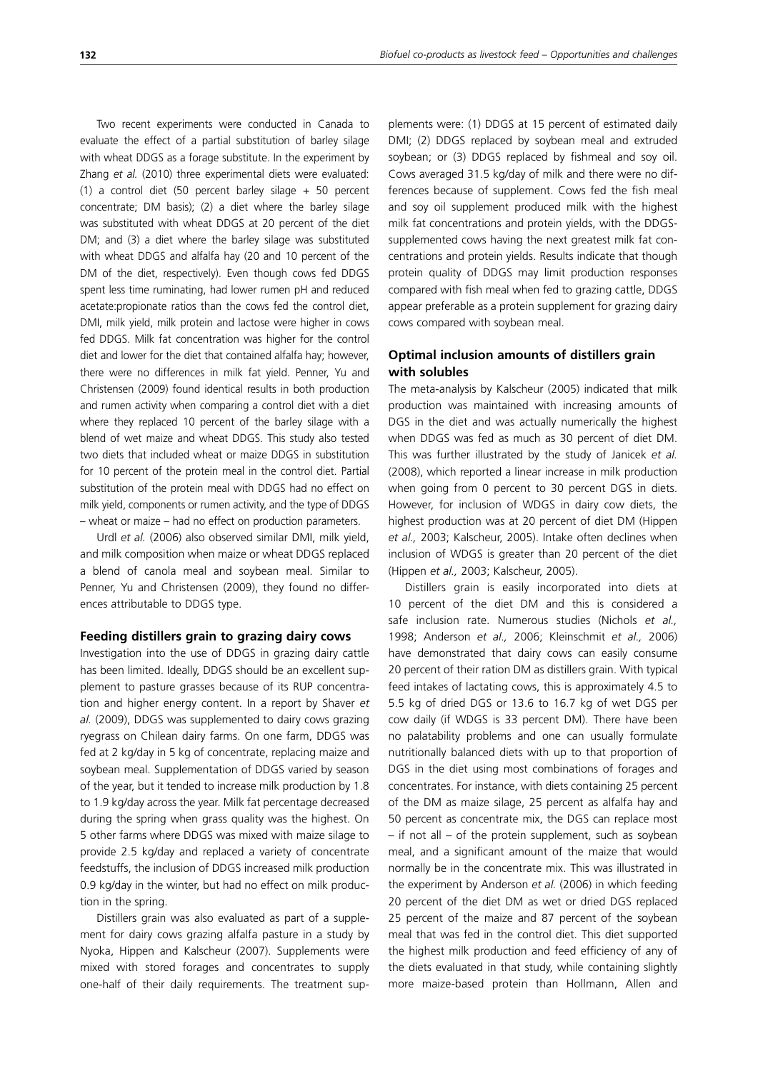Two recent experiments were conducted in Canada to evaluate the effect of a partial substitution of barley silage with wheat DDGS as a forage substitute. In the experiment by Zhang *et al.* (2010) three experimental diets were evaluated: (1) a control diet (50 percent barley silage + 50 percent concentrate; DM basis); (2) a diet where the barley silage was substituted with wheat DDGS at 20 percent of the diet DM; and (3) a diet where the barley silage was substituted with wheat DDGS and alfalfa hay (20 and 10 percent of the DM of the diet, respectively). Even though cows fed DDGS spent less time ruminating, had lower rumen pH and reduced acetate:propionate ratios than the cows fed the control diet, DMI, milk yield, milk protein and lactose were higher in cows fed DDGS. Milk fat concentration was higher for the control diet and lower for the diet that contained alfalfa hay; however, there were no differences in milk fat yield. Penner, Yu and Christensen (2009) found identical results in both production and rumen activity when comparing a control diet with a diet where they replaced 10 percent of the barley silage with a blend of wet maize and wheat DDGS. This study also tested two diets that included wheat or maize DDGS in substitution for 10 percent of the protein meal in the control diet. Partial substitution of the protein meal with DDGS had no effect on milk yield, components or rumen activity, and the type of DDGS – wheat or maize – had no effect on production parameters.

Urdl *et al.* (2006) also observed similar DMI, milk yield, and milk composition when maize or wheat DDGS replaced a blend of canola meal and soybean meal. Similar to Penner, Yu and Christensen (2009), they found no differences attributable to DDGS type.

#### **Feeding distillers grain to grazing dairy cows**

Investigation into the use of DDGS in grazing dairy cattle has been limited. Ideally, DDGS should be an excellent supplement to pasture grasses because of its RUP concentration and higher energy content. In a report by Shaver *et al.* (2009), DDGS was supplemented to dairy cows grazing ryegrass on Chilean dairy farms. On one farm, DDGS was fed at 2 kg/day in 5 kg of concentrate, replacing maize and soybean meal. Supplementation of DDGS varied by season of the year, but it tended to increase milk production by 1.8 to 1.9 kg/day across the year. Milk fat percentage decreased during the spring when grass quality was the highest. On 5 other farms where DDGS was mixed with maize silage to provide 2.5 kg/day and replaced a variety of concentrate feedstuffs, the inclusion of DDGS increased milk production 0.9 kg/day in the winter, but had no effect on milk production in the spring.

Distillers grain was also evaluated as part of a supplement for dairy cows grazing alfalfa pasture in a study by Nyoka, Hippen and Kalscheur (2007). Supplements were mixed with stored forages and concentrates to supply one-half of their daily requirements. The treatment supplements were: (1) DDGS at 15 percent of estimated daily DMI; (2) DDGS replaced by soybean meal and extruded soybean; or (3) DDGS replaced by fishmeal and soy oil. Cows averaged 31.5 kg/day of milk and there were no differences because of supplement. Cows fed the fish meal and soy oil supplement produced milk with the highest milk fat concentrations and protein yields, with the DDGSsupplemented cows having the next greatest milk fat concentrations and protein yields. Results indicate that though protein quality of DDGS may limit production responses compared with fish meal when fed to grazing cattle, DDGS appear preferable as a protein supplement for grazing dairy cows compared with soybean meal.

## **Optimal inclusion amounts of distillers grain with solubles**

The meta-analysis by Kalscheur (2005) indicated that milk production was maintained with increasing amounts of DGS in the diet and was actually numerically the highest when DDGS was fed as much as 30 percent of diet DM. This was further illustrated by the study of Janicek *et al.* (2008), which reported a linear increase in milk production when going from 0 percent to 30 percent DGS in diets. However, for inclusion of WDGS in dairy cow diets, the highest production was at 20 percent of diet DM (Hippen *et al.,* 2003; Kalscheur, 2005). Intake often declines when inclusion of WDGS is greater than 20 percent of the diet (Hippen *et al.,* 2003; Kalscheur, 2005).

Distillers grain is easily incorporated into diets at 10 percent of the diet DM and this is considered a safe inclusion rate. Numerous studies (Nichols *et al.,* 1998; Anderson *et al.,* 2006; Kleinschmit *et al.,* 2006) have demonstrated that dairy cows can easily consume 20 percent of their ration DM as distillers grain. With typical feed intakes of lactating cows, this is approximately 4.5 to 5.5 kg of dried DGS or 13.6 to 16.7 kg of wet DGS per cow daily (if WDGS is 33 percent DM). There have been no palatability problems and one can usually formulate nutritionally balanced diets with up to that proportion of DGS in the diet using most combinations of forages and concentrates. For instance, with diets containing 25 percent of the DM as maize silage, 25 percent as alfalfa hay and 50 percent as concentrate mix, the DGS can replace most – if not all – of the protein supplement, such as soybean meal, and a significant amount of the maize that would normally be in the concentrate mix. This was illustrated in the experiment by Anderson *et al.* (2006) in which feeding 20 percent of the diet DM as wet or dried DGS replaced 25 percent of the maize and 87 percent of the soybean meal that was fed in the control diet. This diet supported the highest milk production and feed efficiency of any of the diets evaluated in that study, while containing slightly more maize-based protein than Hollmann, Allen and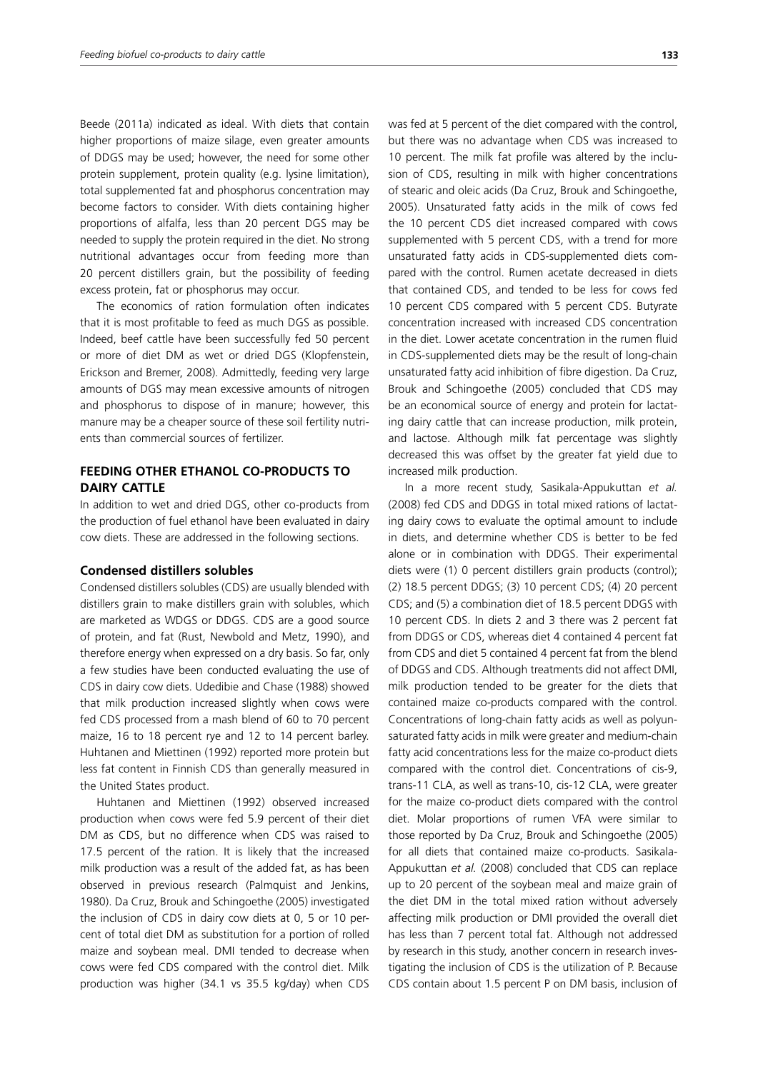Beede (2011a) indicated as ideal. With diets that contain higher proportions of maize silage, even greater amounts of DDGS may be used; however, the need for some other protein supplement, protein quality (e.g. lysine limitation), total supplemented fat and phosphorus concentration may become factors to consider. With diets containing higher proportions of alfalfa, less than 20 percent DGS may be needed to supply the protein required in the diet. No strong nutritional advantages occur from feeding more than 20 percent distillers grain, but the possibility of feeding excess protein, fat or phosphorus may occur.

The economics of ration formulation often indicates that it is most profitable to feed as much DGS as possible. Indeed, beef cattle have been successfully fed 50 percent or more of diet DM as wet or dried DGS (Klopfenstein, Erickson and Bremer, 2008). Admittedly, feeding very large amounts of DGS may mean excessive amounts of nitrogen and phosphorus to dispose of in manure; however, this manure may be a cheaper source of these soil fertility nutrients than commercial sources of fertilizer.

## **FEEDING OTHER ETHANOL CO-PRODUCTS TO DAIRY CATTLE**

In addition to wet and dried DGS, other co-products from the production of fuel ethanol have been evaluated in dairy cow diets. These are addressed in the following sections.

#### **Condensed distillers solubles**

Condensed distillers solubles (CDS) are usually blended with distillers grain to make distillers grain with solubles, which are marketed as WDGS or DDGS. CDS are a good source of protein, and fat (Rust, Newbold and Metz, 1990), and therefore energy when expressed on a dry basis. So far, only a few studies have been conducted evaluating the use of CDS in dairy cow diets. Udedibie and Chase (1988) showed that milk production increased slightly when cows were fed CDS processed from a mash blend of 60 to 70 percent maize, 16 to 18 percent rye and 12 to 14 percent barley. Huhtanen and Miettinen (1992) reported more protein but less fat content in Finnish CDS than generally measured in the United States product.

Huhtanen and Miettinen (1992) observed increased production when cows were fed 5.9 percent of their diet DM as CDS, but no difference when CDS was raised to 17.5 percent of the ration. It is likely that the increased milk production was a result of the added fat, as has been observed in previous research (Palmquist and Jenkins, 1980). Da Cruz, Brouk and Schingoethe (2005) investigated the inclusion of CDS in dairy cow diets at 0, 5 or 10 percent of total diet DM as substitution for a portion of rolled maize and soybean meal. DMI tended to decrease when cows were fed CDS compared with the control diet. Milk production was higher (34.1 vs 35.5 kg/day) when CDS was fed at 5 percent of the diet compared with the control, but there was no advantage when CDS was increased to 10 percent. The milk fat profile was altered by the inclusion of CDS, resulting in milk with higher concentrations of stearic and oleic acids (Da Cruz, Brouk and Schingoethe, 2005). Unsaturated fatty acids in the milk of cows fed the 10 percent CDS diet increased compared with cows supplemented with 5 percent CDS, with a trend for more unsaturated fatty acids in CDS-supplemented diets compared with the control. Rumen acetate decreased in diets that contained CDS, and tended to be less for cows fed 10 percent CDS compared with 5 percent CDS. Butyrate concentration increased with increased CDS concentration in the diet. Lower acetate concentration in the rumen fluid in CDS-supplemented diets may be the result of long-chain unsaturated fatty acid inhibition of fibre digestion. Da Cruz, Brouk and Schingoethe (2005) concluded that CDS may be an economical source of energy and protein for lactating dairy cattle that can increase production, milk protein, and lactose. Although milk fat percentage was slightly decreased this was offset by the greater fat yield due to increased milk production.

In a more recent study, Sasikala-Appukuttan *et al.* (2008) fed CDS and DDGS in total mixed rations of lactating dairy cows to evaluate the optimal amount to include in diets, and determine whether CDS is better to be fed alone or in combination with DDGS. Their experimental diets were (1) 0 percent distillers grain products (control); (2) 18.5 percent DDGS; (3) 10 percent CDS; (4) 20 percent CDS; and (5) a combination diet of 18.5 percent DDGS with 10 percent CDS. In diets 2 and 3 there was 2 percent fat from DDGS or CDS, whereas diet 4 contained 4 percent fat from CDS and diet 5 contained 4 percent fat from the blend of DDGS and CDS. Although treatments did not affect DMI, milk production tended to be greater for the diets that contained maize co-products compared with the control. Concentrations of long-chain fatty acids as well as polyunsaturated fatty acids in milk were greater and medium-chain fatty acid concentrations less for the maize co-product diets compared with the control diet. Concentrations of cis-9, trans-11 CLA, as well as trans-10, cis-12 CLA, were greater for the maize co-product diets compared with the control diet. Molar proportions of rumen VFA were similar to those reported by Da Cruz, Brouk and Schingoethe (2005) for all diets that contained maize co-products. Sasikala-Appukuttan *et al.* (2008) concluded that CDS can replace up to 20 percent of the soybean meal and maize grain of the diet DM in the total mixed ration without adversely affecting milk production or DMI provided the overall diet has less than 7 percent total fat. Although not addressed by research in this study, another concern in research investigating the inclusion of CDS is the utilization of P. Because CDS contain about 1.5 percent P on DM basis, inclusion of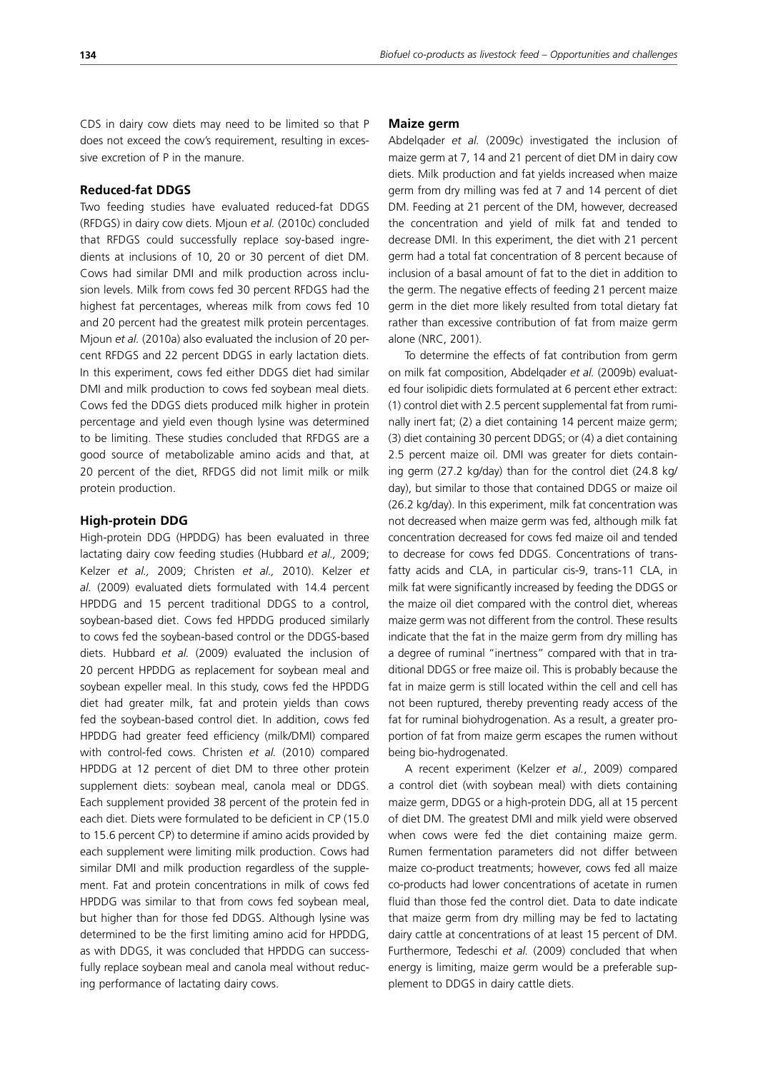CDS in dairy cow diets may need to be limited so that P does not exceed the cow's requirement, resulting in excessive excretion of P in the manure.

#### **Reduced-fat DDGS**

Two feeding studies have evaluated reduced-fat DDGS (RFDGS) in dairy cow diets. Mjoun *et al.* (2010c) concluded that RFDGS could successfully replace soy-based ingredients at inclusions of 10, 20 or 30 percent of diet DM. Cows had similar DMI and milk production across inclusion levels. Milk from cows fed 30 percent RFDGS had the highest fat percentages, whereas milk from cows fed 10 and 20 percent had the greatest milk protein percentages. Mjoun *et al.* (2010a) also evaluated the inclusion of 20 percent RFDGS and 22 percent DDGS in early lactation diets. In this experiment, cows fed either DDGS diet had similar DMI and milk production to cows fed soybean meal diets. Cows fed the DDGS diets produced milk higher in protein percentage and yield even though lysine was determined to be limiting. These studies concluded that RFDGS are a good source of metabolizable amino acids and that, at 20 percent of the diet, RFDGS did not limit milk or milk protein production.

#### **High-protein DDG**

High-protein DDG (HPDDG) has been evaluated in three lactating dairy cow feeding studies (Hubbard *et al.,* 2009; Kelzer *et al.,* 2009; Christen *et al.,* 2010). Kelzer *et al.* (2009) evaluated diets formulated with 14.4 percent HPDDG and 15 percent traditional DDGS to a control, soybean-based diet. Cows fed HPDDG produced similarly to cows fed the soybean-based control or the DDGS-based diets. Hubbard *et al.* (2009) evaluated the inclusion of 20 percent HPDDG as replacement for soybean meal and soybean expeller meal. In this study, cows fed the HPDDG diet had greater milk, fat and protein yields than cows fed the soybean-based control diet. In addition, cows fed HPDDG had greater feed efficiency (milk/DMI) compared with control-fed cows. Christen *et al.* (2010) compared HPDDG at 12 percent of diet DM to three other protein supplement diets: soybean meal, canola meal or DDGS. Each supplement provided 38 percent of the protein fed in each diet. Diets were formulated to be deficient in CP (15.0 to 15.6 percent CP) to determine if amino acids provided by each supplement were limiting milk production. Cows had similar DMI and milk production regardless of the supplement. Fat and protein concentrations in milk of cows fed HPDDG was similar to that from cows fed soybean meal, but higher than for those fed DDGS. Although lysine was determined to be the first limiting amino acid for HPDDG, as with DDGS, it was concluded that HPDDG can successfully replace soybean meal and canola meal without reducing performance of lactating dairy cows.

#### **Maize germ**

Abdelqader *et al.* (2009c) investigated the inclusion of maize germ at 7, 14 and 21 percent of diet DM in dairy cow diets. Milk production and fat yields increased when maize germ from dry milling was fed at 7 and 14 percent of diet DM. Feeding at 21 percent of the DM, however, decreased the concentration and yield of milk fat and tended to decrease DMI. In this experiment, the diet with 21 percent germ had a total fat concentration of 8 percent because of inclusion of a basal amount of fat to the diet in addition to the germ. The negative effects of feeding 21 percent maize germ in the diet more likely resulted from total dietary fat rather than excessive contribution of fat from maize germ alone (NRC, 2001).

To determine the effects of fat contribution from germ on milk fat composition, Abdelqader *et al.* (2009b) evaluated four isolipidic diets formulated at 6 percent ether extract: (1) control diet with 2.5 percent supplemental fat from ruminally inert fat; (2) a diet containing 14 percent maize germ; (3) diet containing 30 percent DDGS; or (4) a diet containing 2.5 percent maize oil. DMI was greater for diets containing germ (27.2 kg/day) than for the control diet (24.8 kg/ day), but similar to those that contained DDGS or maize oil (26.2 kg/day). In this experiment, milk fat concentration was not decreased when maize germ was fed, although milk fat concentration decreased for cows fed maize oil and tended to decrease for cows fed DDGS. Concentrations of transfatty acids and CLA, in particular cis-9, trans-11 CLA, in milk fat were significantly increased by feeding the DDGS or the maize oil diet compared with the control diet, whereas maize germ was not different from the control. These results indicate that the fat in the maize germ from dry milling has a degree of ruminal "inertness" compared with that in traditional DDGS or free maize oil. This is probably because the fat in maize germ is still located within the cell and cell has not been ruptured, thereby preventing ready access of the fat for ruminal biohydrogenation. As a result, a greater proportion of fat from maize germ escapes the rumen without being bio-hydrogenated.

A recent experiment (Kelzer *et al.*, 2009) compared a control diet (with soybean meal) with diets containing maize germ, DDGS or a high-protein DDG, all at 15 percent of diet DM. The greatest DMI and milk yield were observed when cows were fed the diet containing maize germ. Rumen fermentation parameters did not differ between maize co-product treatments; however, cows fed all maize co-products had lower concentrations of acetate in rumen fluid than those fed the control diet. Data to date indicate that maize germ from dry milling may be fed to lactating dairy cattle at concentrations of at least 15 percent of DM. Furthermore, Tedeschi *et al.* (2009) concluded that when energy is limiting, maize germ would be a preferable supplement to DDGS in dairy cattle diets.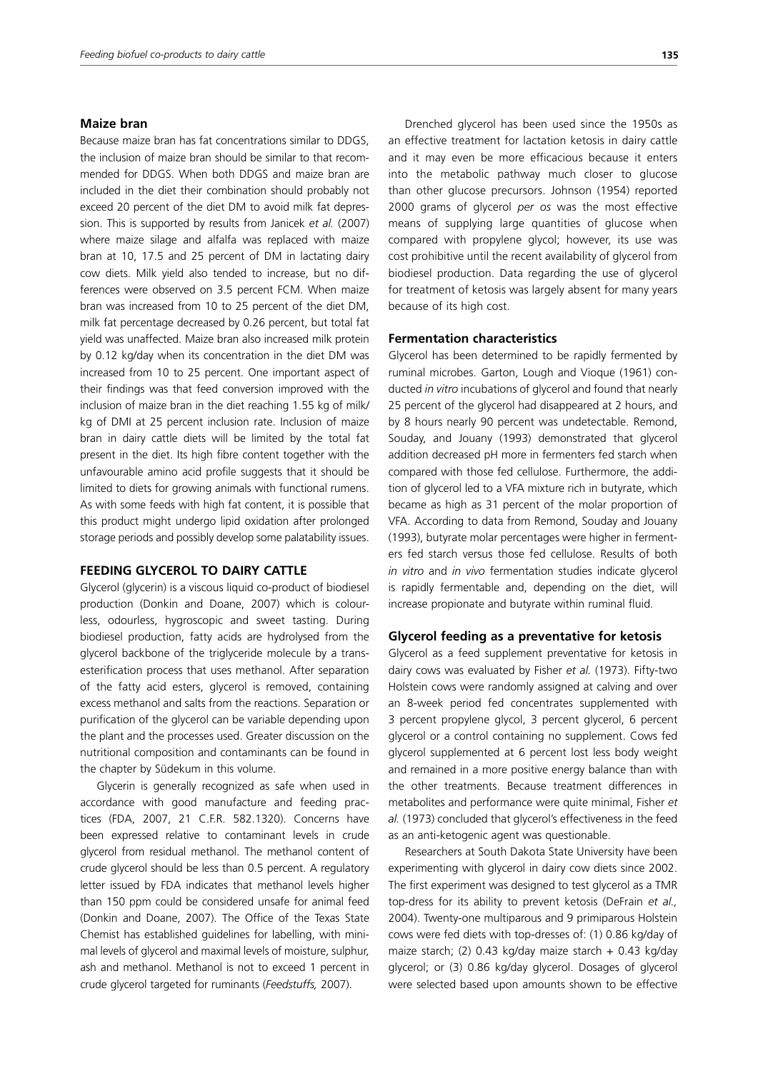#### **Maize bran**

Because maize bran has fat concentrations similar to DDGS, the inclusion of maize bran should be similar to that recommended for DDGS. When both DDGS and maize bran are included in the diet their combination should probably not exceed 20 percent of the diet DM to avoid milk fat depression. This is supported by results from Janicek *et al.* (2007) where maize silage and alfalfa was replaced with maize bran at 10, 17.5 and 25 percent of DM in lactating dairy cow diets. Milk yield also tended to increase, but no differences were observed on 3.5 percent FCM. When maize bran was increased from 10 to 25 percent of the diet DM, milk fat percentage decreased by 0.26 percent, but total fat yield was unaffected. Maize bran also increased milk protein by 0.12 kg/day when its concentration in the diet DM was increased from 10 to 25 percent. One important aspect of their findings was that feed conversion improved with the inclusion of maize bran in the diet reaching 1.55 kg of milk/ kg of DMI at 25 percent inclusion rate. Inclusion of maize bran in dairy cattle diets will be limited by the total fat present in the diet. Its high fibre content together with the unfavourable amino acid profile suggests that it should be limited to diets for growing animals with functional rumens. As with some feeds with high fat content, it is possible that this product might undergo lipid oxidation after prolonged storage periods and possibly develop some palatability issues.

#### **FEEDING GLYCEROL TO DAIRY CATTLE**

Glycerol (glycerin) is a viscous liquid co-product of biodiesel production (Donkin and Doane, 2007) which is colourless, odourless, hygroscopic and sweet tasting. During biodiesel production, fatty acids are hydrolysed from the glycerol backbone of the triglyceride molecule by a transesterification process that uses methanol. After separation of the fatty acid esters, glycerol is removed, containing excess methanol and salts from the reactions. Separation or purification of the glycerol can be variable depending upon the plant and the processes used. Greater discussion on the nutritional composition and contaminants can be found in the chapter by Südekum in this volume.

Glycerin is generally recognized as safe when used in accordance with good manufacture and feeding practices (FDA, 2007, 21 C.F.R. 582.1320). Concerns have been expressed relative to contaminant levels in crude glycerol from residual methanol. The methanol content of crude glycerol should be less than 0.5 percent. A regulatory letter issued by FDA indicates that methanol levels higher than 150 ppm could be considered unsafe for animal feed (Donkin and Doane, 2007). The Office of the Texas State Chemist has established guidelines for labelling, with minimal levels of glycerol and maximal levels of moisture, sulphur, ash and methanol. Methanol is not to exceed 1 percent in crude glycerol targeted for ruminants (*Feedstuffs,* 2007).

Drenched glycerol has been used since the 1950s as an effective treatment for lactation ketosis in dairy cattle and it may even be more efficacious because it enters into the metabolic pathway much closer to glucose than other glucose precursors. Johnson (1954) reported 2000 grams of glycerol *per os* was the most effective means of supplying large quantities of glucose when compared with propylene glycol; however, its use was cost prohibitive until the recent availability of glycerol from biodiesel production. Data regarding the use of glycerol for treatment of ketosis was largely absent for many years because of its high cost.

#### **Fermentation characteristics**

Glycerol has been determined to be rapidly fermented by ruminal microbes. Garton, Lough and Vioque (1961) conducted *in vitro* incubations of glycerol and found that nearly 25 percent of the glycerol had disappeared at 2 hours, and by 8 hours nearly 90 percent was undetectable. Remond, Souday, and Jouany (1993) demonstrated that glycerol addition decreased pH more in fermenters fed starch when compared with those fed cellulose. Furthermore, the addition of glycerol led to a VFA mixture rich in butyrate, which became as high as 31 percent of the molar proportion of VFA. According to data from Remond, Souday and Jouany (1993), butyrate molar percentages were higher in fermenters fed starch versus those fed cellulose. Results of both *in vitro* and *in vivo* fermentation studies indicate glycerol is rapidly fermentable and, depending on the diet, will increase propionate and butyrate within ruminal fluid.

#### **Glycerol feeding as a preventative for ketosis**

Glycerol as a feed supplement preventative for ketosis in dairy cows was evaluated by Fisher *et al.* (1973). Fifty-two Holstein cows were randomly assigned at calving and over an 8-week period fed concentrates supplemented with 3 percent propylene glycol, 3 percent glycerol, 6 percent glycerol or a control containing no supplement. Cows fed glycerol supplemented at 6 percent lost less body weight and remained in a more positive energy balance than with the other treatments. Because treatment differences in metabolites and performance were quite minimal, Fisher *et al.* (1973) concluded that glycerol's effectiveness in the feed as an anti-ketogenic agent was questionable.

Researchers at South Dakota State University have been experimenting with glycerol in dairy cow diets since 2002. The first experiment was designed to test glycerol as a TMR top-dress for its ability to prevent ketosis (DeFrain *et al.,* 2004). Twenty-one multiparous and 9 primiparous Holstein cows were fed diets with top-dresses of: (1) 0.86 kg/day of maize starch; (2) 0.43 kg/day maize starch + 0.43 kg/day glycerol; or (3) 0.86 kg/day glycerol. Dosages of glycerol were selected based upon amounts shown to be effective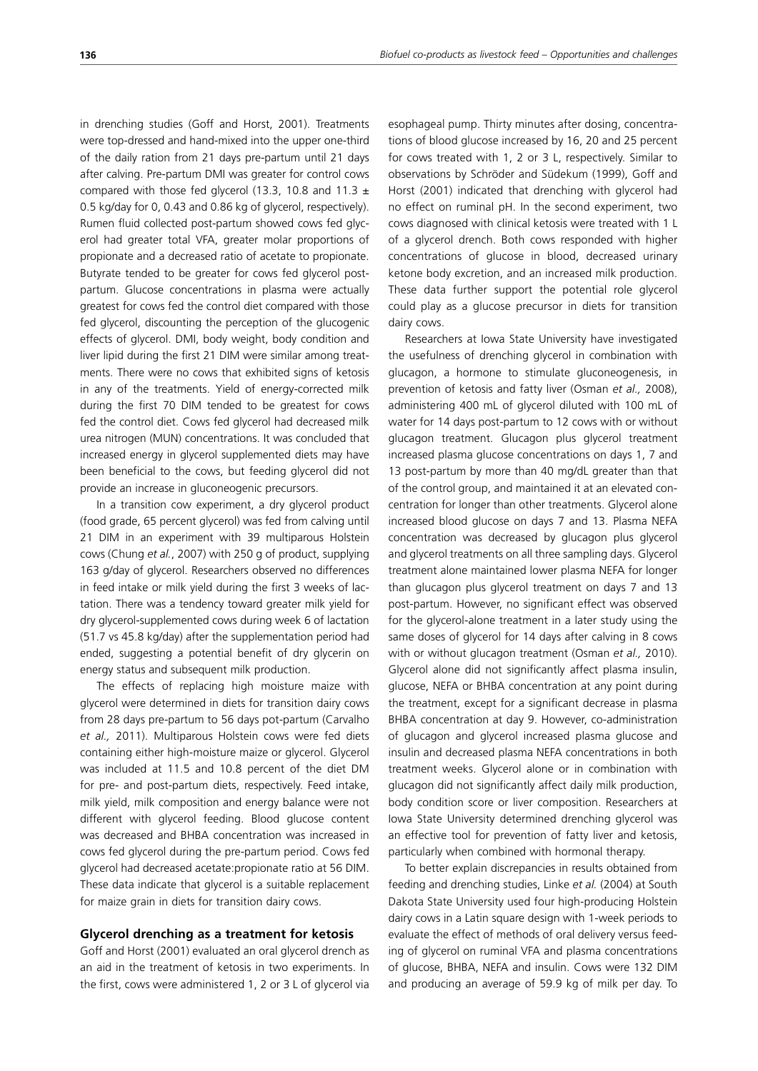in drenching studies (Goff and Horst, 2001). Treatments were top-dressed and hand-mixed into the upper one-third of the daily ration from 21 days pre-partum until 21 days after calving. Pre-partum DMI was greater for control cows compared with those fed glycerol (13.3, 10.8 and 11.3  $\pm$ 0.5 kg/day for 0, 0.43 and 0.86 kg of glycerol, respectively). Rumen fluid collected post-partum showed cows fed glycerol had greater total VFA, greater molar proportions of propionate and a decreased ratio of acetate to propionate. Butyrate tended to be greater for cows fed glycerol postpartum. Glucose concentrations in plasma were actually greatest for cows fed the control diet compared with those fed glycerol, discounting the perception of the glucogenic effects of glycerol. DMI, body weight, body condition and liver lipid during the first 21 DIM were similar among treatments. There were no cows that exhibited signs of ketosis in any of the treatments. Yield of energy-corrected milk during the first 70 DIM tended to be greatest for cows fed the control diet. Cows fed glycerol had decreased milk urea nitrogen (MUN) concentrations. It was concluded that increased energy in glycerol supplemented diets may have been beneficial to the cows, but feeding glycerol did not provide an increase in gluconeogenic precursors.

In a transition cow experiment, a dry glycerol product (food grade, 65 percent glycerol) was fed from calving until 21 DIM in an experiment with 39 multiparous Holstein cows (Chung *et al.*, 2007) with 250 g of product, supplying 163 g/day of glycerol. Researchers observed no differences in feed intake or milk yield during the first 3 weeks of lactation. There was a tendency toward greater milk yield for dry glycerol-supplemented cows during week 6 of lactation (51.7 vs 45.8 kg/day) after the supplementation period had ended, suggesting a potential benefit of dry glycerin on energy status and subsequent milk production.

The effects of replacing high moisture maize with glycerol were determined in diets for transition dairy cows from 28 days pre-partum to 56 days pot-partum (Carvalho *et al.,* 2011). Multiparous Holstein cows were fed diets containing either high-moisture maize or glycerol. Glycerol was included at 11.5 and 10.8 percent of the diet DM for pre- and post-partum diets, respectively. Feed intake, milk yield, milk composition and energy balance were not different with glycerol feeding. Blood glucose content was decreased and BHBA concentration was increased in cows fed glycerol during the pre-partum period. Cows fed glycerol had decreased acetate:propionate ratio at 56 DIM. These data indicate that glycerol is a suitable replacement for maize grain in diets for transition dairy cows.

#### **Glycerol drenching as a treatment for ketosis**

Goff and Horst (2001) evaluated an oral glycerol drench as an aid in the treatment of ketosis in two experiments. In the first, cows were administered 1, 2 or 3 L of glycerol via esophageal pump. Thirty minutes after dosing, concentrations of blood glucose increased by 16, 20 and 25 percent for cows treated with 1, 2 or 3 L, respectively. Similar to observations by Schröder and Südekum (1999), Goff and Horst (2001) indicated that drenching with glycerol had no effect on ruminal pH. In the second experiment, two cows diagnosed with clinical ketosis were treated with 1 L of a glycerol drench. Both cows responded with higher concentrations of glucose in blood, decreased urinary ketone body excretion, and an increased milk production. These data further support the potential role glycerol could play as a glucose precursor in diets for transition dairy cows.

Researchers at Iowa State University have investigated the usefulness of drenching glycerol in combination with glucagon, a hormone to stimulate gluconeogenesis, in prevention of ketosis and fatty liver (Osman *et al.,* 2008), administering 400 mL of glycerol diluted with 100 mL of water for 14 days post-partum to 12 cows with or without glucagon treatment. Glucagon plus glycerol treatment increased plasma glucose concentrations on days 1, 7 and 13 post-partum by more than 40 mg/dL greater than that of the control group, and maintained it at an elevated concentration for longer than other treatments. Glycerol alone increased blood glucose on days 7 and 13. Plasma NEFA concentration was decreased by glucagon plus glycerol and glycerol treatments on all three sampling days. Glycerol treatment alone maintained lower plasma NEFA for longer than glucagon plus glycerol treatment on days 7 and 13 post-partum. However, no significant effect was observed for the glycerol-alone treatment in a later study using the same doses of glycerol for 14 days after calving in 8 cows with or without glucagon treatment (Osman *et al.,* 2010). Glycerol alone did not significantly affect plasma insulin, glucose, NEFA or BHBA concentration at any point during the treatment, except for a significant decrease in plasma BHBA concentration at day 9. However, co-administration of glucagon and glycerol increased plasma glucose and insulin and decreased plasma NEFA concentrations in both treatment weeks. Glycerol alone or in combination with glucagon did not significantly affect daily milk production, body condition score or liver composition. Researchers at Iowa State University determined drenching glycerol was an effective tool for prevention of fatty liver and ketosis, particularly when combined with hormonal therapy.

To better explain discrepancies in results obtained from feeding and drenching studies, Linke *et al.* (2004) at South Dakota State University used four high-producing Holstein dairy cows in a Latin square design with 1-week periods to evaluate the effect of methods of oral delivery versus feeding of glycerol on ruminal VFA and plasma concentrations of glucose, BHBA, NEFA and insulin. Cows were 132 DIM and producing an average of 59.9 kg of milk per day. To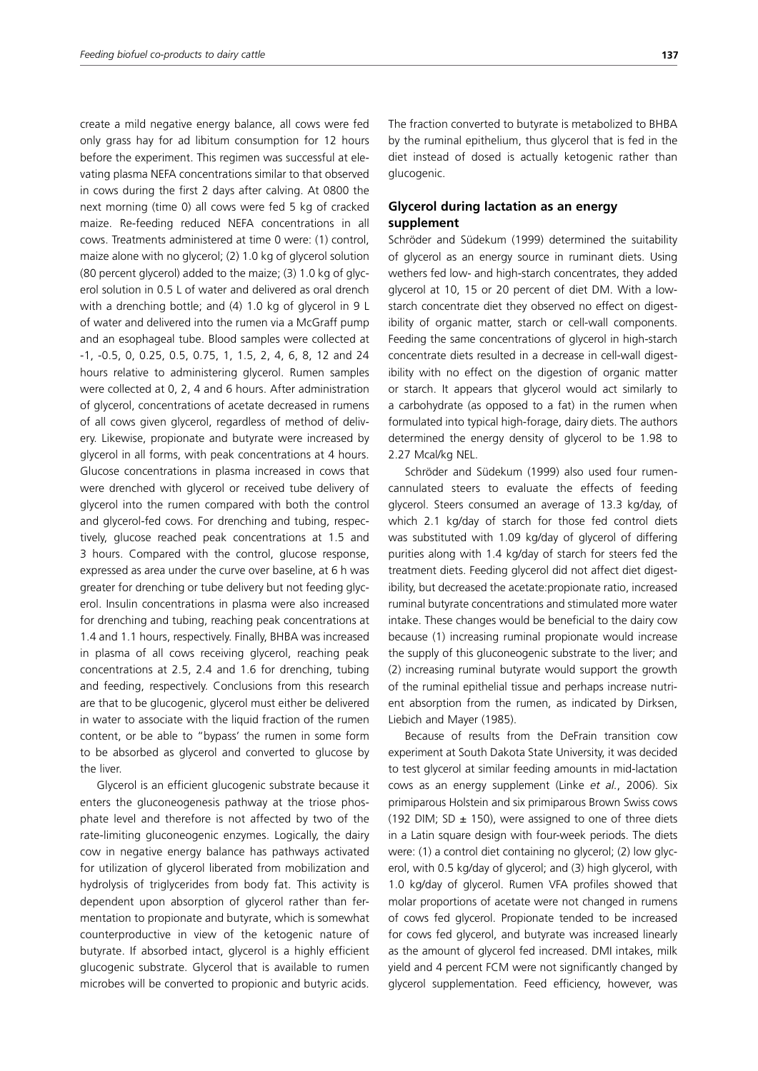create a mild negative energy balance, all cows were fed only grass hay for ad libitum consumption for 12 hours before the experiment. This regimen was successful at elevating plasma NEFA concentrations similar to that observed in cows during the first 2 days after calving. At 0800 the next morning (time 0) all cows were fed 5 kg of cracked maize. Re-feeding reduced NEFA concentrations in all cows. Treatments administered at time 0 were: (1) control, maize alone with no glycerol; (2) 1.0 kg of glycerol solution (80 percent glycerol) added to the maize; (3) 1.0 kg of glycerol solution in 0.5 L of water and delivered as oral drench with a drenching bottle; and (4) 1.0 kg of glycerol in 9 L of water and delivered into the rumen via a McGraff pump and an esophageal tube. Blood samples were collected at -1, -0.5, 0, 0.25, 0.5, 0.75, 1, 1.5, 2, 4, 6, 8, 12 and 24 hours relative to administering glycerol. Rumen samples were collected at 0, 2, 4 and 6 hours. After administration of glycerol, concentrations of acetate decreased in rumens of all cows given glycerol, regardless of method of delivery. Likewise, propionate and butyrate were increased by glycerol in all forms, with peak concentrations at 4 hours. Glucose concentrations in plasma increased in cows that were drenched with glycerol or received tube delivery of glycerol into the rumen compared with both the control and glycerol-fed cows. For drenching and tubing, respectively, glucose reached peak concentrations at 1.5 and 3 hours. Compared with the control, glucose response, expressed as area under the curve over baseline, at 6 h was greater for drenching or tube delivery but not feeding glycerol. Insulin concentrations in plasma were also increased for drenching and tubing, reaching peak concentrations at 1.4 and 1.1 hours, respectively. Finally, BHBA was increased in plasma of all cows receiving glycerol, reaching peak concentrations at 2.5, 2.4 and 1.6 for drenching, tubing and feeding, respectively. Conclusions from this research are that to be glucogenic, glycerol must either be delivered in water to associate with the liquid fraction of the rumen content, or be able to "bypass' the rumen in some form to be absorbed as glycerol and converted to glucose by the liver.

Glycerol is an efficient glucogenic substrate because it enters the gluconeogenesis pathway at the triose phosphate level and therefore is not affected by two of the rate-limiting gluconeogenic enzymes. Logically, the dairy cow in negative energy balance has pathways activated for utilization of glycerol liberated from mobilization and hydrolysis of triglycerides from body fat. This activity is dependent upon absorption of glycerol rather than fermentation to propionate and butyrate, which is somewhat counterproductive in view of the ketogenic nature of butyrate. If absorbed intact, glycerol is a highly efficient glucogenic substrate. Glycerol that is available to rumen microbes will be converted to propionic and butyric acids.

The fraction converted to butyrate is metabolized to BHBA by the ruminal epithelium, thus glycerol that is fed in the diet instead of dosed is actually ketogenic rather than glucogenic.

## **Glycerol during lactation as an energy supplement**

Schröder and Südekum (1999) determined the suitability of glycerol as an energy source in ruminant diets. Using wethers fed low- and high-starch concentrates, they added glycerol at 10, 15 or 20 percent of diet DM. With a lowstarch concentrate diet they observed no effect on digestibility of organic matter, starch or cell-wall components. Feeding the same concentrations of glycerol in high-starch concentrate diets resulted in a decrease in cell-wall digestibility with no effect on the digestion of organic matter or starch. It appears that glycerol would act similarly to a carbohydrate (as opposed to a fat) in the rumen when formulated into typical high-forage, dairy diets. The authors determined the energy density of glycerol to be 1.98 to 2.27 Mcal/kg NEL.

Schröder and Südekum (1999) also used four rumencannulated steers to evaluate the effects of feeding glycerol. Steers consumed an average of 13.3 kg/day, of which 2.1 kg/day of starch for those fed control diets was substituted with 1.09 kg/day of glycerol of differing purities along with 1.4 kg/day of starch for steers fed the treatment diets. Feeding glycerol did not affect diet digestibility, but decreased the acetate:propionate ratio, increased ruminal butyrate concentrations and stimulated more water intake. These changes would be beneficial to the dairy cow because (1) increasing ruminal propionate would increase the supply of this gluconeogenic substrate to the liver; and (2) increasing ruminal butyrate would support the growth of the ruminal epithelial tissue and perhaps increase nutrient absorption from the rumen, as indicated by Dirksen, Liebich and Mayer (1985).

Because of results from the DeFrain transition cow experiment at South Dakota State University, it was decided to test glycerol at similar feeding amounts in mid-lactation cows as an energy supplement (Linke *et al.*, 2006). Six primiparous Holstein and six primiparous Brown Swiss cows (192 DIM; SD  $\pm$  150), were assigned to one of three diets in a Latin square design with four-week periods. The diets were: (1) a control diet containing no glycerol; (2) low glycerol, with 0.5 kg/day of glycerol; and (3) high glycerol, with 1.0 kg/day of glycerol. Rumen VFA profiles showed that molar proportions of acetate were not changed in rumens of cows fed glycerol. Propionate tended to be increased for cows fed glycerol, and butyrate was increased linearly as the amount of glycerol fed increased. DMI intakes, milk yield and 4 percent FCM were not significantly changed by glycerol supplementation. Feed efficiency, however, was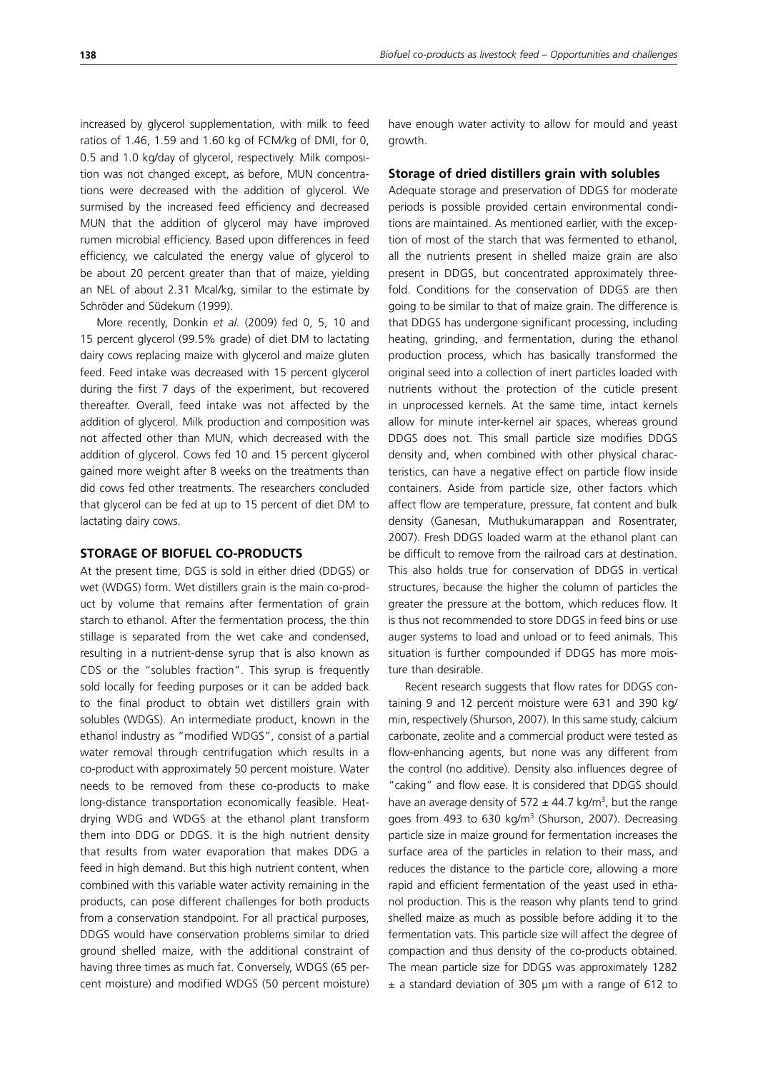increased by glycerol supplementation, with milk to feed ratios of 1.46, 1.59 and 1.60 kg of FCM/kg of DMI, for 0, 0.5 and 1.0 kg/day of glycerol, respectively. Milk composition was not changed except, as before, MUN concentrations were decreased with the addition of glycerol. We surmised by the increased feed efficiency and decreased MUN that the addition of glycerol may have improved rumen microbial efficiency. Based upon differences in feed efficiency, we calculated the energy value of glycerol to be about 20 percent greater than that of maize, yielding an NEL of about 2.31 Mcal/kg, similar to the estimate by Schröder and Südekum (1999).

More recently, Donkin *et al.* (2009) fed 0, 5, 10 and 15 percent glycerol (99.5% grade) of diet DM to lactating dairy cows replacing maize with glycerol and maize gluten feed. Feed intake was decreased with 15 percent glycerol during the first 7 days of the experiment, but recovered thereafter. Overall, feed intake was not affected by the addition of glycerol. Milk production and composition was not affected other than MUN, which decreased with the addition of glycerol. Cows fed 10 and 15 percent glycerol gained more weight after 8 weeks on the treatments than did cows fed other treatments. The researchers concluded that glycerol can be fed at up to 15 percent of diet DM to lactating dairy cows.

## **STORAGE OF BIOFUEL CO-PRODUCTS**

At the present time, DGS is sold in either dried (DDGS) or wet (WDGS) form. Wet distillers grain is the main co-product by volume that remains after fermentation of grain starch to ethanol. After the fermentation process, the thin stillage is separated from the wet cake and condensed, resulting in a nutrient-dense syrup that is also known as CDS or the "solubles fraction". This syrup is frequently sold locally for feeding purposes or it can be added back to the final product to obtain wet distillers grain with solubles (WDGS). An intermediate product, known in the ethanol industry as "modified WDGS", consist of a partial water removal through centrifugation which results in a co-product with approximately 50 percent moisture. Water needs to be removed from these co-products to make long-distance transportation economically feasible. Heatdrying WDG and WDGS at the ethanol plant transform them into DDG or DDGS. It is the high nutrient density that results from water evaporation that makes DDG a feed in high demand. But this high nutrient content, when combined with this variable water activity remaining in the products, can pose different challenges for both products from a conservation standpoint. For all practical purposes, DDGS would have conservation problems similar to dried ground shelled maize, with the additional constraint of having three times as much fat. Conversely, WDGS (65 percent moisture) and modified WDGS (50 percent moisture) have enough water activity to allow for mould and yeast growth.

#### **Storage of dried distillers grain with solubles**

Adequate storage and preservation of DDGS for moderate periods is possible provided certain environmental conditions are maintained. As mentioned earlier, with the exception of most of the starch that was fermented to ethanol, all the nutrients present in shelled maize grain are also present in DDGS, but concentrated approximately threefold. Conditions for the conservation of DDGS are then going to be similar to that of maize grain. The difference is that DDGS has undergone significant processing, including heating, grinding, and fermentation, during the ethanol production process, which has basically transformed the original seed into a collection of inert particles loaded with nutrients without the protection of the cuticle present in unprocessed kernels. At the same time, intact kernels allow for minute inter-kernel air spaces, whereas ground DDGS does not. This small particle size modifies DDGS density and, when combined with other physical characteristics, can have a negative effect on particle flow inside containers. Aside from particle size, other factors which affect flow are temperature, pressure, fat content and bulk density (Ganesan, Muthukumarappan and Rosentrater, 2007). Fresh DDGS loaded warm at the ethanol plant can be difficult to remove from the railroad cars at destination. This also holds true for conservation of DDGS in vertical structures, because the higher the column of particles the greater the pressure at the bottom, which reduces flow. It is thus not recommended to store DDGS in feed bins or use auger systems to load and unload or to feed animals. This situation is further compounded if DDGS has more moisture than desirable.

Recent research suggests that flow rates for DDGS containing 9 and 12 percent moisture were 631 and 390 kg/ min, respectively (Shurson, 2007). In this same study, calcium carbonate, zeolite and a commercial product were tested as flow-enhancing agents, but none was any different from the control (no additive). Density also influences degree of "caking" and flow ease. It is considered that DDGS should have an average density of 572  $\pm$  44.7 kg/m<sup>3</sup>, but the range goes from 493 to 630 kg/m<sup>3</sup> (Shurson, 2007). Decreasing particle size in maize ground for fermentation increases the surface area of the particles in relation to their mass, and reduces the distance to the particle core, allowing a more rapid and efficient fermentation of the yeast used in ethanol production. This is the reason why plants tend to grind shelled maize as much as possible before adding it to the fermentation vats. This particle size will affect the degree of compaction and thus density of the co-products obtained. The mean particle size for DDGS was approximately 1282  $±$  a standard deviation of 305  $µm$  with a range of 612 to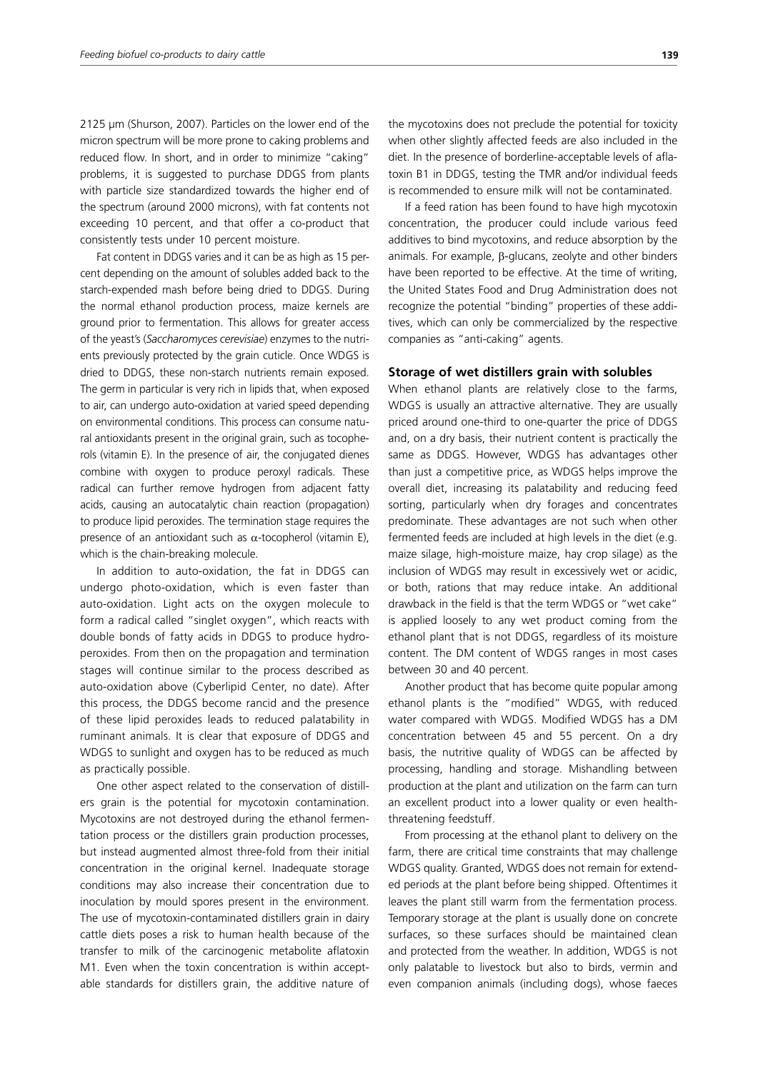2125 µm (Shurson, 2007). Particles on the lower end of the micron spectrum will be more prone to caking problems and reduced flow. In short, and in order to minimize "caking" problems, it is suggested to purchase DDGS from plants with particle size standardized towards the higher end of the spectrum (around 2000 microns), with fat contents not exceeding 10 percent, and that offer a co-product that consistently tests under 10 percent moisture.

Fat content in DDGS varies and it can be as high as 15 percent depending on the amount of solubles added back to the starch-expended mash before being dried to DDGS. During the normal ethanol production process, maize kernels are ground prior to fermentation. This allows for greater access of the yeast's (*Saccharomyces cerevisiae*) enzymes to the nutrients previously protected by the grain cuticle. Once WDGS is dried to DDGS, these non-starch nutrients remain exposed. The germ in particular is very rich in lipids that, when exposed to air, can undergo auto-oxidation at varied speed depending on environmental conditions. This process can consume natural antioxidants present in the original grain, such as tocopherols (vitamin E). In the presence of air, the conjugated dienes combine with oxygen to produce peroxyl radicals. These radical can further remove hydrogen from adjacent fatty acids, causing an autocatalytic chain reaction (propagation) to produce lipid peroxides. The termination stage requires the presence of an antioxidant such as  $\alpha$ -tocopherol (vitamin E), which is the chain-breaking molecule.

In addition to auto-oxidation, the fat in DDGS can undergo photo-oxidation, which is even faster than auto-oxidation. Light acts on the oxygen molecule to form a radical called "singlet oxygen", which reacts with double bonds of fatty acids in DDGS to produce hydroperoxides. From then on the propagation and termination stages will continue similar to the process described as auto-oxidation above (Cyberlipid Center, no date). After this process, the DDGS become rancid and the presence of these lipid peroxides leads to reduced palatability in ruminant animals. It is clear that exposure of DDGS and WDGS to sunlight and oxygen has to be reduced as much as practically possible.

One other aspect related to the conservation of distillers grain is the potential for mycotoxin contamination. Mycotoxins are not destroyed during the ethanol fermentation process or the distillers grain production processes, but instead augmented almost three-fold from their initial concentration in the original kernel. Inadequate storage conditions may also increase their concentration due to inoculation by mould spores present in the environment. The use of mycotoxin-contaminated distillers grain in dairy cattle diets poses a risk to human health because of the transfer to milk of the carcinogenic metabolite aflatoxin M1. Even when the toxin concentration is within acceptable standards for distillers grain, the additive nature of the mycotoxins does not preclude the potential for toxicity when other slightly affected feeds are also included in the diet. In the presence of borderline-acceptable levels of aflatoxin B1 in DDGS, testing the TMR and/or individual feeds is recommended to ensure milk will not be contaminated.

If a feed ration has been found to have high mycotoxin concentration, the producer could include various feed additives to bind mycotoxins, and reduce absorption by the animals. For example, β-glucans, zeolyte and other binders have been reported to be effective. At the time of writing, the United States Food and Drug Administration does not recognize the potential "binding" properties of these additives, which can only be commercialized by the respective companies as "anti-caking" agents.

#### **Storage of wet distillers grain with solubles**

When ethanol plants are relatively close to the farms, WDGS is usually an attractive alternative. They are usually priced around one-third to one-quarter the price of DDGS and, on a dry basis, their nutrient content is practically the same as DDGS. However, WDGS has advantages other than just a competitive price, as WDGS helps improve the overall diet, increasing its palatability and reducing feed sorting, particularly when dry forages and concentrates predominate. These advantages are not such when other fermented feeds are included at high levels in the diet (e.g. maize silage, high-moisture maize, hay crop silage) as the inclusion of WDGS may result in excessively wet or acidic, or both, rations that may reduce intake. An additional drawback in the field is that the term WDGS or "wet cake" is applied loosely to any wet product coming from the ethanol plant that is not DDGS, regardless of its moisture content. The DM content of WDGS ranges in most cases between 30 and 40 percent.

Another product that has become quite popular among ethanol plants is the "modified" WDGS, with reduced water compared with WDGS. Modified WDGS has a DM concentration between 45 and 55 percent. On a dry basis, the nutritive quality of WDGS can be affected by processing, handling and storage. Mishandling between production at the plant and utilization on the farm can turn an excellent product into a lower quality or even healththreatening feedstuff.

From processing at the ethanol plant to delivery on the farm, there are critical time constraints that may challenge WDGS quality. Granted, WDGS does not remain for extended periods at the plant before being shipped. Oftentimes it leaves the plant still warm from the fermentation process. Temporary storage at the plant is usually done on concrete surfaces, so these surfaces should be maintained clean and protected from the weather. In addition, WDGS is not only palatable to livestock but also to birds, vermin and even companion animals (including dogs), whose faeces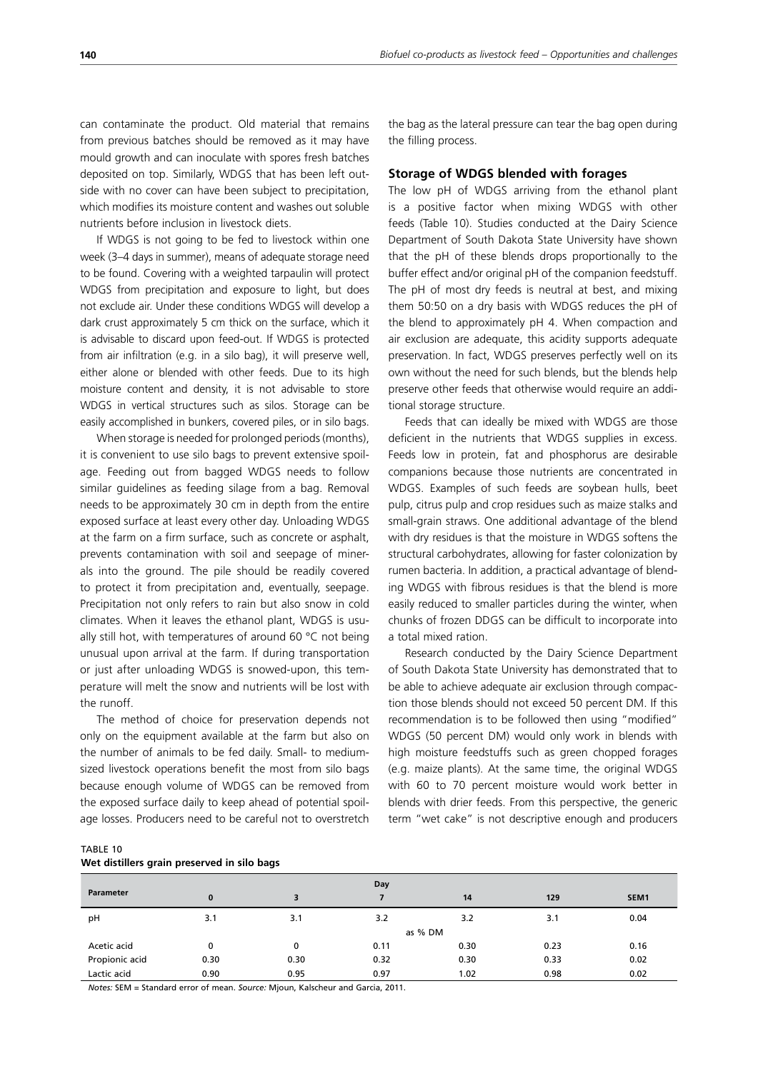can contaminate the product. Old material that remains from previous batches should be removed as it may have mould growth and can inoculate with spores fresh batches deposited on top. Similarly, WDGS that has been left outside with no cover can have been subject to precipitation, which modifies its moisture content and washes out soluble nutrients before inclusion in livestock diets.

If WDGS is not going to be fed to livestock within one week (3–4 days in summer), means of adequate storage need to be found. Covering with a weighted tarpaulin will protect WDGS from precipitation and exposure to light, but does not exclude air. Under these conditions WDGS will develop a dark crust approximately 5 cm thick on the surface, which it is advisable to discard upon feed-out. If WDGS is protected from air infiltration (e.g. in a silo bag), it will preserve well, either alone or blended with other feeds. Due to its high moisture content and density, it is not advisable to store WDGS in vertical structures such as silos. Storage can be easily accomplished in bunkers, covered piles, or in silo bags.

When storage is needed for prolonged periods (months), it is convenient to use silo bags to prevent extensive spoilage. Feeding out from bagged WDGS needs to follow similar guidelines as feeding silage from a bag. Removal needs to be approximately 30 cm in depth from the entire exposed surface at least every other day. Unloading WDGS at the farm on a firm surface, such as concrete or asphalt, prevents contamination with soil and seepage of minerals into the ground. The pile should be readily covered to protect it from precipitation and, eventually, seepage. Precipitation not only refers to rain but also snow in cold climates. When it leaves the ethanol plant, WDGS is usually still hot, with temperatures of around 60 °C not being unusual upon arrival at the farm. If during transportation or just after unloading WDGS is snowed-upon, this temperature will melt the snow and nutrients will be lost with the runoff.

The method of choice for preservation depends not only on the equipment available at the farm but also on the number of animals to be fed daily. Small- to mediumsized livestock operations benefit the most from silo bags because enough volume of WDGS can be removed from the exposed surface daily to keep ahead of potential spoilage losses. Producers need to be careful not to overstretch the bag as the lateral pressure can tear the bag open during the filling process.

#### **Storage of WDGS blended with forages**

The low pH of WDGS arriving from the ethanol plant is a positive factor when mixing WDGS with other feeds (Table 10). Studies conducted at the Dairy Science Department of South Dakota State University have shown that the pH of these blends drops proportionally to the buffer effect and/or original pH of the companion feedstuff. The pH of most dry feeds is neutral at best, and mixing them 50:50 on a dry basis with WDGS reduces the pH of the blend to approximately pH 4. When compaction and air exclusion are adequate, this acidity supports adequate preservation. In fact, WDGS preserves perfectly well on its own without the need for such blends, but the blends help preserve other feeds that otherwise would require an additional storage structure.

Feeds that can ideally be mixed with WDGS are those deficient in the nutrients that WDGS supplies in excess. Feeds low in protein, fat and phosphorus are desirable companions because those nutrients are concentrated in WDGS. Examples of such feeds are soybean hulls, beet pulp, citrus pulp and crop residues such as maize stalks and small-grain straws. One additional advantage of the blend with dry residues is that the moisture in WDGS softens the structural carbohydrates, allowing for faster colonization by rumen bacteria. In addition, a practical advantage of blending WDGS with fibrous residues is that the blend is more easily reduced to smaller particles during the winter, when chunks of frozen DDGS can be difficult to incorporate into a total mixed ration.

Research conducted by the Dairy Science Department of South Dakota State University has demonstrated that to be able to achieve adequate air exclusion through compaction those blends should not exceed 50 percent DM. If this recommendation is to be followed then using "modified" WDGS (50 percent DM) would only work in blends with high moisture feedstuffs such as green chopped forages (e.g. maize plants). At the same time, the original WDGS with 60 to 70 percent moisture would work better in blends with drier feeds. From this perspective, the generic term "wet cake" is not descriptive enough and producers

TABLE 10

|  | Wet distillers grain preserved in silo bags |  |  |
|--|---------------------------------------------|--|--|

|                  |              | Day  |      |      |      |                  |  |
|------------------|--------------|------|------|------|------|------------------|--|
| <b>Parameter</b> | $\mathbf{0}$ | 3    |      | 14   | 129  | SEM <sub>1</sub> |  |
| pH               | 3.1          | 3.1  | 3.2  | 3.2  | 3.1  | 0.04             |  |
|                  | as % DM      |      |      |      |      |                  |  |
| Acetic acid      | 0            | 0    | 0.11 | 0.30 | 0.23 | 0.16             |  |
| Propionic acid   | 0.30         | 0.30 | 0.32 | 0.30 | 0.33 | 0.02             |  |
| Lactic acid      | 0.90         | 0.95 | 0.97 | 1.02 | 0.98 | 0.02             |  |

*Notes:* SEM = Standard error of mean. *Source:* Mjoun, Kalscheur and Garcia, 2011.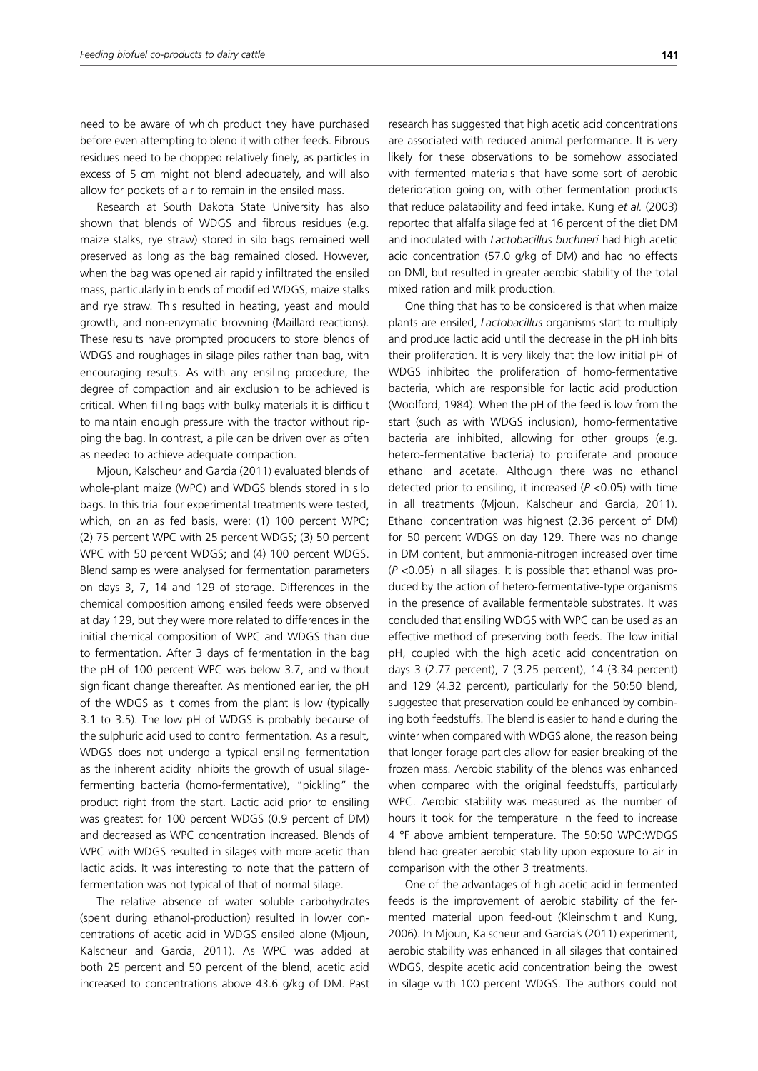need to be aware of which product they have purchased before even attempting to blend it with other feeds. Fibrous residues need to be chopped relatively finely, as particles in excess of 5 cm might not blend adequately, and will also allow for pockets of air to remain in the ensiled mass.

Research at South Dakota State University has also shown that blends of WDGS and fibrous residues (e.g. maize stalks, rye straw) stored in silo bags remained well preserved as long as the bag remained closed. However, when the bag was opened air rapidly infiltrated the ensiled mass, particularly in blends of modified WDGS, maize stalks and rye straw. This resulted in heating, yeast and mould growth, and non-enzymatic browning (Maillard reactions). These results have prompted producers to store blends of WDGS and roughages in silage piles rather than bag, with encouraging results. As with any ensiling procedure, the degree of compaction and air exclusion to be achieved is critical. When filling bags with bulky materials it is difficult to maintain enough pressure with the tractor without ripping the bag. In contrast, a pile can be driven over as often as needed to achieve adequate compaction.

Mjoun, Kalscheur and Garcia (2011) evaluated blends of whole-plant maize (WPC) and WDGS blends stored in silo bags. In this trial four experimental treatments were tested, which, on an as fed basis, were: (1) 100 percent WPC; (2) 75 percent WPC with 25 percent WDGS; (3) 50 percent WPC with 50 percent WDGS; and (4) 100 percent WDGS. Blend samples were analysed for fermentation parameters on days 3, 7, 14 and 129 of storage. Differences in the chemical composition among ensiled feeds were observed at day 129, but they were more related to differences in the initial chemical composition of WPC and WDGS than due to fermentation. After 3 days of fermentation in the bag the pH of 100 percent WPC was below 3.7, and without significant change thereafter. As mentioned earlier, the pH of the WDGS as it comes from the plant is low (typically 3.1 to 3.5). The low pH of WDGS is probably because of the sulphuric acid used to control fermentation. As a result, WDGS does not undergo a typical ensiling fermentation as the inherent acidity inhibits the growth of usual silagefermenting bacteria (homo-fermentative), "pickling" the product right from the start. Lactic acid prior to ensiling was greatest for 100 percent WDGS (0.9 percent of DM) and decreased as WPC concentration increased. Blends of WPC with WDGS resulted in silages with more acetic than lactic acids. It was interesting to note that the pattern of fermentation was not typical of that of normal silage.

The relative absence of water soluble carbohydrates (spent during ethanol-production) resulted in lower concentrations of acetic acid in WDGS ensiled alone (Mjoun, Kalscheur and Garcia, 2011). As WPC was added at both 25 percent and 50 percent of the blend, acetic acid increased to concentrations above 43.6 g/kg of DM. Past research has suggested that high acetic acid concentrations are associated with reduced animal performance. It is very likely for these observations to be somehow associated with fermented materials that have some sort of aerobic deterioration going on, with other fermentation products that reduce palatability and feed intake. Kung *et al.* (2003) reported that alfalfa silage fed at 16 percent of the diet DM and inoculated with *Lactobacillus buchneri* had high acetic acid concentration (57.0 g/kg of DM) and had no effects on DMI, but resulted in greater aerobic stability of the total mixed ration and milk production.

One thing that has to be considered is that when maize plants are ensiled, *Lactobacillus* organisms start to multiply and produce lactic acid until the decrease in the pH inhibits their proliferation. It is very likely that the low initial pH of WDGS inhibited the proliferation of homo-fermentative bacteria, which are responsible for lactic acid production (Woolford, 1984). When the pH of the feed is low from the start (such as with WDGS inclusion), homo-fermentative bacteria are inhibited, allowing for other groups (e.g. hetero-fermentative bacteria) to proliferate and produce ethanol and acetate. Although there was no ethanol detected prior to ensiling, it increased (*P* <0.05) with time in all treatments (Mjoun, Kalscheur and Garcia, 2011). Ethanol concentration was highest (2.36 percent of DM) for 50 percent WDGS on day 129. There was no change in DM content, but ammonia-nitrogen increased over time (*P* <0.05) in all silages. It is possible that ethanol was produced by the action of hetero-fermentative-type organisms in the presence of available fermentable substrates. It was concluded that ensiling WDGS with WPC can be used as an effective method of preserving both feeds. The low initial pH, coupled with the high acetic acid concentration on days 3 (2.77 percent), 7 (3.25 percent), 14 (3.34 percent) and 129 (4.32 percent), particularly for the 50:50 blend, suggested that preservation could be enhanced by combining both feedstuffs. The blend is easier to handle during the winter when compared with WDGS alone, the reason being that longer forage particles allow for easier breaking of the frozen mass. Aerobic stability of the blends was enhanced when compared with the original feedstuffs, particularly WPC. Aerobic stability was measured as the number of hours it took for the temperature in the feed to increase 4 °F above ambient temperature. The 50:50 WPC:WDGS blend had greater aerobic stability upon exposure to air in comparison with the other 3 treatments.

One of the advantages of high acetic acid in fermented feeds is the improvement of aerobic stability of the fermented material upon feed-out (Kleinschmit and Kung, 2006). In Mjoun, Kalscheur and Garcia's (2011) experiment, aerobic stability was enhanced in all silages that contained WDGS, despite acetic acid concentration being the lowest in silage with 100 percent WDGS. The authors could not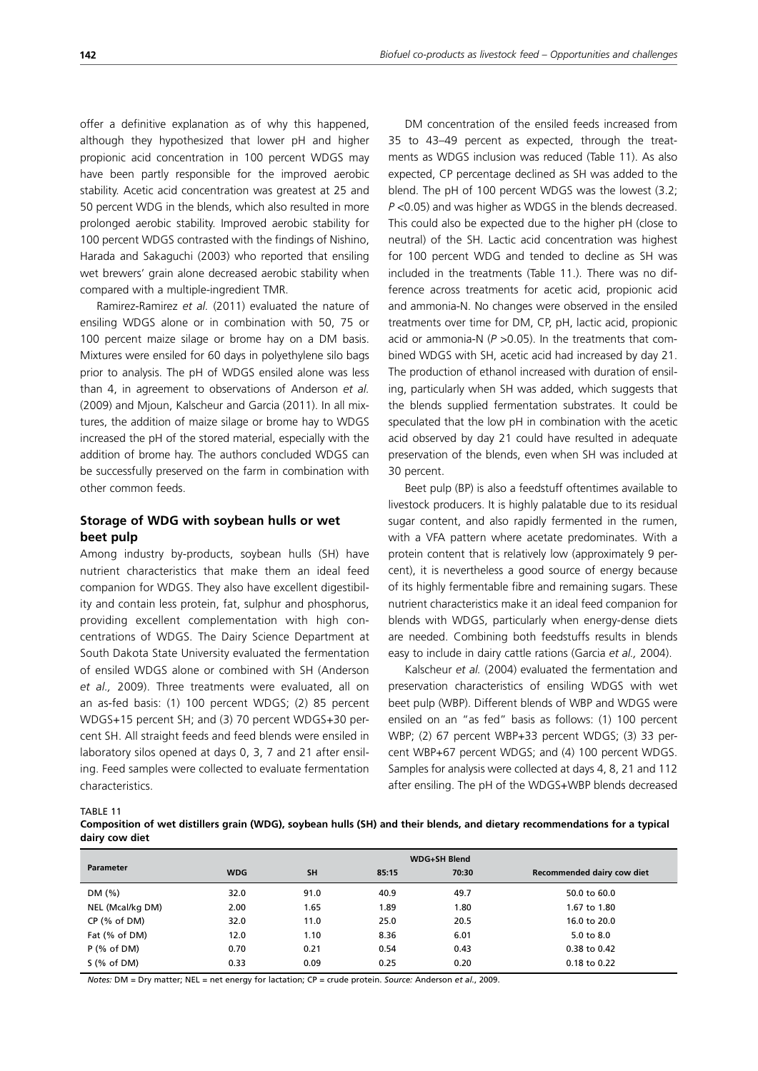offer a definitive explanation as of why this happened, although they hypothesized that lower pH and higher propionic acid concentration in 100 percent WDGS may have been partly responsible for the improved aerobic stability. Acetic acid concentration was greatest at 25 and 50 percent WDG in the blends, which also resulted in more prolonged aerobic stability. Improved aerobic stability for 100 percent WDGS contrasted with the findings of Nishino, Harada and Sakaguchi (2003) who reported that ensiling wet brewers' grain alone decreased aerobic stability when compared with a multiple-ingredient TMR.

Ramirez-Ramirez *et al.* (2011) evaluated the nature of ensiling WDGS alone or in combination with 50, 75 or 100 percent maize silage or brome hay on a DM basis. Mixtures were ensiled for 60 days in polyethylene silo bags prior to analysis. The pH of WDGS ensiled alone was less than 4, in agreement to observations of Anderson *et al.* (2009) and Mjoun, Kalscheur and Garcia (2011). In all mixtures, the addition of maize silage or brome hay to WDGS increased the pH of the stored material, especially with the addition of brome hay. The authors concluded WDGS can be successfully preserved on the farm in combination with other common feeds.

## **Storage of WDG with soybean hulls or wet beet pulp**

Among industry by-products, soybean hulls (SH) have nutrient characteristics that make them an ideal feed companion for WDGS. They also have excellent digestibility and contain less protein, fat, sulphur and phosphorus, providing excellent complementation with high concentrations of WDGS. The Dairy Science Department at South Dakota State University evaluated the fermentation of ensiled WDGS alone or combined with SH (Anderson *et al.,* 2009). Three treatments were evaluated, all on an as-fed basis: (1) 100 percent WDGS; (2) 85 percent WDGS+15 percent SH; and (3) 70 percent WDGS+30 percent SH. All straight feeds and feed blends were ensiled in laboratory silos opened at days 0, 3, 7 and 21 after ensiling. Feed samples were collected to evaluate fermentation characteristics.

DM concentration of the ensiled feeds increased from 35 to 43–49 percent as expected, through the treatments as WDGS inclusion was reduced (Table 11). As also expected, CP percentage declined as SH was added to the blend. The pH of 100 percent WDGS was the lowest (3.2; *P* <0.05) and was higher as WDGS in the blends decreased. This could also be expected due to the higher pH (close to neutral) of the SH. Lactic acid concentration was highest for 100 percent WDG and tended to decline as SH was included in the treatments (Table 11.). There was no difference across treatments for acetic acid, propionic acid and ammonia-N. No changes were observed in the ensiled treatments over time for DM, CP, pH, lactic acid, propionic acid or ammonia-N (*P* >0.05). In the treatments that combined WDGS with SH, acetic acid had increased by day 21. The production of ethanol increased with duration of ensiling, particularly when SH was added, which suggests that the blends supplied fermentation substrates. It could be speculated that the low pH in combination with the acetic acid observed by day 21 could have resulted in adequate preservation of the blends, even when SH was included at 30 percent.

Beet pulp (BP) is also a feedstuff oftentimes available to livestock producers. It is highly palatable due to its residual sugar content, and also rapidly fermented in the rumen, with a VFA pattern where acetate predominates. With a protein content that is relatively low (approximately 9 percent), it is nevertheless a good source of energy because of its highly fermentable fibre and remaining sugars. These nutrient characteristics make it an ideal feed companion for blends with WDGS, particularly when energy-dense diets are needed. Combining both feedstuffs results in blends easy to include in dairy cattle rations (Garcia *et al.,* 2004).

Kalscheur *et al.* (2004) evaluated the fermentation and preservation characteristics of ensiling WDGS with wet beet pulp (WBP). Different blends of WBP and WDGS were ensiled on an "as fed" basis as follows: (1) 100 percent WBP; (2) 67 percent WBP+33 percent WDGS; (3) 33 percent WBP+67 percent WDGS; and (4) 100 percent WDGS. Samples for analysis were collected at days 4, 8, 21 and 112 after ensiling. The pH of the WDGS+WBP blends decreased

TABLE 11

**Composition of wet distillers grain (WDG), soybean hulls (SH) and their blends, and dietary recommendations for a typical dairy cow diet** 

|                  | <b>WDG+SH Blend</b> |           |       |       |                            |  |
|------------------|---------------------|-----------|-------|-------|----------------------------|--|
| <b>Parameter</b> | <b>WDG</b>          | <b>SH</b> | 85:15 | 70:30 | Recommended dairy cow diet |  |
| DM(%)            | 32.0                | 91.0      | 40.9  | 49.7  | 50.0 to 60.0               |  |
| NEL (Mcal/kg DM) | 2.00                | 1.65      | 1.89  | 1.80  | 1.67 to 1.80               |  |
| $CP$ (% of DM)   | 32.0                | 11.0      | 25.0  | 20.5  | 16.0 to 20.0               |  |
| Fat (% of DM)    | 12.0                | 1.10      | 8.36  | 6.01  | 5.0 to 8.0                 |  |
| $P$ (% of DM)    | 0.70                | 0.21      | 0.54  | 0.43  | 0.38 to 0.42               |  |
| $S$ (% of DM)    | 0.33                | 0.09      | 0.25  | 0.20  | 0.18 to 0.22               |  |

*Notes:* DM = Dry matter; NEL = net energy for lactation; CP = crude protein. *Source:* Anderson *et al.*, 2009.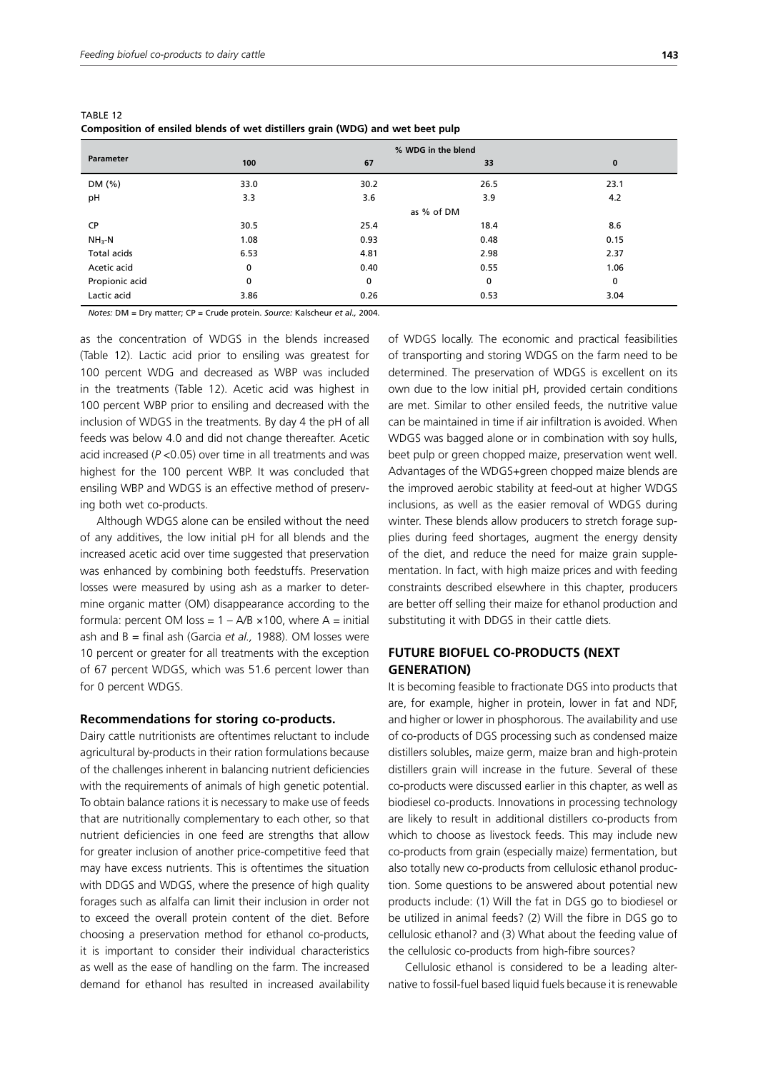| Parameter      | % WDG in the blend |      |      |          |  |  |  |
|----------------|--------------------|------|------|----------|--|--|--|
|                | 100                | 67   | 33   | $\bf{0}$ |  |  |  |
| DM (%)         | 33.0               | 30.2 | 26.5 | 23.1     |  |  |  |
| pH             | 3.3                | 3.6  | 3.9  | 4.2      |  |  |  |
|                | as % of DM         |      |      |          |  |  |  |
| CP             | 30.5               | 25.4 | 18.4 | 8.6      |  |  |  |
| $NH3-N$        | 1.08               | 0.93 | 0.48 | 0.15     |  |  |  |
| Total acids    | 6.53               | 4.81 | 2.98 | 2.37     |  |  |  |
| Acetic acid    | 0                  | 0.40 | 0.55 | 1.06     |  |  |  |
| Propionic acid | 0                  | 0    | 0    | 0        |  |  |  |
| Lactic acid    | 3.86               | 0.26 | 0.53 | 3.04     |  |  |  |
|                |                    |      |      |          |  |  |  |

TABLE 12 **Composition of ensiled blends of wet distillers grain (WDG) and wet beet pulp**

*Notes:* DM = Dry matter; CP = Crude protein. *Source:* Kalscheur *et al.,* 2004.

as the concentration of WDGS in the blends increased (Table 12). Lactic acid prior to ensiling was greatest for 100 percent WDG and decreased as WBP was included in the treatments (Table 12). Acetic acid was highest in 100 percent WBP prior to ensiling and decreased with the inclusion of WDGS in the treatments. By day 4 the pH of all feeds was below 4.0 and did not change thereafter. Acetic acid increased (*P* <0.05) over time in all treatments and was highest for the 100 percent WBP. It was concluded that ensiling WBP and WDGS is an effective method of preserving both wet co-products.

Although WDGS alone can be ensiled without the need of any additives, the low initial pH for all blends and the increased acetic acid over time suggested that preservation was enhanced by combining both feedstuffs. Preservation losses were measured by using ash as a marker to determine organic matter (OM) disappearance according to the formula: percent OM loss =  $1 - A/B \times 100$ , where A = initial ash and B = final ash (Garcia *et al.,* 1988). OM losses were 10 percent or greater for all treatments with the exception of 67 percent WDGS, which was 51.6 percent lower than for 0 percent WDGS.

#### **Recommendations for storing co-products.**

Dairy cattle nutritionists are oftentimes reluctant to include agricultural by-products in their ration formulations because of the challenges inherent in balancing nutrient deficiencies with the requirements of animals of high genetic potential. To obtain balance rations it is necessary to make use of feeds that are nutritionally complementary to each other, so that nutrient deficiencies in one feed are strengths that allow for greater inclusion of another price-competitive feed that may have excess nutrients. This is oftentimes the situation with DDGS and WDGS, where the presence of high quality forages such as alfalfa can limit their inclusion in order not to exceed the overall protein content of the diet. Before choosing a preservation method for ethanol co-products, it is important to consider their individual characteristics as well as the ease of handling on the farm. The increased demand for ethanol has resulted in increased availability of WDGS locally. The economic and practical feasibilities of transporting and storing WDGS on the farm need to be determined. The preservation of WDGS is excellent on its own due to the low initial pH, provided certain conditions are met. Similar to other ensiled feeds, the nutritive value can be maintained in time if air infiltration is avoided. When WDGS was bagged alone or in combination with soy hulls, beet pulp or green chopped maize, preservation went well. Advantages of the WDGS+green chopped maize blends are the improved aerobic stability at feed-out at higher WDGS inclusions, as well as the easier removal of WDGS during winter. These blends allow producers to stretch forage supplies during feed shortages, augment the energy density of the diet, and reduce the need for maize grain supplementation. In fact, with high maize prices and with feeding constraints described elsewhere in this chapter, producers are better off selling their maize for ethanol production and substituting it with DDGS in their cattle diets.

## **FUTURE BIOFUEL CO-PRODUCTS (NEXT GENERATION)**

It is becoming feasible to fractionate DGS into products that are, for example, higher in protein, lower in fat and NDF, and higher or lower in phosphorous. The availability and use of co-products of DGS processing such as condensed maize distillers solubles, maize germ, maize bran and high-protein distillers grain will increase in the future. Several of these co-products were discussed earlier in this chapter, as well as biodiesel co-products. Innovations in processing technology are likely to result in additional distillers co-products from which to choose as livestock feeds. This may include new co-products from grain (especially maize) fermentation, but also totally new co-products from cellulosic ethanol production. Some questions to be answered about potential new products include: (1) Will the fat in DGS go to biodiesel or be utilized in animal feeds? (2) Will the fibre in DGS go to cellulosic ethanol? and (3) What about the feeding value of the cellulosic co-products from high-fibre sources?

Cellulosic ethanol is considered to be a leading alternative to fossil-fuel based liquid fuels because it is renewable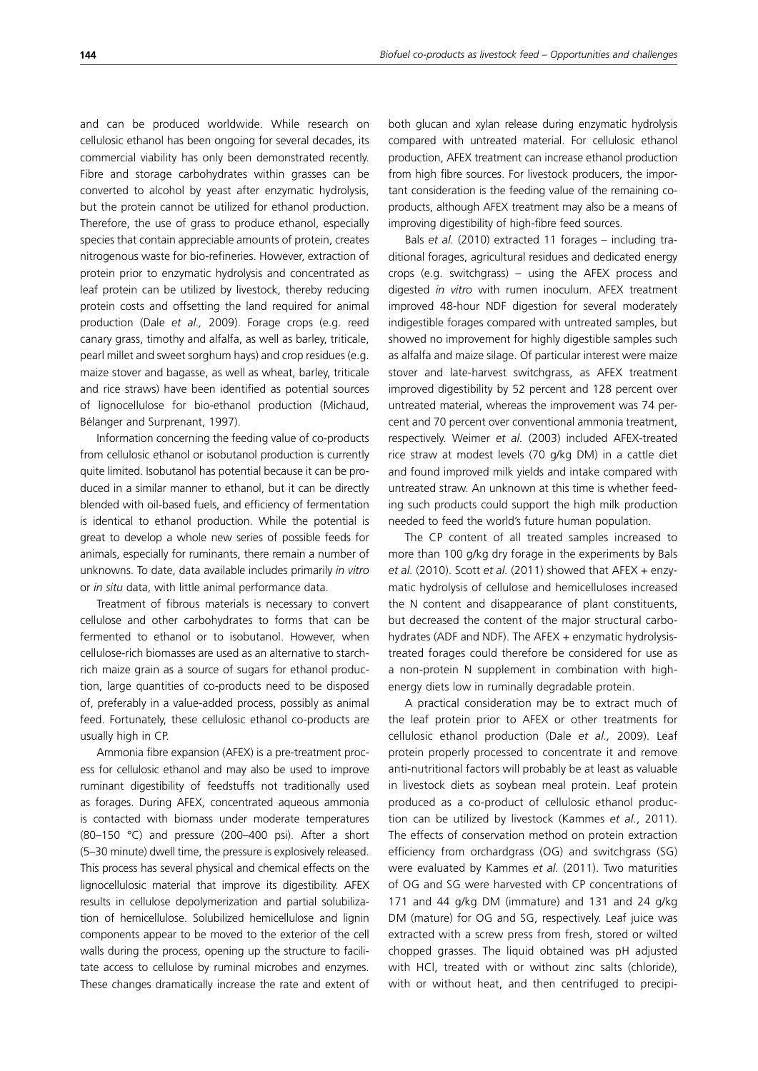and can be produced worldwide. While research on cellulosic ethanol has been ongoing for several decades, its commercial viability has only been demonstrated recently. Fibre and storage carbohydrates within grasses can be converted to alcohol by yeast after enzymatic hydrolysis, but the protein cannot be utilized for ethanol production. Therefore, the use of grass to produce ethanol, especially

species that contain appreciable amounts of protein, creates nitrogenous waste for bio-refineries. However, extraction of protein prior to enzymatic hydrolysis and concentrated as leaf protein can be utilized by livestock, thereby reducing protein costs and offsetting the land required for animal production (Dale *et al.,* 2009). Forage crops (e.g. reed canary grass, timothy and alfalfa, as well as barley, triticale, pearl millet and sweet sorghum hays) and crop residues (e.g. maize stover and bagasse, as well as wheat, barley, triticale and rice straws) have been identified as potential sources of lignocellulose for bio-ethanol production (Michaud, Bélanger and Surprenant, 1997).

Information concerning the feeding value of co-products from cellulosic ethanol or isobutanol production is currently quite limited. Isobutanol has potential because it can be produced in a similar manner to ethanol, but it can be directly blended with oil-based fuels, and efficiency of fermentation is identical to ethanol production. While the potential is great to develop a whole new series of possible feeds for animals, especially for ruminants, there remain a number of unknowns. To date, data available includes primarily *in vitro* or *in situ* data, with little animal performance data.

Treatment of fibrous materials is necessary to convert cellulose and other carbohydrates to forms that can be fermented to ethanol or to isobutanol. However, when cellulose-rich biomasses are used as an alternative to starchrich maize grain as a source of sugars for ethanol production, large quantities of co-products need to be disposed of, preferably in a value-added process, possibly as animal feed. Fortunately, these cellulosic ethanol co-products are usually high in CP.

Ammonia fibre expansion (AFEX) is a pre-treatment process for cellulosic ethanol and may also be used to improve ruminant digestibility of feedstuffs not traditionally used as forages. During AFEX, concentrated aqueous ammonia is contacted with biomass under moderate temperatures (80–150 °C) and pressure (200–400 psi). After a short (5–30 minute) dwell time, the pressure is explosively released. This process has several physical and chemical effects on the lignocellulosic material that improve its digestibility. AFEX results in cellulose depolymerization and partial solubilization of hemicellulose. Solubilized hemicellulose and lignin components appear to be moved to the exterior of the cell walls during the process, opening up the structure to facilitate access to cellulose by ruminal microbes and enzymes. These changes dramatically increase the rate and extent of

both glucan and xylan release during enzymatic hydrolysis compared with untreated material. For cellulosic ethanol production, AFEX treatment can increase ethanol production from high fibre sources. For livestock producers, the important consideration is the feeding value of the remaining coproducts, although AFEX treatment may also be a means of improving digestibility of high-fibre feed sources.

Bals *et al.* (2010) extracted 11 forages – including traditional forages, agricultural residues and dedicated energy crops (e.g. switchgrass) – using the AFEX process and digested *in vitro* with rumen inoculum. AFEX treatment improved 48-hour NDF digestion for several moderately indigestible forages compared with untreated samples, but showed no improvement for highly digestible samples such as alfalfa and maize silage. Of particular interest were maize stover and late-harvest switchgrass, as AFEX treatment improved digestibility by 52 percent and 128 percent over untreated material, whereas the improvement was 74 percent and 70 percent over conventional ammonia treatment, respectively. Weimer *et al.* (2003) included AFEX-treated rice straw at modest levels (70 g/kg DM) in a cattle diet and found improved milk yields and intake compared with untreated straw. An unknown at this time is whether feeding such products could support the high milk production needed to feed the world's future human population.

The CP content of all treated samples increased to more than 100 g/kg dry forage in the experiments by Bals *et al.* (2010). Scott *et al.* (2011) showed that AFEX + enzymatic hydrolysis of cellulose and hemicelluloses increased the N content and disappearance of plant constituents, but decreased the content of the major structural carbohydrates (ADF and NDF). The AFEX + enzymatic hydrolysistreated forages could therefore be considered for use as a non-protein N supplement in combination with highenergy diets low in ruminally degradable protein.

A practical consideration may be to extract much of the leaf protein prior to AFEX or other treatments for cellulosic ethanol production (Dale *et al.,* 2009). Leaf protein properly processed to concentrate it and remove anti-nutritional factors will probably be at least as valuable in livestock diets as soybean meal protein. Leaf protein produced as a co-product of cellulosic ethanol production can be utilized by livestock (Kammes *et al.*, 2011). The effects of conservation method on protein extraction efficiency from orchardgrass (OG) and switchgrass (SG) were evaluated by Kammes *et al.* (2011). Two maturities of OG and SG were harvested with CP concentrations of 171 and 44 g/kg DM (immature) and 131 and 24 g/kg DM (mature) for OG and SG, respectively. Leaf juice was extracted with a screw press from fresh, stored or wilted chopped grasses. The liquid obtained was pH adjusted with HCl, treated with or without zinc salts (chloride), with or without heat, and then centrifuged to precipi-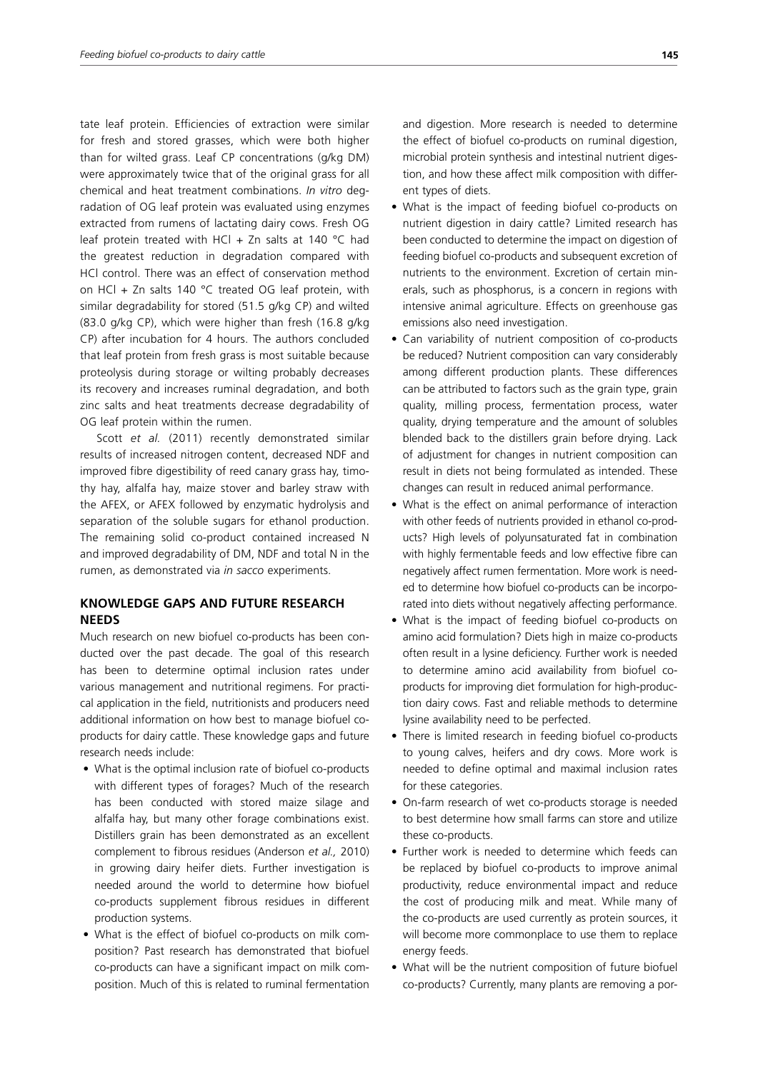tate leaf protein. Efficiencies of extraction were similar for fresh and stored grasses, which were both higher than for wilted grass. Leaf CP concentrations (g/kg DM) were approximately twice that of the original grass for all chemical and heat treatment combinations. *In vitro* degradation of OG leaf protein was evaluated using enzymes extracted from rumens of lactating dairy cows. Fresh OG leaf protein treated with HCl + Zn salts at 140  $^{\circ}$ C had the greatest reduction in degradation compared with HCl control. There was an effect of conservation method on HCl + Zn salts 140  $^{\circ}$ C treated OG leaf protein, with similar degradability for stored (51.5 g/kg CP) and wilted (83.0 g/kg CP), which were higher than fresh (16.8 g/kg CP) after incubation for 4 hours. The authors concluded that leaf protein from fresh grass is most suitable because proteolysis during storage or wilting probably decreases its recovery and increases ruminal degradation, and both zinc salts and heat treatments decrease degradability of OG leaf protein within the rumen.

Scott *et al.* (2011) recently demonstrated similar results of increased nitrogen content, decreased NDF and improved fibre digestibility of reed canary grass hay, timothy hay, alfalfa hay, maize stover and barley straw with the AFEX, or AFEX followed by enzymatic hydrolysis and separation of the soluble sugars for ethanol production. The remaining solid co-product contained increased N and improved degradability of DM, NDF and total N in the rumen, as demonstrated via *in sacco* experiments.

## **KNOWLEDGE GAPS AND FUTURE RESEARCH NEEDS**

Much research on new biofuel co-products has been conducted over the past decade. The goal of this research has been to determine optimal inclusion rates under various management and nutritional regimens. For practical application in the field, nutritionists and producers need additional information on how best to manage biofuel coproducts for dairy cattle. These knowledge gaps and future research needs include:

- What is the optimal inclusion rate of biofuel co-products with different types of forages? Much of the research has been conducted with stored maize silage and alfalfa hay, but many other forage combinations exist. Distillers grain has been demonstrated as an excellent complement to fibrous residues (Anderson *et al.,* 2010) in growing dairy heifer diets. Further investigation is needed around the world to determine how biofuel co-products supplement fibrous residues in different production systems.
- What is the effect of biofuel co-products on milk composition? Past research has demonstrated that biofuel co-products can have a significant impact on milk composition. Much of this is related to ruminal fermentation
- What is the impact of feeding biofuel co-products on nutrient digestion in dairy cattle? Limited research has been conducted to determine the impact on digestion of feeding biofuel co-products and subsequent excretion of nutrients to the environment. Excretion of certain minerals, such as phosphorus, is a concern in regions with intensive animal agriculture. Effects on greenhouse gas emissions also need investigation.
- Can variability of nutrient composition of co-products be reduced? Nutrient composition can vary considerably among different production plants. These differences can be attributed to factors such as the grain type, grain quality, milling process, fermentation process, water quality, drying temperature and the amount of solubles blended back to the distillers grain before drying. Lack of adjustment for changes in nutrient composition can result in diets not being formulated as intended. These changes can result in reduced animal performance.
- What is the effect on animal performance of interaction with other feeds of nutrients provided in ethanol co-products? High levels of polyunsaturated fat in combination with highly fermentable feeds and low effective fibre can negatively affect rumen fermentation. More work is needed to determine how biofuel co-products can be incorporated into diets without negatively affecting performance.
- What is the impact of feeding biofuel co-products on amino acid formulation? Diets high in maize co-products often result in a lysine deficiency. Further work is needed to determine amino acid availability from biofuel coproducts for improving diet formulation for high-production dairy cows. Fast and reliable methods to determine lysine availability need to be perfected.
- There is limited research in feeding biofuel co-products to young calves, heifers and dry cows. More work is needed to define optimal and maximal inclusion rates for these categories.
- On-farm research of wet co-products storage is needed to best determine how small farms can store and utilize these co-products.
- Further work is needed to determine which feeds can be replaced by biofuel co-products to improve animal productivity, reduce environmental impact and reduce the cost of producing milk and meat. While many of the co-products are used currently as protein sources, it will become more commonplace to use them to replace energy feeds.
- What will be the nutrient composition of future biofuel co-products? Currently, many plants are removing a por-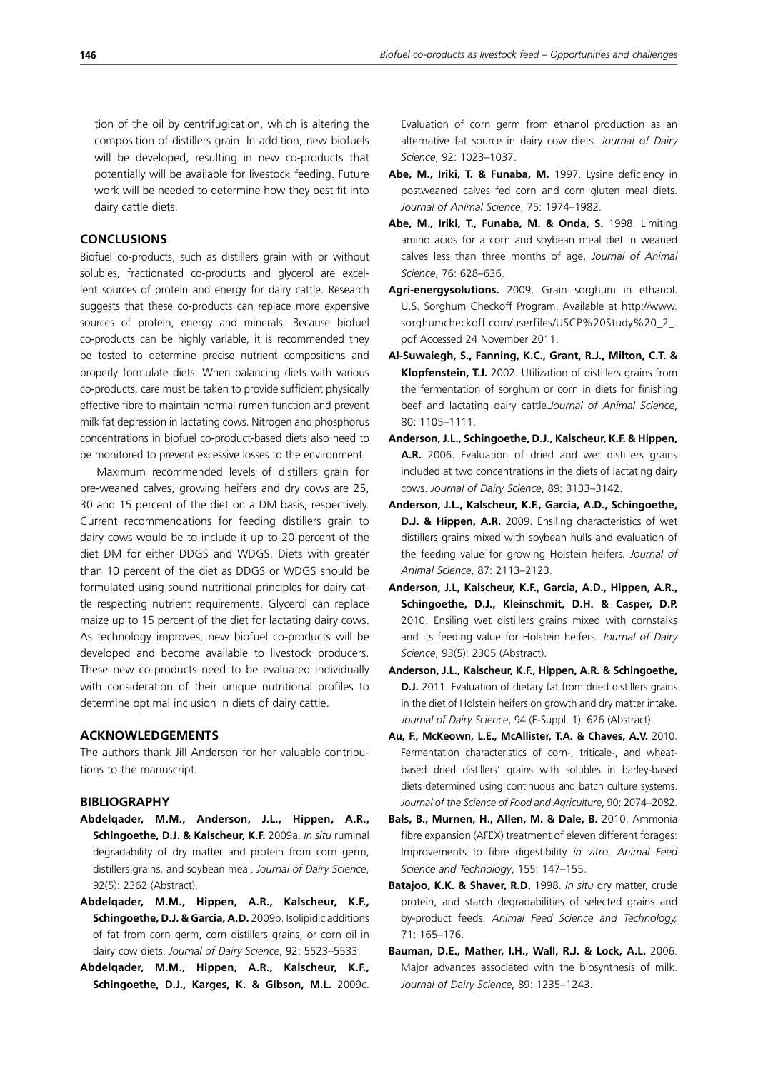tion of the oil by centrifugication, which is altering the composition of distillers grain. In addition, new biofuels will be developed, resulting in new co-products that potentially will be available for livestock feeding. Future work will be needed to determine how they best fit into dairy cattle diets.

## **CONCLUSIONS**

Biofuel co-products, such as distillers grain with or without solubles, fractionated co-products and glycerol are excellent sources of protein and energy for dairy cattle. Research suggests that these co-products can replace more expensive sources of protein, energy and minerals. Because biofuel co-products can be highly variable, it is recommended they be tested to determine precise nutrient compositions and properly formulate diets. When balancing diets with various co-products, care must be taken to provide sufficient physically effective fibre to maintain normal rumen function and prevent milk fat depression in lactating cows. Nitrogen and phosphorus concentrations in biofuel co-product-based diets also need to be monitored to prevent excessive losses to the environment.

Maximum recommended levels of distillers grain for pre-weaned calves, growing heifers and dry cows are 25, 30 and 15 percent of the diet on a DM basis, respectively. Current recommendations for feeding distillers grain to dairy cows would be to include it up to 20 percent of the diet DM for either DDGS and WDGS. Diets with greater than 10 percent of the diet as DDGS or WDGS should be formulated using sound nutritional principles for dairy cattle respecting nutrient requirements. Glycerol can replace maize up to 15 percent of the diet for lactating dairy cows. As technology improves, new biofuel co-products will be developed and become available to livestock producers. These new co-products need to be evaluated individually with consideration of their unique nutritional profiles to determine optimal inclusion in diets of dairy cattle.

#### **ACKNOWLEDGEMENTS**

The authors thank Jill Anderson for her valuable contributions to the manuscript.

#### **BIBLIOGRAPHY**

- **Abdelqader, M.M., Anderson, J.L., Hippen, A.R., Schingoethe, D.J. & Kalscheur, K.F.** 2009a. *In situ* ruminal degradability of dry matter and protein from corn germ, distillers grains, and soybean meal. *Journal of Dairy Science*, 92(5): 2362 (Abstract).
- **Abdelqader, M.M., Hippen, A.R., Kalscheur, K.F., Schingoethe, D.J. & Garcia, A.D.** 2009b. Isolipidic additions of fat from corn germ, corn distillers grains, or corn oil in dairy cow diets. *Journal of Dairy Science*, 92: 5523–5533.
- **Abdelqader, M.M., Hippen, A.R., Kalscheur, K.F., Schingoethe, D.J., Karges, K. & Gibson, M.L.** 2009c.

Evaluation of corn germ from ethanol production as an alternative fat source in dairy cow diets. *Journal of Dairy Science*, 92: 1023–1037.

- **Abe, M., Iriki, T. & Funaba, M.** 1997. Lysine deficiency in postweaned calves fed corn and corn gluten meal diets. *Journal of Animal Science*, 75: 1974–1982.
- **Abe, M., Iriki, T., Funaba, M. & Onda, S.** 1998. Limiting amino acids for a corn and soybean meal diet in weaned calves less than three months of age. *Journal of Animal Science*, 76: 628–636.
- **Agri-energysolutions.** 2009. Grain sorghum in ethanol. U.S. Sorghum Checkoff Program. Available at http://www. sorghumcheckoff.com/userfiles/USCP%20Study%20\_2\_. pdf Accessed 24 November 2011.
- **Al-Suwaiegh, S., Fanning, K.C., Grant, R.J., Milton, C.T. & Klopfenstein, T.J.** 2002. Utilization of distillers grains from the fermentation of sorghum or corn in diets for finishing beef and lactating dairy cattle.*Journal of Animal Science*, 80: 1105–1111.
- **Anderson, J.L., Schingoethe, D.J., Kalscheur, K.F. & Hippen, A.R.** 2006. Evaluation of dried and wet distillers grains included at two concentrations in the diets of lactating dairy cows. *Journal of Dairy Science*, 89: 3133–3142.
- **Anderson, J.L., Kalscheur, K.F., Garcia, A.D., Schingoethe, D.J. & Hippen, A.R.** 2009. Ensiling characteristics of wet distillers grains mixed with soybean hulls and evaluation of the feeding value for growing Holstein heifers*. Journal of Animal Science*, 87: 2113–2123.
- **Anderson, J.L, Kalscheur, K.F., Garcia, A.D., Hippen, A.R., Schingoethe, D.J., Kleinschmit, D.H. & Casper, D.P.** 2010. Ensiling wet distillers grains mixed with cornstalks and its feeding value for Holstein heifers. *Journal of Dairy Science*, 93(5): 2305 (Abstract).
- **Anderson, J.L., Kalscheur, K.F., Hippen, A.R. & Schingoethe, D.J.** 2011. Evaluation of dietary fat from dried distillers grains in the diet of Holstein heifers on growth and dry matter intake. *Journal of Dairy Science*, 94 (E-Suppl. 1): 626 (Abstract).
- **Au, F., McKeown, L.E., McAllister, T.A. & Chaves, A.V.** 2010. Fermentation characteristics of corn-, triticale-, and wheatbased dried distillers' grains with solubles in barley-based diets determined using continuous and batch culture systems. *Journal of the Science of Food and Agriculture*, 90: 2074–2082.
- **Bals, B., Murnen, H., Allen, M. & Dale, B.** 2010. Ammonia fibre expansion (AFEX) treatment of eleven different forages: Improvements to fibre digestibility *in vitro*. *Animal Feed Science and Technology*, 155: 147–155.
- **Batajoo, K.K. & Shaver, R.D.** 1998. *In situ* dry matter, crude protein, and starch degradabilities of selected grains and by-product feeds. *Animal Feed Science and Technology,* 71: 165–176.
- **Bauman, D.E., Mather, I.H., Wall, R.J. & Lock, A.L.** 2006. Major advances associated with the biosynthesis of milk. *Journal of Dairy Science*, 89: 1235–1243.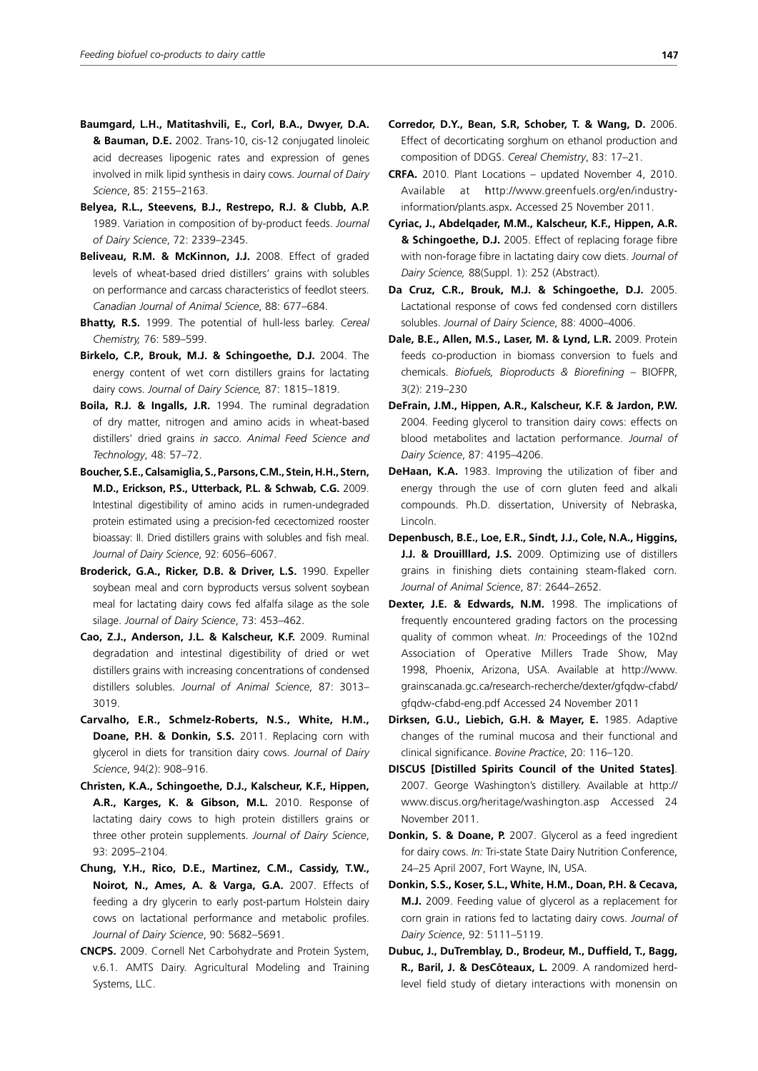- **Baumgard, L.H., Matitashvili, E., Corl, B.A., Dwyer, D.A. & Bauman, D.E.** 2002. Trans-10, cis-12 conjugated linoleic acid decreases lipogenic rates and expression of genes involved in milk lipid synthesis in dairy cows. *Journal of Dairy Science*, 85: 2155–2163.
- **Belyea, R.L., Steevens, B.J., Restrepo, R.J. & Clubb, A.P.** 1989. Variation in composition of by-product feeds. *Journal of Dairy Science*, 72: 2339–2345.
- **Beliveau, R.M. & McKinnon, J.J.** 2008. Effect of graded levels of wheat-based dried distillers' grains with solubles on performance and carcass characteristics of feedlot steers. *Canadian Journal of Animal Science*, 88: 677–684.
- **Bhatty, R.S.** 1999. The potential of hull-less barley. *Cereal Chemistry,* 76: 589–599.
- **Birkelo, C.P., Brouk, M.J. & Schingoethe, D.J.** 2004. The energy content of wet corn distillers grains for lactating dairy cows. *Journal of Dairy Science,* 87: 1815–1819.
- **Boila, R.J. & Ingalls, J.R.** 1994. The ruminal degradation of dry matter, nitrogen and amino acids in wheat-based distillers' dried grains *in sacco*. *Animal Feed Science and Technology*, 48: 57–72.
- **Boucher, S.E., Calsamiglia, S., Parsons, C.M., Stein, H.H., Stern, M.D., Erickson, P.S., Utterback, P.L. & Schwab, C.G.** 2009. Intestinal digestibility of amino acids in rumen-undegraded protein estimated using a precision-fed cecectomized rooster bioassay: II. Dried distillers grains with solubles and fish meal. *Journal of Dairy Science*, 92: 6056–6067.
- **Broderick, G.A., Ricker, D.B. & Driver, L.S.** 1990. Expeller soybean meal and corn byproducts versus solvent soybean meal for lactating dairy cows fed alfalfa silage as the sole silage. *Journal of Dairy Science*, 73: 453–462.
- **Cao, Z.J., Anderson, J.L. & Kalscheur, K.F.** 2009. Ruminal degradation and intestinal digestibility of dried or wet distillers grains with increasing concentrations of condensed distillers solubles*. Journal of Animal Science*, 87: 3013– 3019.
- **Carvalho, E.R., Schmelz-Roberts, N.S., White, H.M., Doane, P.H. & Donkin, S.S.** 2011. Replacing corn with glycerol in diets for transition dairy cows. *Journal of Dairy Science*, 94(2): 908–916.
- **Christen, K.A., Schingoethe, D.J., Kalscheur, K.F., Hippen, A.R., Karges, K. & Gibson, M.L.** 2010. Response of lactating dairy cows to high protein distillers grains or three other protein supplements. *Journal of Dairy Science*, 93: 2095–2104.
- **Chung, Y.H., Rico, D.E., Martinez, C.M., Cassidy, T.W., Noirot, N., Ames, A. & Varga, G.A.** 2007. Effects of feeding a dry glycerin to early post-partum Holstein dairy cows on lactational performance and metabolic profiles. *Journal of Dairy Science*, 90: 5682–5691.
- **CNCPS.** 2009. Cornell Net Carbohydrate and Protein System, v.6.1. AMTS Dairy. Agricultural Modeling and Training Systems, LLC.
- **Corredor, D.Y., Bean, S.R, Schober, T. & Wang, D.** 2006. Effect of decorticating sorghum on ethanol production and composition of DDGS. *Cereal Chemistry*, 83: 17–21.
- **CRFA.** 2010. Plant Locations updated November 4, 2010. Available at http://www.greenfuels.org/en/industryinformation/plants.aspx. Accessed 25 November 2011.
- **Cyriac, J., Abdelqader, M.M., Kalscheur, K.F., Hippen, A.R. & Schingoethe, D.J.** 2005. Effect of replacing forage fibre with non-forage fibre in lactating dairy cow diets. *Journal of Dairy Science,* 88(Suppl. 1): 252 (Abstract).
- **Da Cruz, C.R., Brouk, M.J. & Schingoethe, D.J.** 2005. Lactational response of cows fed condensed corn distillers solubles. *Journal of Dairy Science*, 88: 4000–4006.
- **Dale, B.E., Allen, M.S., Laser, M. & Lynd, L.R.** 2009. Protein feeds co-production in biomass conversion to fuels and chemicals. *Biofuels, Bioproducts & Biorefining* – BIOFPR, 3(2): 219–230
- **DeFrain, J.M., Hippen, A.R., Kalscheur, K.F. & Jardon, P.W.**  2004. Feeding glycerol to transition dairy cows: effects on blood metabolites and lactation performance. *Journal of Dairy Science*, 87: 4195–4206.
- **DeHaan, K.A.** 1983. Improving the utilization of fiber and energy through the use of corn gluten feed and alkali compounds. Ph.D. dissertation, University of Nebraska, Lincoln.
- **Depenbusch, B.E., Loe, E.R., Sindt, J.J., Cole, N.A., Higgins, J.J. & Drouilllard, J.S.** 2009. Optimizing use of distillers grains in finishing diets containing steam-flaked corn*. Journal of Animal Science*, 87: 2644–2652.
- **Dexter, J.E. & Edwards, N.M.** 1998. The implications of frequently encountered grading factors on the processing quality of common wheat. *In:* Proceedings of the 102nd Association of Operative Millers Trade Show, May 1998, Phoenix, Arizona, USA. Available at http://www. grainscanada.gc.ca/research-recherche/dexter/gfqdw-cfabd/ gfqdw-cfabd-eng.pdf Accessed 24 November 2011
- **Dirksen, G.U., Liebich, G.H. & Mayer, E.** 1985. Adaptive changes of the ruminal mucosa and their functional and clinical significance. *Bovine Practice*, 20: 116–120.
- **DISCUS [Distilled Spirits Council of the United States]**. 2007. George Washington's distillery. Available at http:// www.discus.org/heritage/washington.asp Accessed 24 November 2011.
- **Donkin, S. & Doane, P.** 2007. Glycerol as a feed ingredient for dairy cows. *In:* Tri-state State Dairy Nutrition Conference, 24–25 April 2007, Fort Wayne, IN, USA.
- **Donkin, S.S., Koser, S.L., White, H.M., Doan, P.H. & Cecava, M.J.** 2009. Feeding value of glycerol as a replacement for corn grain in rations fed to lactating dairy cows. *Journal of Dairy Science*, 92: 5111–5119.
- **Dubuc, J., DuTremblay, D., Brodeur, M., Duffield, T., Bagg, R., Baril, J. & DesCôteaux, L.** 2009. A randomized herdlevel field study of dietary interactions with monensin on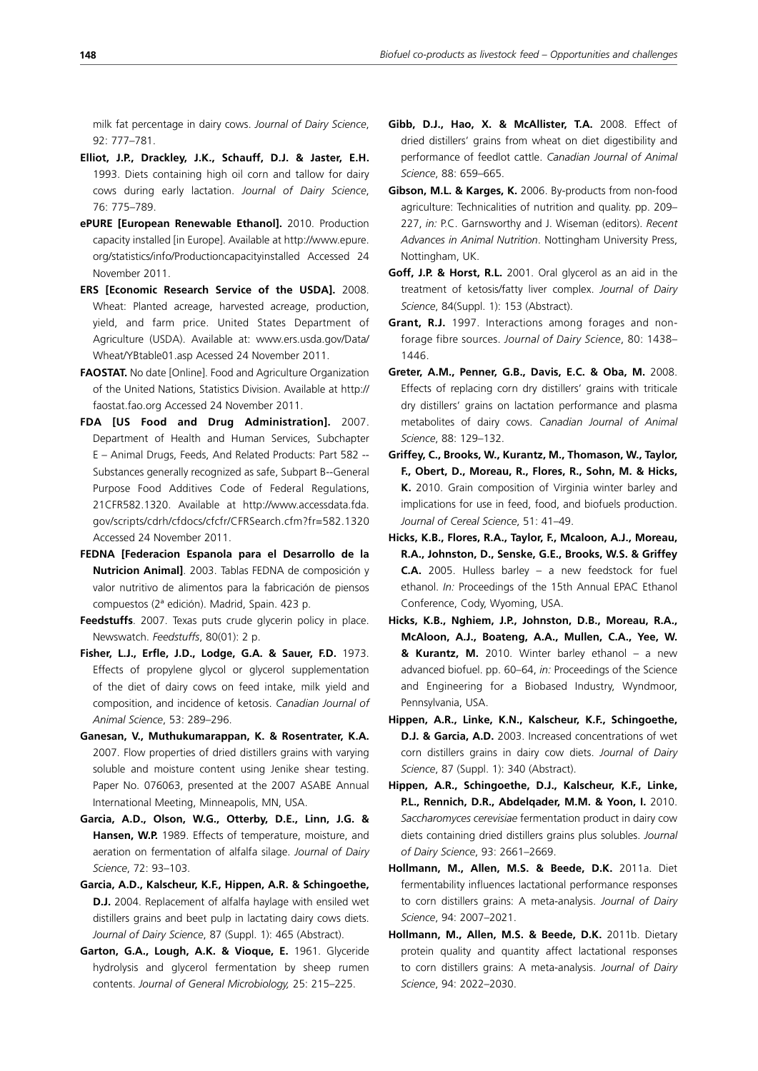milk fat percentage in dairy cows. *Journal of Dairy Science*, 92: 777–781.

- **Elliot, J.P., Drackley, J.K., Schauff, D.J. & Jaster, E.H.** 1993. Diets containing high oil corn and tallow for dairy cows during early lactation. *Journal of Dairy Science*, 76: 775–789.
- **ePURE [European Renewable Ethanol].** 2010. Production capacity installed [in Europe]. Available at http://www.epure. org/statistics/info/Productioncapacityinstalled Accessed 24 November 2011.
- **ERS [Economic Research Service of the USDA].** 2008. Wheat: Planted acreage, harvested acreage, production, yield, and farm price. United States Department of Agriculture (USDA). Available at: www.ers.usda.gov/Data/ Wheat/YBtable01.asp Acessed 24 November 2011.
- **FAOSTAT.** No date [Online]. Food and Agriculture Organization of the United Nations, Statistics Division. Available at http:// faostat.fao.org Accessed 24 November 2011.
- **FDA [US Food and Drug Administration].** 2007. Department of Health and Human Services, Subchapter E – Animal Drugs, Feeds, And Related Products: Part 582 -- Substances generally recognized as safe, Subpart B--General Purpose Food Additives Code of Federal Regulations, 21CFR582.1320. Available at http://www.accessdata.fda. gov/scripts/cdrh/cfdocs/cfcfr/CFRSearch.cfm?fr=582.1320 Accessed 24 November 2011.
- **FEDNA [Federacion Espanola para el Desarrollo de la Nutricion Animal]**. 2003. Tablas FEDNA de composición y valor nutritivo de alimentos para la fabricación de piensos compuestos (2ª edición). Madrid, Spain. 423 p.
- **Feedstuffs**. 2007. Texas puts crude glycerin policy in place. Newswatch. *Feedstuffs*, 80(01): 2 p.
- **Fisher, L.J., Erfle, J.D., Lodge, G.A. & Sauer, F.D.** 1973. Effects of propylene glycol or glycerol supplementation of the diet of dairy cows on feed intake, milk yield and composition, and incidence of ketosis. *Canadian Journal of Animal Science*, 53: 289–296.
- **Ganesan, V., Muthukumarappan, K. & Rosentrater, K.A.**  2007. Flow properties of dried distillers grains with varying soluble and moisture content using Jenike shear testing. Paper No. 076063, presented at the 2007 ASABE Annual International Meeting, Minneapolis, MN, USA.
- **Garcia, A.D., Olson, W.G., Otterby, D.E., Linn, J.G. & Hansen, W.P.** 1989. Effects of temperature, moisture, and aeration on fermentation of alfalfa silage. *Journal of Dairy Science*, 72: 93–103.
- **Garcia, A.D., Kalscheur, K.F., Hippen, A.R. & Schingoethe, D.J.** 2004. Replacement of alfalfa haylage with ensiled wet distillers grains and beet pulp in lactating dairy cows diets. *Journal of Dairy Science*, 87 (Suppl. 1): 465 (Abstract).
- **Garton, G.A., Lough, A.K. & Vioque, E.** 1961. Glyceride hydrolysis and glycerol fermentation by sheep rumen contents. *Journal of General Microbiology,* 25: 215–225.
- **Gibb, D.J., Hao, X. & McAllister, T.A.** 2008. Effect of dried distillers' grains from wheat on diet digestibility and performance of feedlot cattle. *Canadian Journal of Animal Science*, 88: 659–665.
- **Gibson, M.L. & Karges, K.** 2006. By-products from non-food agriculture: Technicalities of nutrition and quality. pp. 209– 227, *in:* P.C. Garnsworthy and J. Wiseman (editors). *Recent Advances in Animal Nutrition*. Nottingham University Press, Nottingham, UK.
- **Goff, J.P. & Horst, R.L.** 2001. Oral glycerol as an aid in the treatment of ketosis/fatty liver complex. *Journal of Dairy Science*, 84(Suppl. 1): 153 (Abstract).
- **Grant, R.J.** 1997. Interactions among forages and nonforage fibre sources. *Journal of Dairy Science*, 80: 1438– 1446.
- **Greter, A.M., Penner, G.B., Davis, E.C. & Oba, M.** 2008. Effects of replacing corn dry distillers' grains with triticale dry distillers' grains on lactation performance and plasma metabolites of dairy cows. *Canadian Journal of Animal Science*, 88: 129–132.
- **Griffey, C., Brooks, W., Kurantz, M., Thomason, W., Taylor, F., Obert, D., Moreau, R., Flores, R., Sohn, M. & Hicks, K.** 2010. Grain composition of Virginia winter barley and implications for use in feed, food, and biofuels production. *Journal of Cereal Science*, 51: 41–49.
- **Hicks, K.B., Flores, R.A., Taylor, F., Mcaloon, A.J., Moreau, R.A., Johnston, D., Senske, G.E., Brooks, W.S. & Griffey C.A.** 2005. Hulless barley – a new feedstock for fuel ethanol. *In:* Proceedings of the 15th Annual EPAC Ethanol Conference, Cody, Wyoming, USA.
- **Hicks, K.B., Nghiem, J.P., Johnston, D.B., Moreau, R.A., McAloon, A.J., Boateng, A.A., Mullen, C.A., Yee, W. & Kurantz, M.** 2010. Winter barley ethanol – a new advanced biofuel. pp. 60–64, *in:* Proceedings of the Science and Engineering for a Biobased Industry, Wyndmoor, Pennsylvania, USA.
- **Hippen, A.R., Linke, K.N., Kalscheur, K.F., Schingoethe, D.J. & Garcia, A.D.** 2003. Increased concentrations of wet corn distillers grains in dairy cow diets. *Journal of Dairy Science*, 87 (Suppl. 1): 340 (Abstract).
- **Hippen, A.R., Schingoethe, D.J., Kalscheur, K.F., Linke, P.L., Rennich, D.R., Abdelqader, M.M. & Yoon, I.** 2010. *Saccharomyces cerevisiae* fermentation product in dairy cow diets containing dried distillers grains plus solubles. *Journal of Dairy Science*, 93: 2661–2669.
- **Hollmann, M., Allen, M.S. & Beede, D.K.** 2011a. Diet fermentability influences lactational performance responses to corn distillers grains: A meta-analysis. *Journal of Dairy Science*, 94: 2007–2021.
- **Hollmann, M., Allen, M.S. & Beede, D.K.** 2011b. Dietary protein quality and quantity affect lactational responses to corn distillers grains: A meta-analysis. *Journal of Dairy Science*, 94: 2022–2030.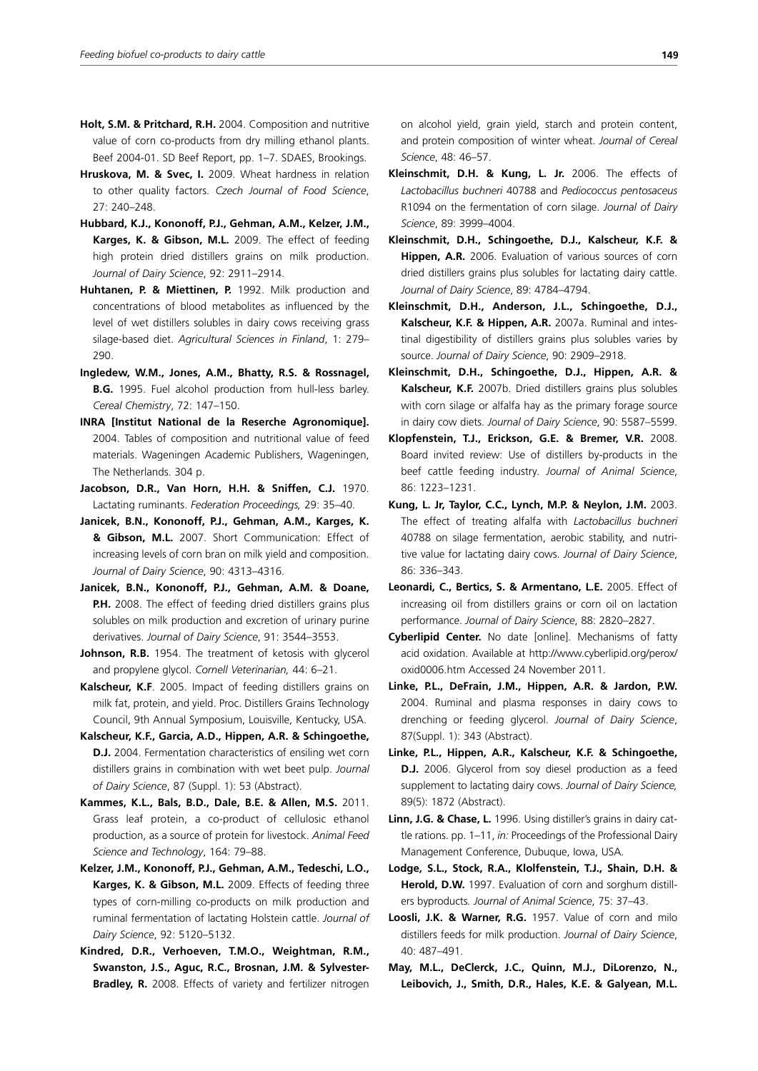- **Holt, S.M. & Pritchard, R.H.** 2004. Composition and nutritive value of corn co-products from dry milling ethanol plants. Beef 2004-01. SD Beef Report, pp. 1–7. SDAES, Brookings.
- **Hruskova, M. & Svec, I.** 2009. Wheat hardness in relation to other quality factors. *Czech Journal of Food Science*, 27: 240–248.
- **Hubbard, K.J., Kononoff, P.J., Gehman, A.M., Kelzer, J.M., Karges, K. & Gibson, M.L.** 2009. The effect of feeding high protein dried distillers grains on milk production. *Journal of Dairy Science*, 92: 2911–2914.
- **Huhtanen, P. & Miettinen, P.** 1992. Milk production and concentrations of blood metabolites as influenced by the level of wet distillers solubles in dairy cows receiving grass silage-based diet. *Agricultural Sciences in Finland*, 1: 279– 290.
- **Ingledew, W.M., Jones, A.M., Bhatty, R.S. & Rossnagel, B.G.** 1995. Fuel alcohol production from hull-less barley. *Cereal Chemistry*, 72: 147–150.
- **INRA [Institut National de la Reserche Agronomique].** 2004. Tables of composition and nutritional value of feed materials. Wageningen Academic Publishers, Wageningen, The Netherlands. 304 p.
- **Jacobson, D.R., Van Horn, H.H. & Sniffen, C.J.** 1970. Lactating ruminants. *Federation Proceedings,* 29: 35–40.
- **Janicek, B.N., Kononoff, P.J., Gehman, A.M., Karges, K. & Gibson, M.L.** 2007. Short Communication: Effect of increasing levels of corn bran on milk yield and composition. *Journal of Dairy Science*, 90: 4313–4316.
- **Janicek, B.N., Kononoff, P.J., Gehman, A.M. & Doane, P.H.** 2008. The effect of feeding dried distillers grains plus solubles on milk production and excretion of urinary purine derivatives. *Journal of Dairy Science*, 91: 3544–3553.
- **Johnson, R.B.** 1954. The treatment of ketosis with glycerol and propylene glycol. *Cornell Veterinarian,* 44: 6–21.
- **Kalscheur, K.F**. 2005. Impact of feeding distillers grains on milk fat, protein, and yield. Proc. Distillers Grains Technology Council, 9th Annual Symposium, Louisville, Kentucky, USA.
- **Kalscheur, K.F., Garcia, A.D., Hippen, A.R. & Schingoethe, D.J.** 2004. Fermentation characteristics of ensiling wet corn distillers grains in combination with wet beet pulp. *Journal of Dairy Science*, 87 (Suppl. 1): 53 (Abstract).
- **Kammes, K.L., Bals, B.D., Dale, B.E. & Allen, M.S.** 2011. Grass leaf protein, a co-product of cellulosic ethanol production, as a source of protein for livestock. *Animal Feed Science and Technology*, 164: 79–88.
- **Kelzer, J.M., Kononoff, P.J., Gehman, A.M., Tedeschi, L.O., Karges, K. & Gibson, M.L.** 2009. Effects of feeding three types of corn-milling co-products on milk production and ruminal fermentation of lactating Holstein cattle. *Journal of Dairy Science*, 92: 5120–5132.
- **Kindred, D.R., Verhoeven, T.M.O., Weightman, R.M., Swanston, J.S., Aguc, R.C., Brosnan, J.M. & Sylvester-Bradley, R.** 2008. Effects of variety and fertilizer nitrogen

on alcohol yield, grain yield, starch and protein content, and protein composition of winter wheat. *Journal of Cereal Science*, 48: 46–57.

- **Kleinschmit, D.H. & Kung, L. Jr.** 2006. The effects of *Lactobacillus buchneri* 40788 and *Pediococcus pentosaceus* R1094 on the fermentation of corn silage. *Journal of Dairy Science*, 89: 3999–4004.
- **Kleinschmit, D.H., Schingoethe, D.J., Kalscheur, K.F. & Hippen, A.R.** 2006. Evaluation of various sources of corn dried distillers grains plus solubles for lactating dairy cattle. *Journal of Dairy Science*, 89: 4784–4794.
- **Kleinschmit, D.H., Anderson, J.L., Schingoethe, D.J., Kalscheur, K.F. & Hippen, A.R.** 2007a. Ruminal and intestinal digestibility of distillers grains plus solubles varies by source. *Journal of Dairy Science*, 90: 2909–2918.
- **Kleinschmit, D.H., Schingoethe, D.J., Hippen, A.R. & Kalscheur, K.F.** 2007b. Dried distillers grains plus solubles with corn silage or alfalfa hay as the primary forage source in dairy cow diets. *Journal of Dairy Science*, 90: 5587–5599.
- **Klopfenstein, T.J., Erickson, G.E. & Bremer, V.R.** 2008. Board invited review: Use of distillers by-products in the beef cattle feeding industry*. Journal of Animal Science*, 86: 1223–1231.
- **Kung, L. Jr, Taylor, C.C., Lynch, M.P. & Neylon, J.M.** 2003. The effect of treating alfalfa with *Lactobacillus buchneri*  40788 on silage fermentation, aerobic stability, and nutritive value for lactating dairy cows. *Journal of Dairy Science*, 86: 336–343.
- **Leonardi, C., Bertics, S. & Armentano, L.E.** 2005. Effect of increasing oil from distillers grains or corn oil on lactation performance. *Journal of Dairy Science*, 88: 2820–2827.
- **Cyberlipid Center.** No date [online]. Mechanisms of fatty acid oxidation. Available at http://www.cyberlipid.org/perox/ oxid0006.htm Accessed 24 November 2011.
- **Linke, P.L., DeFrain, J.M., Hippen, A.R. & Jardon, P.W.**  2004. Ruminal and plasma responses in dairy cows to drenching or feeding glycerol. *Journal of Dairy Science*, 87(Suppl. 1): 343 (Abstract).
- **Linke, P.L., Hippen, A.R., Kalscheur, K.F. & Schingoethe, D.J.** 2006. Glycerol from soy diesel production as a feed supplement to lactating dairy cows. *Journal of Dairy Science,* 89(5): 1872 (Abstract).
- **Linn, J.G. & Chase, L.** 1996. Using distiller's grains in dairy cattle rations. pp. 1–11, *in:* Proceedings of the Professional Dairy Management Conference, Dubuque, Iowa, USA.
- **Lodge, S.L., Stock, R.A., Klolfenstein, T.J., Shain, D.H. & Herold, D.W.** 1997. Evaluation of corn and sorghum distillers byproducts*. Journal of Animal Science*, 75: 37–43.
- **Loosli, J.K. & Warner, R.G.** 1957. Value of corn and milo distillers feeds for milk production. *Journal of Dairy Science*, 40: 487–491.
- **May, M.L., DeClerck, J.C., Quinn, M.J., DiLorenzo, N., Leibovich, J., Smith, D.R., Hales, K.E. & Galyean, M.L.**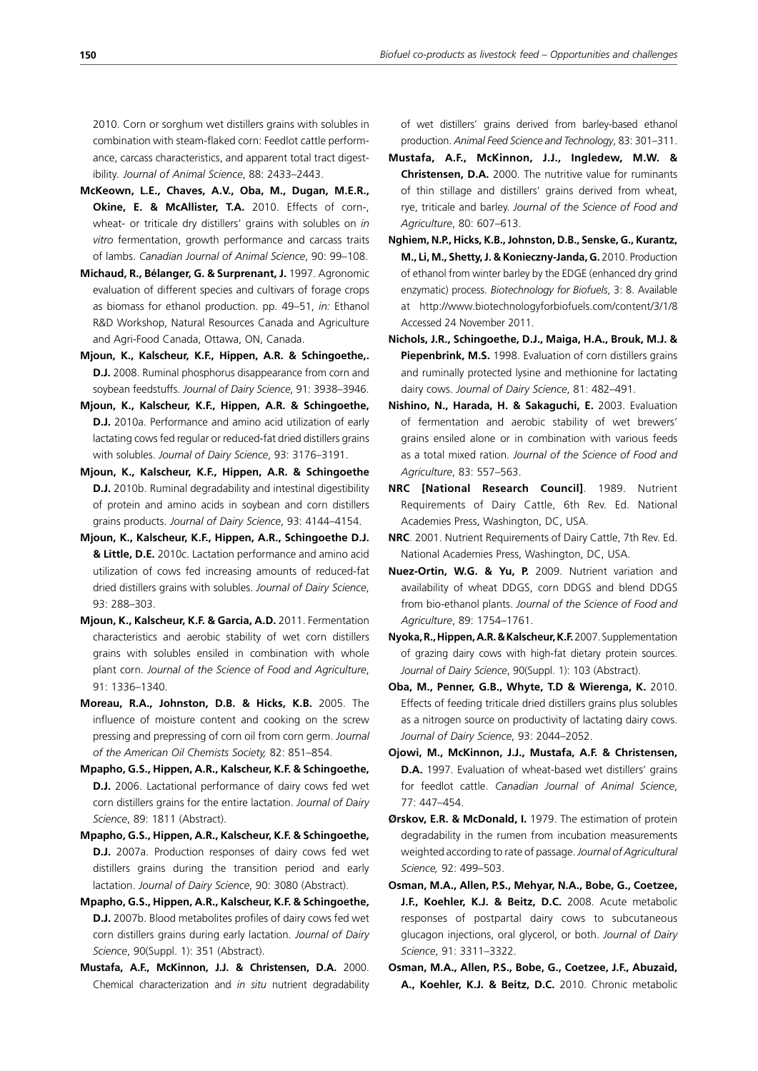2010. Corn or sorghum wet distillers grains with solubles in combination with steam-flaked corn: Feedlot cattle performance, carcass characteristics, and apparent total tract digestibility*. Journal of Animal Science*, 88: 2433–2443.

- **McKeown, L.E., Chaves, A.V., Oba, M., Dugan, M.E.R., Okine, E. & McAllister, T.A.** 2010. Effects of corn-, wheat- or triticale dry distillers' grains with solubles on *in vitro* fermentation, growth performance and carcass traits of lambs. *Canadian Journal of Animal Science*, 90: 99–108.
- **Michaud, R., Bélanger, G. & Surprenant, J.** 1997. Agronomic evaluation of different species and cultivars of forage crops as biomass for ethanol production. pp. 49–51, *in:* Ethanol R&D Workshop, Natural Resources Canada and Agriculture and Agri-Food Canada, Ottawa, ON, Canada.
- **Mjoun, K., Kalscheur, K.F., Hippen, A.R. & Schingoethe,. D.J.** 2008. Ruminal phosphorus disappearance from corn and soybean feedstuffs. *Journal of Dairy Science*, 91: 3938–3946.
- **Mjoun, K., Kalscheur, K.F., Hippen, A.R. & Schingoethe, D.J.** 2010a. Performance and amino acid utilization of early lactating cows fed regular or reduced-fat dried distillers grains with solubles. *Journal of Dairy Science*, 93: 3176–3191.
- **Mjoun, K., Kalscheur, K.F., Hippen, A.R. & Schingoethe D.J.** 2010b. Ruminal degradability and intestinal digestibility of protein and amino acids in soybean and corn distillers grains products. *Journal of Dairy Science*, 93: 4144–4154.
- **Mjoun, K., Kalscheur, K.F., Hippen, A.R., Schingoethe D.J. & Little, D.E.** 2010c. Lactation performance and amino acid utilization of cows fed increasing amounts of reduced-fat dried distillers grains with solubles. *Journal of Dairy Science*, 93: 288–303.
- **Mjoun, K., Kalscheur, K.F. & Garcia, A.D.** 2011. Fermentation characteristics and aerobic stability of wet corn distillers grains with solubles ensiled in combination with whole plant corn. *Journal of the Science of Food and Agriculture*, 91: 1336–1340.
- **Moreau, R.A., Johnston, D.B. & Hicks, K.B.** 2005. The influence of moisture content and cooking on the screw pressing and prepressing of corn oil from corn germ. *Journal of the American Oil Chemists Society,* 82: 851–854.
- **Mpapho, G.S., Hippen, A.R., Kalscheur, K.F. & Schingoethe, D.J.** 2006. Lactational performance of dairy cows fed wet corn distillers grains for the entire lactation. *Journal of Dairy Science*, 89: 1811 (Abstract).
- **Mpapho, G.S., Hippen, A.R., Kalscheur, K.F. & Schingoethe, D.J.** 2007a. Production responses of dairy cows fed wet distillers grains during the transition period and early lactation. *Journal of Dairy Science*, 90: 3080 (Abstract).
- **Mpapho, G.S., Hippen, A.R., Kalscheur, K.F. & Schingoethe, D.J.** 2007b. Blood metabolites profiles of dairy cows fed wet corn distillers grains during early lactation. *Journal of Dairy Science*, 90(Suppl. 1): 351 (Abstract).
- **Mustafa, A.F., McKinnon, J.J. & Christensen, D.A.** 2000. Chemical characterization and *in situ* nutrient degradability

of wet distillers' grains derived from barley-based ethanol production. *Animal Feed Science and Technology*, 83: 301–311.

- **Mustafa, A.F., McKinnon, J.J., Ingledew, M.W. & Christensen, D.A.** 2000. The nutritive value for ruminants of thin stillage and distillers' grains derived from wheat, rye, triticale and barley. *Journal of the Science of Food and Agriculture*, 80: 607–613.
- **Nghiem, N.P., Hicks, K.B., Johnston, D.B., Senske, G., Kurantz, M., Li, M., Shetty, J. & Konieczny-Janda, G.** 2010. Production of ethanol from winter barley by the EDGE (enhanced dry grind enzymatic) process. *Biotechnology for Biofuels*, 3: 8. Available at http://www.biotechnologyforbiofuels.com/content/3/1/8 Accessed 24 November 2011.
- **Nichols, J.R., Schingoethe, D.J., Maiga, H.A., Brouk, M.J. &**  Piepenbrink, M.S. 1998. Evaluation of corn distillers grains and ruminally protected lysine and methionine for lactating dairy cows. *Journal of Dairy Science*, 81: 482–491.
- **Nishino, N., Harada, H. & Sakaguchi, E.** 2003. Evaluation of fermentation and aerobic stability of wet brewers' grains ensiled alone or in combination with various feeds as a total mixed ration. *Journal of the Science of Food and Agriculture*, 83: 557–563.
- **NRC [National Research Council]**. 1989. Nutrient Requirements of Dairy Cattle, 6th Rev. Ed. National Academies Press, Washington, DC, USA.
- **NRC**. 2001. Nutrient Requirements of Dairy Cattle, 7th Rev. Ed. National Academies Press, Washington, DC, USA.
- **Nuez-Ortin, W.G. & Yu, P.** 2009. Nutrient variation and availability of wheat DDGS, corn DDGS and blend DDGS from bio-ethanol plants. *Journal of the Science of Food and Agriculture*, 89: 1754–1761.
- **Nyoka, R., Hippen, A.R. & Kalscheur, K.F.** 2007. Supplementation of grazing dairy cows with high-fat dietary protein sources. *Journal of Dairy Science*, 90(Suppl. 1): 103 (Abstract).
- **Oba, M., Penner, G.B., Whyte, T.D & Wierenga, K.** 2010. Effects of feeding triticale dried distillers grains plus solubles as a nitrogen source on productivity of lactating dairy cows. *Journal of Dairy Science*, 93: 2044–2052.
- **Ojowi, M., McKinnon, J.J., Mustafa, A.F. & Christensen, D.A.** 1997. Evaluation of wheat-based wet distillers' grains for feedlot cattle. *Canadian Journal of Animal Science*, 77: 447–454.
- **Ørskov, E.R. & McDonald, I.** 1979. The estimation of protein degradability in the rumen from incubation measurements weighted according to rate of passage. *Journal of Agricultural Science,* 92: 499–503.
- **Osman, M.A., Allen, P.S., Mehyar, N.A., Bobe, G., Coetzee, J.F., Koehler, K.J. & Beitz, D.C.** 2008. Acute metabolic responses of postpartal dairy cows to subcutaneous glucagon injections, oral glycerol, or both. *Journal of Dairy Science*, 91: 3311–3322.
- **Osman, M.A., Allen, P.S., Bobe, G., Coetzee, J.F., Abuzaid, A., Koehler, K.J. & Beitz, D.C.** 2010. Chronic metabolic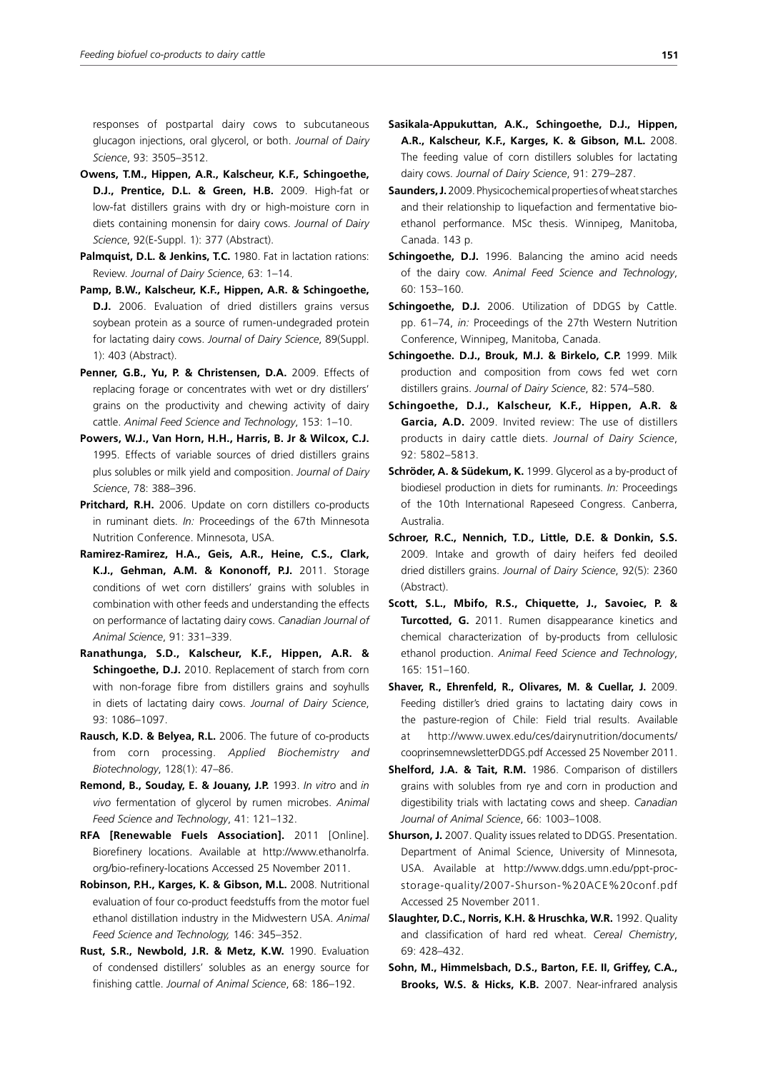responses of postpartal dairy cows to subcutaneous glucagon injections, oral glycerol, or both. *Journal of Dairy Science*, 93: 3505–3512.

- **Owens, T.M., Hippen, A.R., Kalscheur, K.F., Schingoethe, D.J., Prentice, D.L. & Green, H.B.** 2009. High-fat or low-fat distillers grains with dry or high-moisture corn in diets containing monensin for dairy cows. *Journal of Dairy Science*, 92(E-Suppl. 1): 377 (Abstract).
- **Palmquist, D.L. & Jenkins, T.C.** 1980. Fat in lactation rations: Review. *Journal of Dairy Science*, 63: 1–14.
- **Pamp, B.W., Kalscheur, K.F., Hippen, A.R. & Schingoethe, D.J.** 2006. Evaluation of dried distillers grains versus soybean protein as a source of rumen-undegraded protein for lactating dairy cows. *Journal of Dairy Science*, 89(Suppl. 1): 403 (Abstract).
- Penner, G.B., Yu, P. & Christensen, D.A. 2009. Effects of replacing forage or concentrates with wet or dry distillers' grains on the productivity and chewing activity of dairy cattle. *Animal Feed Science and Technology*, 153: 1–10.
- **Powers, W.J., Van Horn, H.H., Harris, B. Jr & Wilcox, C.J.**  1995. Effects of variable sources of dried distillers grains plus solubles or milk yield and composition. *Journal of Dairy Science*, 78: 388–396.
- **Pritchard, R.H.** 2006. Update on corn distillers co-products in ruminant diets. *In:* Proceedings of the 67th Minnesota Nutrition Conference. Minnesota, USA.
- **Ramirez-Ramirez, H.A., Geis, A.R., Heine, C.S., Clark, K.J., Gehman, A.M. & Kononoff, P.J.** 2011. Storage conditions of wet corn distillers' grains with solubles in combination with other feeds and understanding the effects on performance of lactating dairy cows. *Canadian Journal of Animal Science*, 91: 331–339.
- **Ranathunga, S.D., Kalscheur, K.F., Hippen, A.R. & Schingoethe, D.J.** 2010. Replacement of starch from corn with non-forage fibre from distillers grains and soyhulls in diets of lactating dairy cows. *Journal of Dairy Science*, 93: 1086–1097.
- **Rausch, K.D. & Belyea, R.L.** 2006. The future of co-products from corn processing. *Applied Biochemistry and Biotechnology*, 128(1): 47–86.
- **Remond, B., Souday, E. & Jouany, J.P.** 1993. *In vitro* and *in vivo* fermentation of glycerol by rumen microbes. *Animal Feed Science and Technology*, 41: 121–132.
- **RFA [Renewable Fuels Association].** 2011 [Online]. Biorefinery locations. Available at http://www.ethanolrfa. org/bio-refinery-locations Accessed 25 November 2011.
- **Robinson, P.H., Karges, K. & Gibson, M.L.** 2008. Nutritional evaluation of four co-product feedstuffs from the motor fuel ethanol distillation industry in the Midwestern USA. *Animal Feed Science and Technology,* 146: 345–352.
- **Rust, S.R., Newbold, J.R. & Metz, K.W.** 1990. Evaluation of condensed distillers' solubles as an energy source for finishing cattle. *Journal of Animal Science*, 68: 186–192.
- **Sasikala-Appukuttan, A.K., Schingoethe, D.J., Hippen, A.R., Kalscheur, K.F., Karges, K. & Gibson, M.L.** 2008. The feeding value of corn distillers solubles for lactating dairy cows. *Journal of Dairy Science*, 91: 279–287.
- **Saunders, J.** 2009. Physicochemical properties of wheat starches and their relationship to liquefaction and fermentative bioethanol performance. MSc thesis. Winnipeg, Manitoba, Canada. 143 p.
- **Schingoethe, D.J.** 1996. Balancing the amino acid needs of the dairy cow. *Animal Feed Science and Technology*, 60: 153–160.
- **Schingoethe, D.J.** 2006. Utilization of DDGS by Cattle. pp. 61–74, *in:* Proceedings of the 27th Western Nutrition Conference, Winnipeg, Manitoba, Canada.
- **Schingoethe. D.J., Brouk, M.J. & Birkelo, C.P.** 1999. Milk production and composition from cows fed wet corn distillers grains. *Journal of Dairy Science*, 82: 574–580.
- **Schingoethe, D.J., Kalscheur, K.F., Hippen, A.R. & Garcia, A.D.** 2009. Invited review: The use of distillers products in dairy cattle diets. *Journal of Dairy Science*, 92: 5802–5813.
- **Schröder, A. & Südekum, K.** 1999. Glycerol as a by-product of biodiesel production in diets for ruminants. *In:* Proceedings of the 10th International Rapeseed Congress. Canberra, Australia.
- **Schroer, R.C., Nennich, T.D., Little, D.E. & Donkin, S.S.** 2009. Intake and growth of dairy heifers fed deoiled dried distillers grains. *Journal of Dairy Science*, 92(5): 2360 (Abstract).
- **Scott, S.L., Mbifo, R.S., Chiquette, J., Savoiec, P. & Turcotted, G.** 2011. Rumen disappearance kinetics and chemical characterization of by-products from cellulosic ethanol production. *Animal Feed Science and Technology*, 165: 151–160.
- **Shaver, R., Ehrenfeld, R., Olivares, M. & Cuellar, J.** 2009. Feeding distiller's dried grains to lactating dairy cows in the pasture-region of Chile: Field trial results. Available at http://www.uwex.edu/ces/dairynutrition/documents/ cooprinsemnewsletterDDGS.pdf Accessed 25 November 2011.
- **Shelford, J.A. & Tait, R.M.** 1986. Comparison of distillers grains with solubles from rye and corn in production and digestibility trials with lactating cows and sheep. *Canadian Journal of Animal Science*, 66: 1003–1008.
- **Shurson, J.** 2007. Quality issues related to DDGS. Presentation. Department of Animal Science, University of Minnesota, USA. Available at http://www.ddgs.umn.edu/ppt-procstorage-quality/2007-Shurson-%20ACE%20conf.pdf Accessed 25 November 2011.
- **Slaughter, D.C., Norris, K.H. & Hruschka, W.R.** 1992. Quality and classification of hard red wheat. *Cereal Chemistry*, 69: 428–432.
- **Sohn, M., Himmelsbach, D.S., Barton, F.E. II, Griffey, C.A., Brooks, W.S. & Hicks, K.B.** 2007. Near-infrared analysis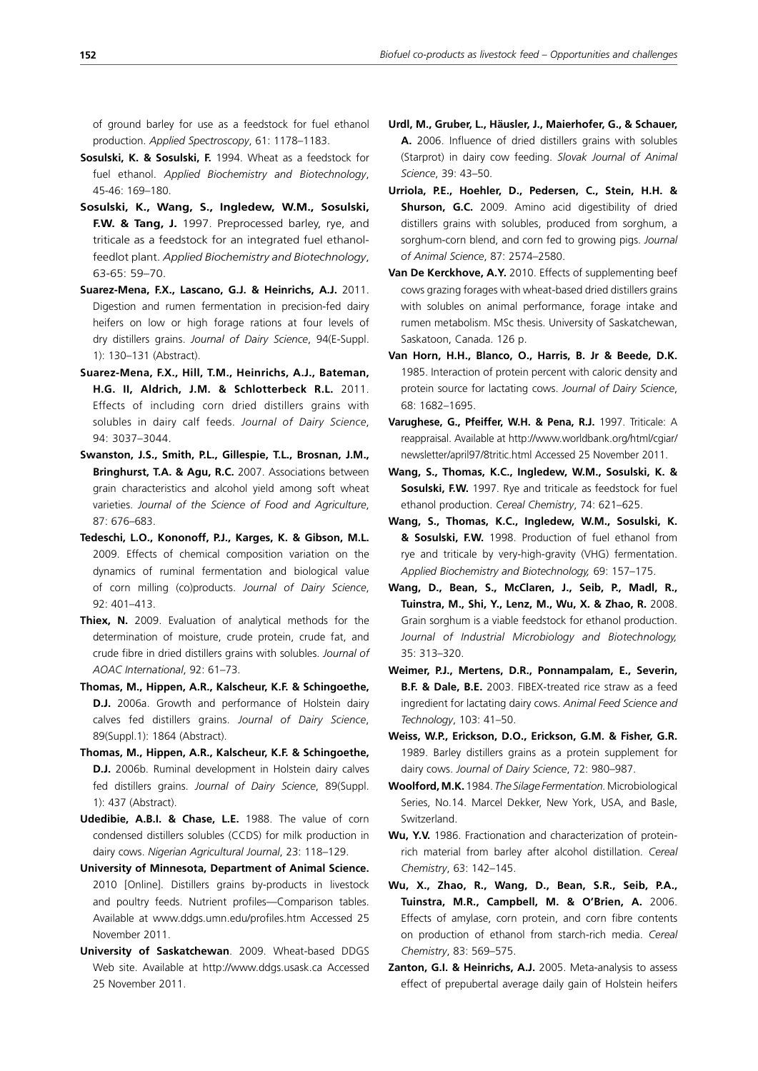of ground barley for use as a feedstock for fuel ethanol production. *Applied Spectroscopy*, 61: 1178–1183.

- **Sosulski, K. & Sosulski, F.** 1994. Wheat as a feedstock for fuel ethanol. *Applied Biochemistry and Biotechnology*, 45-46: 169–180.
- **Sosulski, K., Wang, S., Ingledew, W.M., Sosulski, F.W. & Tang, J.** 1997. Preprocessed barley, rye, and triticale as a feedstock for an integrated fuel ethanolfeedlot plant. *Applied Biochemistry and Biotechnology*, 63-65: 59–70.
- **Suarez-Mena, F.X., Lascano, G.J. & Heinrichs, A.J.** 2011. Digestion and rumen fermentation in precision-fed dairy heifers on low or high forage rations at four levels of dry distillers grains. *Journal of Dairy Science*, 94(E-Suppl. 1): 130–131 (Abstract).
- **Suarez-Mena, F.X., Hill, T.M., Heinrichs, A.J., Bateman, H.G. II, Aldrich, J.M. & Schlotterbeck R.L.** 2011. Effects of including corn dried distillers grains with solubles in dairy calf feeds. *Journal of Dairy Science*, 94: 3037–3044.
- **Swanston, J.S., Smith, P.L., Gillespie, T.L., Brosnan, J.M., Bringhurst, T.A. & Agu, R.C.** 2007. Associations between grain characteristics and alcohol yield among soft wheat varieties. *Journal of the Science of Food and Agriculture*, 87: 676–683.
- **Tedeschi, L.O., Kononoff, P.J., Karges, K. & Gibson, M.L.**  2009. Effects of chemical composition variation on the dynamics of ruminal fermentation and biological value of corn milling (co)products. *Journal of Dairy Science*, 92: 401–413.
- **Thiex, N.** 2009. Evaluation of analytical methods for the determination of moisture, crude protein, crude fat, and crude fibre in dried distillers grains with solubles. *Journal of AOAC International*, 92: 61–73.
- **Thomas, M., Hippen, A.R., Kalscheur, K.F. & Schingoethe, D.J.** 2006a. Growth and performance of Holstein dairy calves fed distillers grains. *Journal of Dairy Science*, 89(Suppl.1): 1864 (Abstract).
- **Thomas, M., Hippen, A.R., Kalscheur, K.F. & Schingoethe, D.J.** 2006b. Ruminal development in Holstein dairy calves fed distillers grains. *Journal of Dairy Science*, 89(Suppl. 1): 437 (Abstract).
- **Udedibie, A.B.I. & Chase, L.E.** 1988. The value of corn condensed distillers solubles (CCDS) for milk production in dairy cows. *Nigerian Agricultural Journal*, 23: 118–129.
- **University of Minnesota, Department of Animal Science.**  2010 [Online]. Distillers grains by-products in livestock and poultry feeds. Nutrient profiles—Comparison tables. Available at www.ddgs.umn.edu/profiles.htm Accessed 25 November 2011.
- **University of Saskatchewan**. 2009. Wheat-based DDGS Web site. Available at http://www.ddgs.usask.ca Accessed 25 November 2011.
- **Urdl, M., Gruber, L., Häusler, J., Maierhofer, G., & Schauer, A.** 2006. Influence of dried distillers grains with solubles (Starprot) in dairy cow feeding. *Slovak Journal of Animal Science*, 39: 43–50.
- **Urriola, P.E., Hoehler, D., Pedersen, C., Stein, H.H. & Shurson, G.C.** 2009. Amino acid digestibility of dried distillers grains with solubles, produced from sorghum, a sorghum-corn blend, and corn fed to growing pigs. *Journal of Animal Science*, 87: 2574–2580.
- **Van De Kerckhove, A.Y.** 2010. Effects of supplementing beef cows grazing forages with wheat-based dried distillers grains with solubles on animal performance, forage intake and rumen metabolism. MSc thesis. University of Saskatchewan, Saskatoon, Canada. 126 p.
- **Van Horn, H.H., Blanco, O., Harris, B. Jr & Beede, D.K.**  1985. Interaction of protein percent with caloric density and protein source for lactating cows. *Journal of Dairy Science*, 68: 1682–1695.
- **Varughese, G., Pfeiffer, W.H. & Pena, R.J.** 1997. Triticale: A reappraisal. Available at http://www.worldbank.org/html/cgiar/ newsletter/april97/8tritic.html Accessed 25 November 2011.
- **Wang, S., Thomas, K.C., Ingledew, W.M., Sosulski, K. & Sosulski, F.W.** 1997. Rye and triticale as feedstock for fuel ethanol production. *Cereal Chemistry*, 74: 621–625.
- **Wang, S., Thomas, K.C., Ingledew, W.M., Sosulski, K. & Sosulski, F.W.** 1998. Production of fuel ethanol from rye and triticale by very-high-gravity (VHG) fermentation. *Applied Biochemistry and Biotechnology,* 69: 157–175.
- **Wang, D., Bean, S., McClaren, J., Seib, P., Madl, R., Tuinstra, M., Shi, Y., Lenz, M., Wu, X. & Zhao, R.** 2008. Grain sorghum is a viable feedstock for ethanol production. *Journal of Industrial Microbiology and Biotechnology,* 35: 313–320.
- **Weimer, P.J., Mertens, D.R., Ponnampalam, E., Severin, B.F. & Dale, B.E.** 2003. FIBEX-treated rice straw as a feed ingredient for lactating dairy cows. *Animal Feed Science and Technology*, 103: 41–50.
- **Weiss, W.P., Erickson, D.O., Erickson, G.M. & Fisher, G.R.** 1989. Barley distillers grains as a protein supplement for dairy cows. *Journal of Dairy Science*, 72: 980–987.
- **Woolford, M.K.** 1984. *The Silage Fermentation.* Microbiological Series, No.14. Marcel Dekker, New York, USA, and Basle, Switzerland.
- **Wu, Y.V.** 1986. Fractionation and characterization of proteinrich material from barley after alcohol distillation. *Cereal Chemistry*, 63: 142–145.
- **Wu, X., Zhao, R., Wang, D., Bean, S.R., Seib, P.A., Tuinstra, M.R., Campbell, M. & O'Brien, A.** 2006. Effects of amylase, corn protein, and corn fibre contents on production of ethanol from starch-rich media. *Cereal Chemistry*, 83: 569–575.
- **Zanton, G.I. & Heinrichs, A.J.** 2005. Meta-analysis to assess effect of prepubertal average daily gain of Holstein heifers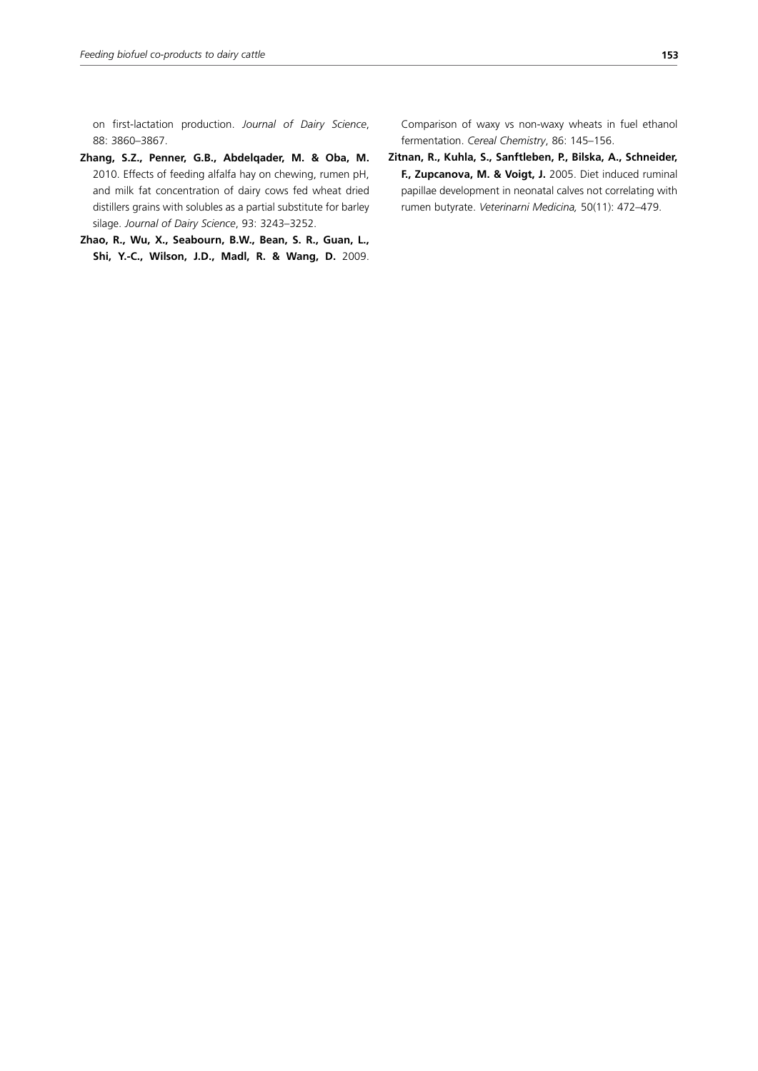on first-lactation production. *Journal of Dairy Science*, 88: 3860–3867.

- **Zhang, S.Z., Penner, G.B., Abdelqader, M. & Oba, M.** 2010. Effects of feeding alfalfa hay on chewing, rumen pH, and milk fat concentration of dairy cows fed wheat dried distillers grains with solubles as a partial substitute for barley silage. *Journal of Dairy Science*, 93: 3243–3252.
- **Zhao, R., Wu, X., Seabourn, B.W., Bean, S. R., Guan, L., Shi, Y.-C., Wilson, J.D., Madl, R. & Wang, D.** 2009.

Comparison of waxy vs non-waxy wheats in fuel ethanol fermentation. *Cereal Chemistry*, 86: 145–156.

**Zitnan, R., Kuhla, S., Sanftleben, P., Bilska, A., Schneider, F., Zupcanova, M. & Voigt, J.** 2005. Diet induced ruminal papillae development in neonatal calves not correlating with rumen butyrate. *Veterinarni Medicina,* 50(11): 472–479.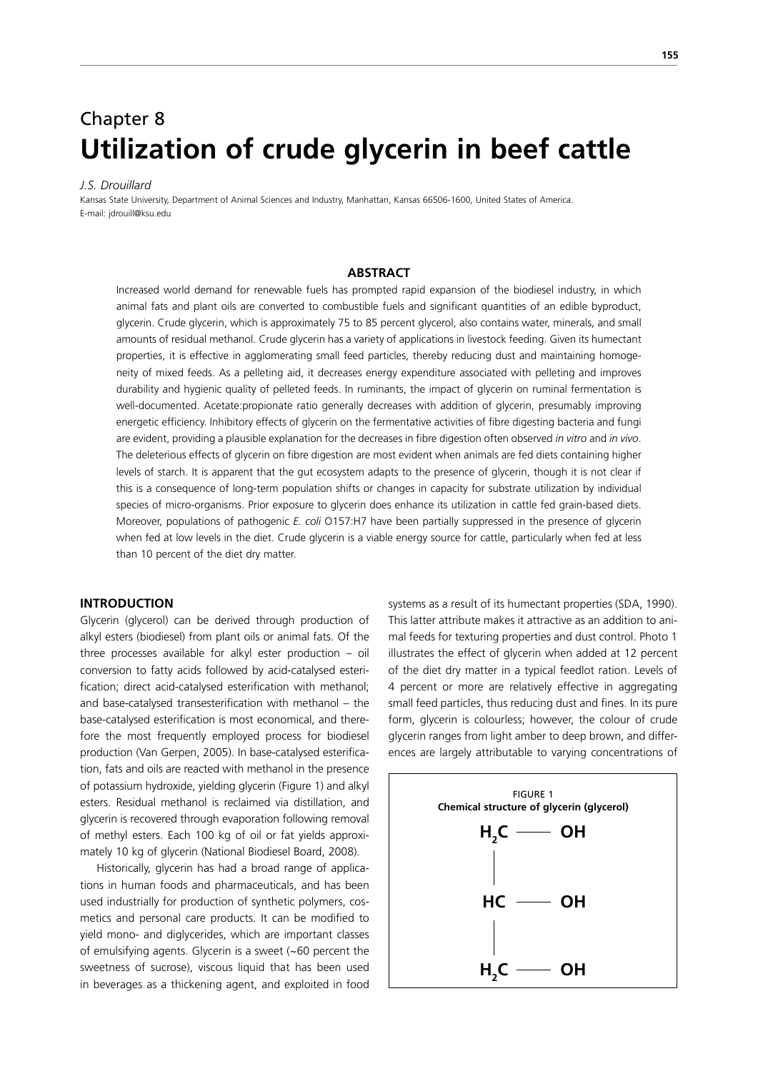# Chapter 8 **Utilization of crude glycerin in beef cattle**

#### *J.S. Drouillard*

Kansas State University, Department of Animal Sciences and Industry, Manhattan, Kansas 66506-1600, United States of America. E-mail: jdrouill@ksu.edu

## **ABSTRACT**

Increased world demand for renewable fuels has prompted rapid expansion of the biodiesel industry, in which animal fats and plant oils are converted to combustible fuels and significant quantities of an edible byproduct, glycerin. Crude glycerin, which is approximately 75 to 85 percent glycerol, also contains water, minerals, and small amounts of residual methanol. Crude glycerin has a variety of applications in livestock feeding. Given its humectant properties, it is effective in agglomerating small feed particles, thereby reducing dust and maintaining homogeneity of mixed feeds. As a pelleting aid, it decreases energy expenditure associated with pelleting and improves durability and hygienic quality of pelleted feeds. In ruminants, the impact of glycerin on ruminal fermentation is well-documented. Acetate:propionate ratio generally decreases with addition of glycerin, presumably improving energetic efficiency. Inhibitory effects of glycerin on the fermentative activities of fibre digesting bacteria and fungi are evident, providing a plausible explanation for the decreases in fibre digestion often observed *in vitro* and *in vivo*. The deleterious effects of glycerin on fibre digestion are most evident when animals are fed diets containing higher levels of starch. It is apparent that the gut ecosystem adapts to the presence of glycerin, though it is not clear if this is a consequence of long-term population shifts or changes in capacity for substrate utilization by individual species of micro-organisms. Prior exposure to glycerin does enhance its utilization in cattle fed grain-based diets. Moreover, populations of pathogenic *E. coli* O157:H7 have been partially suppressed in the presence of glycerin when fed at low levels in the diet. Crude glycerin is a viable energy source for cattle, particularly when fed at less than 10 percent of the diet dry matter.

#### **INTRODUCTION**

Glycerin (glycerol) can be derived through production of alkyl esters (biodiesel) from plant oils or animal fats. Of the three processes available for alkyl ester production – oil conversion to fatty acids followed by acid-catalysed esterification; direct acid-catalysed esterification with methanol; and base-catalysed transesterification with methanol – the base-catalysed esterification is most economical, and therefore the most frequently employed process for biodiesel production (Van Gerpen, 2005). In base-catalysed esterification, fats and oils are reacted with methanol in the presence of potassium hydroxide, yielding glycerin (Figure 1) and alkyl esters. Residual methanol is reclaimed via distillation, and glycerin is recovered through evaporation following removal of methyl esters. Each 100 kg of oil or fat yields approximately 10 kg of glycerin (National Biodiesel Board, 2008).

Historically, glycerin has had a broad range of applications in human foods and pharmaceuticals, and has been used industrially for production of synthetic polymers, cosmetics and personal care products. It can be modified to yield mono- and diglycerides, which are important classes of emulsifying agents. Glycerin is a sweet (~60 percent the sweetness of sucrose), viscous liquid that has been used in beverages as a thickening agent, and exploited in food systems as a result of its humectant properties (SDA, 1990). This latter attribute makes it attractive as an addition to animal feeds for texturing properties and dust control. Photo 1 illustrates the effect of glycerin when added at 12 percent of the diet dry matter in a typical feedlot ration. Levels of 4 percent or more are relatively effective in aggregating small feed particles, thus reducing dust and fines. In its pure form, glycerin is colourless; however, the colour of crude glycerin ranges from light amber to deep brown, and differences are largely attributable to varying concentrations of

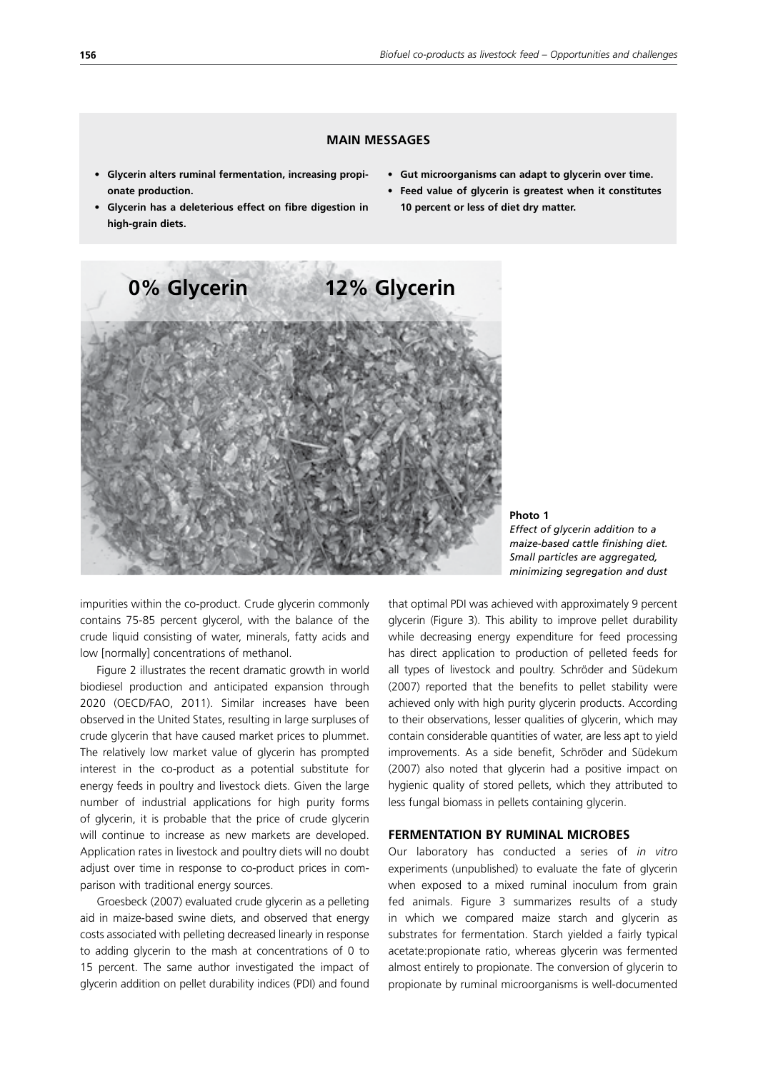### **MAIN MESSAGES**

- **• Glycerin alters ruminal fermentation, increasing propionate production.**
- **• Glycerin has a deleterious effect on fibre digestion in high-grain diets.**
- **• Gut microorganisms can adapt to glycerin over time.**
- **• Feed value of glycerin is greatest when it constitutes 10 percent or less of diet dry matter.**



**Photo 1** *Effect of glycerin addition to a maize-based cattle finishing diet. Small particles are aggregated, minimizing segregation and dust*

impurities within the co-product. Crude glycerin commonly contains 75-85 percent glycerol, with the balance of the crude liquid consisting of water, minerals, fatty acids and low [normally] concentrations of methanol.

Figure 2 illustrates the recent dramatic growth in world biodiesel production and anticipated expansion through 2020 (OECD/FAO, 2011). Similar increases have been observed in the United States, resulting in large surpluses of crude glycerin that have caused market prices to plummet. The relatively low market value of glycerin has prompted interest in the co-product as a potential substitute for energy feeds in poultry and livestock diets. Given the large number of industrial applications for high purity forms of glycerin, it is probable that the price of crude glycerin will continue to increase as new markets are developed. Application rates in livestock and poultry diets will no doubt adjust over time in response to co-product prices in comparison with traditional energy sources.

Groesbeck (2007) evaluated crude glycerin as a pelleting aid in maize-based swine diets, and observed that energy costs associated with pelleting decreased linearly in response to adding glycerin to the mash at concentrations of 0 to 15 percent. The same author investigated the impact of glycerin addition on pellet durability indices (PDI) and found that optimal PDI was achieved with approximately 9 percent glycerin (Figure 3). This ability to improve pellet durability while decreasing energy expenditure for feed processing has direct application to production of pelleted feeds for all types of livestock and poultry. Schröder and Südekum (2007) reported that the benefits to pellet stability were achieved only with high purity glycerin products. According to their observations, lesser qualities of glycerin, which may contain considerable quantities of water, are less apt to yield improvements. As a side benefit, Schröder and Südekum (2007) also noted that glycerin had a positive impact on hygienic quality of stored pellets, which they attributed to less fungal biomass in pellets containing glycerin.

#### **FERMENTATION BY RUMINAL MICROBES**

Our laboratory has conducted a series of *in vitro* experiments (unpublished) to evaluate the fate of glycerin when exposed to a mixed ruminal inoculum from grain fed animals. Figure 3 summarizes results of a study in which we compared maize starch and glycerin as substrates for fermentation. Starch yielded a fairly typical acetate:propionate ratio, whereas glycerin was fermented almost entirely to propionate. The conversion of glycerin to propionate by ruminal microorganisms is well-documented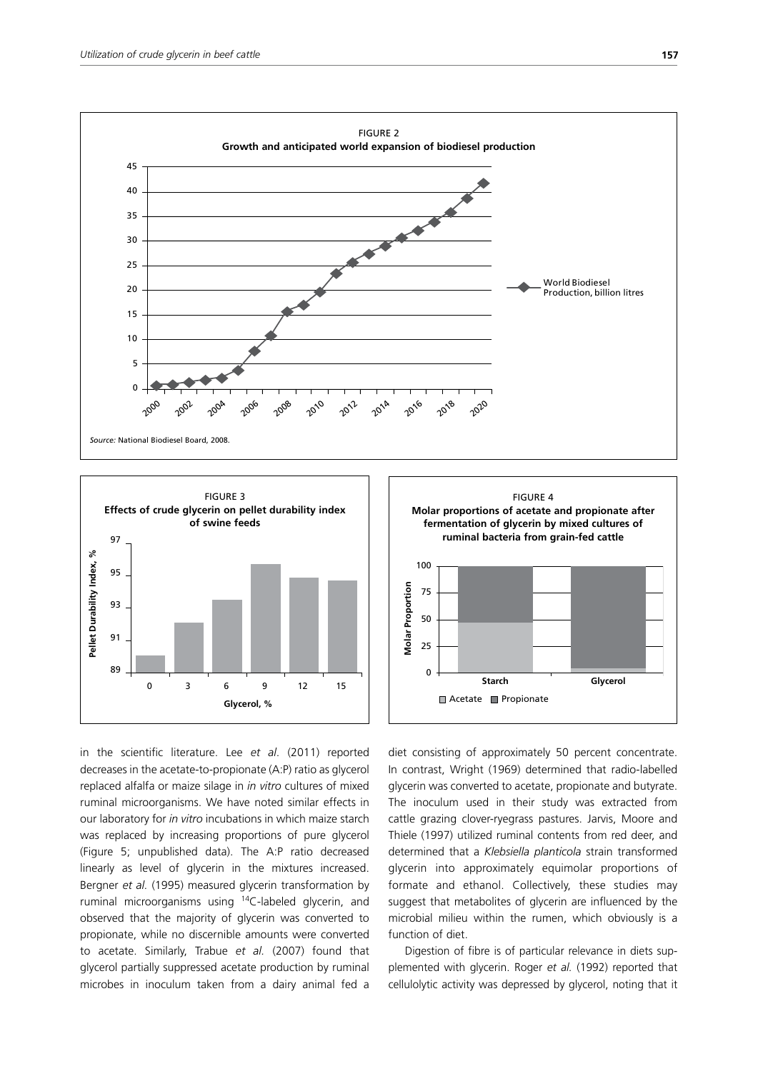



in the scientific literature. Lee *et al*. (2011) reported decreases in the acetate-to-propionate (A:P) ratio as glycerol replaced alfalfa or maize silage in *in vitro* cultures of mixed ruminal microorganisms. We have noted similar effects in our laboratory for *in vitro* incubations in which maize starch was replaced by increasing proportions of pure glycerol (Figure 5; unpublished data). The A:P ratio decreased linearly as level of glycerin in the mixtures increased. Bergner *et al.* (1995) measured glycerin transformation by ruminal microorganisms using 14C-labeled glycerin, and observed that the majority of glycerin was converted to propionate, while no discernible amounts were converted to acetate. Similarly, Trabue *et al.* (2007) found that glycerol partially suppressed acetate production by ruminal microbes in inoculum taken from a dairy animal fed a



FIGURE 4

diet consisting of approximately 50 percent concentrate. In contrast, Wright (1969) determined that radio-labelled glycerin was converted to acetate, propionate and butyrate. The inoculum used in their study was extracted from cattle grazing clover-ryegrass pastures. Jarvis, Moore and Thiele (1997) utilized ruminal contents from red deer, and determined that a *Klebsiella planticola* strain transformed glycerin into approximately equimolar proportions of formate and ethanol. Collectively, these studies may suggest that metabolites of glycerin are influenced by the microbial milieu within the rumen, which obviously is a function of diet.

Digestion of fibre is of particular relevance in diets supplemented with glycerin. Roger *et al.* (1992) reported that cellulolytic activity was depressed by glycerol, noting that it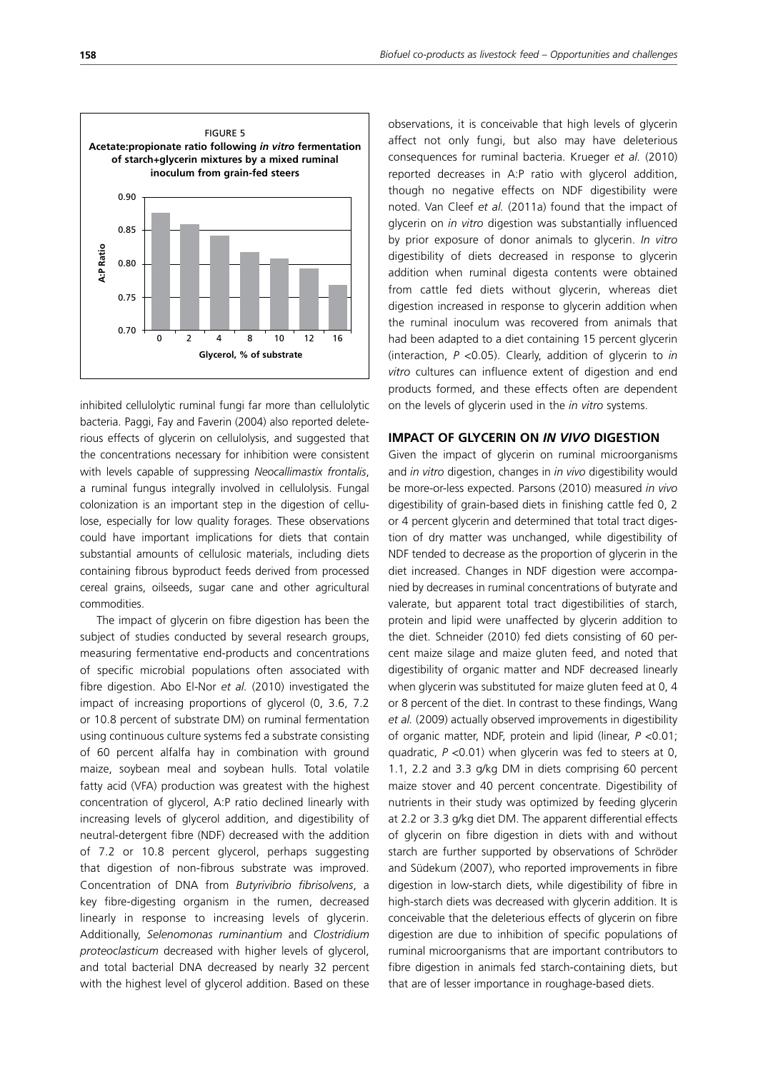

inhibited cellulolytic ruminal fungi far more than cellulolytic bacteria. Paggi, Fay and Faverin (2004) also reported deleterious effects of glycerin on cellulolysis, and suggested that the concentrations necessary for inhibition were consistent with levels capable of suppressing *Neocallimastix frontalis*, a ruminal fungus integrally involved in cellulolysis. Fungal colonization is an important step in the digestion of cellulose, especially for low quality forages. These observations could have important implications for diets that contain substantial amounts of cellulosic materials, including diets containing fibrous byproduct feeds derived from processed cereal grains, oilseeds, sugar cane and other agricultural commodities.

The impact of glycerin on fibre digestion has been the subject of studies conducted by several research groups, measuring fermentative end-products and concentrations of specific microbial populations often associated with fibre digestion. Abo El-Nor *et al.* (2010) investigated the impact of increasing proportions of glycerol (0, 3.6, 7.2 or 10.8 percent of substrate DM) on ruminal fermentation using continuous culture systems fed a substrate consisting of 60 percent alfalfa hay in combination with ground maize, soybean meal and soybean hulls. Total volatile fatty acid (VFA) production was greatest with the highest concentration of glycerol, A:P ratio declined linearly with increasing levels of glycerol addition, and digestibility of neutral-detergent fibre (NDF) decreased with the addition of 7.2 or 10.8 percent glycerol, perhaps suggesting that digestion of non-fibrous substrate was improved. Concentration of DNA from *Butyrivibrio fibrisolvens*, a key fibre-digesting organism in the rumen, decreased linearly in response to increasing levels of glycerin. Additionally, *Selenomonas ruminantium* and *Clostridium proteoclasticum* decreased with higher levels of glycerol, and total bacterial DNA decreased by nearly 32 percent with the highest level of glycerol addition. Based on these

observations, it is conceivable that high levels of glycerin affect not only fungi, but also may have deleterious consequences for ruminal bacteria. Krueger *et al.* (2010) reported decreases in A:P ratio with glycerol addition, though no negative effects on NDF digestibility were noted. Van Cleef *et al.* (2011a) found that the impact of glycerin on *in vitro* digestion was substantially influenced by prior exposure of donor animals to glycerin. *In vitro* digestibility of diets decreased in response to glycerin addition when ruminal digesta contents were obtained from cattle fed diets without glycerin, whereas diet digestion increased in response to glycerin addition when the ruminal inoculum was recovered from animals that had been adapted to a diet containing 15 percent glycerin (interaction, *P* <0.05). Clearly, addition of glycerin to *in vitro* cultures can influence extent of digestion and end products formed, and these effects often are dependent on the levels of glycerin used in the *in vitro* systems.

#### **IMPACT OF GLYCERIN ON** *IN VIVO* **DIGESTION**

Given the impact of glycerin on ruminal microorganisms and *in vitro* digestion, changes in *in vivo* digestibility would be more-or-less expected. Parsons (2010) measured *in vivo* digestibility of grain-based diets in finishing cattle fed 0, 2 or 4 percent glycerin and determined that total tract digestion of dry matter was unchanged, while digestibility of NDF tended to decrease as the proportion of glycerin in the diet increased. Changes in NDF digestion were accompanied by decreases in ruminal concentrations of butyrate and valerate, but apparent total tract digestibilities of starch, protein and lipid were unaffected by glycerin addition to the diet. Schneider (2010) fed diets consisting of 60 percent maize silage and maize gluten feed, and noted that digestibility of organic matter and NDF decreased linearly when glycerin was substituted for maize gluten feed at 0, 4 or 8 percent of the diet. In contrast to these findings, Wang *et al.* (2009) actually observed improvements in digestibility of organic matter, NDF, protein and lipid (linear, *P* <0.01; quadratic, *P* <0.01) when glycerin was fed to steers at 0, 1.1, 2.2 and 3.3 g/kg DM in diets comprising 60 percent maize stover and 40 percent concentrate. Digestibility of nutrients in their study was optimized by feeding glycerin at 2.2 or 3.3 g/kg diet DM. The apparent differential effects of glycerin on fibre digestion in diets with and without starch are further supported by observations of Schröder and Südekum (2007), who reported improvements in fibre digestion in low-starch diets, while digestibility of fibre in high-starch diets was decreased with glycerin addition. It is conceivable that the deleterious effects of glycerin on fibre digestion are due to inhibition of specific populations of ruminal microorganisms that are important contributors to fibre digestion in animals fed starch-containing diets, but that are of lesser importance in roughage-based diets.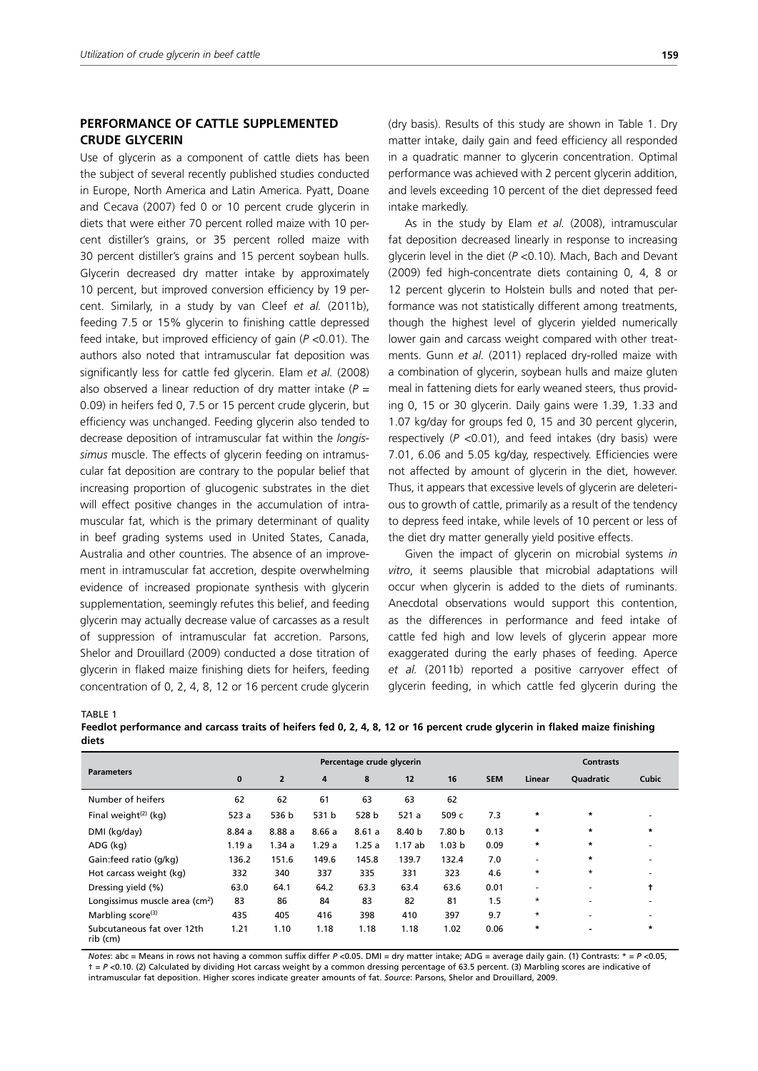## **PERFORMANCE OF CATTLE SUPPLEMENTED CRUDE GLYCERIN**

Use of glycerin as a component of cattle diets has been the subject of several recently published studies conducted in Europe, North America and Latin America. Pyatt, Doane and Cecava (2007) fed 0 or 10 percent crude glycerin in diets that were either 70 percent rolled maize with 10 percent distiller's grains, or 35 percent rolled maize with 30 percent distiller's grains and 15 percent soybean hulls. Glycerin decreased dry matter intake by approximately 10 percent, but improved conversion efficiency by 19 percent. Similarly, in a study by van Cleef *et al.* (2011b), feeding 7.5 or 15% glycerin to finishing cattle depressed feed intake, but improved efficiency of gain (*P* <0.01). The authors also noted that intramuscular fat deposition was significantly less for cattle fed glycerin. Elam *et al.* (2008) also observed a linear reduction of dry matter intake (*P* = 0.09) in heifers fed 0, 7.5 or 15 percent crude glycerin, but efficiency was unchanged. Feeding glycerin also tended to decrease deposition of intramuscular fat within the *longissimus* muscle. The effects of glycerin feeding on intramuscular fat deposition are contrary to the popular belief that increasing proportion of glucogenic substrates in the diet will effect positive changes in the accumulation of intramuscular fat, which is the primary determinant of quality in beef grading systems used in United States, Canada, Australia and other countries. The absence of an improvement in intramuscular fat accretion, despite overwhelming evidence of increased propionate synthesis with glycerin supplementation, seemingly refutes this belief, and feeding glycerin may actually decrease value of carcasses as a result of suppression of intramuscular fat accretion. Parsons, Shelor and Drouillard (2009) conducted a dose titration of glycerin in flaked maize finishing diets for heifers, feeding concentration of 0, 2, 4, 8, 12 or 16 percent crude glycerin (dry basis). Results of this study are shown in Table 1. Dry matter intake, daily gain and feed efficiency all responded in a quadratic manner to glycerin concentration. Optimal performance was achieved with 2 percent glycerin addition, and levels exceeding 10 percent of the diet depressed feed intake markedly.

As in the study by Elam *et al.* (2008), intramuscular fat deposition decreased linearly in response to increasing glycerin level in the diet (*P* <0.10). Mach, Bach and Devant (2009) fed high-concentrate diets containing 0, 4, 8 or 12 percent glycerin to Holstein bulls and noted that performance was not statistically different among treatments, though the highest level of glycerin yielded numerically lower gain and carcass weight compared with other treatments. Gunn *et al.* (2011) replaced dry-rolled maize with a combination of glycerin, soybean hulls and maize gluten meal in fattening diets for early weaned steers, thus providing 0, 15 or 30 glycerin. Daily gains were 1.39, 1.33 and 1.07 kg/day for groups fed 0, 15 and 30 percent glycerin, respectively (*P* <0.01), and feed intakes (dry basis) were 7.01, 6.06 and 5.05 kg/day, respectively. Efficiencies were not affected by amount of glycerin in the diet, however. Thus, it appears that excessive levels of glycerin are deleterious to growth of cattle, primarily as a result of the tendency to depress feed intake, while levels of 10 percent or less of the diet dry matter generally yield positive effects.

Given the impact of glycerin on microbial systems *in vitro*, it seems plausible that microbial adaptations will occur when glycerin is added to the diets of ruminants. Anecdotal observations would support this contention, as the differences in performance and feed intake of cattle fed high and low levels of glycerin appear more exaggerated during the early phases of feeding. Aperce *et al.* (2011b) reported a positive carryover effect of glycerin feeding, in which cattle fed glycerin during the

TABLE 1

| Feedlot performance and carcass traits of heifers fed 0, 2, 4, 8, 12 or 16 percent crude glycerin in flaked maize finishing |  |  |
|-----------------------------------------------------------------------------------------------------------------------------|--|--|
| diets                                                                                                                       |  |  |

|                                            | Percentage crude glycerin |                |       |       |        |                   | <b>Contrasts</b> |                          |           |              |
|--------------------------------------------|---------------------------|----------------|-------|-------|--------|-------------------|------------------|--------------------------|-----------|--------------|
| <b>Parameters</b>                          | $\mathbf{0}$              | $\overline{2}$ | 4     | 8     | 12     | 16                | <b>SEM</b>       | Linear                   | Quadratic | <b>Cubic</b> |
| Number of heifers                          | 62                        | 62             | 61    | 63    | 63     | 62                |                  |                          |           |              |
| Final weight $(2)$ (kg)                    | 523 a                     | 536 b          | 531 b | 528 b | 521a   | 509 c             | 7.3              | $\star$                  | $\star$   |              |
| DMI (kg/day)                               | 8.84a                     | 8.88a          | 8.66a | 8.61a | 8.40 b | 7.80 b            | 0.13             | $\star$                  | $\star$   | $\star$      |
| ADG (kg)                                   | 1.19a                     | 1.34a          | 1.29a | 1.25a | 1.17ab | 1.03 <sub>b</sub> | 0.09             | $\star$                  | $\star$   |              |
| Gain:feed ratio (g/kg)                     | 136.2                     | 151.6          | 149.6 | 145.8 | 139.7  | 132.4             | 7.0              | ۰                        | $\star$   |              |
| Hot carcass weight (kg)                    | 332                       | 340            | 337   | 335   | 331    | 323               | 4.6              | $^\star$                 | $\star$   |              |
| Dressing yield (%)                         | 63.0                      | 64.1           | 64.2  | 63.3  | 63.4   | 63.6              | 0.01             | $\overline{\phantom{a}}$ | ۰         | t            |
| Longissimus muscle area (cm <sup>2</sup> ) | 83                        | 86             | 84    | 83    | 82     | 81                | 1.5              | $\star$                  | ۰         |              |
| Marbling score <sup>(3)</sup>              | 435                       | 405            | 416   | 398   | 410    | 397               | 9.7              | $\star$                  | ۰         |              |
| Subcutaneous fat over 12th<br>rib (cm)     | 1.21                      | 1.10           | 1.18  | 1.18  | 1.18   | 1.02              | 0.06             | $\star$                  |           | $\star$      |

*Notes*: abc = Means in rows not having a common suffix differ *P* <0.05. DMI = dry matter intake; ADG = average daily gain. (1) Contrasts: \* = *P* <0.05, † = *P* <0.10. (2) Calculated by dividing Hot carcass weight by a common dressing percentage of 63.5 percent. (3) Marbling scores are indicative of intramuscular fat deposition. Higher scores indicate greater amounts of fat. *Source*: Parsons, Shelor and Drouillard, 2009.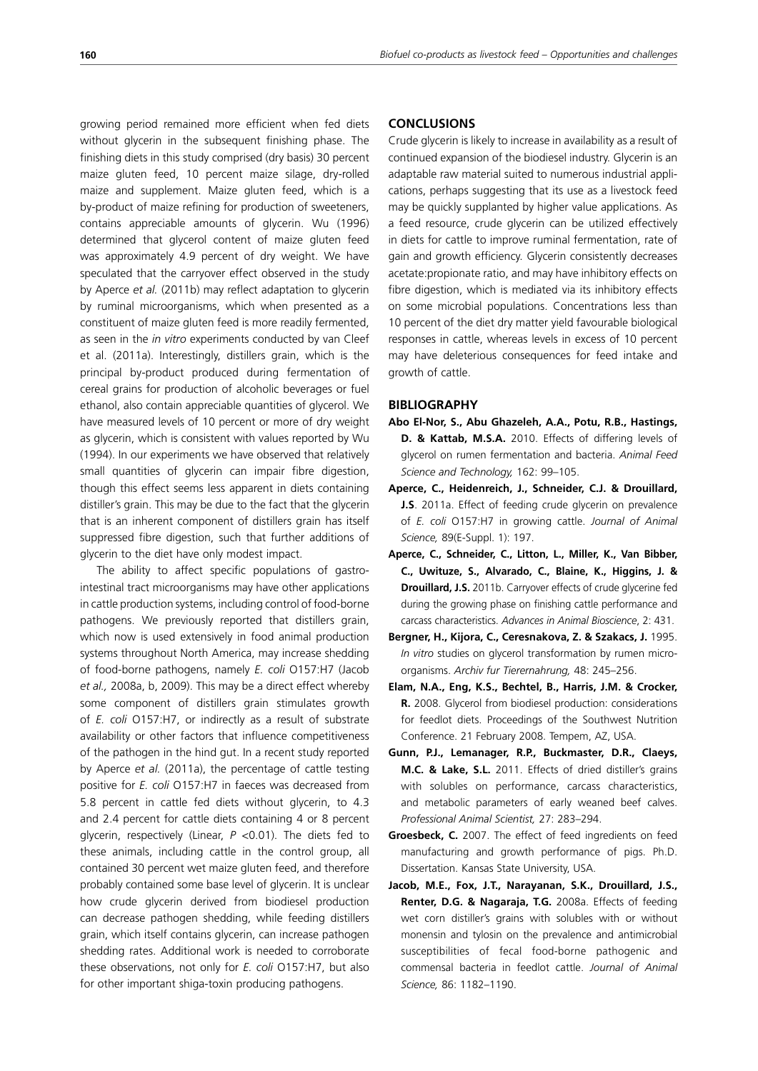growing period remained more efficient when fed diets without glycerin in the subsequent finishing phase. The finishing diets in this study comprised (dry basis) 30 percent maize gluten feed, 10 percent maize silage, dry-rolled maize and supplement. Maize gluten feed, which is a by-product of maize refining for production of sweeteners, contains appreciable amounts of glycerin. Wu (1996) determined that glycerol content of maize gluten feed was approximately 4.9 percent of dry weight. We have speculated that the carryover effect observed in the study by Aperce *et al.* (2011b) may reflect adaptation to glycerin by ruminal microorganisms, which when presented as a constituent of maize gluten feed is more readily fermented, as seen in the *in vitro* experiments conducted by van Cleef et al. (2011a). Interestingly, distillers grain, which is the principal by-product produced during fermentation of cereal grains for production of alcoholic beverages or fuel ethanol, also contain appreciable quantities of glycerol. We have measured levels of 10 percent or more of dry weight as glycerin, which is consistent with values reported by Wu (1994). In our experiments we have observed that relatively small quantities of glycerin can impair fibre digestion, though this effect seems less apparent in diets containing distiller's grain. This may be due to the fact that the glycerin that is an inherent component of distillers grain has itself suppressed fibre digestion, such that further additions of glycerin to the diet have only modest impact.

The ability to affect specific populations of gastrointestinal tract microorganisms may have other applications in cattle production systems, including control of food-borne pathogens. We previously reported that distillers grain, which now is used extensively in food animal production systems throughout North America, may increase shedding of food-borne pathogens, namely *E. coli* O157:H7 (Jacob *et al.,* 2008a, b, 2009). This may be a direct effect whereby some component of distillers grain stimulates growth of *E. coli* O157:H7, or indirectly as a result of substrate availability or other factors that influence competitiveness of the pathogen in the hind gut. In a recent study reported by Aperce *et al.* (2011a), the percentage of cattle testing positive for *E. coli* O157:H7 in faeces was decreased from 5.8 percent in cattle fed diets without glycerin, to 4.3 and 2.4 percent for cattle diets containing 4 or 8 percent glycerin, respectively (Linear, *P* <0.01). The diets fed to these animals, including cattle in the control group, all contained 30 percent wet maize gluten feed, and therefore probably contained some base level of glycerin. It is unclear how crude glycerin derived from biodiesel production can decrease pathogen shedding, while feeding distillers grain, which itself contains glycerin, can increase pathogen shedding rates. Additional work is needed to corroborate these observations, not only for *E. coli* O157:H7, but also for other important shiga-toxin producing pathogens.

#### **CONCLUSIONS**

Crude glycerin is likely to increase in availability as a result of continued expansion of the biodiesel industry. Glycerin is an adaptable raw material suited to numerous industrial applications, perhaps suggesting that its use as a livestock feed may be quickly supplanted by higher value applications. As a feed resource, crude glycerin can be utilized effectively in diets for cattle to improve ruminal fermentation, rate of gain and growth efficiency. Glycerin consistently decreases acetate:propionate ratio, and may have inhibitory effects on fibre digestion, which is mediated via its inhibitory effects on some microbial populations. Concentrations less than 10 percent of the diet dry matter yield favourable biological responses in cattle, whereas levels in excess of 10 percent may have deleterious consequences for feed intake and growth of cattle.

#### **BIBLIOGRAPHY**

- **Abo El-Nor, S., Abu Ghazeleh, A.A., Potu, R.B., Hastings, D. & Kattab, M.S.A.** 2010. Effects of differing levels of glycerol on rumen fermentation and bacteria. *Animal Feed Science and Technology,* 162: 99–105.
- **Aperce, C., Heidenreich, J., Schneider, C.J. & Drouillard, J.S**. 2011a. Effect of feeding crude glycerin on prevalence of *E. coli* O157:H7 in growing cattle. *Journal of Animal Science,* 89(E-Suppl. 1): 197.
- **Aperce, C., Schneider, C., Litton, L., Miller, K., Van Bibber, C., Uwituze, S., Alvarado, C., Blaine, K., Higgins, J. & Drouillard, J.S.** 2011b. Carryover effects of crude glycerine fed during the growing phase on finishing cattle performance and carcass characteristics. *Advances in Animal Bioscience*, 2: 431.
- **Bergner, H., Kijora, C., Ceresnakova, Z. & Szakacs, J.** 1995. *In vitro* studies on glycerol transformation by rumen microorganisms. *Archiv fur Tierernahrung,* 48: 245–256.
- **Elam, N.A., Eng, K.S., Bechtel, B., Harris, J.M. & Crocker, R.** 2008. Glycerol from biodiesel production: considerations for feedlot diets. Proceedings of the Southwest Nutrition Conference. 21 February 2008. Tempem, AZ, USA.
- **Gunn, P.J., Lemanager, R.P., Buckmaster, D.R., Claeys, M.C. & Lake, S.L.** 2011. Effects of dried distiller's grains with solubles on performance, carcass characteristics, and metabolic parameters of early weaned beef calves. *Professional Animal Scientist,* 27: 283–294.
- **Groesbeck, C.** 2007. The effect of feed ingredients on feed manufacturing and growth performance of pigs. Ph.D. Dissertation. Kansas State University, USA.
- **Jacob, M.E., Fox, J.T., Narayanan, S.K., Drouillard, J.S., Renter, D.G. & Nagaraja, T.G.** 2008a. Effects of feeding wet corn distiller's grains with solubles with or without monensin and tylosin on the prevalence and antimicrobial susceptibilities of fecal food-borne pathogenic and commensal bacteria in feedlot cattle. *Journal of Animal Science,* 86: 1182–1190.